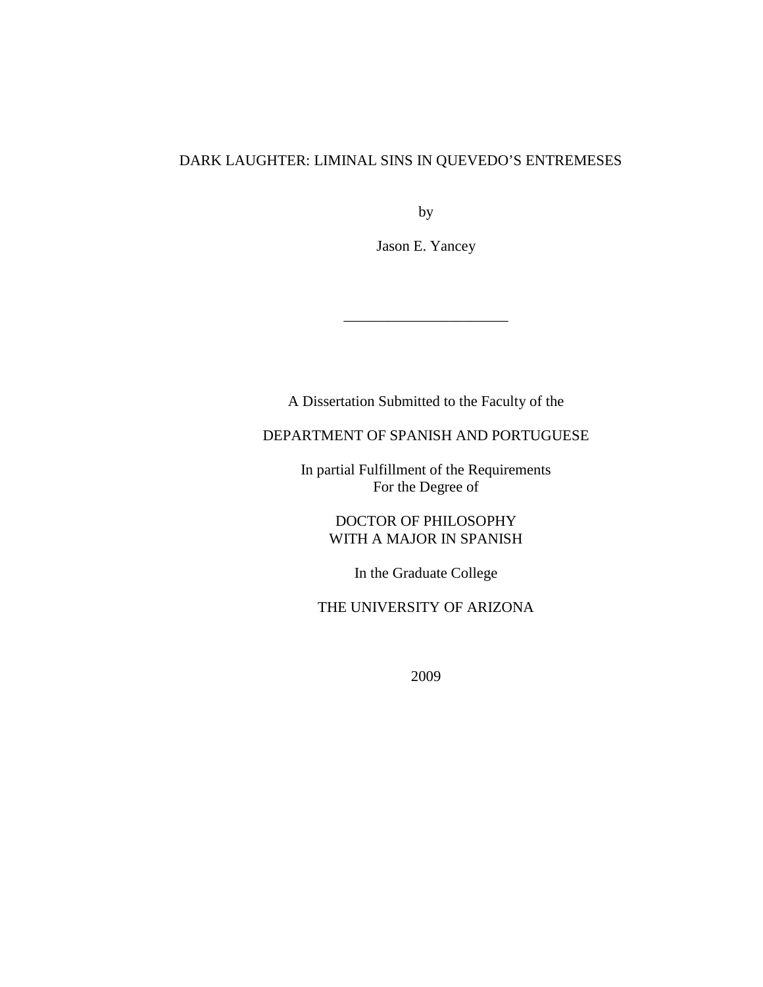# DARK LAUGHTER: LIMINAL SINS IN QUEVEDO'S ENTREMESES

by

Jason E. Yancey

\_\_\_\_\_\_\_\_\_\_\_\_\_\_\_\_\_\_\_\_\_\_

A Dissertation Submitted to the Faculty of the

# DEPARTMENT OF SPANISH AND PORTUGUESE

In partial Fulfillment of the Requirements For the Degree of

> DOCTOR OF PHILOSOPHY WITH A MAJOR IN SPANISH

> > In the Graduate College

THE UNIVERSITY OF ARIZONA

2009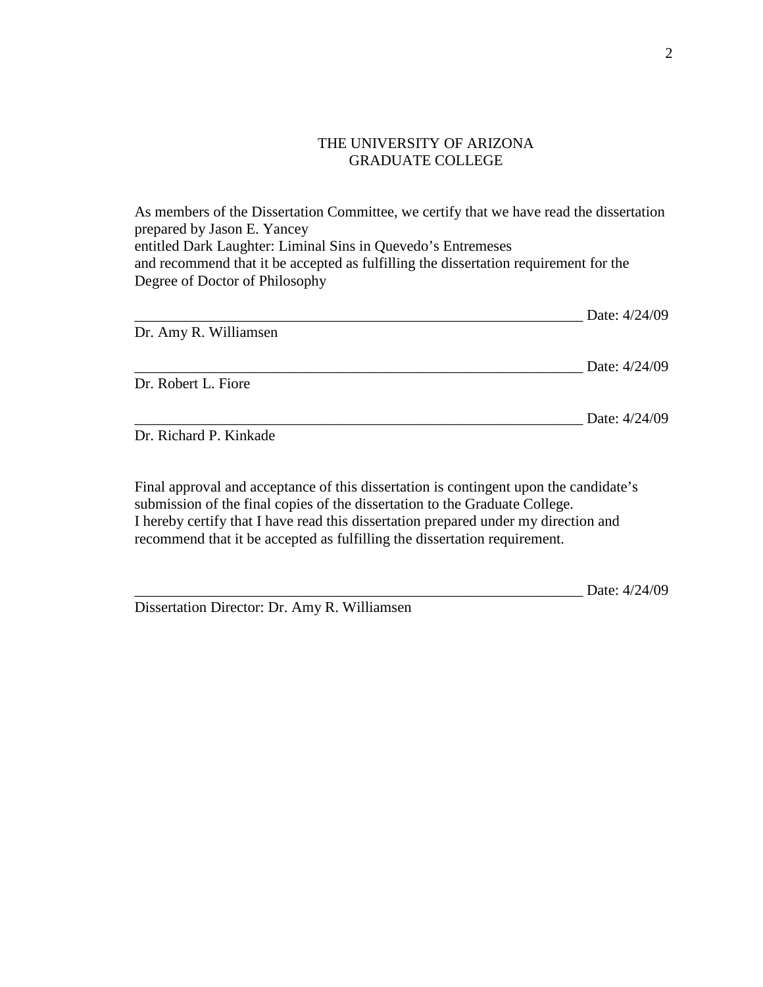# THE UNIVERSITY OF ARIZONA GRADUATE COLLEGE

As members of the Dissertation Committee, we certify that we have read the dissertation prepared by Jason E. Yancey entitled Dark Laughter: Liminal Sins in Quevedo's Entremeses and recommend that it be accepted as fulfilling the dissertation requirement for the Degree of Doctor of Philosophy

|                        | Date: 4/24/09 |
|------------------------|---------------|
| Dr. Amy R. Williamsen  |               |
|                        | Date: 4/24/09 |
| Dr. Robert L. Fiore    |               |
|                        | Date: 4/24/09 |
| Dr. Richard P. Kinkade |               |

Final approval and acceptance of this dissertation is contingent upon the candidate's submission of the final copies of the dissertation to the Graduate College. I hereby certify that I have read this dissertation prepared under my direction and recommend that it be accepted as fulfilling the dissertation requirement.

Dissertation Director: Dr. Amy R. Williamsen

Date:  $4/24/09$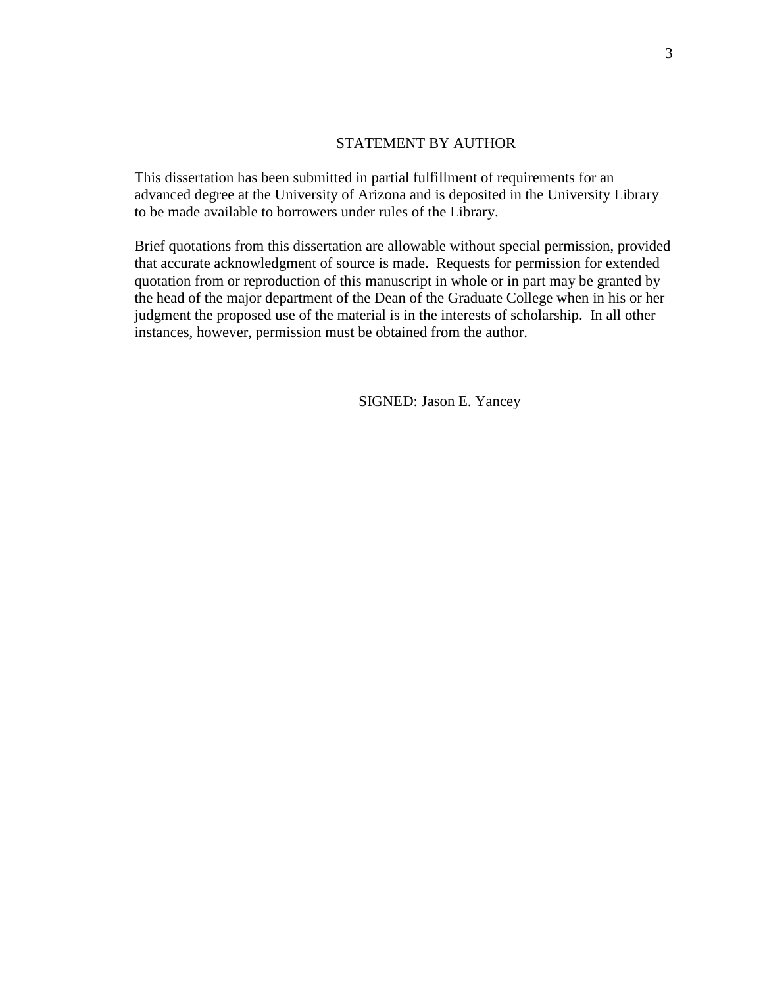## STATEMENT BY AUTHOR

This dissertation has been submitted in partial fulfillment of requirements for an advanced degree at the University of Arizona and is deposited in the University Library to be made available to borrowers under rules of the Library.

Brief quotations from this dissertation are allowable without special permission, provided that accurate acknowledgment of source is made. Requests for permission for extended quotation from or reproduction of this manuscript in whole or in part may be granted by the head of the major department of the Dean of the Graduate College when in his or her judgment the proposed use of the material is in the interests of scholarship. In all other instances, however, permission must be obtained from the author.

SIGNED: Jason E. Yancey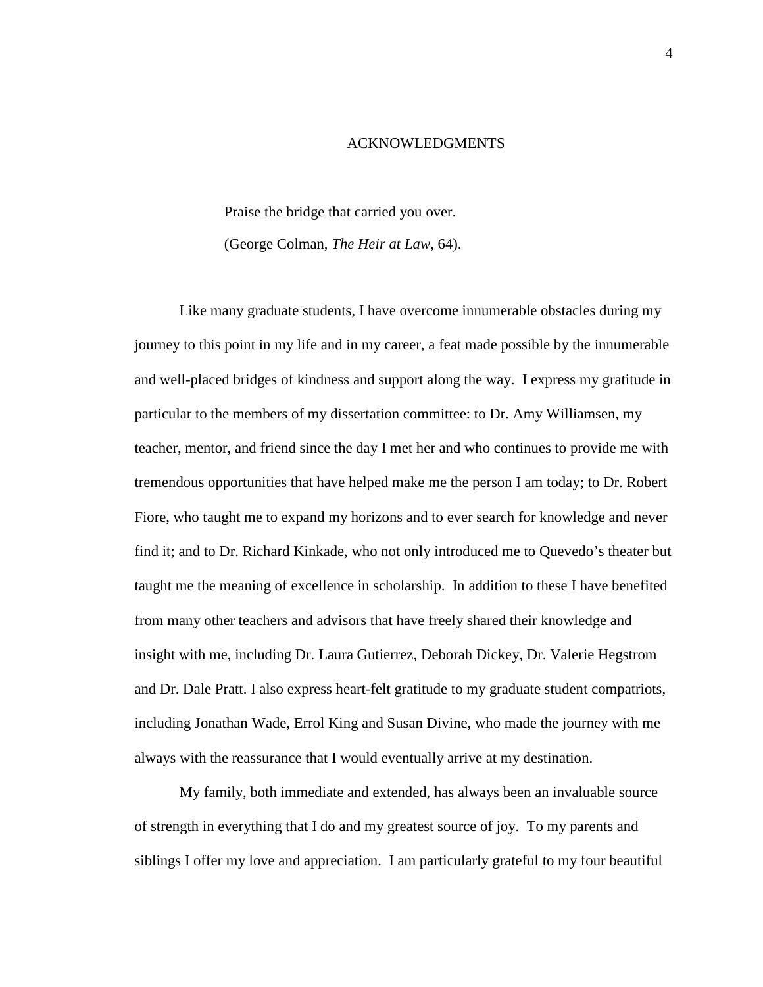#### ACKNOWLEDGMENTS

Praise the bridge that carried you over.

(George Colman, *The Heir at Law*, 64).

Like many graduate students, I have overcome innumerable obstacles during my journey to this point in my life and in my career, a feat made possible by the innumerable and well-placed bridges of kindness and support along the way. I express my gratitude in particular to the members of my dissertation committee: to Dr. Amy Williamsen, my teacher, mentor, and friend since the day I met her and who continues to provide me with tremendous opportunities that have helped make me the person I am today; to Dr. Robert Fiore, who taught me to expand my horizons and to ever search for knowledge and never find it; and to Dr. Richard Kinkade, who not only introduced me to Quevedo's theater but taught me the meaning of excellence in scholarship. In addition to these I have benefited from many other teachers and advisors that have freely shared their knowledge and insight with me, including Dr. Laura Gutierrez, Deborah Dickey, Dr. Valerie Hegstrom and Dr. Dale Pratt. I also express heart-felt gratitude to my graduate student compatriots, including Jonathan Wade, Errol King and Susan Divine, who made the journey with me always with the reassurance that I would eventually arrive at my destination.

My family, both immediate and extended, has always been an invaluable source of strength in everything that I do and my greatest source of joy. To my parents and siblings I offer my love and appreciation. I am particularly grateful to my four beautiful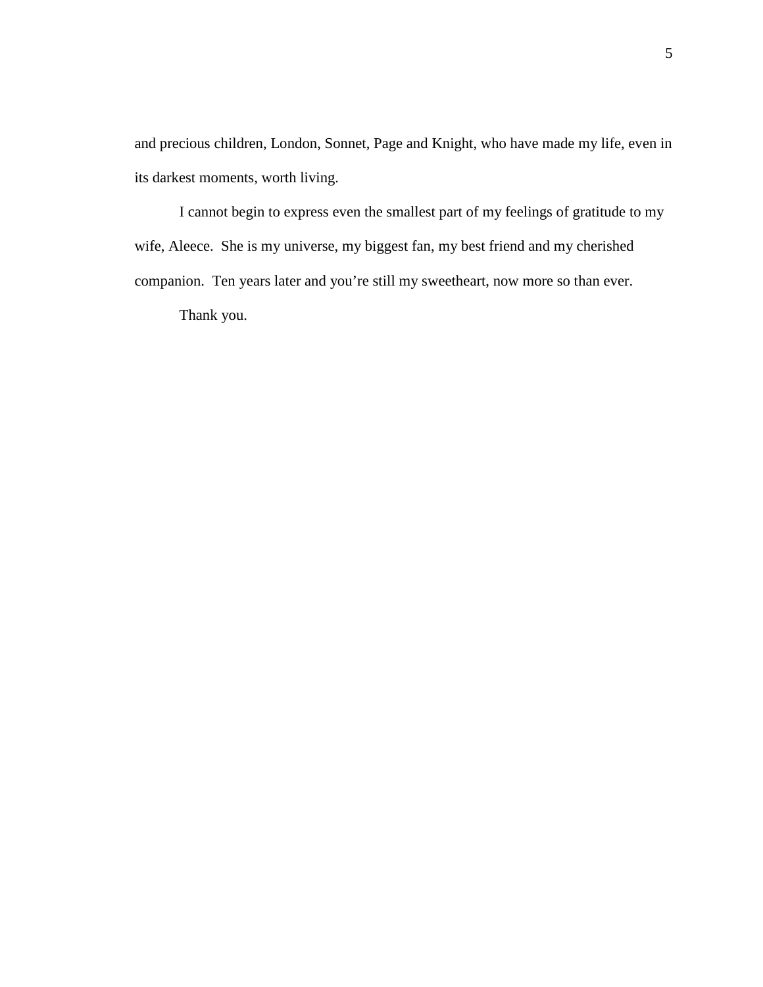and precious children, London, Sonnet, Page and Knight, who have made my life, even in its darkest moments, worth living.

I cannot begin to express even the smallest part of my feelings of gratitude to my wife, Aleece. She is my universe, my biggest fan, my best friend and my cherished companion. Ten years later and you're still my sweetheart, now more so than ever.

Thank you.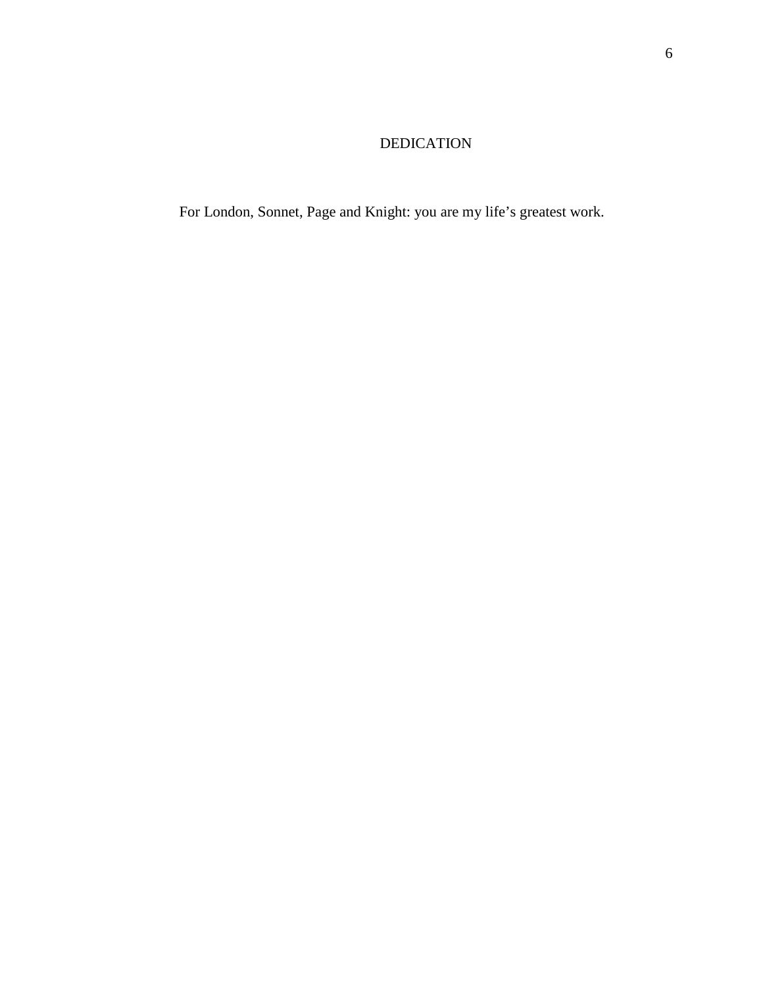# DEDICATION

For London, Sonnet, Page and Knight: you are my life's greatest work.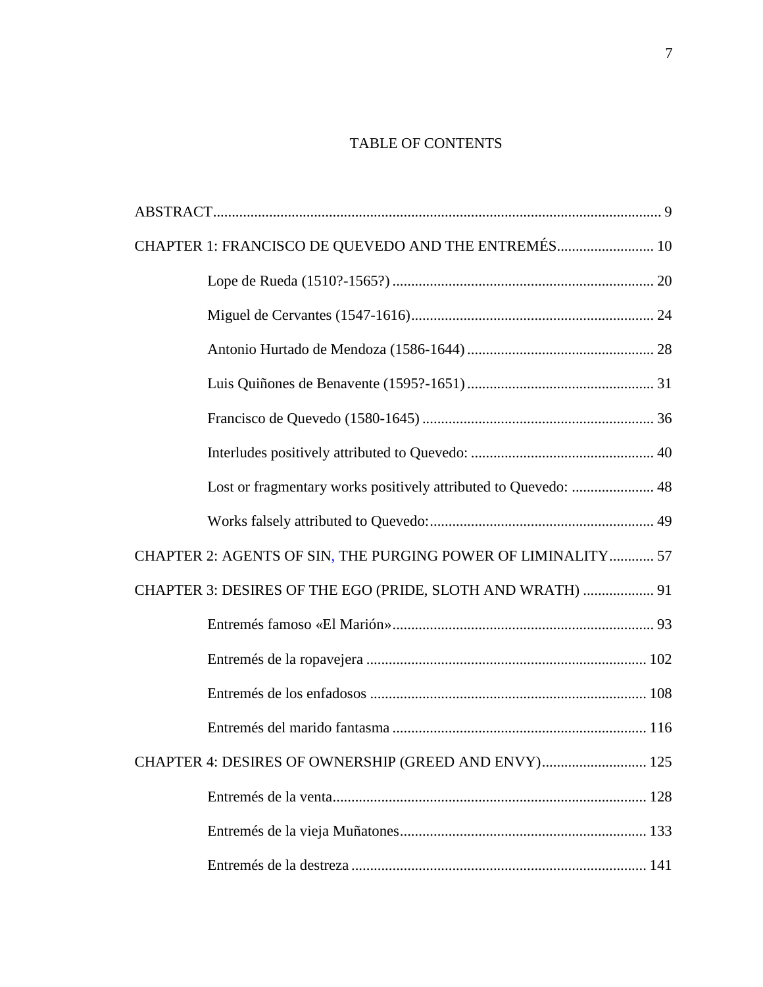# TABLE OF CONTENTS

| CHAPTER 1: FRANCISCO DE QUEVEDO AND THE ENTREMÉS 10             |
|-----------------------------------------------------------------|
|                                                                 |
|                                                                 |
|                                                                 |
|                                                                 |
|                                                                 |
|                                                                 |
| Lost or fragmentary works positively attributed to Quevedo:  48 |
|                                                                 |
| CHAPTER 2: AGENTS OF SIN, THE PURGING POWER OF LIMINALITY 57    |
| CHAPTER 3: DESIRES OF THE EGO (PRIDE, SLOTH AND WRATH)  91      |
|                                                                 |
|                                                                 |
|                                                                 |
|                                                                 |
| CHAPTER 4: DESIRES OF OWNERSHIP (GREED AND ENVY) 125            |
|                                                                 |
|                                                                 |
|                                                                 |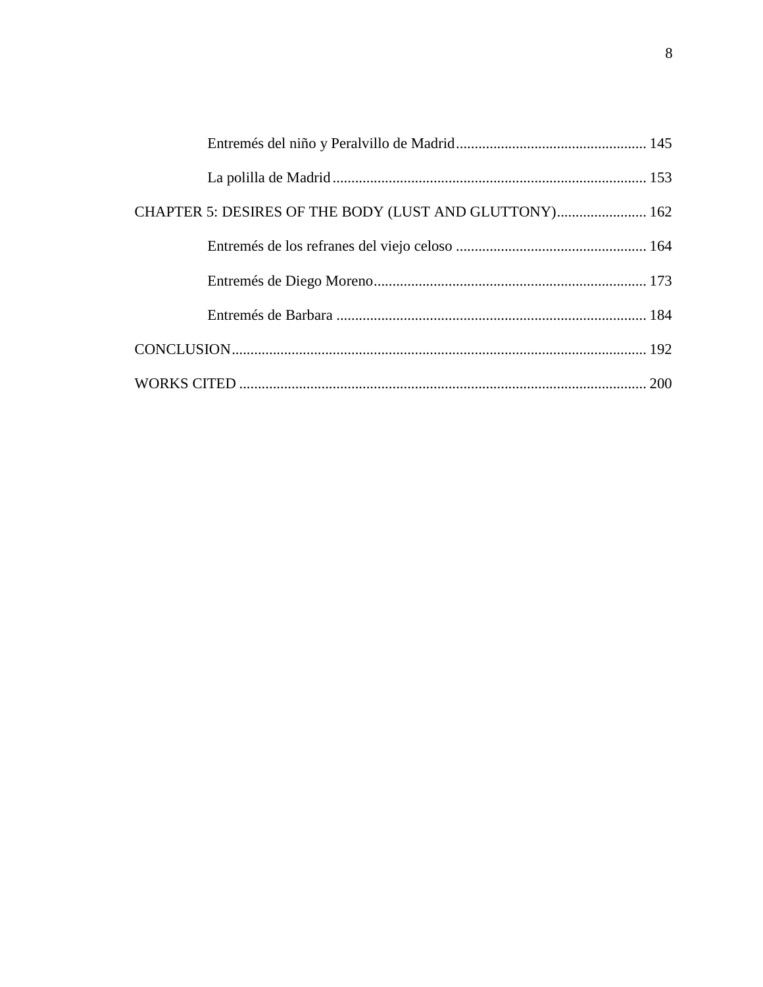| CHAPTER 5: DESIRES OF THE BODY (LUST AND GLUTTONY) 162 |  |
|--------------------------------------------------------|--|
|                                                        |  |
|                                                        |  |
|                                                        |  |
|                                                        |  |
|                                                        |  |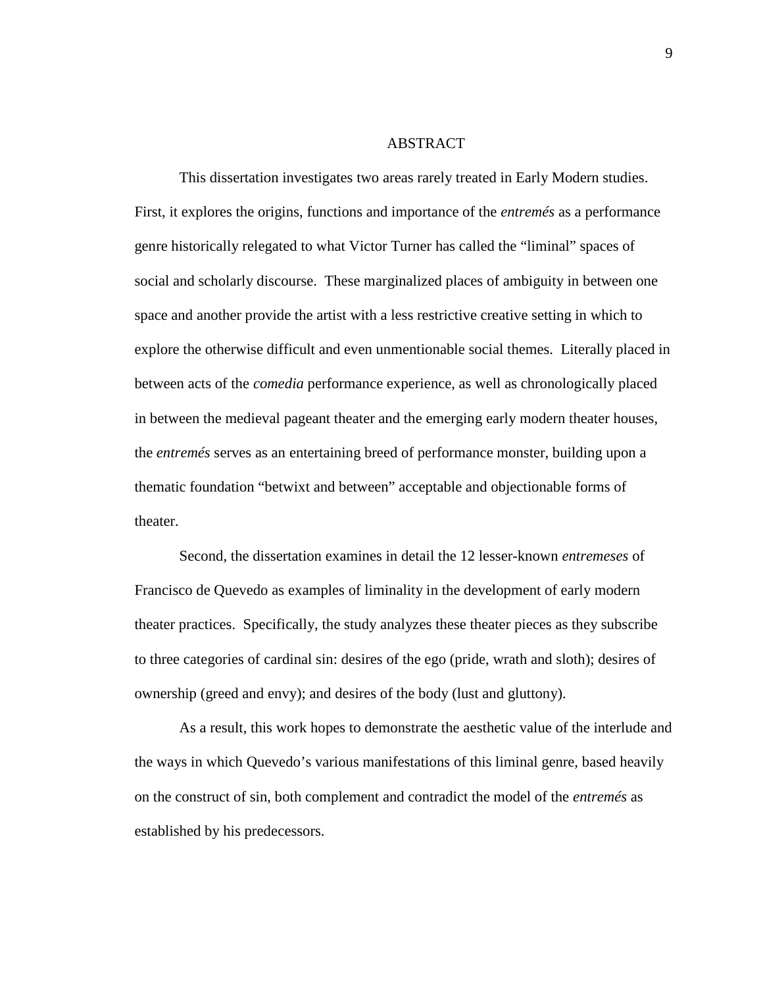#### **ABSTRACT**

This dissertation investigates two areas rarely treated in Early Modern studies. First, it explores the origins, functions and importance of the *entremés* as a performance genre historically relegated to what Victor Turner has called the "liminal" spaces of social and scholarly discourse. These marginalized places of ambiguity in between one space and another provide the artist with a less restrictive creative setting in which to explore the otherwise difficult and even unmentionable social themes. Literally placed in between acts of the *comedia* performance experience, as well as chronologically placed in between the medieval pageant theater and the emerging early modern theater houses, the *entremés* serves as an entertaining breed of performance monster, building upon a thematic foundation "betwixt and between" acceptable and objectionable forms of theater.

Second, the dissertation examines in detail the 12 lesser-known *entremeses* of Francisco de Quevedo as examples of liminality in the development of early modern theater practices. Specifically, the study analyzes these theater pieces as they subscribe to three categories of cardinal sin: desires of the ego (pride, wrath and sloth); desires of ownership (greed and envy); and desires of the body (lust and gluttony).

As a result, this work hopes to demonstrate the aesthetic value of the interlude and the ways in which Quevedo's various manifestations of this liminal genre, based heavily on the construct of sin, both complement and contradict the model of the *entremés* as established by his predecessors.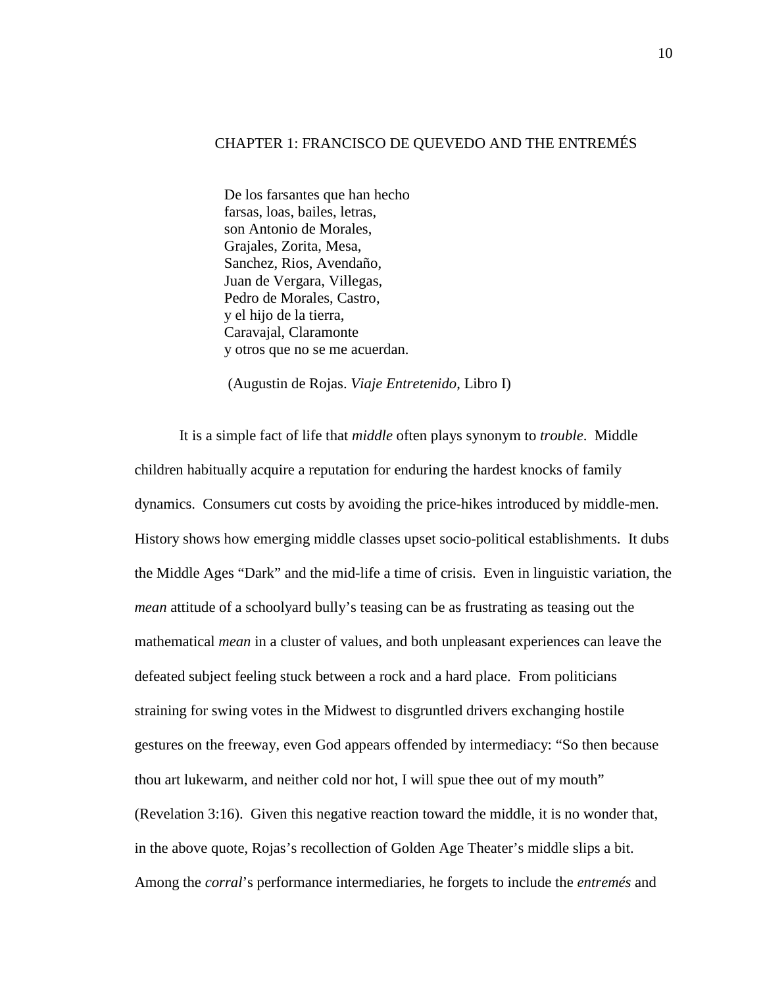## CHAPTER 1: FRANCISCO DE QUEVEDO AND THE ENTREMÉS

De los farsantes que han hecho farsas, loas, bailes, letras, son Antonio de Morales, Grajales, Zorita, Mesa, Sanchez, Rios, Avendaño, Juan de Vergara, Villegas, Pedro de Morales, Castro, y el hijo de la tierra, Caravajal, Claramonte y otros que no se me acuerdan.

(Augustin de Rojas. *Viaje Entretenido*, Libro I)

It is a simple fact of life that *middle* often plays synonym to *trouble*. Middle children habitually acquire a reputation for enduring the hardest knocks of family dynamics. Consumers cut costs by avoiding the price-hikes introduced by middle-men. History shows how emerging middle classes upset socio-political establishments. It dubs the Middle Ages "Dark" and the mid-life a time of crisis. Even in linguistic variation, the *mean* attitude of a schoolyard bully's teasing can be as frustrating as teasing out the mathematical *mean* in a cluster of values, and both unpleasant experiences can leave the defeated subject feeling stuck between a rock and a hard place. From politicians straining for swing votes in the Midwest to disgruntled drivers exchanging hostile gestures on the freeway, even God appears offended by intermediacy: "So then because thou art lukewarm, and neither cold nor hot, I will spue thee out of my mouth" (Revelation 3:16). Given this negative reaction toward the middle, it is no wonder that, in the above quote, Rojas's recollection of Golden Age Theater's middle slips a bit. Among the *corral*'s performance intermediaries, he forgets to include the *entremés* and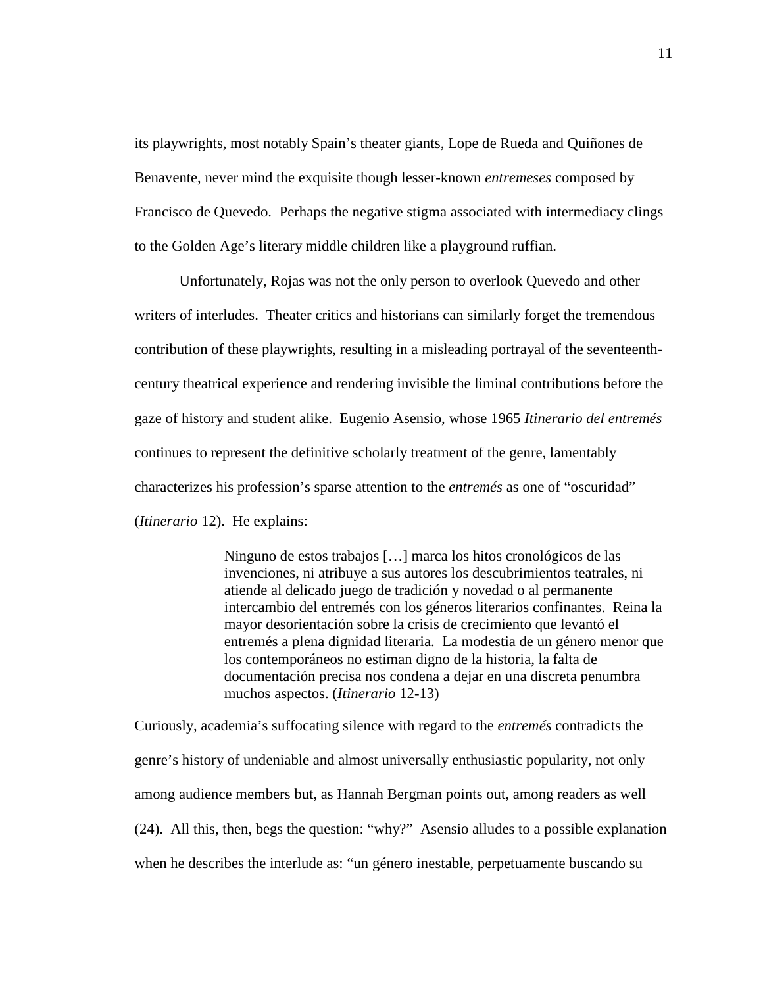its playwrights, most notably Spain's theater giants, Lope de Rueda and Quiñones de Benavente, never mind the exquisite though lesser-known *entremeses* composed by Francisco de Quevedo. Perhaps the negative stigma associated with intermediacy clings to the Golden Age's literary middle children like a playground ruffian.

Unfortunately, Rojas was not the only person to overlook Quevedo and other writers of interludes. Theater critics and historians can similarly forget the tremendous contribution of these playwrights, resulting in a misleading portrayal of the seventeenthcentury theatrical experience and rendering invisible the liminal contributions before the gaze of history and student alike. Eugenio Asensio, whose 1965 *Itinerario del entremés* continues to represent the definitive scholarly treatment of the genre, lamentably characterizes his profession's sparse attention to the *entremés* as one of "oscuridad" (*Itinerario* 12). He explains:

> Ninguno de estos trabajos […] marca los hitos cronológicos de las invenciones, ni atribuye a sus autores los descubrimientos teatrales, ni atiende al delicado juego de tradición y novedad o al permanente intercambio del entremés con los géneros literarios confinantes. Reina la mayor desorientación sobre la crisis de crecimiento que levantó el entremés a plena dignidad literaria. La modestia de un género menor que los contemporáneos no estiman digno de la historia, la falta de documentación precisa nos condena a dejar en una discreta penumbra muchos aspectos. (*Itinerario* 12-13)

Curiously, academia's suffocating silence with regard to the *entremés* contradicts the genre's history of undeniable and almost universally enthusiastic popularity, not only among audience members but, as Hannah Bergman points out, among readers as well (24). All this, then, begs the question: "why?" Asensio alludes to a possible explanation when he describes the interlude as: "un género inestable, perpetuamente buscando su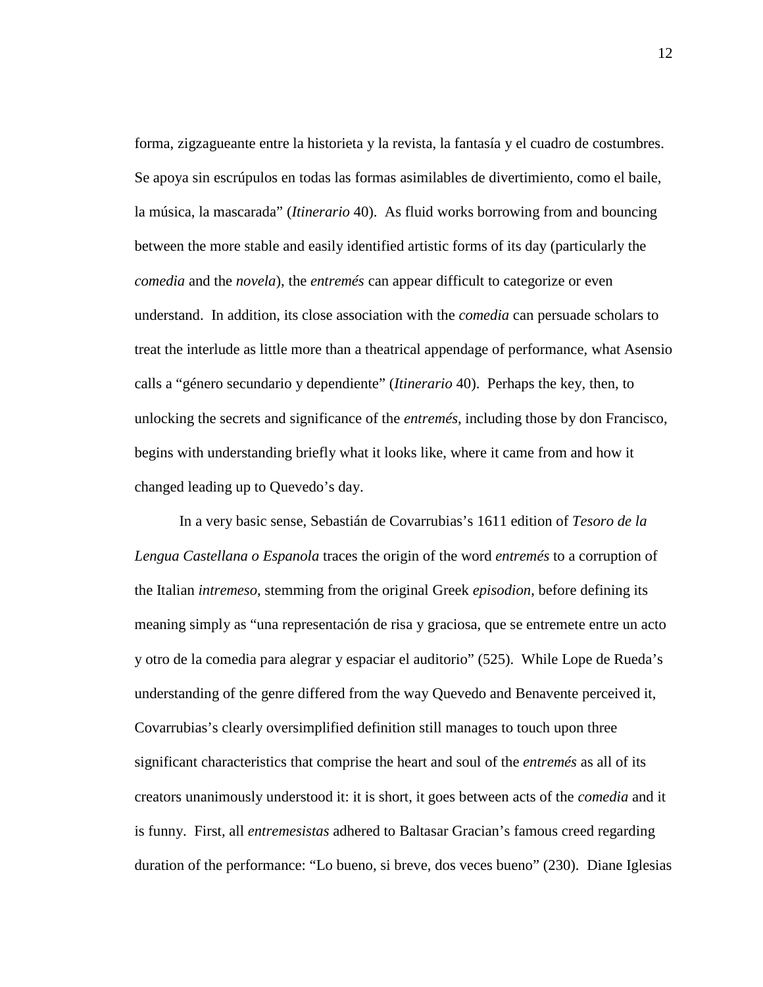forma, zigzagueante entre la historieta y la revista, la fantasía y el cuadro de costumbres. Se apoya sin escrúpulos en todas las formas asimilables de divertimiento, como el baile, la música, la mascarada" (*Itinerario* 40). As fluid works borrowing from and bouncing between the more stable and easily identified artistic forms of its day (particularly the *comedia* and the *novela*), the *entremés* can appear difficult to categorize or even understand. In addition, its close association with the *comedia* can persuade scholars to treat the interlude as little more than a theatrical appendage of performance, what Asensio calls a "género secundario y dependiente" (*Itinerario* 40). Perhaps the key, then, to unlocking the secrets and significance of the *entremés*, including those by don Francisco, begins with understanding briefly what it looks like, where it came from and how it changed leading up to Quevedo's day.

In a very basic sense, Sebastián de Covarrubias's 1611 edition of *Tesoro de la Lengua Castellana o Espanola* traces the origin of the word *entremés* to a corruption of the Italian *intremeso*, stemming from the original Greek *episodion*, before defining its meaning simply as "una representación de risa y graciosa, que se entremete entre un acto y otro de la comedia para alegrar y espaciar el auditorio" (525). While Lope de Rueda's understanding of the genre differed from the way Quevedo and Benavente perceived it, Covarrubias's clearly oversimplified definition still manages to touch upon three significant characteristics that comprise the heart and soul of the *entremés* as all of its creators unanimously understood it: it is short, it goes between acts of the *comedia* and it is funny. First, all *entremesistas* adhered to Baltasar Gracian's famous creed regarding duration of the performance: "Lo bueno, si breve, dos veces bueno" (230). Diane Iglesias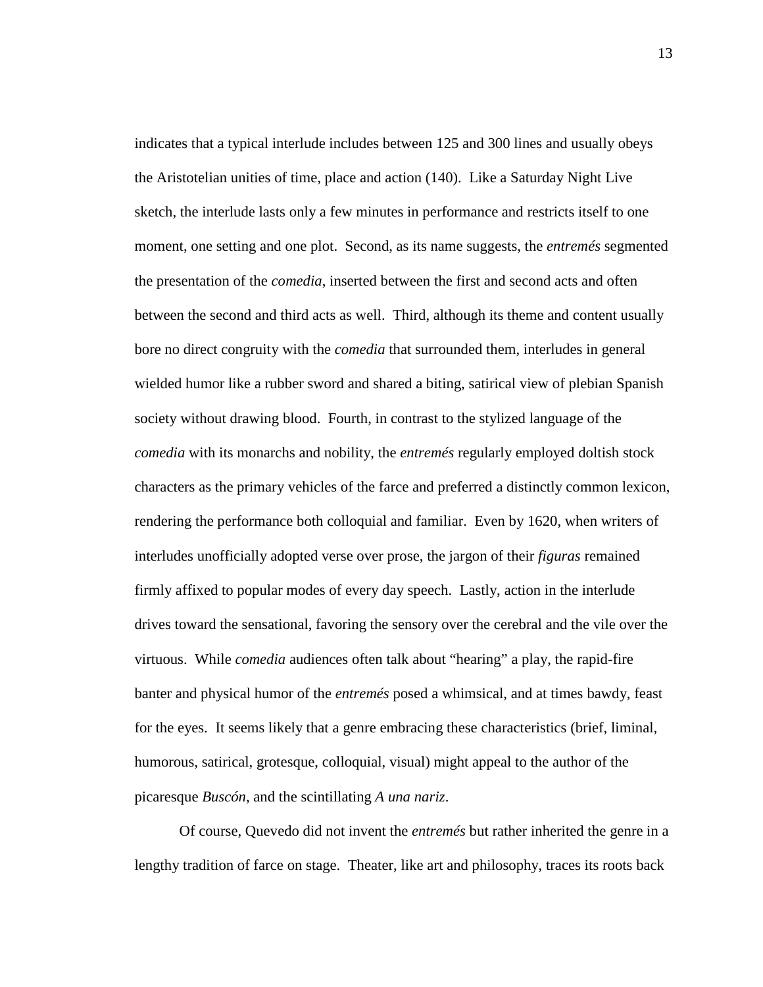indicates that a typical interlude includes between 125 and 300 lines and usually obeys the Aristotelian unities of time, place and action (140). Like a Saturday Night Live sketch, the interlude lasts only a few minutes in performance and restricts itself to one moment, one setting and one plot. Second, as its name suggests, the *entremés* segmented the presentation of the *comedia*, inserted between the first and second acts and often between the second and third acts as well. Third, although its theme and content usually bore no direct congruity with the *comedia* that surrounded them, interludes in general wielded humor like a rubber sword and shared a biting, satirical view of plebian Spanish society without drawing blood. Fourth, in contrast to the stylized language of the *comedia* with its monarchs and nobility, the *entremés* regularly employed doltish stock characters as the primary vehicles of the farce and preferred a distinctly common lexicon, rendering the performance both colloquial and familiar. Even by 1620, when writers of interludes unofficially adopted verse over prose, the jargon of their *figuras* remained firmly affixed to popular modes of every day speech. Lastly, action in the interlude drives toward the sensational, favoring the sensory over the cerebral and the vile over the virtuous. While *comedia* audiences often talk about "hearing" a play, the rapid-fire banter and physical humor of the *entremés* posed a whimsical, and at times bawdy, feast for the eyes. It seems likely that a genre embracing these characteristics (brief, liminal, humorous, satirical, grotesque, colloquial, visual) might appeal to the author of the picaresque *Buscón*, and the scintillating *A una nariz*.

Of course, Quevedo did not invent the *entremés* but rather inherited the genre in a lengthy tradition of farce on stage. Theater, like art and philosophy, traces its roots back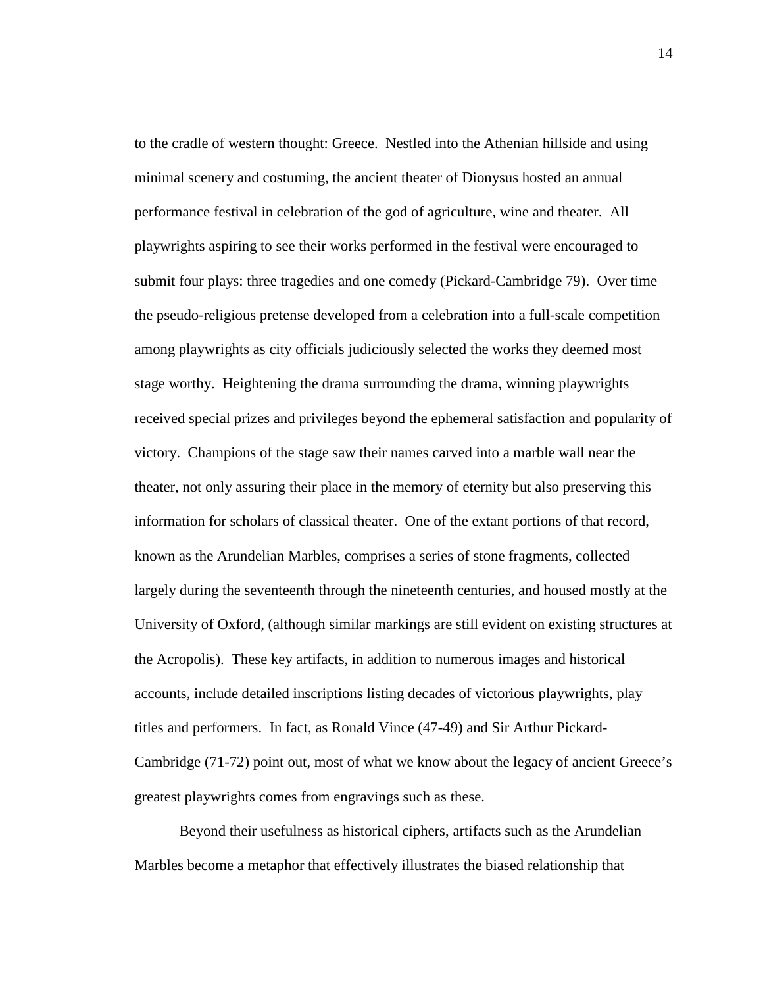to the cradle of western thought: Greece. Nestled into the Athenian hillside and using minimal scenery and costuming, the ancient theater of Dionysus hosted an annual performance festival in celebration of the god of agriculture, wine and theater. All playwrights aspiring to see their works performed in the festival were encouraged to submit four plays: three tragedies and one comedy (Pickard-Cambridge 79). Over time the pseudo-religious pretense developed from a celebration into a full-scale competition among playwrights as city officials judiciously selected the works they deemed most stage worthy. Heightening the drama surrounding the drama, winning playwrights received special prizes and privileges beyond the ephemeral satisfaction and popularity of victory. Champions of the stage saw their names carved into a marble wall near the theater, not only assuring their place in the memory of eternity but also preserving this information for scholars of classical theater. One of the extant portions of that record, known as the Arundelian Marbles, comprises a series of stone fragments, collected largely during the seventeenth through the nineteenth centuries, and housed mostly at the University of Oxford, (although similar markings are still evident on existing structures at the Acropolis). These key artifacts, in addition to numerous images and historical accounts, include detailed inscriptions listing decades of victorious playwrights, play titles and performers. In fact, as Ronald Vince (47-49) and Sir Arthur Pickard-Cambridge (71-72) point out, most of what we know about the legacy of ancient Greece's greatest playwrights comes from engravings such as these.

Beyond their usefulness as historical ciphers, artifacts such as the Arundelian Marbles become a metaphor that effectively illustrates the biased relationship that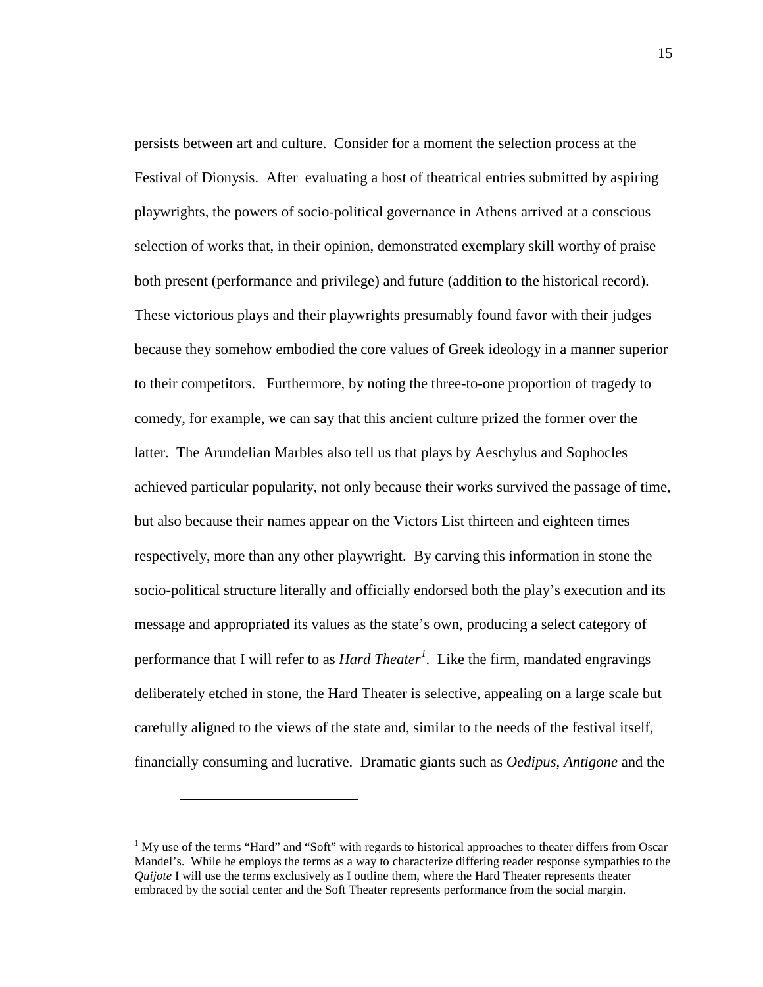persists between art and culture. Consider for a moment the selection process at the Festival of Dionysis. After evaluating a host of theatrical entries submitted by aspiring playwrights, the powers of socio-political governance in Athens arrived at a conscious selection of works that, in their opinion, demonstrated exemplary skill worthy of praise both present (performance and privilege) and future (addition to the historical record). These victorious plays and their playwrights presumably found favor with their judges because they somehow embodied the core values of Greek ideology in a manner superior to their competitors. Furthermore, by noting the three-to-one proportion of tragedy to comedy, for example, we can say that this ancient culture prized the former over the latter. The Arundelian Marbles also tell us that plays by Aeschylus and Sophocles achieved particular popularity, not only because their works survived the passage of time, but also because their names appear on the Victors List thirteen and eighteen times respectively, more than any other playwright. By carving this information in stone the socio-political structure literally and officially endorsed both the play's execution and its message and appropriated its values as the state's own, producing a select category of performance that I will refer to as *Hard Theater<sup>1</sup>* . Like the firm, mandated engravings deliberately etched in stone, the Hard Theater is selective, appealing on a large scale but carefully aligned to the views of the state and, similar to the needs of the festival itself, financially consuming and lucrative. Dramatic giants such as *Oedipus*, *Antigone* and the

l

<sup>&</sup>lt;sup>1</sup> My use of the terms "Hard" and "Soft" with regards to historical approaches to theater differs from Oscar Mandel's. While he employs the terms as a way to characterize differing reader response sympathies to the *Quijote* I will use the terms exclusively as I outline them, where the Hard Theater represents theater embraced by the social center and the Soft Theater represents performance from the social margin.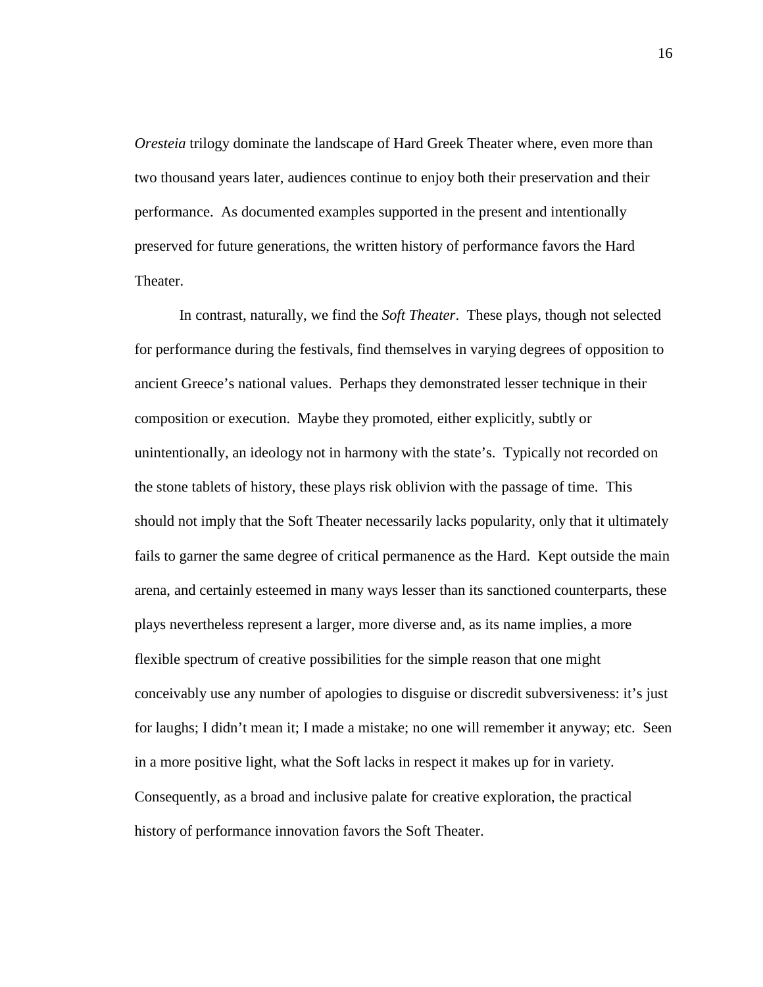*Oresteia* trilogy dominate the landscape of Hard Greek Theater where, even more than two thousand years later, audiences continue to enjoy both their preservation and their performance. As documented examples supported in the present and intentionally preserved for future generations, the written history of performance favors the Hard Theater.

In contrast, naturally, we find the *Soft Theater*. These plays, though not selected for performance during the festivals, find themselves in varying degrees of opposition to ancient Greece's national values. Perhaps they demonstrated lesser technique in their composition or execution. Maybe they promoted, either explicitly, subtly or unintentionally, an ideology not in harmony with the state's. Typically not recorded on the stone tablets of history, these plays risk oblivion with the passage of time. This should not imply that the Soft Theater necessarily lacks popularity, only that it ultimately fails to garner the same degree of critical permanence as the Hard. Kept outside the main arena, and certainly esteemed in many ways lesser than its sanctioned counterparts, these plays nevertheless represent a larger, more diverse and, as its name implies, a more flexible spectrum of creative possibilities for the simple reason that one might conceivably use any number of apologies to disguise or discredit subversiveness: it's just for laughs; I didn't mean it; I made a mistake; no one will remember it anyway; etc. Seen in a more positive light, what the Soft lacks in respect it makes up for in variety. Consequently, as a broad and inclusive palate for creative exploration, the practical history of performance innovation favors the Soft Theater.

16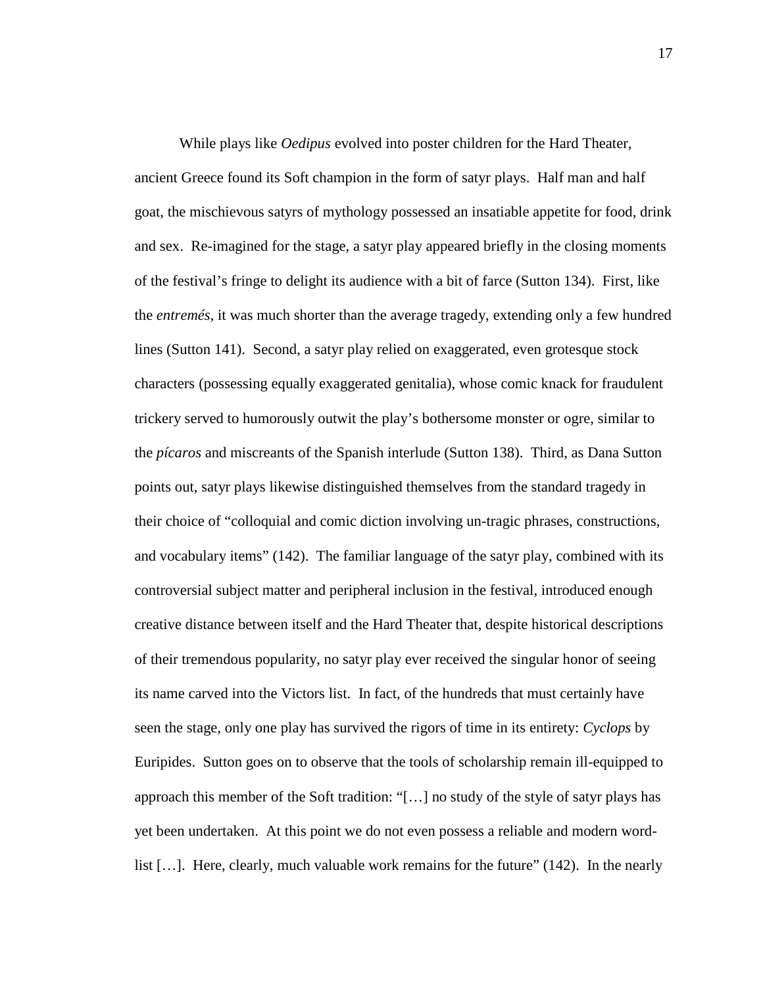While plays like *Oedipus* evolved into poster children for the Hard Theater, ancient Greece found its Soft champion in the form of satyr plays. Half man and half goat, the mischievous satyrs of mythology possessed an insatiable appetite for food, drink and sex. Re-imagined for the stage, a satyr play appeared briefly in the closing moments of the festival's fringe to delight its audience with a bit of farce (Sutton 134). First, like the *entremés*, it was much shorter than the average tragedy, extending only a few hundred lines (Sutton 141). Second, a satyr play relied on exaggerated, even grotesque stock characters (possessing equally exaggerated genitalia), whose comic knack for fraudulent trickery served to humorously outwit the play's bothersome monster or ogre, similar to the *pícaros* and miscreants of the Spanish interlude (Sutton 138). Third, as Dana Sutton points out, satyr plays likewise distinguished themselves from the standard tragedy in their choice of "colloquial and comic diction involving un-tragic phrases, constructions, and vocabulary items" (142). The familiar language of the satyr play, combined with its controversial subject matter and peripheral inclusion in the festival, introduced enough creative distance between itself and the Hard Theater that, despite historical descriptions of their tremendous popularity, no satyr play ever received the singular honor of seeing its name carved into the Victors list. In fact, of the hundreds that must certainly have seen the stage, only one play has survived the rigors of time in its entirety: *Cyclops* by Euripides. Sutton goes on to observe that the tools of scholarship remain ill-equipped to approach this member of the Soft tradition: "[…] no study of the style of satyr plays has yet been undertaken. At this point we do not even possess a reliable and modern wordlist [...]. Here, clearly, much valuable work remains for the future" (142). In the nearly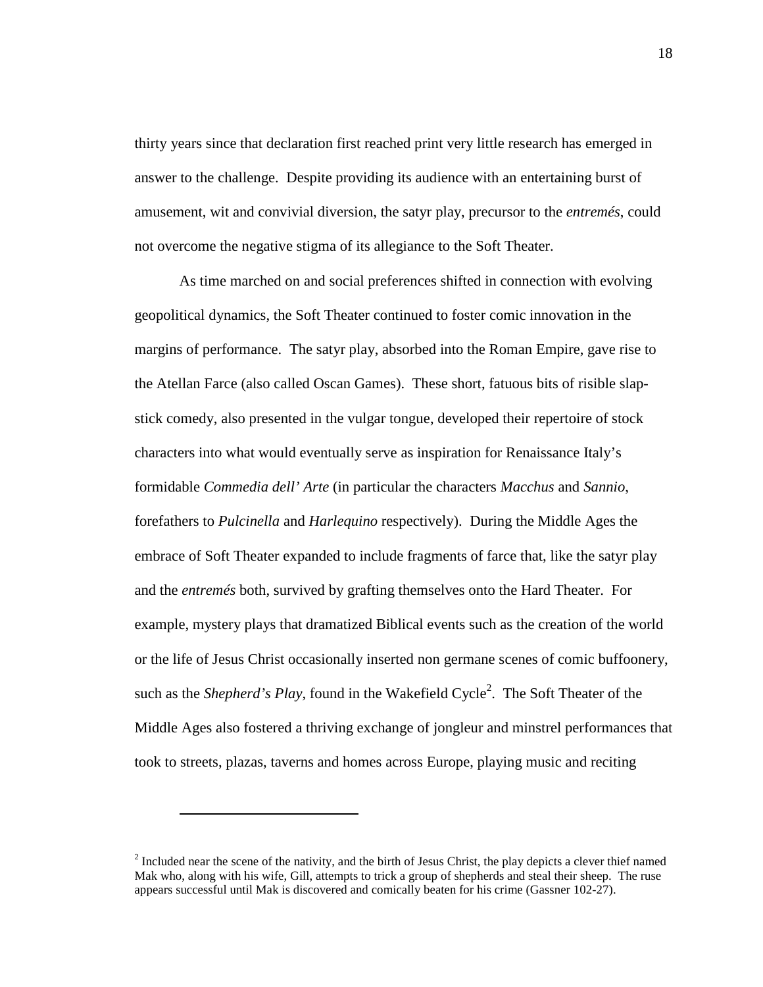thirty years since that declaration first reached print very little research has emerged in answer to the challenge. Despite providing its audience with an entertaining burst of amusement, wit and convivial diversion, the satyr play, precursor to the *entremés*, could not overcome the negative stigma of its allegiance to the Soft Theater.

As time marched on and social preferences shifted in connection with evolving geopolitical dynamics, the Soft Theater continued to foster comic innovation in the margins of performance. The satyr play, absorbed into the Roman Empire, gave rise to the Atellan Farce (also called Oscan Games). These short, fatuous bits of risible slapstick comedy, also presented in the vulgar tongue, developed their repertoire of stock characters into what would eventually serve as inspiration for Renaissance Italy's formidable *Commedia dell' Arte* (in particular the characters *Macchus* and *Sannio*, forefathers to *Pulcinella* and *Harlequino* respectively). During the Middle Ages the embrace of Soft Theater expanded to include fragments of farce that, like the satyr play and the *entremés* both, survived by grafting themselves onto the Hard Theater. For example, mystery plays that dramatized Biblical events such as the creation of the world or the life of Jesus Christ occasionally inserted non germane scenes of comic buffoonery, such as the *Shepherd's Play*, found in the Wakefield Cycle<sup>2</sup>. The Soft Theater of the Middle Ages also fostered a thriving exchange of jongleur and minstrel performances that took to streets, plazas, taverns and homes across Europe, playing music and reciting

 $\overline{a}$ 

 $2^{2}$  Included near the scene of the nativity, and the birth of Jesus Christ, the play depicts a clever thief named Mak who, along with his wife, Gill, attempts to trick a group of shepherds and steal their sheep. The ruse appears successful until Mak is discovered and comically beaten for his crime (Gassner 102-27).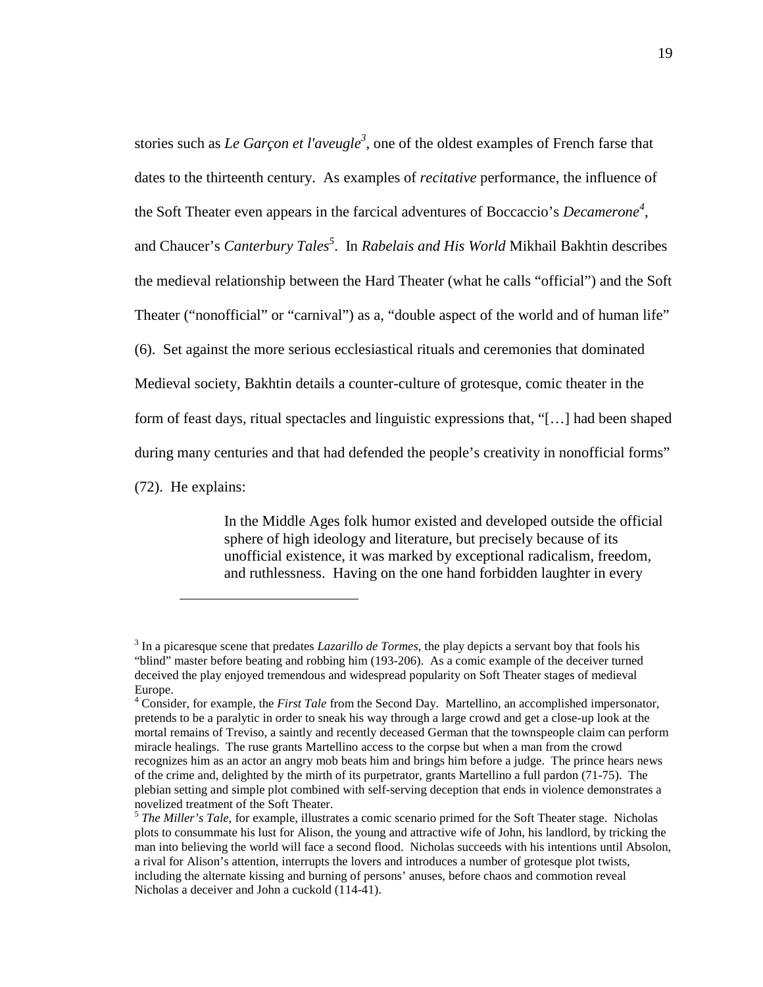stories such as *Le Garçon et l'aveugle<sup>3</sup>* , one of the oldest examples of French farse that dates to the thirteenth century. As examples of *recitative* performance, the influence of the Soft Theater even appears in the farcical adventures of Boccaccio's *Decamerone<sup>4</sup>* , and Chaucer's *Canterbury Tales<sup>5</sup>* . In *Rabelais and His World* Mikhail Bakhtin describes the medieval relationship between the Hard Theater (what he calls "official") and the Soft Theater ("nonofficial" or "carnival") as a, "double aspect of the world and of human life" (6). Set against the more serious ecclesiastical rituals and ceremonies that dominated Medieval society, Bakhtin details a counter-culture of grotesque, comic theater in the form of feast days, ritual spectacles and linguistic expressions that, "[…] had been shaped during many centuries and that had defended the people's creativity in nonofficial forms" (72). He explains:

> In the Middle Ages folk humor existed and developed outside the official sphere of high ideology and literature, but precisely because of its unofficial existence, it was marked by exceptional radicalism, freedom, and ruthlessness. Having on the one hand forbidden laughter in every

 $\overline{a}$ 

<sup>&</sup>lt;sup>3</sup> In a picaresque scene that predates *Lazarillo de Tormes*, the play depicts a servant boy that fools his "blind" master before beating and robbing him (193-206). As a comic example of the deceiver turned deceived the play enjoyed tremendous and widespread popularity on Soft Theater stages of medieval Europe.

<sup>&</sup>lt;sup>4</sup> Consider, for example, the *First Tale* from the Second Day. Martellino, an accomplished impersonator, pretends to be a paralytic in order to sneak his way through a large crowd and get a close-up look at the mortal remains of Treviso, a saintly and recently deceased German that the townspeople claim can perform miracle healings. The ruse grants Martellino access to the corpse but when a man from the crowd recognizes him as an actor an angry mob beats him and brings him before a judge. The prince hears news of the crime and, delighted by the mirth of its purpetrator, grants Martellino a full pardon (71-75). The plebian setting and simple plot combined with self-serving deception that ends in violence demonstrates a novelized treatment of the Soft Theater.

<sup>&</sup>lt;sup>5</sup> The Miller's Tale, for example, illustrates a comic scenario primed for the Soft Theater stage. Nicholas plots to consummate his lust for Alison, the young and attractive wife of John, his landlord, by tricking the man into believing the world will face a second flood. Nicholas succeeds with his intentions until Absolon, a rival for Alison's attention, interrupts the lovers and introduces a number of grotesque plot twists, including the alternate kissing and burning of persons' anuses, before chaos and commotion reveal Nicholas a deceiver and John a cuckold (114-41).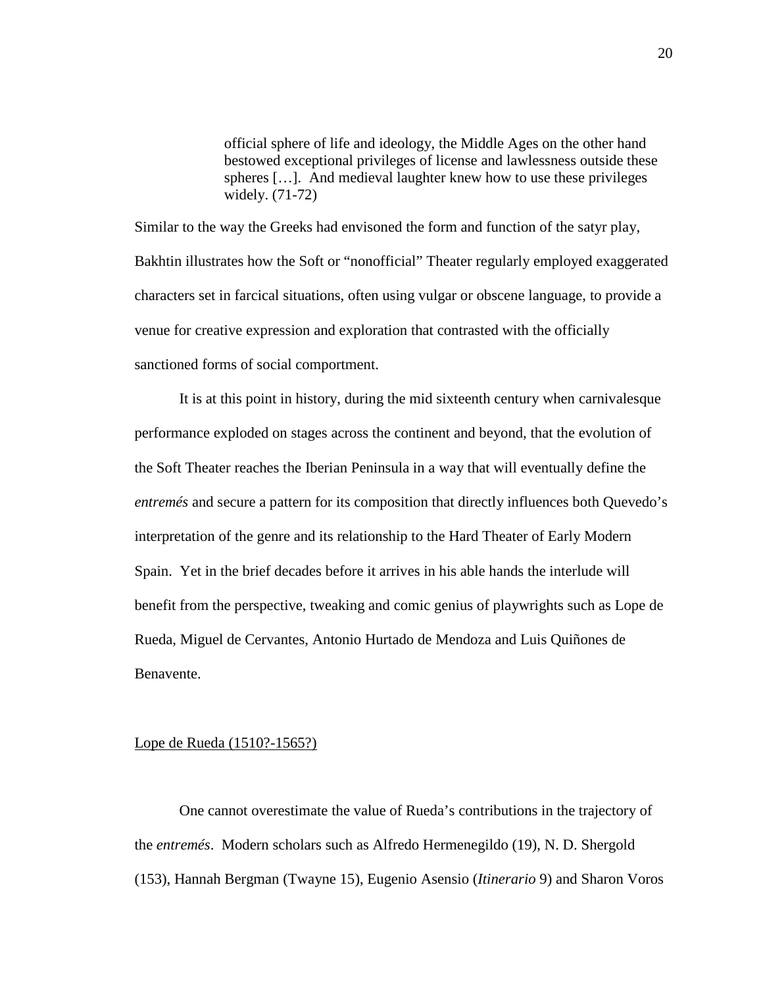official sphere of life and ideology, the Middle Ages on the other hand bestowed exceptional privileges of license and lawlessness outside these spheres […]. And medieval laughter knew how to use these privileges widely. (71-72)

Similar to the way the Greeks had envisoned the form and function of the satyr play, Bakhtin illustrates how the Soft or "nonofficial" Theater regularly employed exaggerated characters set in farcical situations, often using vulgar or obscene language, to provide a venue for creative expression and exploration that contrasted with the officially sanctioned forms of social comportment.

It is at this point in history, during the mid sixteenth century when carnivalesque performance exploded on stages across the continent and beyond, that the evolution of the Soft Theater reaches the Iberian Peninsula in a way that will eventually define the *entremés* and secure a pattern for its composition that directly influences both Quevedo's interpretation of the genre and its relationship to the Hard Theater of Early Modern Spain. Yet in the brief decades before it arrives in his able hands the interlude will benefit from the perspective, tweaking and comic genius of playwrights such as Lope de Rueda, Miguel de Cervantes, Antonio Hurtado de Mendoza and Luis Quiñones de Benavente.

#### Lope de Rueda (1510?-1565?)

One cannot overestimate the value of Rueda's contributions in the trajectory of the *entremés*. Modern scholars such as Alfredo Hermenegildo (19), N. D. Shergold (153), Hannah Bergman (Twayne 15), Eugenio Asensio (*Itinerario* 9) and Sharon Voros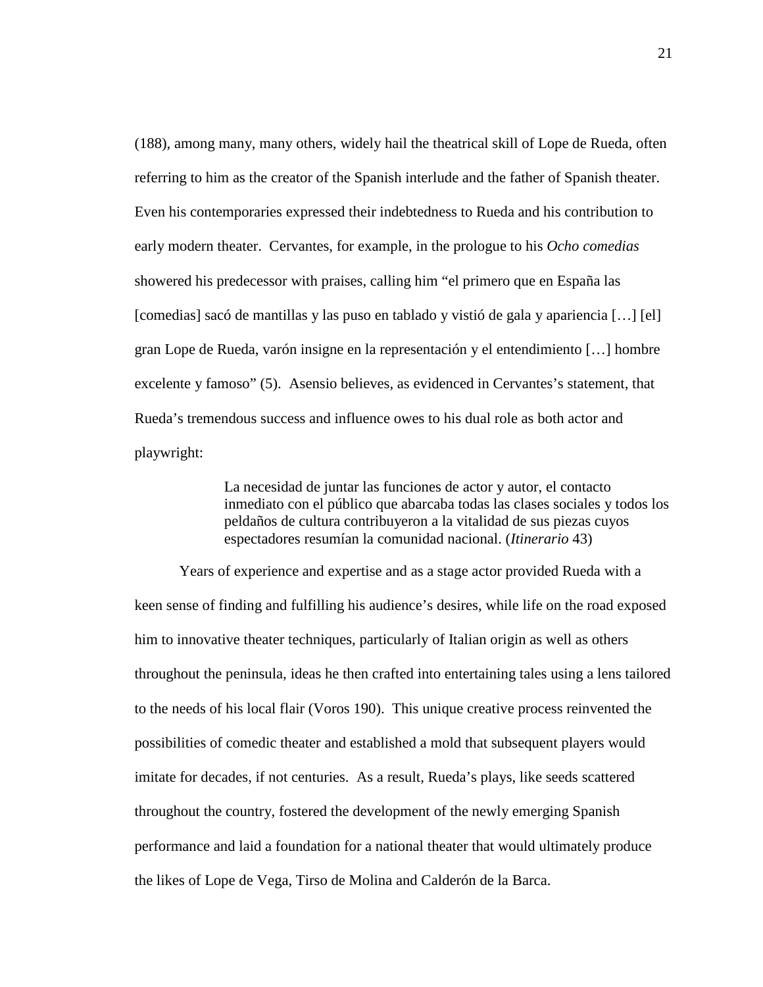(188), among many, many others, widely hail the theatrical skill of Lope de Rueda, often referring to him as the creator of the Spanish interlude and the father of Spanish theater. Even his contemporaries expressed their indebtedness to Rueda and his contribution to early modern theater. Cervantes, for example, in the prologue to his *Ocho comedias*  showered his predecessor with praises, calling him "el primero que en España las [comedias] sacó de mantillas y las puso en tablado y vistió de gala y apariencia […] [el] gran Lope de Rueda, varón insigne en la representación y el entendimiento […] hombre excelente y famoso" (5). Asensio believes, as evidenced in Cervantes's statement, that Rueda's tremendous success and influence owes to his dual role as both actor and playwright:

> La necesidad de juntar las funciones de actor y autor, el contacto inmediato con el público que abarcaba todas las clases sociales y todos los peldaños de cultura contribuyeron a la vitalidad de sus piezas cuyos espectadores resumían la comunidad nacional. (*Itinerario* 43)

Years of experience and expertise and as a stage actor provided Rueda with a keen sense of finding and fulfilling his audience's desires, while life on the road exposed him to innovative theater techniques, particularly of Italian origin as well as others throughout the peninsula, ideas he then crafted into entertaining tales using a lens tailored to the needs of his local flair (Voros 190). This unique creative process reinvented the possibilities of comedic theater and established a mold that subsequent players would imitate for decades, if not centuries. As a result, Rueda's plays, like seeds scattered throughout the country, fostered the development of the newly emerging Spanish performance and laid a foundation for a national theater that would ultimately produce the likes of Lope de Vega, Tirso de Molina and Calderón de la Barca.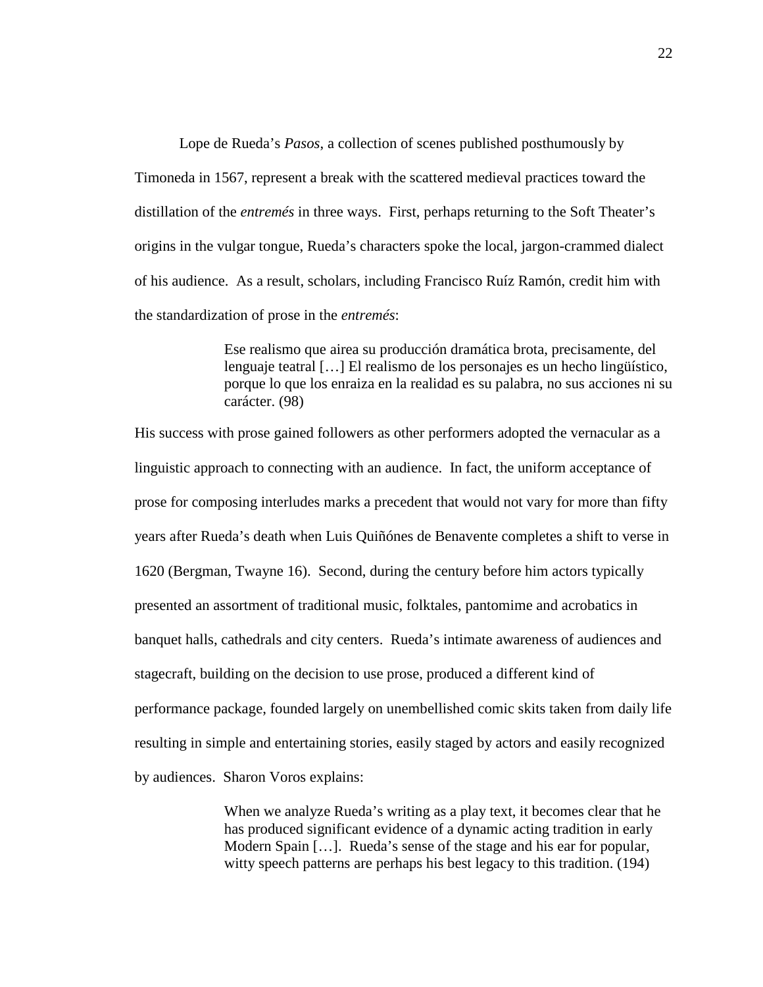Lope de Rueda's *Pasos*, a collection of scenes published posthumously by Timoneda in 1567, represent a break with the scattered medieval practices toward the distillation of the *entremés* in three ways. First, perhaps returning to the Soft Theater's origins in the vulgar tongue, Rueda's characters spoke the local, jargon-crammed dialect of his audience. As a result, scholars, including Francisco Ruíz Ramón, credit him with the standardization of prose in the *entremés*:

> Ese realismo que airea su producción dramática brota, precisamente, del lenguaje teatral […] El realismo de los personajes es un hecho lingüístico, porque lo que los enraiza en la realidad es su palabra, no sus acciones ni su carácter. (98)

His success with prose gained followers as other performers adopted the vernacular as a linguistic approach to connecting with an audience. In fact, the uniform acceptance of prose for composing interludes marks a precedent that would not vary for more than fifty years after Rueda's death when Luis Quiñónes de Benavente completes a shift to verse in 1620 (Bergman, Twayne 16). Second, during the century before him actors typically presented an assortment of traditional music, folktales, pantomime and acrobatics in banquet halls, cathedrals and city centers. Rueda's intimate awareness of audiences and stagecraft, building on the decision to use prose, produced a different kind of performance package, founded largely on unembellished comic skits taken from daily life resulting in simple and entertaining stories, easily staged by actors and easily recognized by audiences. Sharon Voros explains:

> When we analyze Rueda's writing as a play text, it becomes clear that he has produced significant evidence of a dynamic acting tradition in early Modern Spain [...]. Rueda's sense of the stage and his ear for popular, witty speech patterns are perhaps his best legacy to this tradition. (194)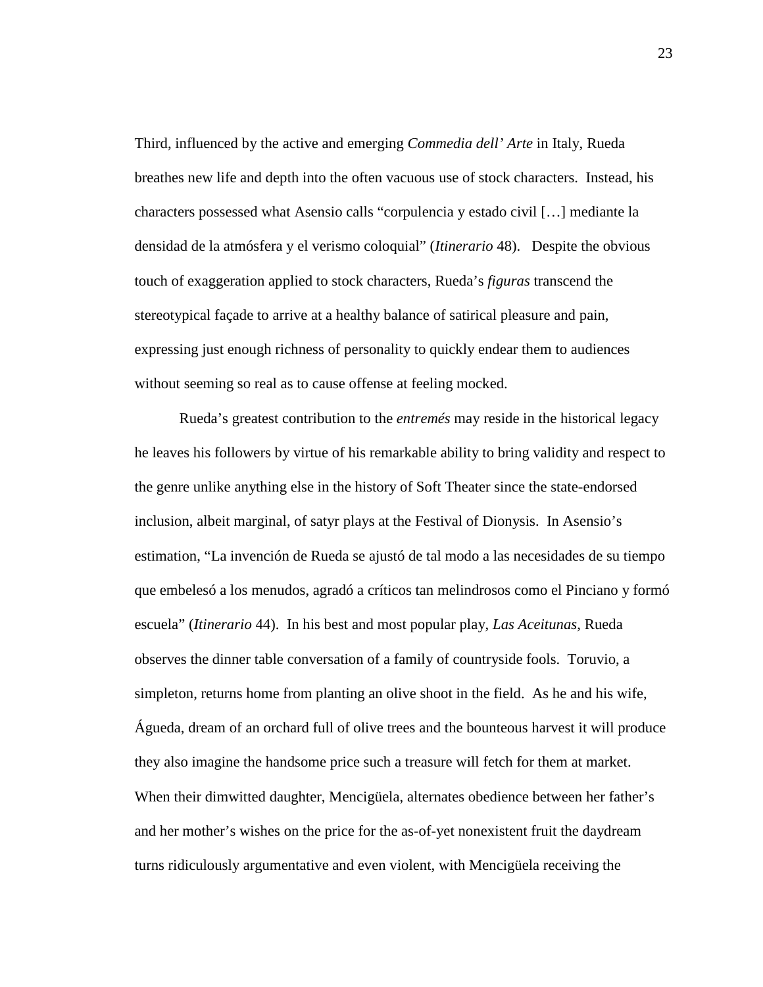Third, influenced by the active and emerging *Commedia dell' Arte* in Italy, Rueda breathes new life and depth into the often vacuous use of stock characters. Instead, his characters possessed what Asensio calls "corpulencia y estado civil […] mediante la densidad de la atmósfera y el verismo coloquial" (*Itinerario* 48). Despite the obvious touch of exaggeration applied to stock characters, Rueda's *figuras* transcend the stereotypical façade to arrive at a healthy balance of satirical pleasure and pain, expressing just enough richness of personality to quickly endear them to audiences without seeming so real as to cause offense at feeling mocked.

Rueda's greatest contribution to the *entremés* may reside in the historical legacy he leaves his followers by virtue of his remarkable ability to bring validity and respect to the genre unlike anything else in the history of Soft Theater since the state-endorsed inclusion, albeit marginal, of satyr plays at the Festival of Dionysis. In Asensio's estimation, "La invención de Rueda se ajustó de tal modo a las necesidades de su tiempo que embelesó a los menudos, agradó a críticos tan melindrosos como el Pinciano y formó escuela" (*Itinerario* 44). In his best and most popular play, *Las Aceitunas*, Rueda observes the dinner table conversation of a family of countryside fools. Toruvio, a simpleton, returns home from planting an olive shoot in the field. As he and his wife, Águeda, dream of an orchard full of olive trees and the bounteous harvest it will produce they also imagine the handsome price such a treasure will fetch for them at market. When their dimwitted daughter, Mencigüela, alternates obedience between her father's and her mother's wishes on the price for the as-of-yet nonexistent fruit the daydream turns ridiculously argumentative and even violent, with Mencigüela receiving the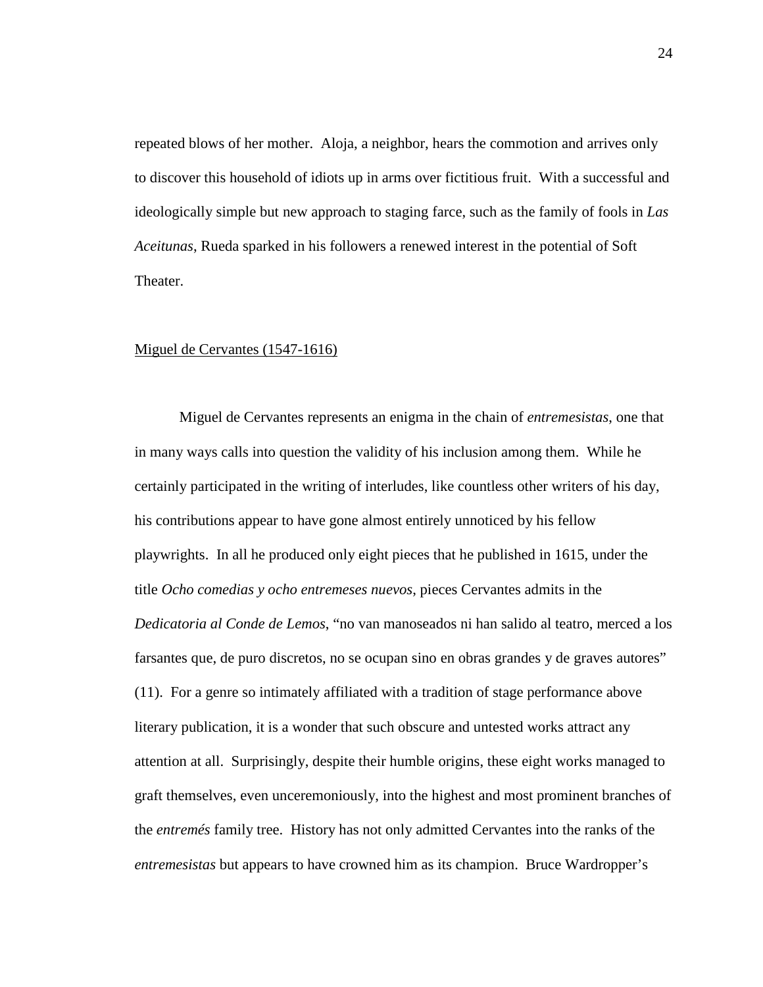repeated blows of her mother. Aloja, a neighbor, hears the commotion and arrives only to discover this household of idiots up in arms over fictitious fruit. With a successful and ideologically simple but new approach to staging farce, such as the family of fools in *Las Aceitunas*, Rueda sparked in his followers a renewed interest in the potential of Soft Theater.

#### Miguel de Cervantes (1547-1616)

Miguel de Cervantes represents an enigma in the chain of *entremesistas*, one that in many ways calls into question the validity of his inclusion among them. While he certainly participated in the writing of interludes, like countless other writers of his day, his contributions appear to have gone almost entirely unnoticed by his fellow playwrights. In all he produced only eight pieces that he published in 1615, under the title *Ocho comedias y ocho entremeses nuevos*, pieces Cervantes admits in the *Dedicatoria al Conde de Lemos*, "no van manoseados ni han salido al teatro, merced a los farsantes que, de puro discretos, no se ocupan sino en obras grandes y de graves autores" (11). For a genre so intimately affiliated with a tradition of stage performance above literary publication, it is a wonder that such obscure and untested works attract any attention at all. Surprisingly, despite their humble origins, these eight works managed to graft themselves, even unceremoniously, into the highest and most prominent branches of the *entremés* family tree. History has not only admitted Cervantes into the ranks of the *entremesistas* but appears to have crowned him as its champion. Bruce Wardropper's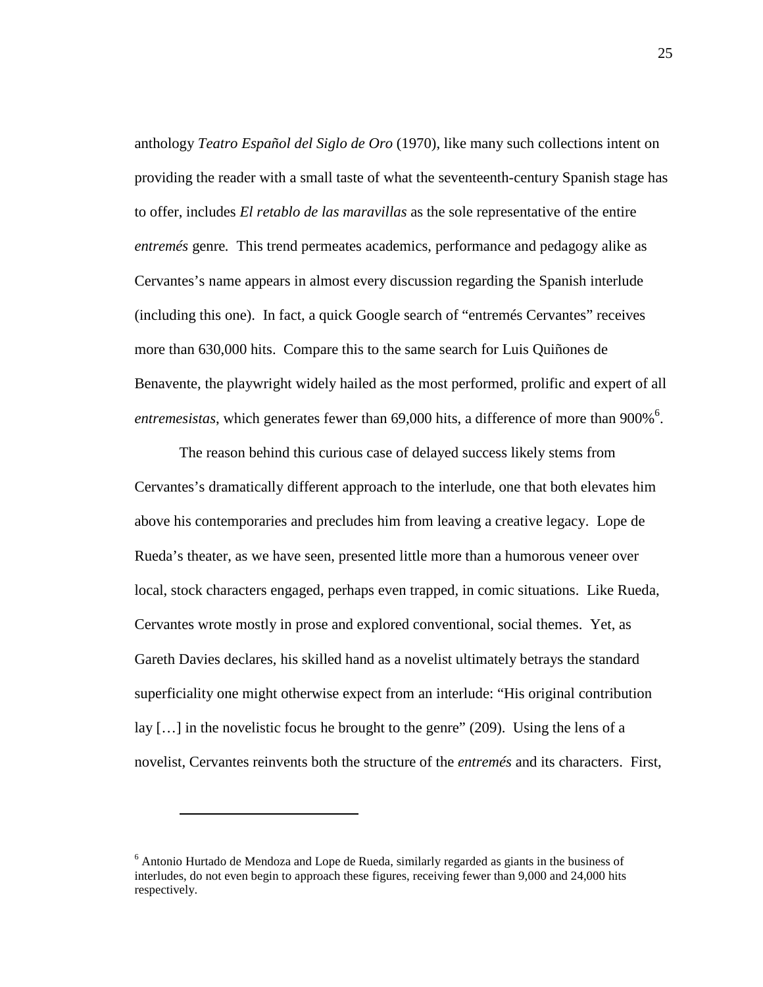anthology *Teatro Español del Siglo de Oro* (1970), like many such collections intent on providing the reader with a small taste of what the seventeenth-century Spanish stage has to offer, includes *El retablo de las maravillas* as the sole representative of the entire *entremés* genre*.* This trend permeates academics, performance and pedagogy alike as Cervantes's name appears in almost every discussion regarding the Spanish interlude (including this one). In fact, a quick Google search of "entremés Cervantes" receives more than 630,000 hits. Compare this to the same search for Luis Quiñones de Benavente, the playwright widely hailed as the most performed, prolific and expert of all entremesistas, which generates fewer than 69,000 hits, a difference of more than 900%<sup>6</sup>.

The reason behind this curious case of delayed success likely stems from Cervantes's dramatically different approach to the interlude, one that both elevates him above his contemporaries and precludes him from leaving a creative legacy. Lope de Rueda's theater, as we have seen, presented little more than a humorous veneer over local, stock characters engaged, perhaps even trapped, in comic situations. Like Rueda, Cervantes wrote mostly in prose and explored conventional, social themes. Yet, as Gareth Davies declares, his skilled hand as a novelist ultimately betrays the standard superficiality one might otherwise expect from an interlude: "His original contribution lay  $[\ldots]$  in the novelistic focus he brought to the genre" (209). Using the lens of a novelist, Cervantes reinvents both the structure of the *entremés* and its characters. First,

 $\overline{a}$ 

<sup>&</sup>lt;sup>6</sup> Antonio Hurtado de Mendoza and Lope de Rueda, similarly regarded as giants in the business of interludes, do not even begin to approach these figures, receiving fewer than 9,000 and 24,000 hits respectively.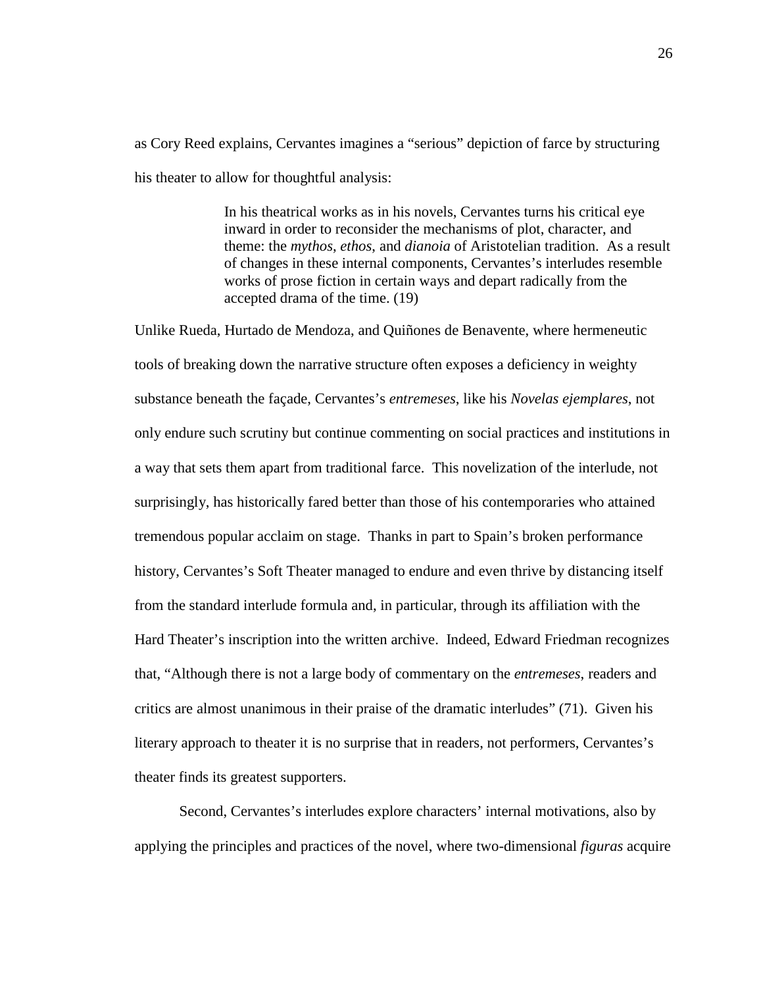as Cory Reed explains, Cervantes imagines a "serious" depiction of farce by structuring his theater to allow for thoughtful analysis:

> In his theatrical works as in his novels, Cervantes turns his critical eye inward in order to reconsider the mechanisms of plot, character, and theme: the *mythos*, *ethos*, and *dianoia* of Aristotelian tradition. As a result of changes in these internal components, Cervantes's interludes resemble works of prose fiction in certain ways and depart radically from the accepted drama of the time. (19)

Unlike Rueda, Hurtado de Mendoza, and Quiñones de Benavente, where hermeneutic tools of breaking down the narrative structure often exposes a deficiency in weighty substance beneath the façade, Cervantes's *entremeses*, like his *Novelas ejemplares*, not only endure such scrutiny but continue commenting on social practices and institutions in a way that sets them apart from traditional farce. This novelization of the interlude, not surprisingly, has historically fared better than those of his contemporaries who attained tremendous popular acclaim on stage. Thanks in part to Spain's broken performance history, Cervantes's Soft Theater managed to endure and even thrive by distancing itself from the standard interlude formula and, in particular, through its affiliation with the Hard Theater's inscription into the written archive. Indeed, Edward Friedman recognizes that, "Although there is not a large body of commentary on the *entremeses*, readers and critics are almost unanimous in their praise of the dramatic interludes" (71). Given his literary approach to theater it is no surprise that in readers, not performers, Cervantes's theater finds its greatest supporters.

Second, Cervantes's interludes explore characters' internal motivations, also by applying the principles and practices of the novel, where two-dimensional *figuras* acquire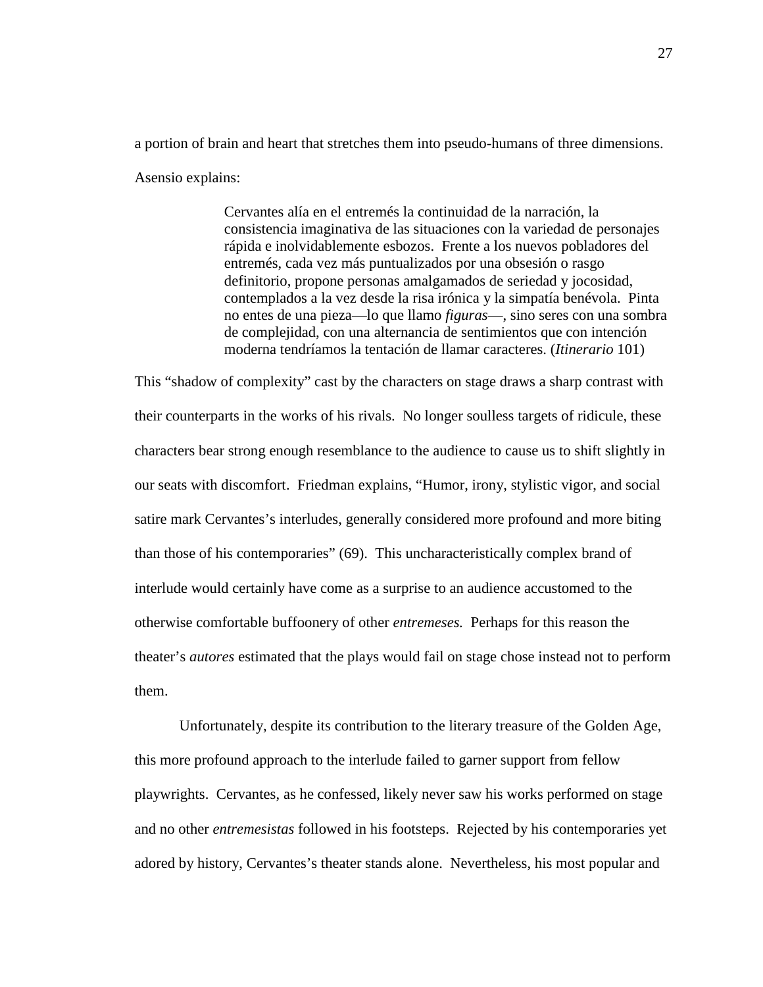a portion of brain and heart that stretches them into pseudo-humans of three dimensions.

Asensio explains:

Cervantes alía en el entremés la continuidad de la narración, la consistencia imaginativa de las situaciones con la variedad de personajes rápida e inolvidablemente esbozos. Frente a los nuevos pobladores del entremés, cada vez más puntualizados por una obsesión o rasgo definitorio, propone personas amalgamados de seriedad y jocosidad, contemplados a la vez desde la risa irónica y la simpatía benévola. Pinta no entes de una pieza—lo que llamo *figuras*—, sino seres con una sombra de complejidad, con una alternancia de sentimientos que con intención moderna tendríamos la tentación de llamar caracteres. (*Itinerario* 101)

This "shadow of complexity" cast by the characters on stage draws a sharp contrast with their counterparts in the works of his rivals. No longer soulless targets of ridicule, these characters bear strong enough resemblance to the audience to cause us to shift slightly in our seats with discomfort. Friedman explains, "Humor, irony, stylistic vigor, and social satire mark Cervantes's interludes, generally considered more profound and more biting than those of his contemporaries" (69). This uncharacteristically complex brand of interlude would certainly have come as a surprise to an audience accustomed to the otherwise comfortable buffoonery of other *entremeses.* Perhaps for this reason the theater's *autores* estimated that the plays would fail on stage chose instead not to perform them.

Unfortunately, despite its contribution to the literary treasure of the Golden Age, this more profound approach to the interlude failed to garner support from fellow playwrights. Cervantes, as he confessed, likely never saw his works performed on stage and no other *entremesistas* followed in his footsteps. Rejected by his contemporaries yet adored by history, Cervantes's theater stands alone. Nevertheless, his most popular and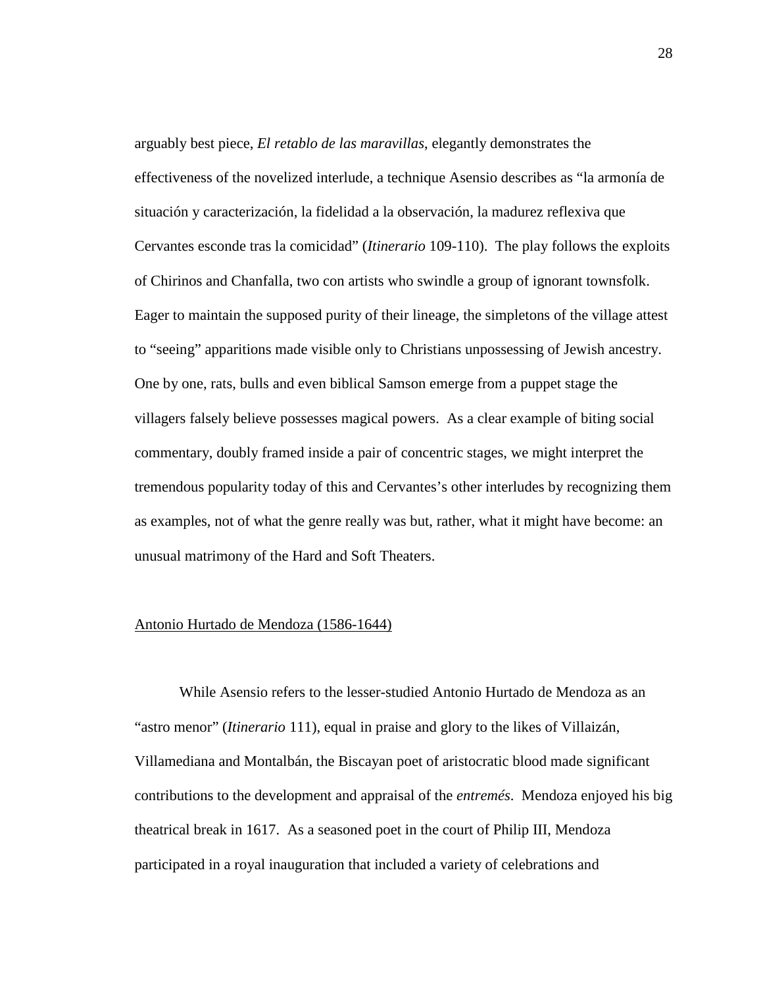arguably best piece, *El retablo de las maravillas*, elegantly demonstrates the effectiveness of the novelized interlude, a technique Asensio describes as "la armonía de situación y caracterización, la fidelidad a la observación, la madurez reflexiva que Cervantes esconde tras la comicidad" (*Itinerario* 109-110). The play follows the exploits of Chirinos and Chanfalla, two con artists who swindle a group of ignorant townsfolk. Eager to maintain the supposed purity of their lineage, the simpletons of the village attest to "seeing" apparitions made visible only to Christians unpossessing of Jewish ancestry. One by one, rats, bulls and even biblical Samson emerge from a puppet stage the villagers falsely believe possesses magical powers. As a clear example of biting social commentary, doubly framed inside a pair of concentric stages, we might interpret the tremendous popularity today of this and Cervantes's other interludes by recognizing them as examples, not of what the genre really was but, rather, what it might have become: an unusual matrimony of the Hard and Soft Theaters.

### Antonio Hurtado de Mendoza (1586-1644)

While Asensio refers to the lesser-studied Antonio Hurtado de Mendoza as an "astro menor" (*Itinerario* 111), equal in praise and glory to the likes of Villaizán, Villamediana and Montalbán, the Biscayan poet of aristocratic blood made significant contributions to the development and appraisal of the *entremés*. Mendoza enjoyed his big theatrical break in 1617. As a seasoned poet in the court of Philip III, Mendoza participated in a royal inauguration that included a variety of celebrations and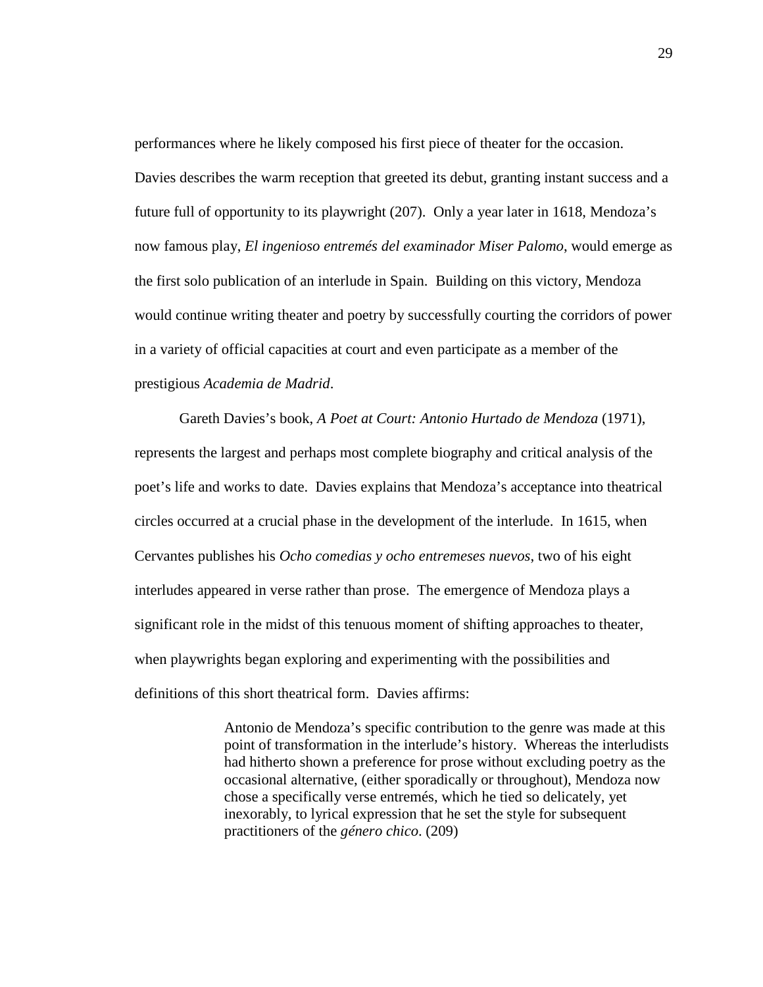performances where he likely composed his first piece of theater for the occasion. Davies describes the warm reception that greeted its debut, granting instant success and a future full of opportunity to its playwright (207). Only a year later in 1618, Mendoza's now famous play, *El ingenioso entremés del examinador Miser Palomo*, would emerge as the first solo publication of an interlude in Spain. Building on this victory, Mendoza would continue writing theater and poetry by successfully courting the corridors of power in a variety of official capacities at court and even participate as a member of the prestigious *Academia de Madrid*.

Gareth Davies's book, *A Poet at Court: Antonio Hurtado de Mendoza* (1971), represents the largest and perhaps most complete biography and critical analysis of the poet's life and works to date. Davies explains that Mendoza's acceptance into theatrical circles occurred at a crucial phase in the development of the interlude. In 1615, when Cervantes publishes his *Ocho comedias y ocho entremeses nuevos*, two of his eight interludes appeared in verse rather than prose. The emergence of Mendoza plays a significant role in the midst of this tenuous moment of shifting approaches to theater, when playwrights began exploring and experimenting with the possibilities and definitions of this short theatrical form. Davies affirms:

> Antonio de Mendoza's specific contribution to the genre was made at this point of transformation in the interlude's history. Whereas the interludists had hitherto shown a preference for prose without excluding poetry as the occasional alternative, (either sporadically or throughout), Mendoza now chose a specifically verse entremés, which he tied so delicately, yet inexorably, to lyrical expression that he set the style for subsequent practitioners of the *género chico*. (209)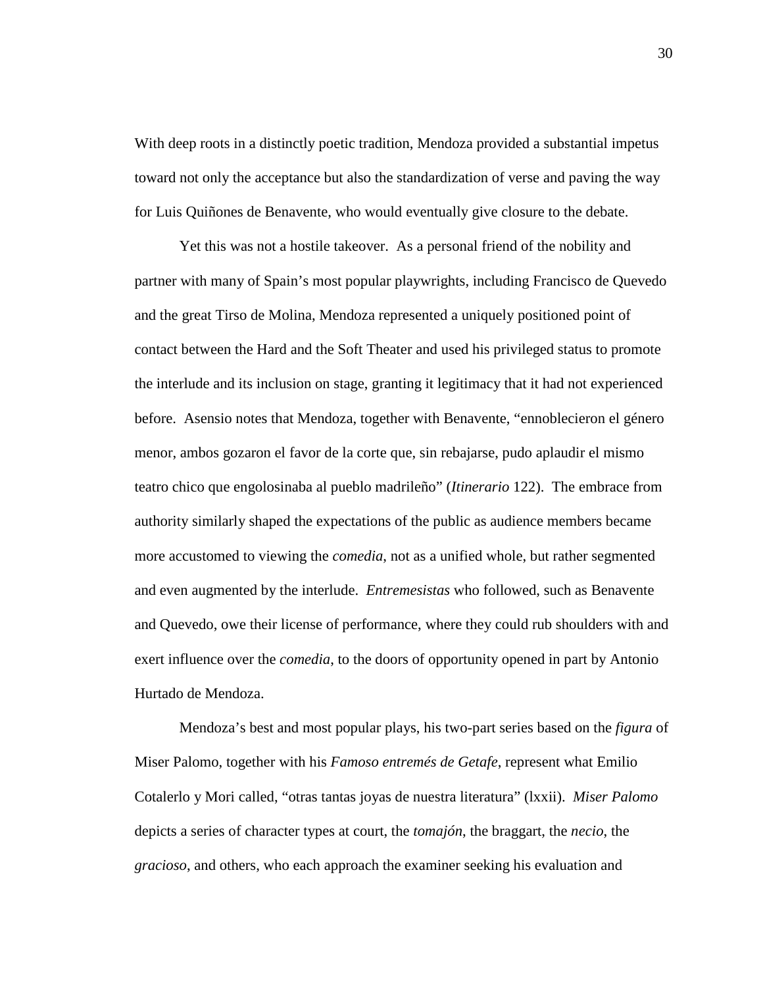With deep roots in a distinctly poetic tradition, Mendoza provided a substantial impetus toward not only the acceptance but also the standardization of verse and paving the way for Luis Quiñones de Benavente, who would eventually give closure to the debate.

Yet this was not a hostile takeover. As a personal friend of the nobility and partner with many of Spain's most popular playwrights, including Francisco de Quevedo and the great Tirso de Molina, Mendoza represented a uniquely positioned point of contact between the Hard and the Soft Theater and used his privileged status to promote the interlude and its inclusion on stage, granting it legitimacy that it had not experienced before. Asensio notes that Mendoza, together with Benavente, "ennoblecieron el género menor, ambos gozaron el favor de la corte que, sin rebajarse, pudo aplaudir el mismo teatro chico que engolosinaba al pueblo madrileño" (*Itinerario* 122). The embrace from authority similarly shaped the expectations of the public as audience members became more accustomed to viewing the *comedia*, not as a unified whole, but rather segmented and even augmented by the interlude. *Entremesistas* who followed, such as Benavente and Quevedo, owe their license of performance, where they could rub shoulders with and exert influence over the *comedia*, to the doors of opportunity opened in part by Antonio Hurtado de Mendoza.

Mendoza's best and most popular plays, his two-part series based on the *figura* of Miser Palomo, together with his *Famoso entremés de Getafe*, represent what Emilio Cotalerlo y Mori called, "otras tantas joyas de nuestra literatura" (lxxii). *Miser Palomo* depicts a series of character types at court, the *tomajón*, the braggart, the *necio*, the *gracioso*, and others, who each approach the examiner seeking his evaluation and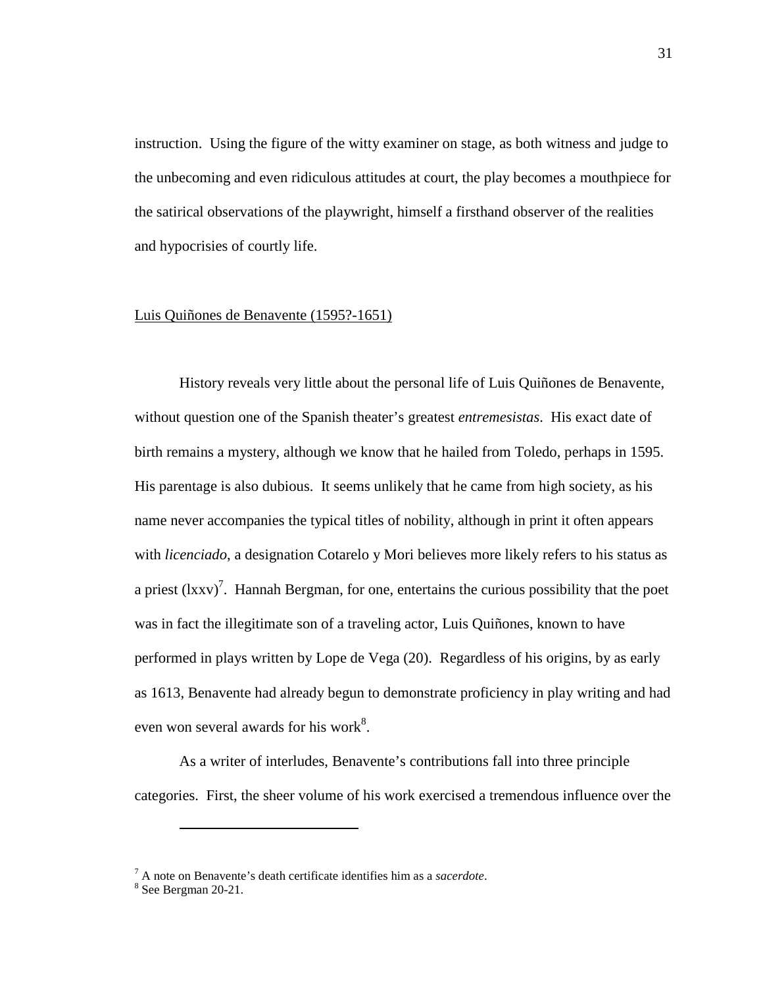instruction. Using the figure of the witty examiner on stage, as both witness and judge to the unbecoming and even ridiculous attitudes at court, the play becomes a mouthpiece for the satirical observations of the playwright, himself a firsthand observer of the realities and hypocrisies of courtly life.

## Luis Quiñones de Benavente (1595?-1651)

History reveals very little about the personal life of Luis Quiñones de Benavente, without question one of the Spanish theater's greatest *entremesistas*. His exact date of birth remains a mystery, although we know that he hailed from Toledo, perhaps in 1595. His parentage is also dubious. It seems unlikely that he came from high society, as his name never accompanies the typical titles of nobility, although in print it often appears with *licenciado*, a designation Cotarelo y Mori believes more likely refers to his status as a priest  $(lxxv)^7$ . Hannah Bergman, for one, entertains the curious possibility that the poet was in fact the illegitimate son of a traveling actor, Luis Quiñones, known to have performed in plays written by Lope de Vega (20). Regardless of his origins, by as early as 1613, Benavente had already begun to demonstrate proficiency in play writing and had even won several awards for his work $8$ .

As a writer of interludes, Benavente's contributions fall into three principle categories. First, the sheer volume of his work exercised a tremendous influence over the

l

<sup>7</sup> A note on Benavente's death certificate identifies him as a *sacerdote*.

<sup>8</sup> See Bergman 20-21.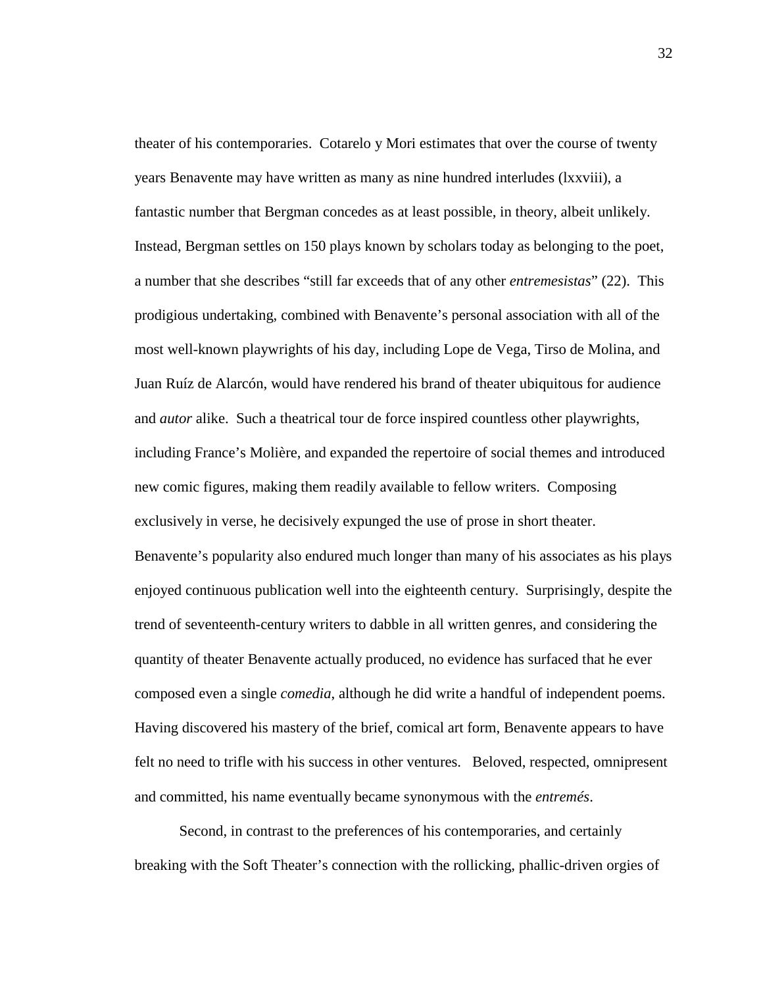theater of his contemporaries. Cotarelo y Mori estimates that over the course of twenty years Benavente may have written as many as nine hundred interludes (lxxviii), a fantastic number that Bergman concedes as at least possible, in theory, albeit unlikely. Instead, Bergman settles on 150 plays known by scholars today as belonging to the poet, a number that she describes "still far exceeds that of any other *entremesistas*" (22). This prodigious undertaking, combined with Benavente's personal association with all of the most well-known playwrights of his day, including Lope de Vega, Tirso de Molina, and Juan Ruíz de Alarcón, would have rendered his brand of theater ubiquitous for audience and *autor* alike. Such a theatrical tour de force inspired countless other playwrights, including France's Molière, and expanded the repertoire of social themes and introduced new comic figures, making them readily available to fellow writers. Composing exclusively in verse, he decisively expunged the use of prose in short theater. Benavente's popularity also endured much longer than many of his associates as his plays enjoyed continuous publication well into the eighteenth century. Surprisingly, despite the trend of seventeenth-century writers to dabble in all written genres, and considering the quantity of theater Benavente actually produced, no evidence has surfaced that he ever composed even a single *comedia*, although he did write a handful of independent poems. Having discovered his mastery of the brief, comical art form, Benavente appears to have felt no need to trifle with his success in other ventures. Beloved, respected, omnipresent and committed, his name eventually became synonymous with the *entremés*.

Second, in contrast to the preferences of his contemporaries, and certainly breaking with the Soft Theater's connection with the rollicking, phallic-driven orgies of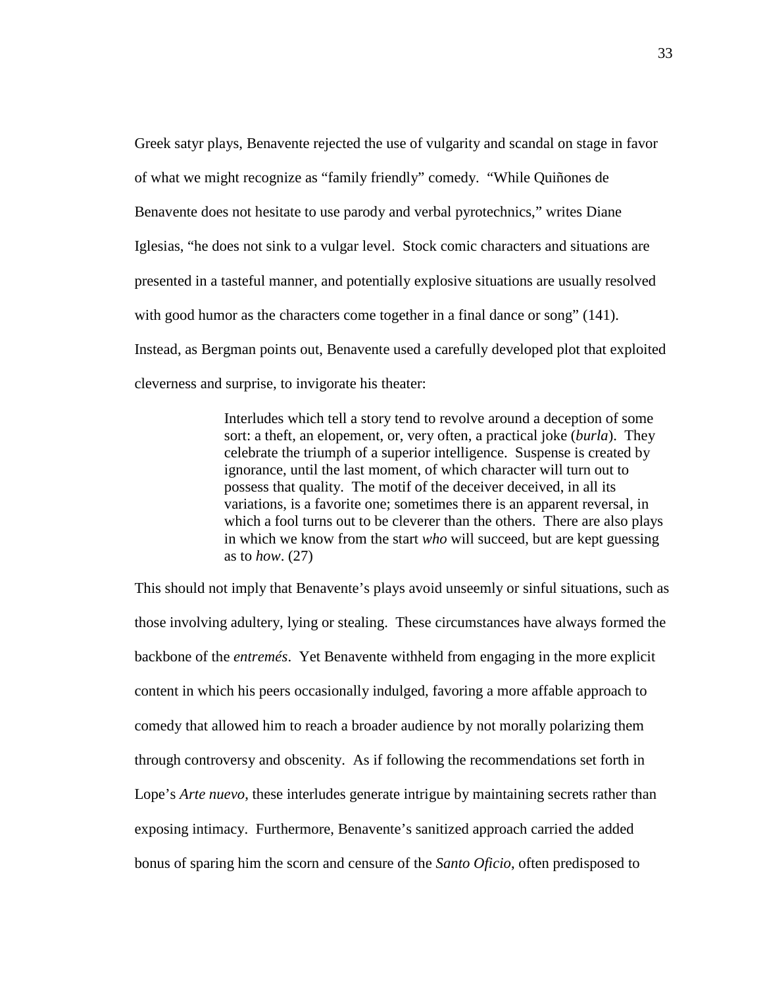Greek satyr plays, Benavente rejected the use of vulgarity and scandal on stage in favor of what we might recognize as "family friendly" comedy. "While Quiñones de Benavente does not hesitate to use parody and verbal pyrotechnics," writes Diane Iglesias, "he does not sink to a vulgar level. Stock comic characters and situations are presented in a tasteful manner, and potentially explosive situations are usually resolved with good humor as the characters come together in a final dance or song" (141). Instead, as Bergman points out, Benavente used a carefully developed plot that exploited cleverness and surprise, to invigorate his theater:

> Interludes which tell a story tend to revolve around a deception of some sort: a theft, an elopement, or, very often, a practical joke (*burla*). They celebrate the triumph of a superior intelligence. Suspense is created by ignorance, until the last moment, of which character will turn out to possess that quality. The motif of the deceiver deceived, in all its variations, is a favorite one; sometimes there is an apparent reversal, in which a fool turns out to be cleverer than the others. There are also plays in which we know from the start *who* will succeed, but are kept guessing as to *how*. (27)

This should not imply that Benavente's plays avoid unseemly or sinful situations, such as those involving adultery, lying or stealing. These circumstances have always formed the backbone of the *entremés*. Yet Benavente withheld from engaging in the more explicit content in which his peers occasionally indulged, favoring a more affable approach to comedy that allowed him to reach a broader audience by not morally polarizing them through controversy and obscenity. As if following the recommendations set forth in Lope's *Arte nuevo*, these interludes generate intrigue by maintaining secrets rather than exposing intimacy. Furthermore, Benavente's sanitized approach carried the added bonus of sparing him the scorn and censure of the *Santo Oficio*, often predisposed to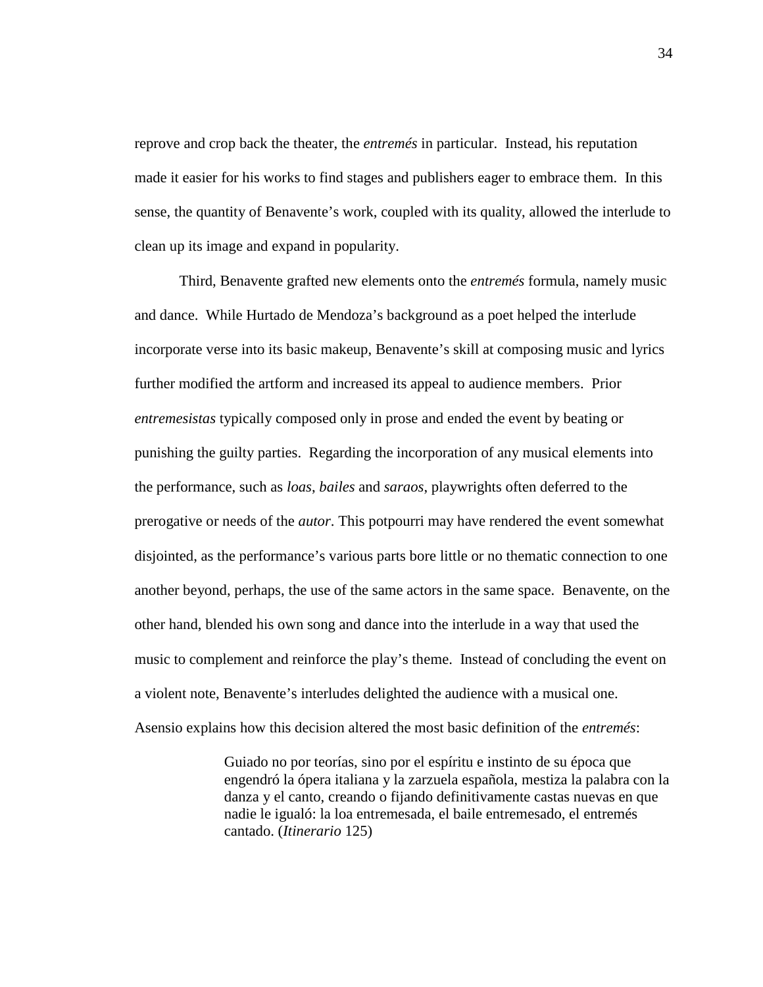reprove and crop back the theater, the *entremés* in particular. Instead, his reputation made it easier for his works to find stages and publishers eager to embrace them. In this sense, the quantity of Benavente's work, coupled with its quality, allowed the interlude to clean up its image and expand in popularity.

Third, Benavente grafted new elements onto the *entremés* formula, namely music and dance. While Hurtado de Mendoza's background as a poet helped the interlude incorporate verse into its basic makeup, Benavente's skill at composing music and lyrics further modified the artform and increased its appeal to audience members. Prior *entremesistas* typically composed only in prose and ended the event by beating or punishing the guilty parties. Regarding the incorporation of any musical elements into the performance, such as *loas*, *bailes* and *saraos*, playwrights often deferred to the prerogative or needs of the *autor*. This potpourri may have rendered the event somewhat disjointed, as the performance's various parts bore little or no thematic connection to one another beyond, perhaps, the use of the same actors in the same space. Benavente, on the other hand, blended his own song and dance into the interlude in a way that used the music to complement and reinforce the play's theme. Instead of concluding the event on a violent note, Benavente's interludes delighted the audience with a musical one. Asensio explains how this decision altered the most basic definition of the *entremés*:

> Guiado no por teorías, sino por el espíritu e instinto de su época que engendró la ópera italiana y la zarzuela española, mestiza la palabra con la danza y el canto, creando o fijando definitivamente castas nuevas en que nadie le igualó: la loa entremesada, el baile entremesado, el entremés cantado. (*Itinerario* 125)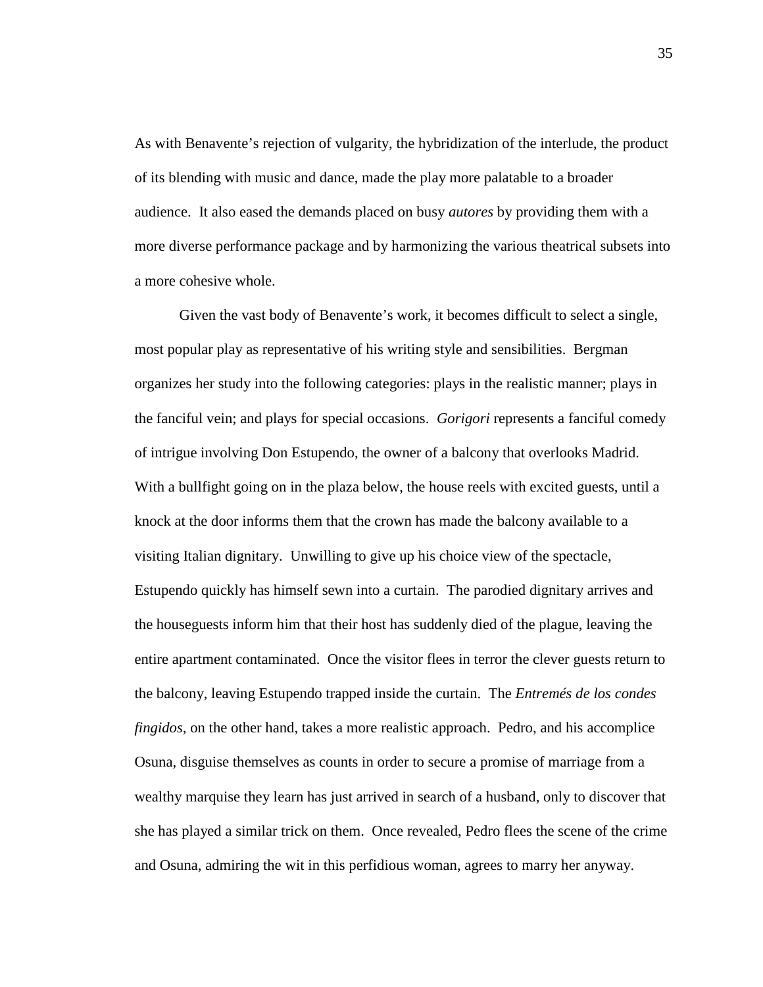As with Benavente's rejection of vulgarity, the hybridization of the interlude, the product of its blending with music and dance, made the play more palatable to a broader audience. It also eased the demands placed on busy *autores* by providing them with a more diverse performance package and by harmonizing the various theatrical subsets into a more cohesive whole.

Given the vast body of Benavente's work, it becomes difficult to select a single, most popular play as representative of his writing style and sensibilities. Bergman organizes her study into the following categories: plays in the realistic manner; plays in the fanciful vein; and plays for special occasions. *Gorigori* represents a fanciful comedy of intrigue involving Don Estupendo, the owner of a balcony that overlooks Madrid. With a bullfight going on in the plaza below, the house reels with excited guests, until a knock at the door informs them that the crown has made the balcony available to a visiting Italian dignitary. Unwilling to give up his choice view of the spectacle, Estupendo quickly has himself sewn into a curtain. The parodied dignitary arrives and the houseguests inform him that their host has suddenly died of the plague, leaving the entire apartment contaminated. Once the visitor flees in terror the clever guests return to the balcony, leaving Estupendo trapped inside the curtain. The *Entremés de los condes fingidos*, on the other hand, takes a more realistic approach. Pedro, and his accomplice Osuna, disguise themselves as counts in order to secure a promise of marriage from a wealthy marquise they learn has just arrived in search of a husband, only to discover that she has played a similar trick on them. Once revealed, Pedro flees the scene of the crime and Osuna, admiring the wit in this perfidious woman, agrees to marry her anyway.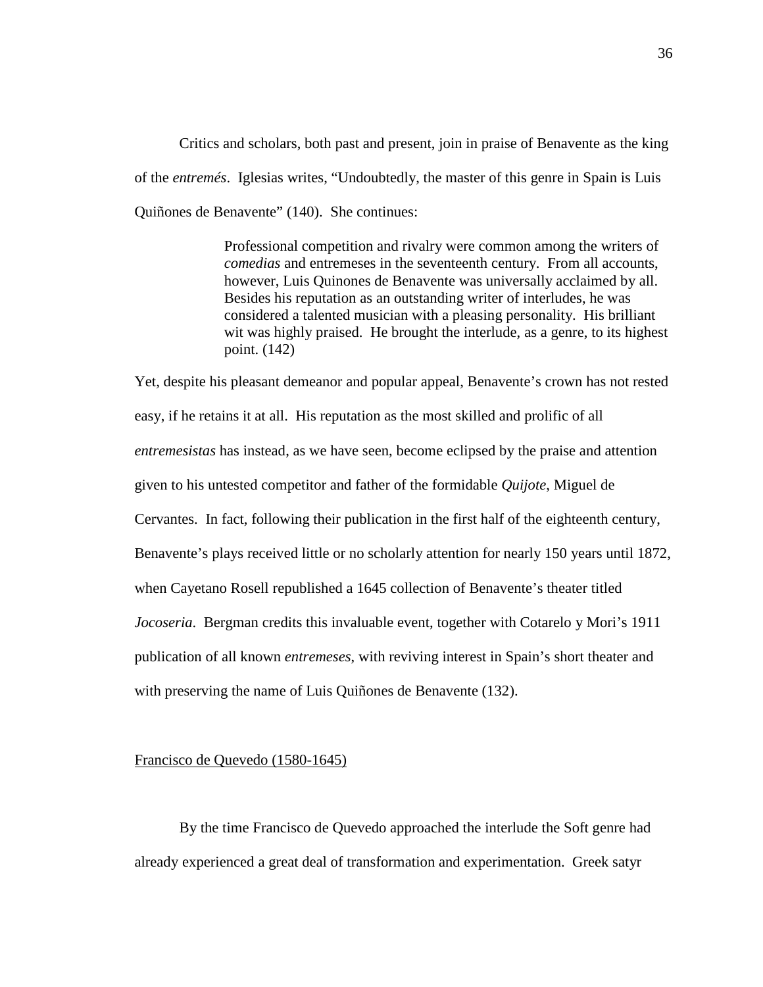Critics and scholars, both past and present, join in praise of Benavente as the king of the *entremés*. Iglesias writes, "Undoubtedly, the master of this genre in Spain is Luis Quiñones de Benavente" (140). She continues:

> Professional competition and rivalry were common among the writers of *comedias* and entremeses in the seventeenth century. From all accounts, however, Luis Quinones de Benavente was universally acclaimed by all. Besides his reputation as an outstanding writer of interludes, he was considered a talented musician with a pleasing personality. His brilliant wit was highly praised. He brought the interlude, as a genre, to its highest point. (142)

Yet, despite his pleasant demeanor and popular appeal, Benavente's crown has not rested easy, if he retains it at all. His reputation as the most skilled and prolific of all *entremesistas* has instead, as we have seen, become eclipsed by the praise and attention given to his untested competitor and father of the formidable *Quijote*, Miguel de Cervantes. In fact, following their publication in the first half of the eighteenth century, Benavente's plays received little or no scholarly attention for nearly 150 years until 1872, when Cayetano Rosell republished a 1645 collection of Benavente's theater titled *Jocoseria*. Bergman credits this invaluable event, together with Cotarelo y Mori's 1911 publication of all known *entremeses*, with reviving interest in Spain's short theater and with preserving the name of Luis Quiñones de Benavente (132).

## Francisco de Quevedo (1580-1645)

By the time Francisco de Quevedo approached the interlude the Soft genre had already experienced a great deal of transformation and experimentation. Greek satyr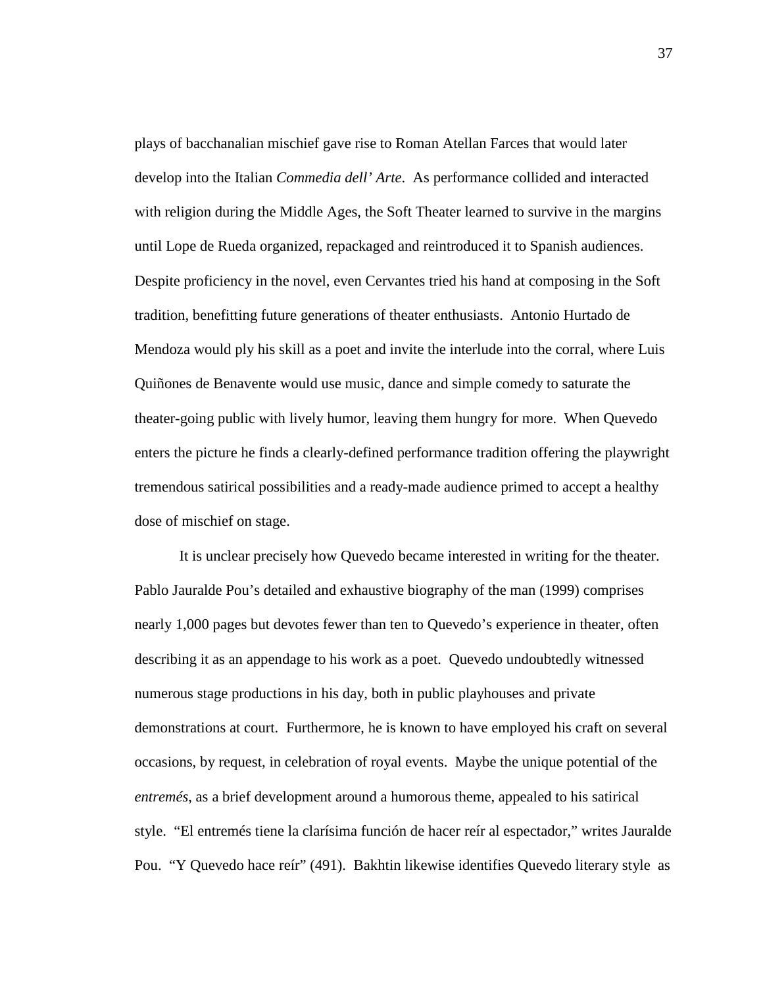plays of bacchanalian mischief gave rise to Roman Atellan Farces that would later develop into the Italian *Commedia dell' Arte*. As performance collided and interacted with religion during the Middle Ages, the Soft Theater learned to survive in the margins until Lope de Rueda organized, repackaged and reintroduced it to Spanish audiences. Despite proficiency in the novel, even Cervantes tried his hand at composing in the Soft tradition, benefitting future generations of theater enthusiasts. Antonio Hurtado de Mendoza would ply his skill as a poet and invite the interlude into the corral, where Luis Quiñones de Benavente would use music, dance and simple comedy to saturate the theater-going public with lively humor, leaving them hungry for more. When Quevedo enters the picture he finds a clearly-defined performance tradition offering the playwright tremendous satirical possibilities and a ready-made audience primed to accept a healthy dose of mischief on stage.

It is unclear precisely how Quevedo became interested in writing for the theater. Pablo Jauralde Pou's detailed and exhaustive biography of the man (1999) comprises nearly 1,000 pages but devotes fewer than ten to Quevedo's experience in theater, often describing it as an appendage to his work as a poet. Quevedo undoubtedly witnessed numerous stage productions in his day, both in public playhouses and private demonstrations at court. Furthermore, he is known to have employed his craft on several occasions, by request, in celebration of royal events. Maybe the unique potential of the *entremés*, as a brief development around a humorous theme, appealed to his satirical style. "El entremés tiene la clarísima función de hacer reír al espectador," writes Jauralde Pou. "Y Quevedo hace reír" (491). Bakhtin likewise identifies Quevedo literary style as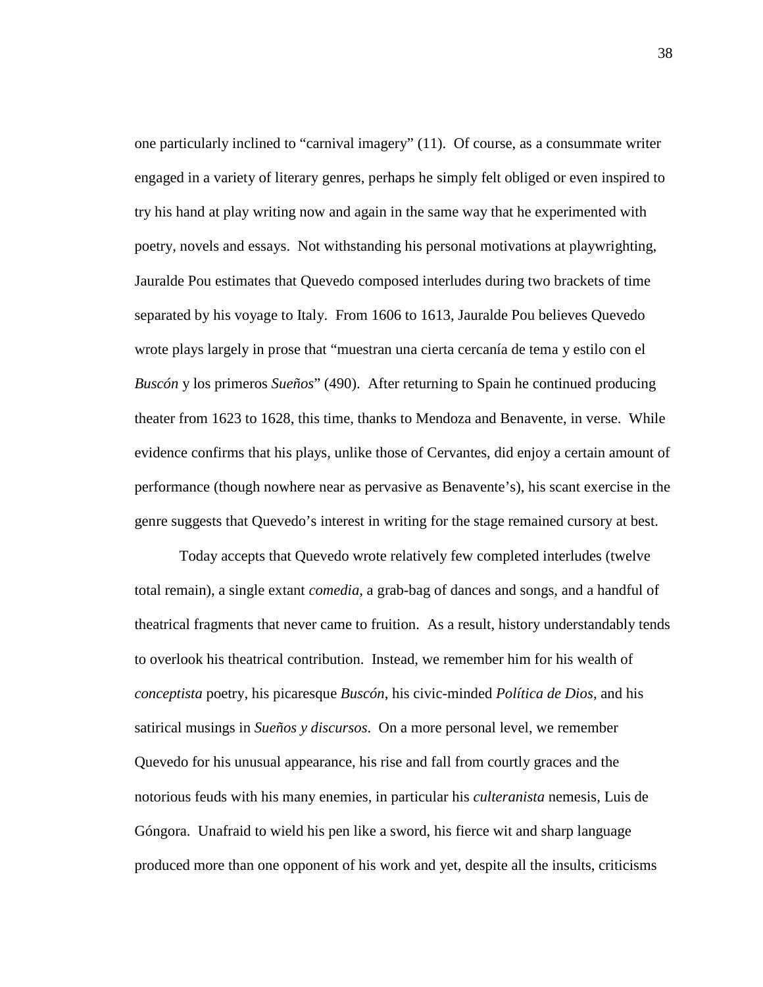one particularly inclined to "carnival imagery" (11). Of course, as a consummate writer engaged in a variety of literary genres, perhaps he simply felt obliged or even inspired to try his hand at play writing now and again in the same way that he experimented with poetry, novels and essays. Not withstanding his personal motivations at playwrighting, Jauralde Pou estimates that Quevedo composed interludes during two brackets of time separated by his voyage to Italy. From 1606 to 1613, Jauralde Pou believes Quevedo wrote plays largely in prose that "muestran una cierta cercanía de tema y estilo con el *Buscón* y los primeros *Sueños*" (490). After returning to Spain he continued producing theater from 1623 to 1628, this time, thanks to Mendoza and Benavente, in verse. While evidence confirms that his plays, unlike those of Cervantes, did enjoy a certain amount of performance (though nowhere near as pervasive as Benavente's), his scant exercise in the genre suggests that Quevedo's interest in writing for the stage remained cursory at best.

Today accepts that Quevedo wrote relatively few completed interludes (twelve total remain), a single extant *comedia*, a grab-bag of dances and songs, and a handful of theatrical fragments that never came to fruition. As a result, history understandably tends to overlook his theatrical contribution. Instead, we remember him for his wealth of *conceptista* poetry, his picaresque *Buscón*, his civic-minded *Política de Dios*, and his satirical musings in *Sueños y discursos*. On a more personal level, we remember Quevedo for his unusual appearance, his rise and fall from courtly graces and the notorious feuds with his many enemies, in particular his *culteranista* nemesis, Luis de Góngora. Unafraid to wield his pen like a sword, his fierce wit and sharp language produced more than one opponent of his work and yet, despite all the insults, criticisms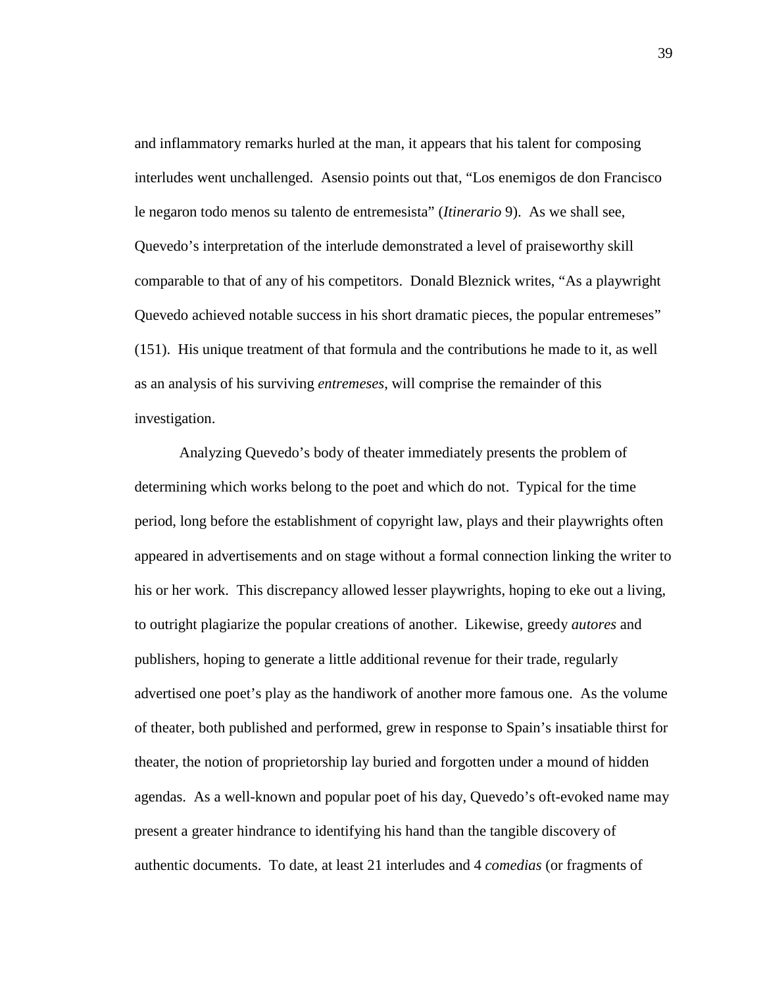and inflammatory remarks hurled at the man, it appears that his talent for composing interludes went unchallenged. Asensio points out that, "Los enemigos de don Francisco le negaron todo menos su talento de entremesista" (*Itinerario* 9). As we shall see, Quevedo's interpretation of the interlude demonstrated a level of praiseworthy skill comparable to that of any of his competitors. Donald Bleznick writes, "As a playwright Quevedo achieved notable success in his short dramatic pieces, the popular entremeses" (151). His unique treatment of that formula and the contributions he made to it, as well as an analysis of his surviving *entremeses*, will comprise the remainder of this investigation.

Analyzing Quevedo's body of theater immediately presents the problem of determining which works belong to the poet and which do not. Typical for the time period, long before the establishment of copyright law, plays and their playwrights often appeared in advertisements and on stage without a formal connection linking the writer to his or her work. This discrepancy allowed lesser playwrights, hoping to eke out a living, to outright plagiarize the popular creations of another. Likewise, greedy *autores* and publishers, hoping to generate a little additional revenue for their trade, regularly advertised one poet's play as the handiwork of another more famous one. As the volume of theater, both published and performed, grew in response to Spain's insatiable thirst for theater, the notion of proprietorship lay buried and forgotten under a mound of hidden agendas. As a well-known and popular poet of his day, Quevedo's oft-evoked name may present a greater hindrance to identifying his hand than the tangible discovery of authentic documents. To date, at least 21 interludes and 4 *comedias* (or fragments of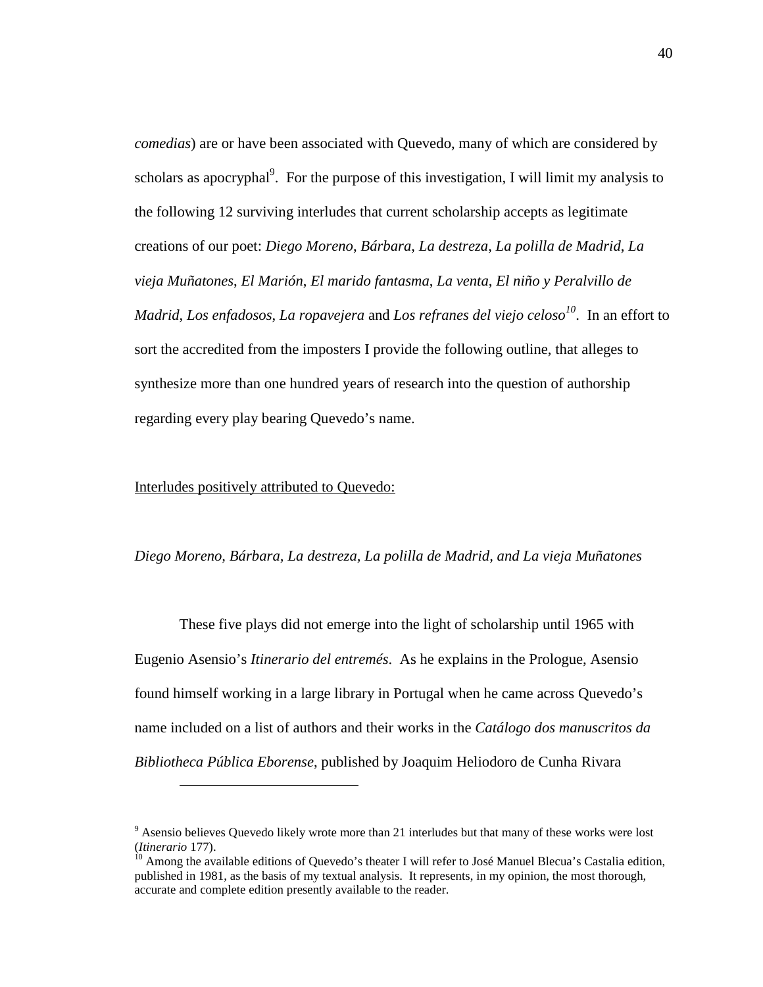*comedias*) are or have been associated with Quevedo, many of which are considered by scholars as apocryphal<sup>9</sup>. For the purpose of this investigation, I will limit my analysis to the following 12 surviving interludes that current scholarship accepts as legitimate creations of our poet: *Diego Moreno*, *Bárbara*, *La destreza*, *La polilla de Madrid*, *La vieja Muñatones*, *El Marión*, *El marido fantasma*, *La venta*, *El niño y Peralvillo de Madrid*, *Los enfadosos*, *La ropavejera* and *Los refranes del viejo celoso<sup>10</sup>*. In an effort to sort the accredited from the imposters I provide the following outline, that alleges to synthesize more than one hundred years of research into the question of authorship regarding every play bearing Quevedo's name.

### Interludes positively attributed to Quevedo:

l

#### *Diego Moreno, Bárbara, La destreza, La polilla de Madrid, and La vieja Muñatones*

These five plays did not emerge into the light of scholarship until 1965 with Eugenio Asensio's *Itinerario del entremés*. As he explains in the Prologue, Asensio found himself working in a large library in Portugal when he came across Quevedo's name included on a list of authors and their works in the *Catálogo dos manuscritos da Bibliotheca Pública Eborense*, published by Joaquim Heliodoro de Cunha Rivara

<sup>&</sup>lt;sup>9</sup> Asensio believes Quevedo likely wrote more than 21 interludes but that many of these works were lost (*Itinerario* 177).

 $10$  Among the available editions of Quevedo's theater I will refer to José Manuel Blecua's Castalia edition, published in 1981, as the basis of my textual analysis. It represents, in my opinion, the most thorough, accurate and complete edition presently available to the reader.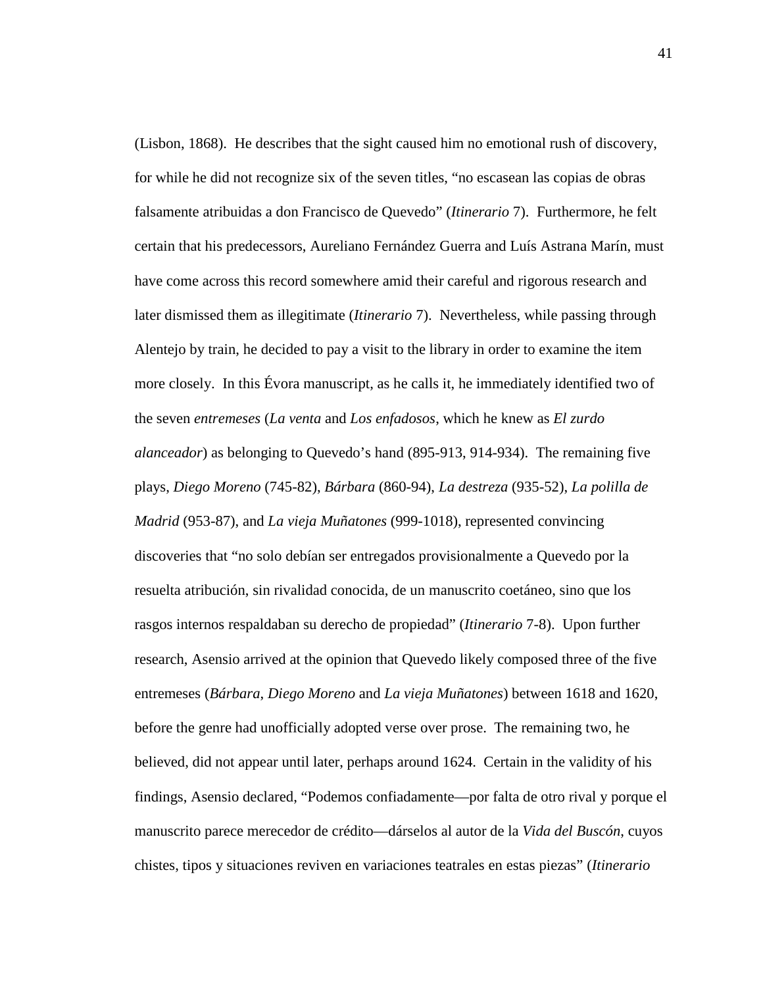(Lisbon, 1868). He describes that the sight caused him no emotional rush of discovery, for while he did not recognize six of the seven titles, "no escasean las copias de obras falsamente atribuidas a don Francisco de Quevedo" (*Itinerario* 7). Furthermore, he felt certain that his predecessors, Aureliano Fernández Guerra and Luís Astrana Marín, must have come across this record somewhere amid their careful and rigorous research and later dismissed them as illegitimate (*Itinerario* 7). Nevertheless, while passing through Alentejo by train, he decided to pay a visit to the library in order to examine the item more closely. In this Évora manuscript, as he calls it, he immediately identified two of the seven *entremeses* (*La venta* and *Los enfadosos*, which he knew as *El zurdo alanceador*) as belonging to Quevedo's hand (895-913, 914-934). The remaining five plays, *Diego Moreno* (745-82), *Bárbara* (860-94), *La destreza* (935-52), *La polilla de Madrid* (953-87), and *La vieja Muñatones* (999-1018), represented convincing discoveries that "no solo debían ser entregados provisionalmente a Quevedo por la resuelta atribución, sin rivalidad conocida, de un manuscrito coetáneo, sino que los rasgos internos respaldaban su derecho de propiedad" (*Itinerario* 7-8). Upon further research, Asensio arrived at the opinion that Quevedo likely composed three of the five entremeses (*Bárbara*, *Diego Moreno* and *La vieja Muñatones*) between 1618 and 1620, before the genre had unofficially adopted verse over prose. The remaining two, he believed, did not appear until later, perhaps around 1624. Certain in the validity of his findings, Asensio declared, "Podemos confiadamente—por falta de otro rival y porque el manuscrito parece merecedor de crédito—dárselos al autor de la *Vida del Buscón*, cuyos chistes, tipos y situaciones reviven en variaciones teatrales en estas piezas" (*Itinerario*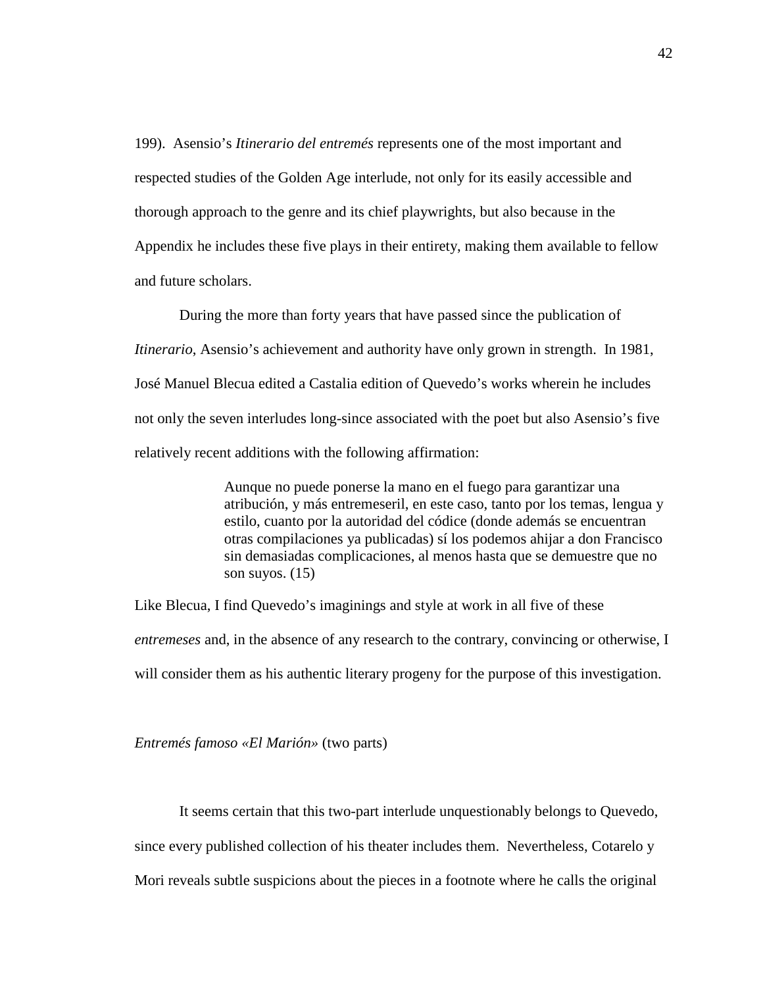199). Asensio's *Itinerario del entremés* represents one of the most important and respected studies of the Golden Age interlude, not only for its easily accessible and thorough approach to the genre and its chief playwrights, but also because in the Appendix he includes these five plays in their entirety, making them available to fellow and future scholars.

During the more than forty years that have passed since the publication of *Itinerario*, Asensio's achievement and authority have only grown in strength. In 1981, José Manuel Blecua edited a Castalia edition of Quevedo's works wherein he includes not only the seven interludes long-since associated with the poet but also Asensio's five relatively recent additions with the following affirmation:

> Aunque no puede ponerse la mano en el fuego para garantizar una atribución, y más entremeseril, en este caso, tanto por los temas, lengua y estilo, cuanto por la autoridad del códice (donde además se encuentran otras compilaciones ya publicadas) sí los podemos ahijar a don Francisco sin demasiadas complicaciones, al menos hasta que se demuestre que no son suyos.  $(15)$

Like Blecua, I find Quevedo's imaginings and style at work in all five of these *entremeses* and, in the absence of any research to the contrary, convincing or otherwise, I will consider them as his authentic literary progeny for the purpose of this investigation.

*Entremés famoso «El Marión»* (two parts)

It seems certain that this two-part interlude unquestionably belongs to Quevedo, since every published collection of his theater includes them. Nevertheless, Cotarelo y Mori reveals subtle suspicions about the pieces in a footnote where he calls the original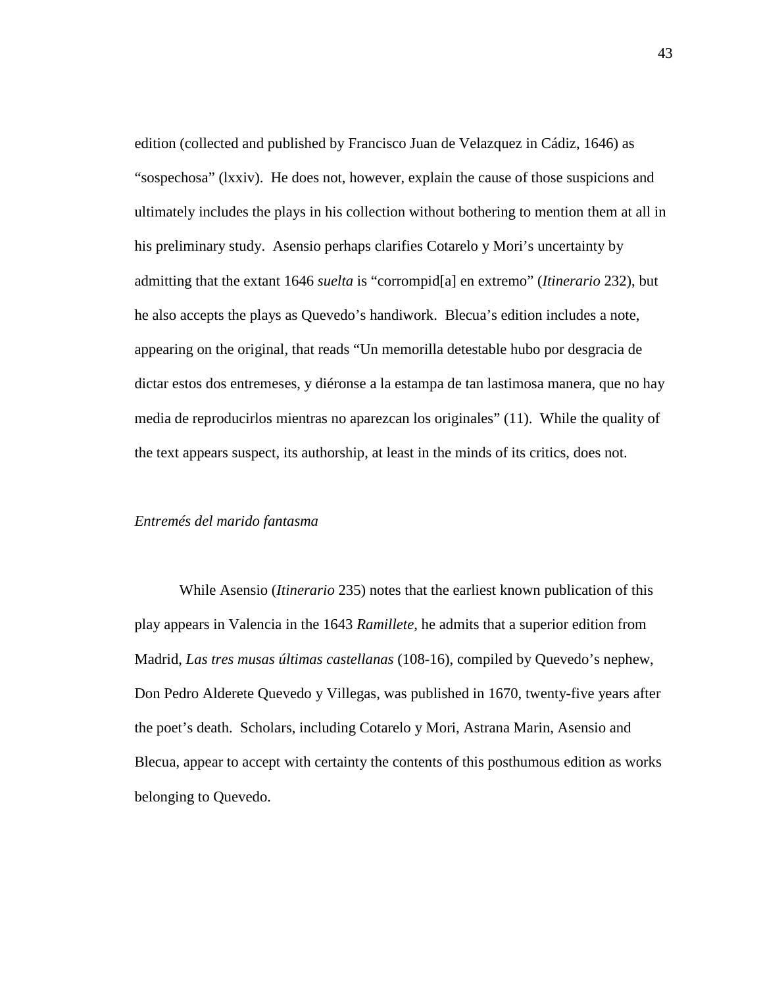edition (collected and published by Francisco Juan de Velazquez in Cádiz, 1646) as "sospechosa" (lxxiv). He does not, however, explain the cause of those suspicions and ultimately includes the plays in his collection without bothering to mention them at all in his preliminary study. Asensio perhaps clarifies Cotarelo y Mori's uncertainty by admitting that the extant 1646 *suelta* is "corrompid[a] en extremo" (*Itinerario* 232), but he also accepts the plays as Quevedo's handiwork. Blecua's edition includes a note, appearing on the original, that reads "Un memorilla detestable hubo por desgracia de dictar estos dos entremeses, y diéronse a la estampa de tan lastimosa manera, que no hay media de reproducirlos mientras no aparezcan los originales" (11). While the quality of the text appears suspect, its authorship, at least in the minds of its critics, does not.

### *Entremés del marido fantasma*

While Asensio (*Itinerario* 235) notes that the earliest known publication of this play appears in Valencia in the 1643 *Ramillete*, he admits that a superior edition from Madrid, *Las tres musas últimas castellanas* (108-16), compiled by Quevedo's nephew, Don Pedro Alderete Quevedo y Villegas, was published in 1670, twenty-five years after the poet's death. Scholars, including Cotarelo y Mori, Astrana Marin, Asensio and Blecua, appear to accept with certainty the contents of this posthumous edition as works belonging to Quevedo.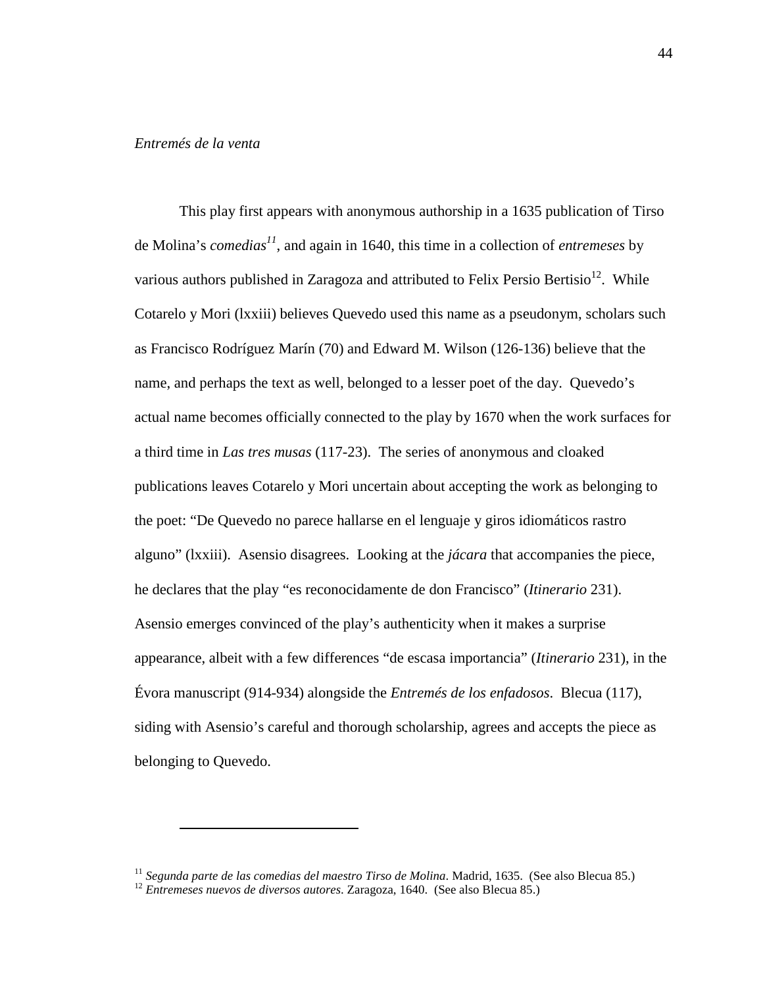#### *Entremés de la venta*

l

This play first appears with anonymous authorship in a 1635 publication of Tirso de Molina's *comedias<sup>11</sup>*, and again in 1640, this time in a collection of *entremeses* by various authors published in Zaragoza and attributed to Felix Persio Bertisio<sup>12</sup>. While Cotarelo y Mori (lxxiii) believes Quevedo used this name as a pseudonym, scholars such as Francisco Rodríguez Marín (70) and Edward M. Wilson (126-136) believe that the name, and perhaps the text as well, belonged to a lesser poet of the day. Quevedo's actual name becomes officially connected to the play by 1670 when the work surfaces for a third time in *Las tres musas* (117-23). The series of anonymous and cloaked publications leaves Cotarelo y Mori uncertain about accepting the work as belonging to the poet: "De Quevedo no parece hallarse en el lenguaje y giros idiomáticos rastro alguno" (lxxiii). Asensio disagrees. Looking at the *jácara* that accompanies the piece, he declares that the play "es reconocidamente de don Francisco" (*Itinerario* 231). Asensio emerges convinced of the play's authenticity when it makes a surprise appearance, albeit with a few differences "de escasa importancia" (*Itinerario* 231), in the Évora manuscript (914-934) alongside the *Entremés de los enfadosos*. Blecua (117), siding with Asensio's careful and thorough scholarship, agrees and accepts the piece as belonging to Quevedo.

<sup>11</sup> *Segunda parte de las comedias del maestro Tirso de Molina*. Madrid, 1635. (See also Blecua 85.)

<sup>12</sup> *Entremeses nuevos de diversos autores*. Zaragoza, 1640. (See also Blecua 85.)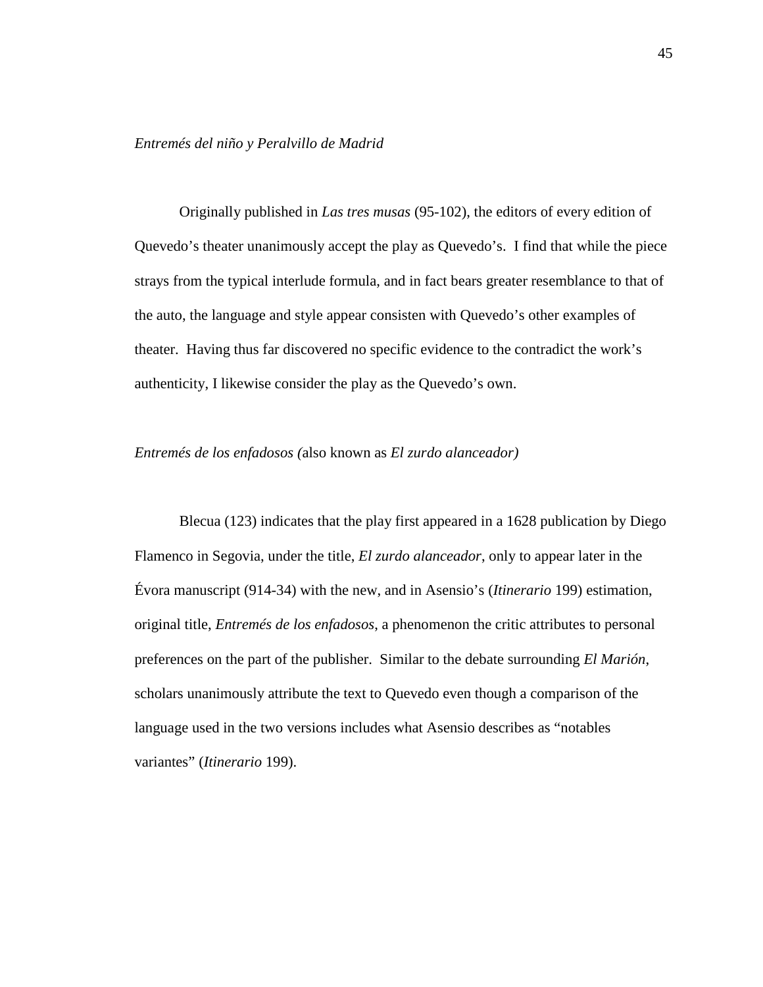*Entremés del niño y Peralvillo de Madrid* 

Originally published in *Las tres musas* (95-102), the editors of every edition of Quevedo's theater unanimously accept the play as Quevedo's. I find that while the piece strays from the typical interlude formula, and in fact bears greater resemblance to that of the auto, the language and style appear consisten with Quevedo's other examples of theater. Having thus far discovered no specific evidence to the contradict the work's authenticity, I likewise consider the play as the Quevedo's own.

### *Entremés de los enfadosos (*also known as *El zurdo alanceador)*

Blecua (123) indicates that the play first appeared in a 1628 publication by Diego Flamenco in Segovia, under the title, *El zurdo alanceador*, only to appear later in the Évora manuscript (914-34) with the new, and in Asensio's (*Itinerario* 199) estimation, original title, *Entremés de los enfadosos*, a phenomenon the critic attributes to personal preferences on the part of the publisher. Similar to the debate surrounding *El Marión*, scholars unanimously attribute the text to Quevedo even though a comparison of the language used in the two versions includes what Asensio describes as "notables variantes" (*Itinerario* 199).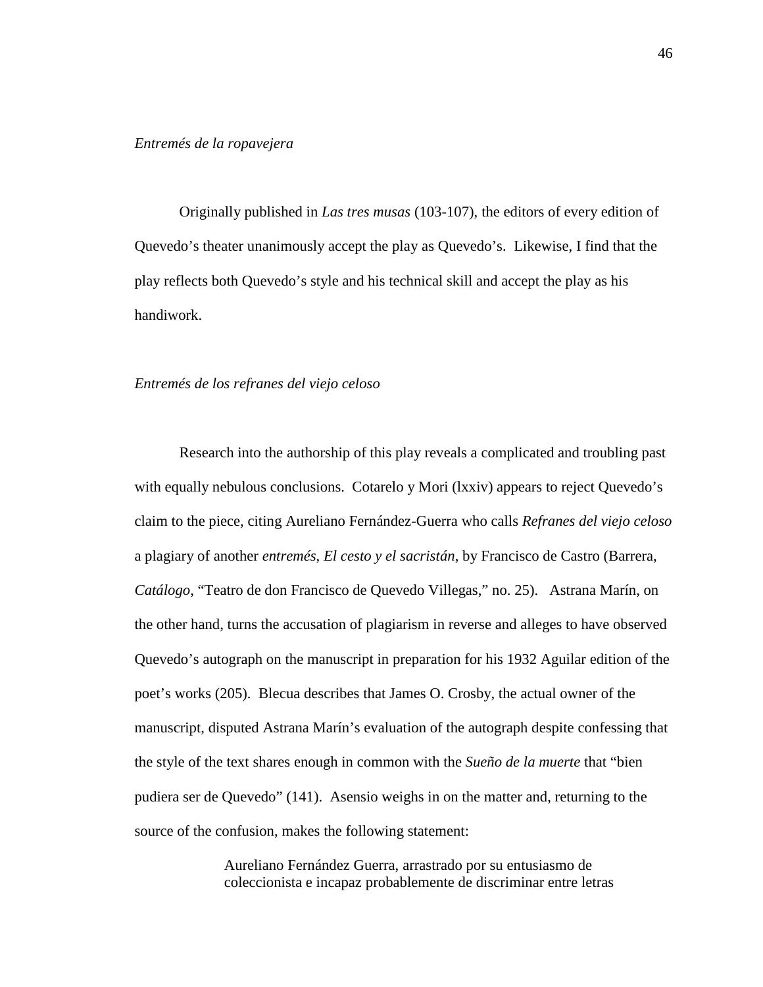Originally published in *Las tres musas* (103-107), the editors of every edition of Quevedo's theater unanimously accept the play as Quevedo's. Likewise, I find that the play reflects both Quevedo's style and his technical skill and accept the play as his handiwork.

### *Entremés de los refranes del viejo celoso*

Research into the authorship of this play reveals a complicated and troubling past with equally nebulous conclusions. Cotarelo y Mori (lxxiv) appears to reject Quevedo's claim to the piece, citing Aureliano Fernández-Guerra who calls *Refranes del viejo celoso* a plagiary of another *entremés*, *El cesto y el sacristán*, by Francisco de Castro (Barrera, *Catálogo*, "Teatro de don Francisco de Quevedo Villegas," no. 25). Astrana Marín, on the other hand, turns the accusation of plagiarism in reverse and alleges to have observed Quevedo's autograph on the manuscript in preparation for his 1932 Aguilar edition of the poet's works (205). Blecua describes that James O. Crosby, the actual owner of the manuscript, disputed Astrana Marín's evaluation of the autograph despite confessing that the style of the text shares enough in common with the *Sueño de la muerte* that "bien pudiera ser de Quevedo" (141). Asensio weighs in on the matter and, returning to the source of the confusion, makes the following statement:

> Aureliano Fernández Guerra, arrastrado por su entusiasmo de coleccionista e incapaz probablemente de discriminar entre letras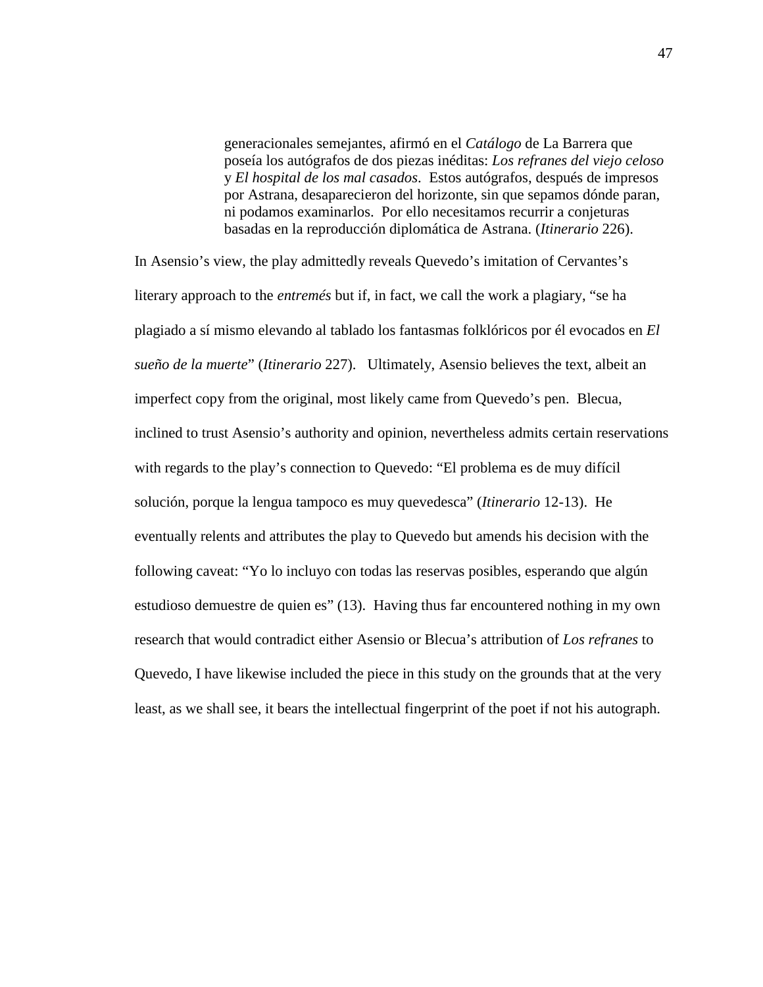generacionales semejantes, afirmó en el *Catálogo* de La Barrera que poseía los autógrafos de dos piezas inéditas: *Los refranes del viejo celoso* y *El hospital de los mal casados*. Estos autógrafos, después de impresos por Astrana, desaparecieron del horizonte, sin que sepamos dónde paran, ni podamos examinarlos. Por ello necesitamos recurrir a conjeturas basadas en la reproducción diplomática de Astrana. (*Itinerario* 226).

In Asensio's view, the play admittedly reveals Quevedo's imitation of Cervantes's literary approach to the *entremés* but if, in fact, we call the work a plagiary, "se ha plagiado a sí mismo elevando al tablado los fantasmas folklóricos por él evocados en *El sueño de la muerte*" (*Itinerario* 227). Ultimately, Asensio believes the text, albeit an imperfect copy from the original, most likely came from Quevedo's pen. Blecua, inclined to trust Asensio's authority and opinion, nevertheless admits certain reservations with regards to the play's connection to Quevedo: "El problema es de muy difícil solución, porque la lengua tampoco es muy quevedesca" (*Itinerario* 12-13). He eventually relents and attributes the play to Quevedo but amends his decision with the following caveat: "Yo lo incluyo con todas las reservas posibles, esperando que algún estudioso demuestre de quien es" (13). Having thus far encountered nothing in my own research that would contradict either Asensio or Blecua's attribution of *Los refranes* to Quevedo, I have likewise included the piece in this study on the grounds that at the very least, as we shall see, it bears the intellectual fingerprint of the poet if not his autograph.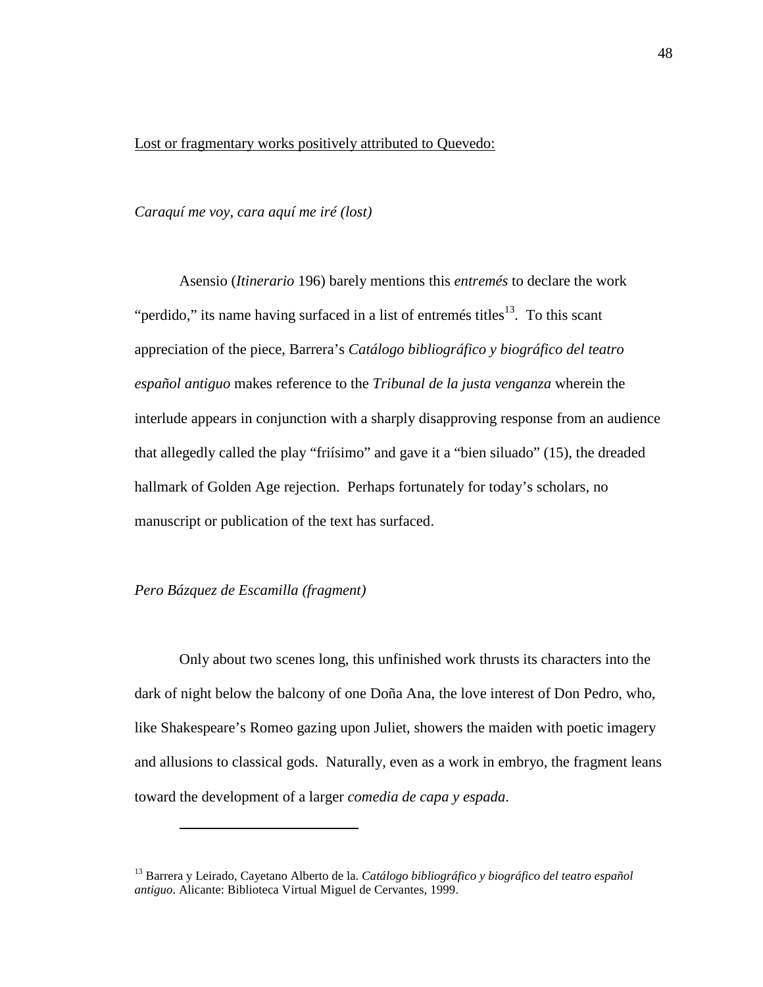### Lost or fragmentary works positively attributed to Quevedo:

*Caraquí me voy, cara aquí me iré (lost)* 

Asensio (*Itinerario* 196) barely mentions this *entremés* to declare the work "perdido," its name having surfaced in a list of entremés titles<sup>13</sup>. To this scant appreciation of the piece, Barrera's *Catálogo bibliográfico y biográfico del teatro español antiguo* makes reference to the *Tribunal de la justa venganza* wherein the interlude appears in conjunction with a sharply disapproving response from an audience that allegedly called the play "friísimo" and gave it a "bien siluado" (15), the dreaded hallmark of Golden Age rejection. Perhaps fortunately for today's scholars, no manuscript or publication of the text has surfaced.

### *Pero Bázquez de Escamilla (fragment)*

 $\overline{a}$ 

Only about two scenes long, this unfinished work thrusts its characters into the dark of night below the balcony of one Doña Ana, the love interest of Don Pedro, who, like Shakespeare's Romeo gazing upon Juliet, showers the maiden with poetic imagery and allusions to classical gods. Naturally, even as a work in embryo, the fragment leans toward the development of a larger *comedia de capa y espada*.

<sup>13</sup> Barrera y Leirado, Cayetano Alberto de la. *Catálogo bibliográfico y biográfico del teatro español antiguo*. Alicante: Biblioteca Virtual Miguel de Cervantes, 1999.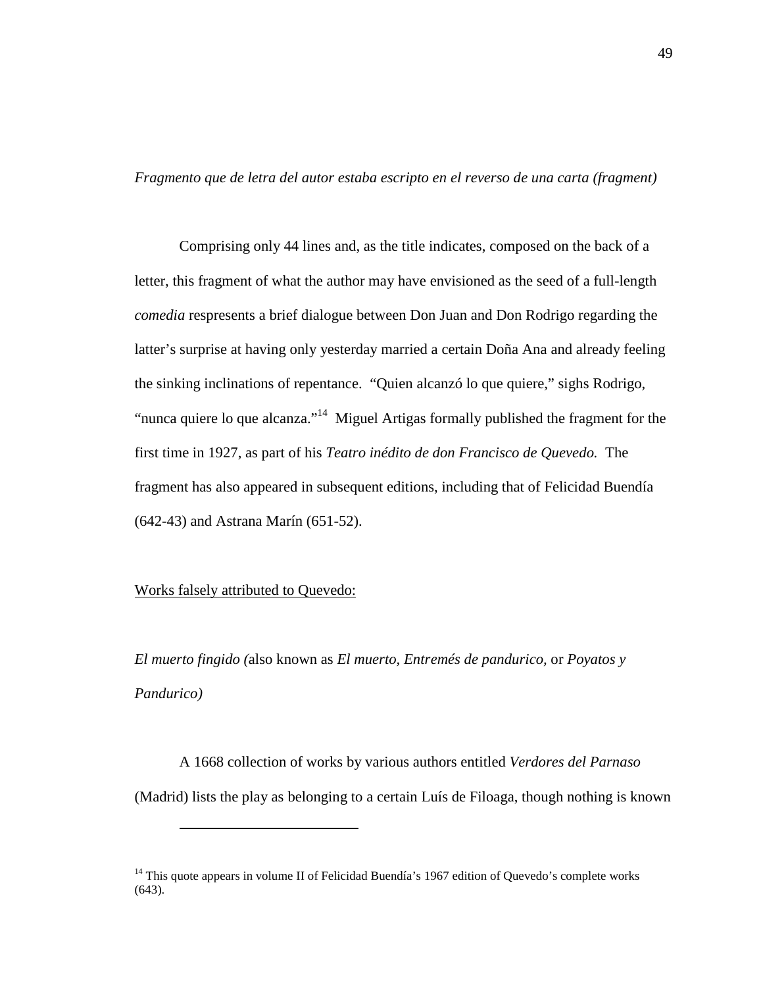*Fragmento que de letra del autor estaba escripto en el reverso de una carta (fragment)* 

Comprising only 44 lines and, as the title indicates, composed on the back of a letter, this fragment of what the author may have envisioned as the seed of a full-length *comedia* respresents a brief dialogue between Don Juan and Don Rodrigo regarding the latter's surprise at having only yesterday married a certain Doña Ana and already feeling the sinking inclinations of repentance. "Quien alcanzó lo que quiere," sighs Rodrigo, "nunca quiere lo que alcanza."<sup>14</sup> Miguel Artigas formally published the fragment for the first time in 1927, as part of his *Teatro inédito de don Francisco de Quevedo.* The fragment has also appeared in subsequent editions, including that of Felicidad Buendía (642-43) and Astrana Marín (651-52).

# Works falsely attributed to Quevedo:

l

*El muerto fingido (*also known as *El muerto, Entremés de pandurico,* or *Poyatos y Pandurico)* 

A 1668 collection of works by various authors entitled *Verdores del Parnaso* (Madrid) lists the play as belonging to a certain Luís de Filoaga, though nothing is known

<sup>&</sup>lt;sup>14</sup> This quote appears in volume II of Felicidad Buendía's 1967 edition of Quevedo's complete works (643).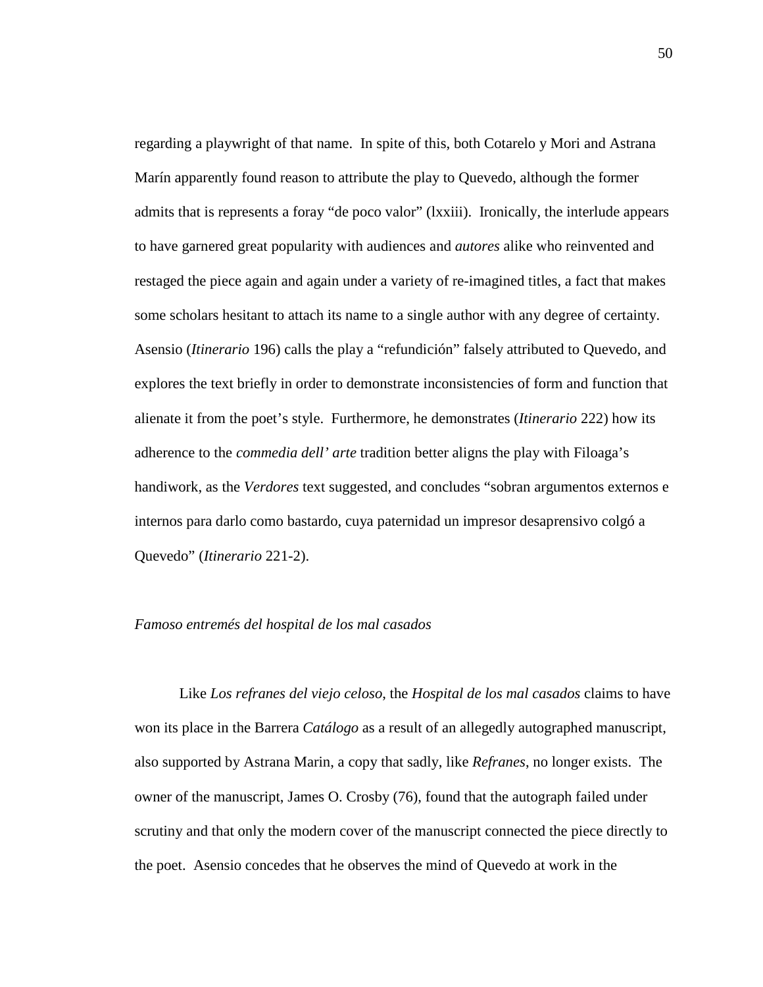regarding a playwright of that name. In spite of this, both Cotarelo y Mori and Astrana Marín apparently found reason to attribute the play to Quevedo, although the former admits that is represents a foray "de poco valor" (lxxiii). Ironically, the interlude appears to have garnered great popularity with audiences and *autores* alike who reinvented and restaged the piece again and again under a variety of re-imagined titles, a fact that makes some scholars hesitant to attach its name to a single author with any degree of certainty. Asensio (*Itinerario* 196) calls the play a "refundición" falsely attributed to Quevedo, and explores the text briefly in order to demonstrate inconsistencies of form and function that alienate it from the poet's style. Furthermore, he demonstrates (*Itinerario* 222) how its adherence to the *commedia dell' arte* tradition better aligns the play with Filoaga's handiwork, as the *Verdores* text suggested, and concludes "sobran argumentos externos e internos para darlo como bastardo, cuya paternidad un impresor desaprensivo colgó a Quevedo" (*Itinerario* 221-2).

#### *Famoso entremés del hospital de los mal casados*

Like *Los refranes del viejo celoso*, the *Hospital de los mal casados* claims to have won its place in the Barrera *Catálogo* as a result of an allegedly autographed manuscript, also supported by Astrana Marin, a copy that sadly, like *Refranes*, no longer exists. The owner of the manuscript, James O. Crosby (76), found that the autograph failed under scrutiny and that only the modern cover of the manuscript connected the piece directly to the poet. Asensio concedes that he observes the mind of Quevedo at work in the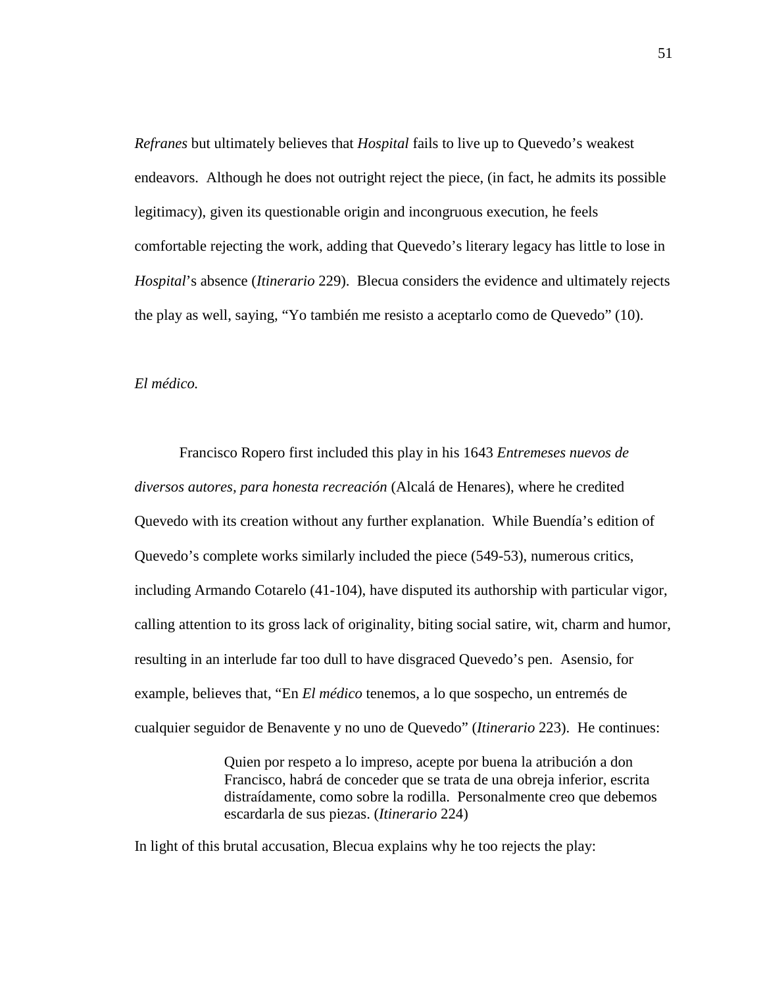*Refranes* but ultimately believes that *Hospital* fails to live up to Quevedo's weakest endeavors. Although he does not outright reject the piece, (in fact, he admits its possible legitimacy), given its questionable origin and incongruous execution, he feels comfortable rejecting the work, adding that Quevedo's literary legacy has little to lose in *Hospital*'s absence (*Itinerario* 229). Blecua considers the evidence and ultimately rejects the play as well, saying, "Yo también me resisto a aceptarlo como de Quevedo" (10).

### *El médico.*

Francisco Ropero first included this play in his 1643 *Entremeses nuevos de diversos autores, para honesta recreación* (Alcalá de Henares), where he credited Quevedo with its creation without any further explanation. While Buendía's edition of Quevedo's complete works similarly included the piece (549-53), numerous critics, including Armando Cotarelo (41-104), have disputed its authorship with particular vigor, calling attention to its gross lack of originality, biting social satire, wit, charm and humor, resulting in an interlude far too dull to have disgraced Quevedo's pen. Asensio, for example, believes that, "En *El médico* tenemos, a lo que sospecho, un entremés de cualquier seguidor de Benavente y no uno de Quevedo" (*Itinerario* 223). He continues:

> Quien por respeto a lo impreso, acepte por buena la atribución a don Francisco, habrá de conceder que se trata de una obreja inferior, escrita distraídamente, como sobre la rodilla. Personalmente creo que debemos escardarla de sus piezas. (*Itinerario* 224)

In light of this brutal accusation, Blecua explains why he too rejects the play: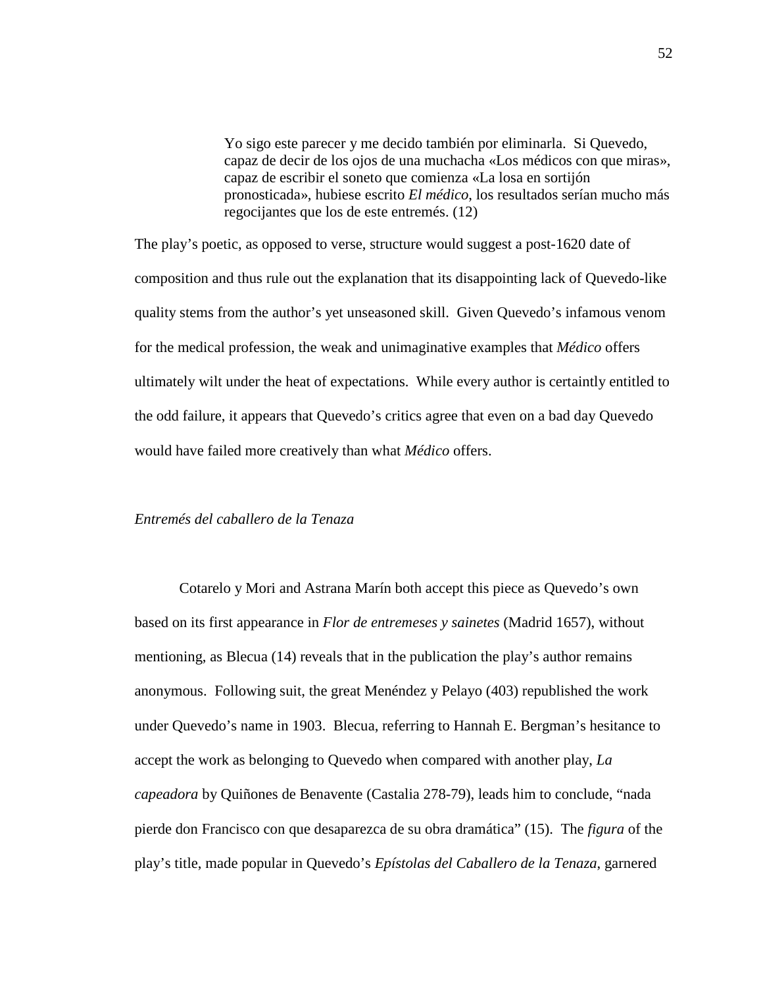Yo sigo este parecer y me decido también por eliminarla. Si Quevedo, capaz de decir de los ojos de una muchacha «Los médicos con que miras», capaz de escribir el soneto que comienza «La losa en sortijón pronosticada», hubiese escrito *El médico*, los resultados serían mucho más regocijantes que los de este entremés. (12)

The play's poetic, as opposed to verse, structure would suggest a post-1620 date of composition and thus rule out the explanation that its disappointing lack of Quevedo-like quality stems from the author's yet unseasoned skill. Given Quevedo's infamous venom for the medical profession, the weak and unimaginative examples that *Médico* offers ultimately wilt under the heat of expectations. While every author is certaintly entitled to the odd failure, it appears that Quevedo's critics agree that even on a bad day Quevedo would have failed more creatively than what *Médico* offers.

### *Entremés del caballero de la Tenaza*

Cotarelo y Mori and Astrana Marín both accept this piece as Quevedo's own based on its first appearance in *Flor de entremeses y sainetes* (Madrid 1657), without mentioning, as Blecua (14) reveals that in the publication the play's author remains anonymous. Following suit, the great Menéndez y Pelayo (403) republished the work under Quevedo's name in 1903. Blecua, referring to Hannah E. Bergman's hesitance to accept the work as belonging to Quevedo when compared with another play, *La capeadora* by Quiñones de Benavente (Castalia 278-79), leads him to conclude, "nada pierde don Francisco con que desaparezca de su obra dramática" (15). The *figura* of the play's title, made popular in Quevedo's *Epístolas del Caballero de la Tenaza*, garnered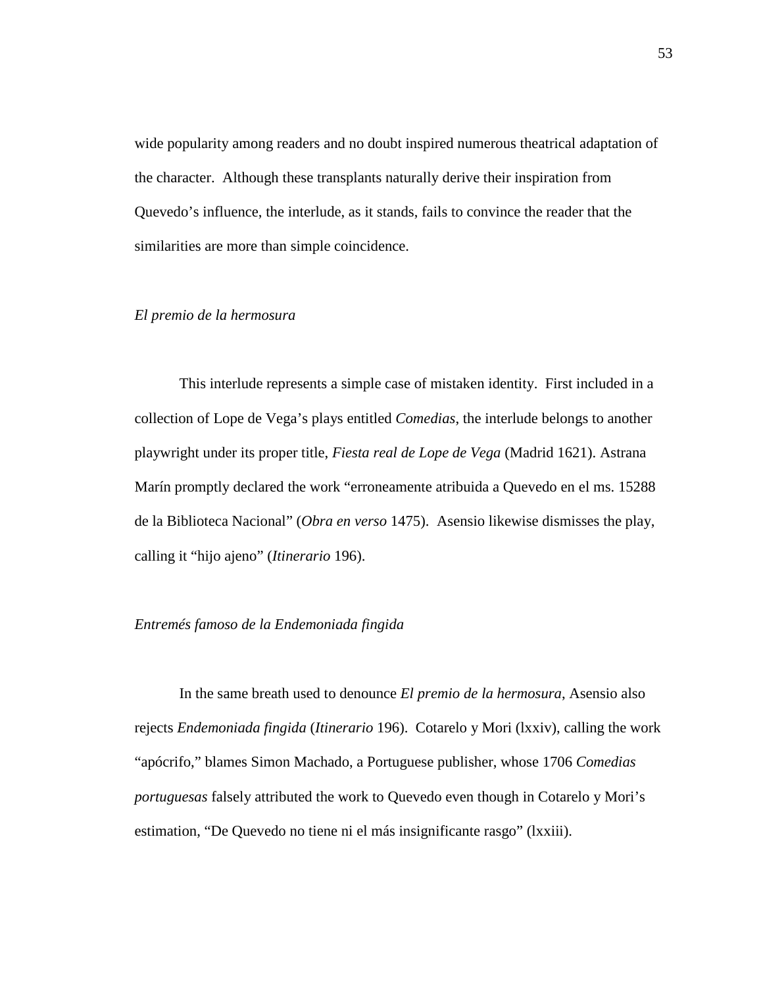wide popularity among readers and no doubt inspired numerous theatrical adaptation of the character. Although these transplants naturally derive their inspiration from Quevedo's influence, the interlude, as it stands, fails to convince the reader that the similarities are more than simple coincidence.

### *El premio de la hermosura*

This interlude represents a simple case of mistaken identity. First included in a collection of Lope de Vega's plays entitled *Comedias*, the interlude belongs to another playwright under its proper title, *Fiesta real de Lope de Vega* (Madrid 1621). Astrana Marín promptly declared the work "erroneamente atribuida a Quevedo en el ms. 15288 de la Biblioteca Nacional" (*Obra en verso* 1475). Asensio likewise dismisses the play, calling it "hijo ajeno" (*Itinerario* 196).

### *Entremés famoso de la Endemoniada fingida*

In the same breath used to denounce *El premio de la hermosura*, Asensio also rejects *Endemoniada fingida* (*Itinerario* 196). Cotarelo y Mori (lxxiv), calling the work "apócrifo," blames Simon Machado, a Portuguese publisher, whose 1706 *Comedias portuguesas* falsely attributed the work to Quevedo even though in Cotarelo y Mori's estimation, "De Quevedo no tiene ni el más insignificante rasgo" (lxxiii).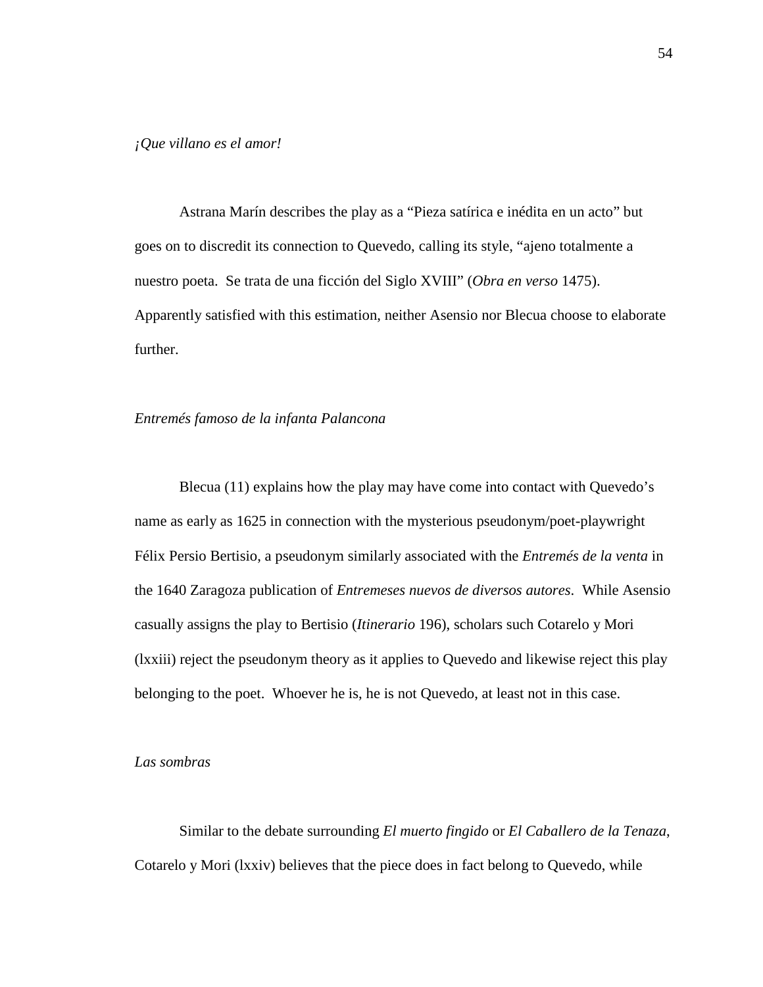*¡Que villano es el amor!* 

Astrana Marín describes the play as a "Pieza satírica e inédita en un acto" but goes on to discredit its connection to Quevedo, calling its style, "ajeno totalmente a nuestro poeta. Se trata de una ficción del Siglo XVIII" (*Obra en verso* 1475). Apparently satisfied with this estimation, neither Asensio nor Blecua choose to elaborate further.

### *Entremés famoso de la infanta Palancona*

Blecua (11) explains how the play may have come into contact with Quevedo's name as early as 1625 in connection with the mysterious pseudonym/poet-playwright Félix Persio Bertisio, a pseudonym similarly associated with the *Entremés de la venta* in the 1640 Zaragoza publication of *Entremeses nuevos de diversos autores*. While Asensio casually assigns the play to Bertisio (*Itinerario* 196), scholars such Cotarelo y Mori (lxxiii) reject the pseudonym theory as it applies to Quevedo and likewise reject this play belonging to the poet. Whoever he is, he is not Quevedo, at least not in this case.

# *Las sombras*

Similar to the debate surrounding *El muerto fingido* or *El Caballero de la Tenaza*, Cotarelo y Mori (lxxiv) believes that the piece does in fact belong to Quevedo, while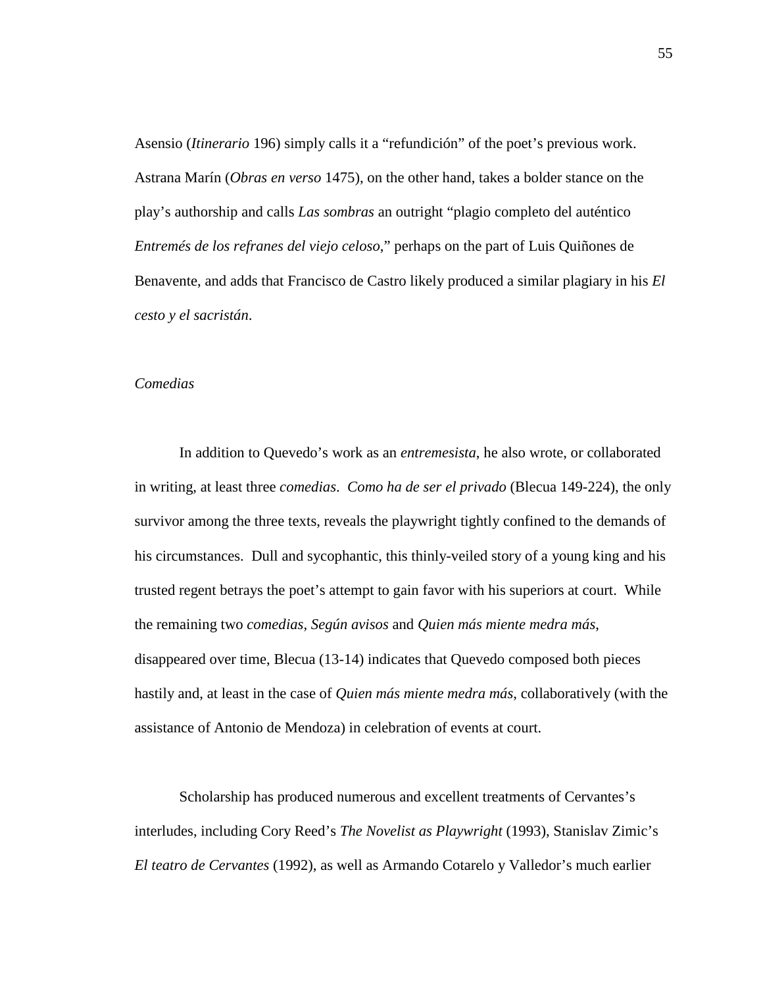Asensio (*Itinerario* 196) simply calls it a "refundición" of the poet's previous work. Astrana Marín (*Obras en verso* 1475), on the other hand, takes a bolder stance on the play's authorship and calls *Las sombras* an outright "plagio completo del auténtico *Entremés de los refranes del viejo celoso*," perhaps on the part of Luis Quiñones de Benavente, and adds that Francisco de Castro likely produced a similar plagiary in his *El cesto y el sacristán*.

# *Comedias*

In addition to Quevedo's work as an *entremesista*, he also wrote, or collaborated in writing, at least three *comedias*. *Como ha de ser el privado* (Blecua 149-224), the only survivor among the three texts, reveals the playwright tightly confined to the demands of his circumstances. Dull and sycophantic, this thinly-veiled story of a young king and his trusted regent betrays the poet's attempt to gain favor with his superiors at court. While the remaining two *comedias*, *Según avisos* and *Quien más miente medra más*, disappeared over time, Blecua (13-14) indicates that Quevedo composed both pieces hastily and, at least in the case of *Quien más miente medra más*, collaboratively (with the assistance of Antonio de Mendoza) in celebration of events at court.

Scholarship has produced numerous and excellent treatments of Cervantes's interludes, including Cory Reed's *The Novelist as Playwright* (1993), Stanislav Zimic's *El teatro de Cervantes* (1992), as well as Armando Cotarelo y Valledor's much earlier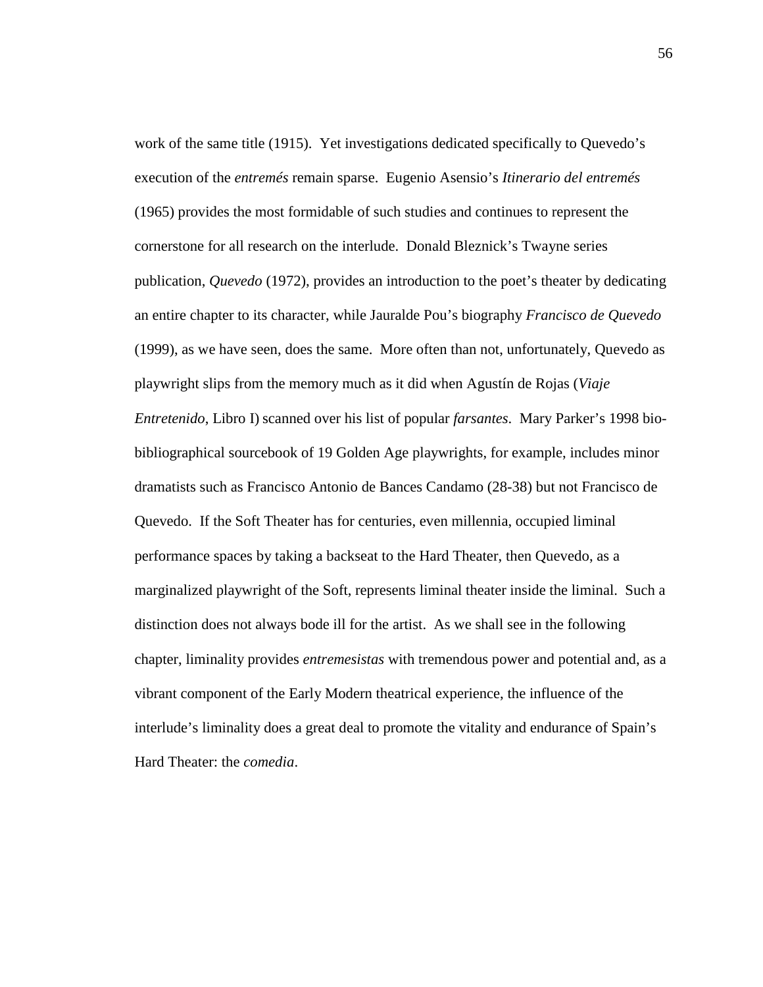work of the same title (1915). Yet investigations dedicated specifically to Quevedo's execution of the *entremés* remain sparse. Eugenio Asensio's *Itinerario del entremés* (1965) provides the most formidable of such studies and continues to represent the cornerstone for all research on the interlude. Donald Bleznick's Twayne series publication, *Quevedo* (1972), provides an introduction to the poet's theater by dedicating an entire chapter to its character, while Jauralde Pou's biography *Francisco de Quevedo* (1999), as we have seen, does the same. More often than not, unfortunately, Quevedo as playwright slips from the memory much as it did when Agustín de Rojas (*Viaje Entretenido*, Libro I) scanned over his list of popular *farsantes*. Mary Parker's 1998 biobibliographical sourcebook of 19 Golden Age playwrights, for example, includes minor dramatists such as Francisco Antonio de Bances Candamo (28-38) but not Francisco de Quevedo. If the Soft Theater has for centuries, even millennia, occupied liminal performance spaces by taking a backseat to the Hard Theater, then Quevedo, as a marginalized playwright of the Soft, represents liminal theater inside the liminal. Such a distinction does not always bode ill for the artist. As we shall see in the following chapter, liminality provides *entremesistas* with tremendous power and potential and, as a vibrant component of the Early Modern theatrical experience, the influence of the interlude's liminality does a great deal to promote the vitality and endurance of Spain's Hard Theater: the *comedia*.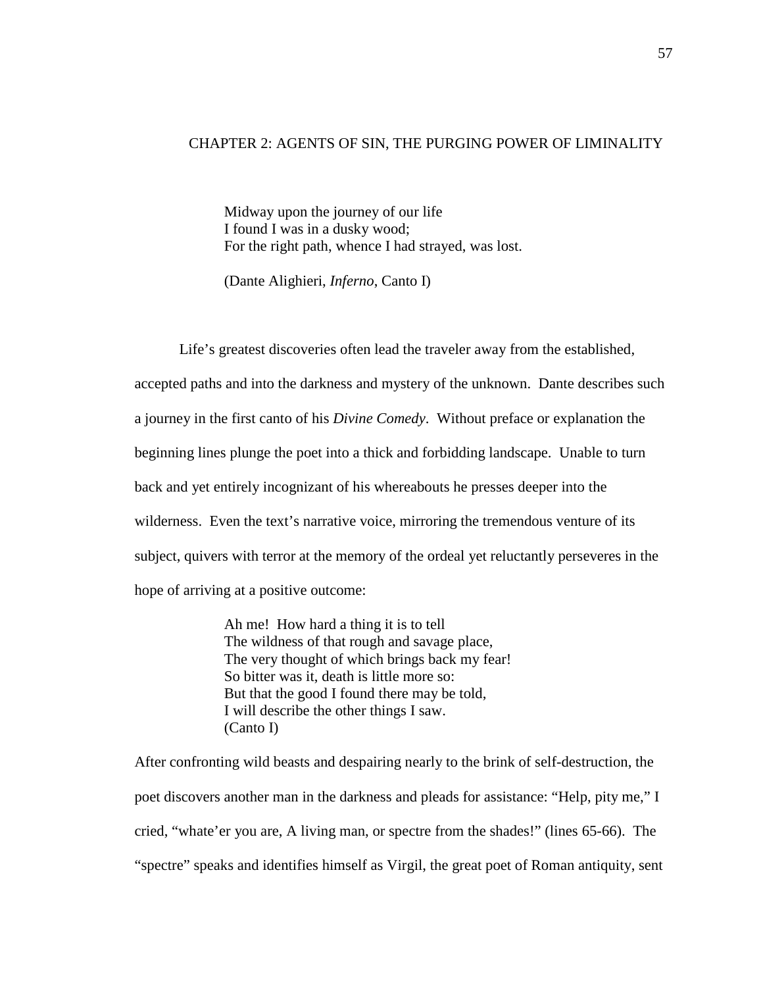### CHAPTER 2: AGENTS OF SIN, THE PURGING POWER OF LIMINALITY

Midway upon the journey of our life I found I was in a dusky wood; For the right path, whence I had strayed, was lost.

(Dante Alighieri, *Inferno*, Canto I)

Life's greatest discoveries often lead the traveler away from the established, accepted paths and into the darkness and mystery of the unknown. Dante describes such a journey in the first canto of his *Divine Comedy*. Without preface or explanation the beginning lines plunge the poet into a thick and forbidding landscape. Unable to turn back and yet entirely incognizant of his whereabouts he presses deeper into the wilderness. Even the text's narrative voice, mirroring the tremendous venture of its subject, quivers with terror at the memory of the ordeal yet reluctantly perseveres in the hope of arriving at a positive outcome:

> Ah me! How hard a thing it is to tell The wildness of that rough and savage place, The very thought of which brings back my fear! So bitter was it, death is little more so: But that the good I found there may be told, I will describe the other things I saw. (Canto I)

After confronting wild beasts and despairing nearly to the brink of self-destruction, the poet discovers another man in the darkness and pleads for assistance: "Help, pity me," I cried, "whate'er you are, A living man, or spectre from the shades!" (lines 65-66). The "spectre" speaks and identifies himself as Virgil, the great poet of Roman antiquity, sent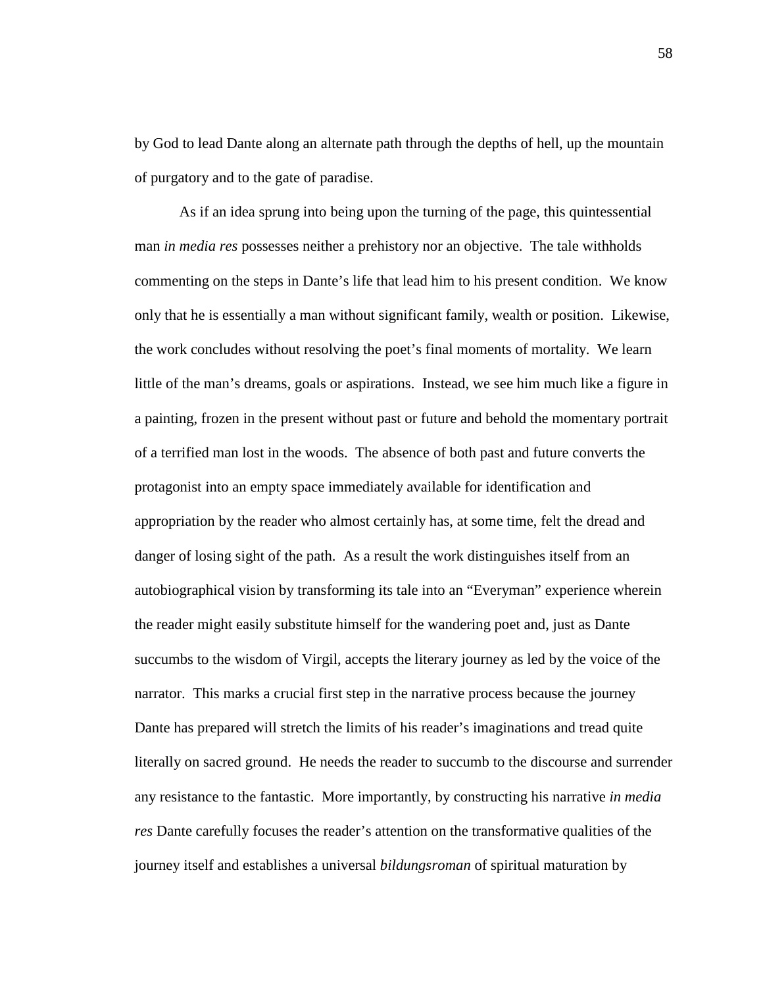by God to lead Dante along an alternate path through the depths of hell, up the mountain of purgatory and to the gate of paradise.

As if an idea sprung into being upon the turning of the page, this quintessential man *in media res* possesses neither a prehistory nor an objective. The tale withholds commenting on the steps in Dante's life that lead him to his present condition. We know only that he is essentially a man without significant family, wealth or position. Likewise, the work concludes without resolving the poet's final moments of mortality. We learn little of the man's dreams, goals or aspirations. Instead, we see him much like a figure in a painting, frozen in the present without past or future and behold the momentary portrait of a terrified man lost in the woods. The absence of both past and future converts the protagonist into an empty space immediately available for identification and appropriation by the reader who almost certainly has, at some time, felt the dread and danger of losing sight of the path. As a result the work distinguishes itself from an autobiographical vision by transforming its tale into an "Everyman" experience wherein the reader might easily substitute himself for the wandering poet and, just as Dante succumbs to the wisdom of Virgil, accepts the literary journey as led by the voice of the narrator. This marks a crucial first step in the narrative process because the journey Dante has prepared will stretch the limits of his reader's imaginations and tread quite literally on sacred ground. He needs the reader to succumb to the discourse and surrender any resistance to the fantastic. More importantly, by constructing his narrative *in media res* Dante carefully focuses the reader's attention on the transformative qualities of the journey itself and establishes a universal *bildungsroman* of spiritual maturation by

58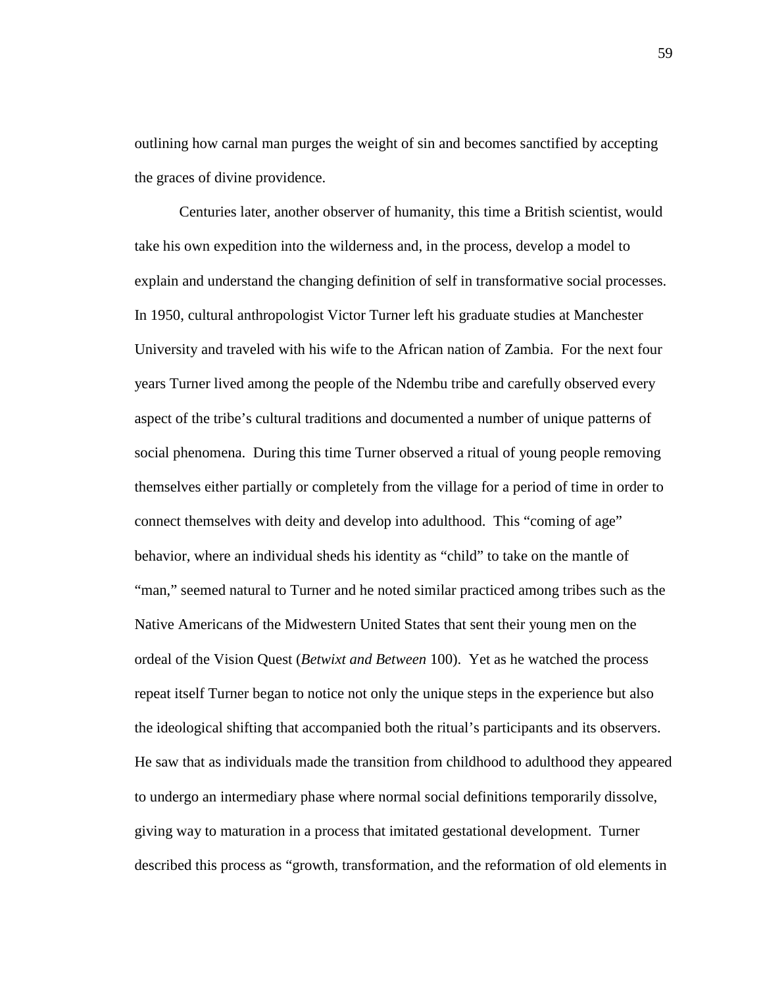outlining how carnal man purges the weight of sin and becomes sanctified by accepting the graces of divine providence.

Centuries later, another observer of humanity, this time a British scientist, would take his own expedition into the wilderness and, in the process, develop a model to explain and understand the changing definition of self in transformative social processes. In 1950, cultural anthropologist Victor Turner left his graduate studies at Manchester University and traveled with his wife to the African nation of Zambia. For the next four years Turner lived among the people of the Ndembu tribe and carefully observed every aspect of the tribe's cultural traditions and documented a number of unique patterns of social phenomena. During this time Turner observed a ritual of young people removing themselves either partially or completely from the village for a period of time in order to connect themselves with deity and develop into adulthood. This "coming of age" behavior, where an individual sheds his identity as "child" to take on the mantle of "man," seemed natural to Turner and he noted similar practiced among tribes such as the Native Americans of the Midwestern United States that sent their young men on the ordeal of the Vision Quest (*Betwixt and Between* 100). Yet as he watched the process repeat itself Turner began to notice not only the unique steps in the experience but also the ideological shifting that accompanied both the ritual's participants and its observers. He saw that as individuals made the transition from childhood to adulthood they appeared to undergo an intermediary phase where normal social definitions temporarily dissolve, giving way to maturation in a process that imitated gestational development. Turner described this process as "growth, transformation, and the reformation of old elements in

59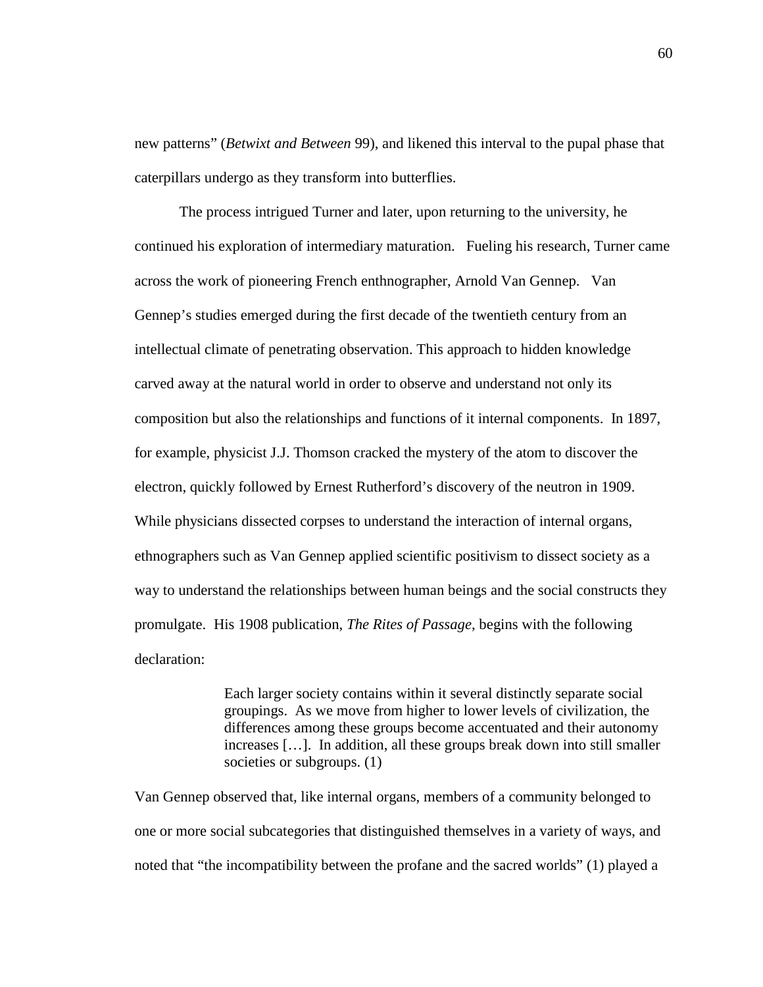new patterns" (*Betwixt and Between* 99), and likened this interval to the pupal phase that caterpillars undergo as they transform into butterflies.

The process intrigued Turner and later, upon returning to the university, he continued his exploration of intermediary maturation. Fueling his research, Turner came across the work of pioneering French enthnographer, Arnold Van Gennep. Van Gennep's studies emerged during the first decade of the twentieth century from an intellectual climate of penetrating observation. This approach to hidden knowledge carved away at the natural world in order to observe and understand not only its composition but also the relationships and functions of it internal components. In 1897, for example, physicist J.J. Thomson cracked the mystery of the atom to discover the electron, quickly followed by Ernest Rutherford's discovery of the neutron in 1909. While physicians dissected corpses to understand the interaction of internal organs, ethnographers such as Van Gennep applied scientific positivism to dissect society as a way to understand the relationships between human beings and the social constructs they promulgate. His 1908 publication, *The Rites of Passage*, begins with the following declaration:

> Each larger society contains within it several distinctly separate social groupings. As we move from higher to lower levels of civilization, the differences among these groups become accentuated and their autonomy increases […]. In addition, all these groups break down into still smaller societies or subgroups. (1)

Van Gennep observed that, like internal organs, members of a community belonged to one or more social subcategories that distinguished themselves in a variety of ways, and noted that "the incompatibility between the profane and the sacred worlds" (1) played a

60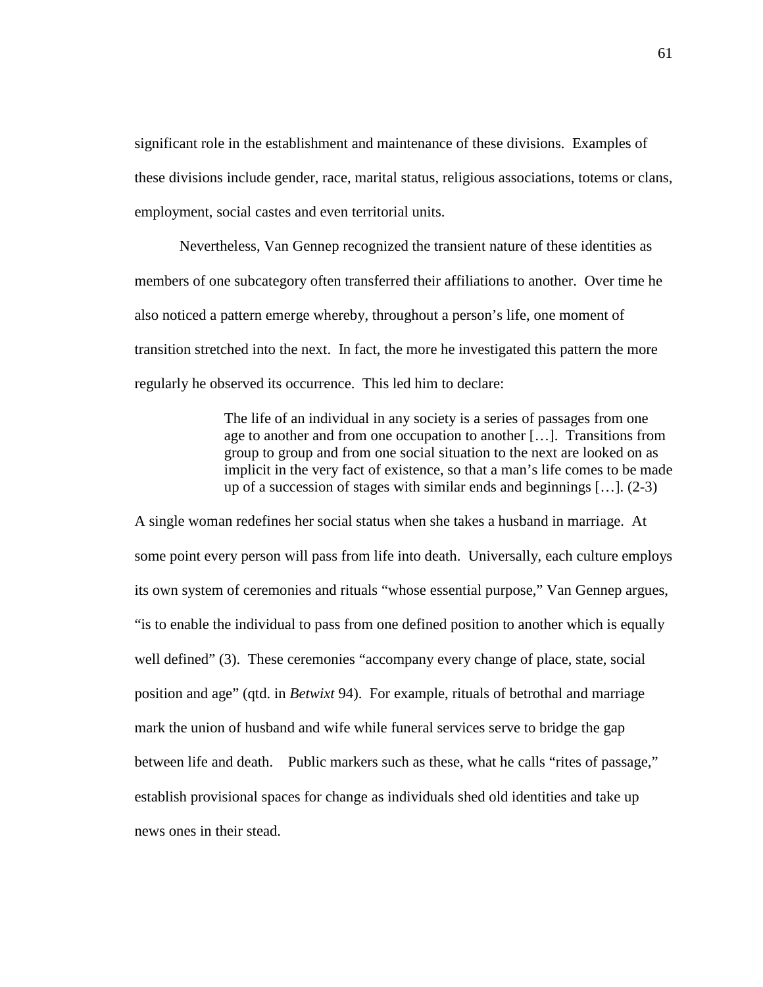significant role in the establishment and maintenance of these divisions. Examples of these divisions include gender, race, marital status, religious associations, totems or clans, employment, social castes and even territorial units.

Nevertheless, Van Gennep recognized the transient nature of these identities as members of one subcategory often transferred their affiliations to another. Over time he also noticed a pattern emerge whereby, throughout a person's life, one moment of transition stretched into the next. In fact, the more he investigated this pattern the more regularly he observed its occurrence. This led him to declare:

> The life of an individual in any society is a series of passages from one age to another and from one occupation to another […]. Transitions from group to group and from one social situation to the next are looked on as implicit in the very fact of existence, so that a man's life comes to be made up of a succession of stages with similar ends and beginnings […]. (2-3)

A single woman redefines her social status when she takes a husband in marriage. At some point every person will pass from life into death. Universally, each culture employs its own system of ceremonies and rituals "whose essential purpose," Van Gennep argues, "is to enable the individual to pass from one defined position to another which is equally well defined" (3). These ceremonies "accompany every change of place, state, social position and age" (qtd. in *Betwixt* 94). For example, rituals of betrothal and marriage mark the union of husband and wife while funeral services serve to bridge the gap between life and death. Public markers such as these, what he calls "rites of passage," establish provisional spaces for change as individuals shed old identities and take up news ones in their stead.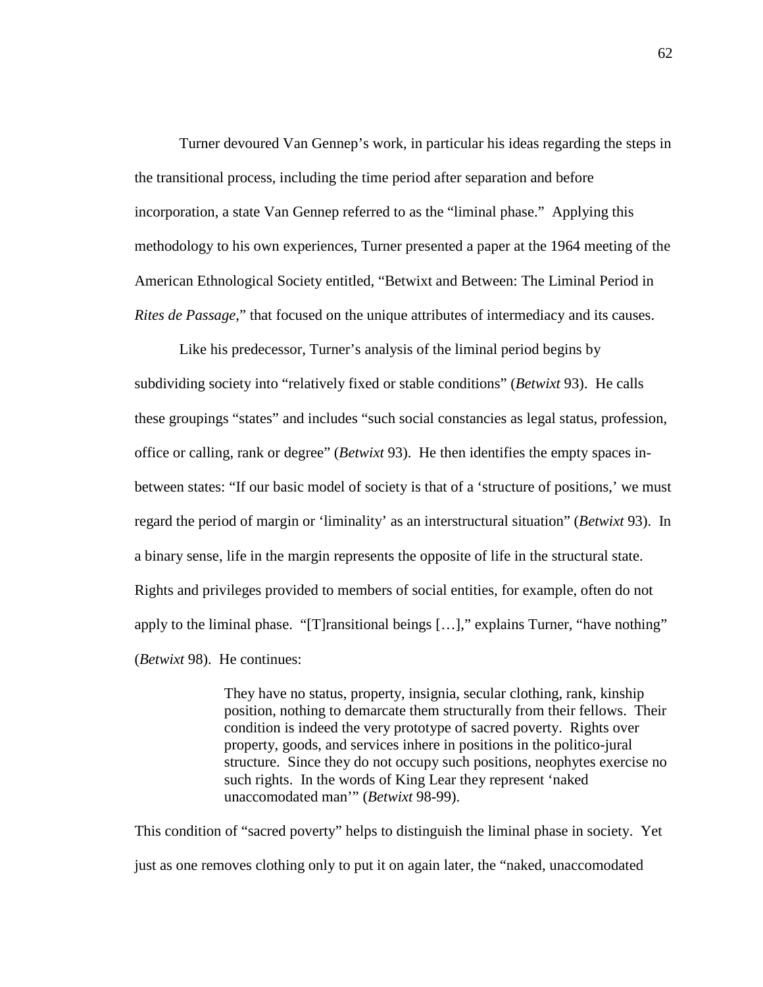Turner devoured Van Gennep's work, in particular his ideas regarding the steps in the transitional process, including the time period after separation and before incorporation, a state Van Gennep referred to as the "liminal phase." Applying this methodology to his own experiences, Turner presented a paper at the 1964 meeting of the American Ethnological Society entitled, "Betwixt and Between: The Liminal Period in *Rites de Passage*," that focused on the unique attributes of intermediacy and its causes.

Like his predecessor, Turner's analysis of the liminal period begins by subdividing society into "relatively fixed or stable conditions" (*Betwixt* 93). He calls these groupings "states" and includes "such social constancies as legal status, profession, office or calling, rank or degree" (*Betwixt* 93). He then identifies the empty spaces inbetween states: "If our basic model of society is that of a 'structure of positions,' we must regard the period of margin or 'liminality' as an interstructural situation" (*Betwixt* 93). In a binary sense, life in the margin represents the opposite of life in the structural state. Rights and privileges provided to members of social entities, for example, often do not apply to the liminal phase. "[T]ransitional beings […]," explains Turner, "have nothing" (*Betwixt* 98). He continues:

> They have no status, property, insignia, secular clothing, rank, kinship position, nothing to demarcate them structurally from their fellows. Their condition is indeed the very prototype of sacred poverty. Rights over property, goods, and services inhere in positions in the politico-jural structure. Since they do not occupy such positions, neophytes exercise no such rights. In the words of King Lear they represent 'naked unaccomodated man'" (*Betwixt* 98-99).

This condition of "sacred poverty" helps to distinguish the liminal phase in society. Yet just as one removes clothing only to put it on again later, the "naked, unaccomodated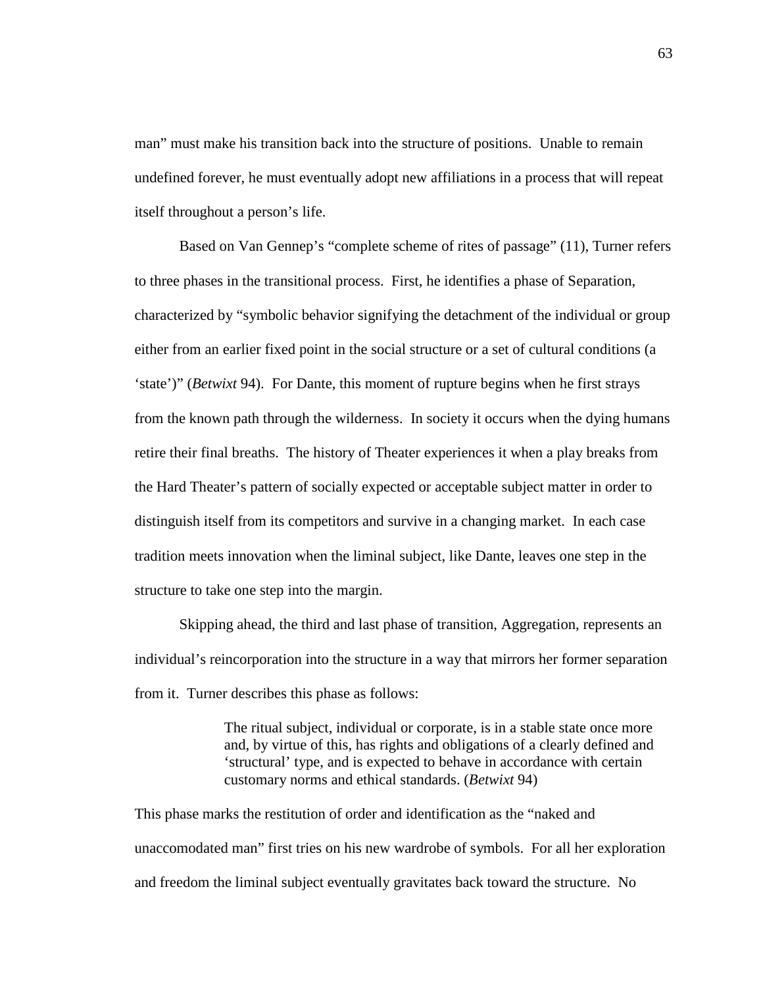man" must make his transition back into the structure of positions. Unable to remain undefined forever, he must eventually adopt new affiliations in a process that will repeat itself throughout a person's life.

Based on Van Gennep's "complete scheme of rites of passage" (11), Turner refers to three phases in the transitional process. First, he identifies a phase of Separation, characterized by "symbolic behavior signifying the detachment of the individual or group either from an earlier fixed point in the social structure or a set of cultural conditions (a 'state')" (*Betwixt* 94). For Dante, this moment of rupture begins when he first strays from the known path through the wilderness. In society it occurs when the dying humans retire their final breaths. The history of Theater experiences it when a play breaks from the Hard Theater's pattern of socially expected or acceptable subject matter in order to distinguish itself from its competitors and survive in a changing market. In each case tradition meets innovation when the liminal subject, like Dante, leaves one step in the structure to take one step into the margin.

Skipping ahead, the third and last phase of transition, Aggregation, represents an individual's reincorporation into the structure in a way that mirrors her former separation from it. Turner describes this phase as follows:

> The ritual subject, individual or corporate, is in a stable state once more and, by virtue of this, has rights and obligations of a clearly defined and 'structural' type, and is expected to behave in accordance with certain customary norms and ethical standards. (*Betwixt* 94)

This phase marks the restitution of order and identification as the "naked and unaccomodated man" first tries on his new wardrobe of symbols. For all her exploration and freedom the liminal subject eventually gravitates back toward the structure. No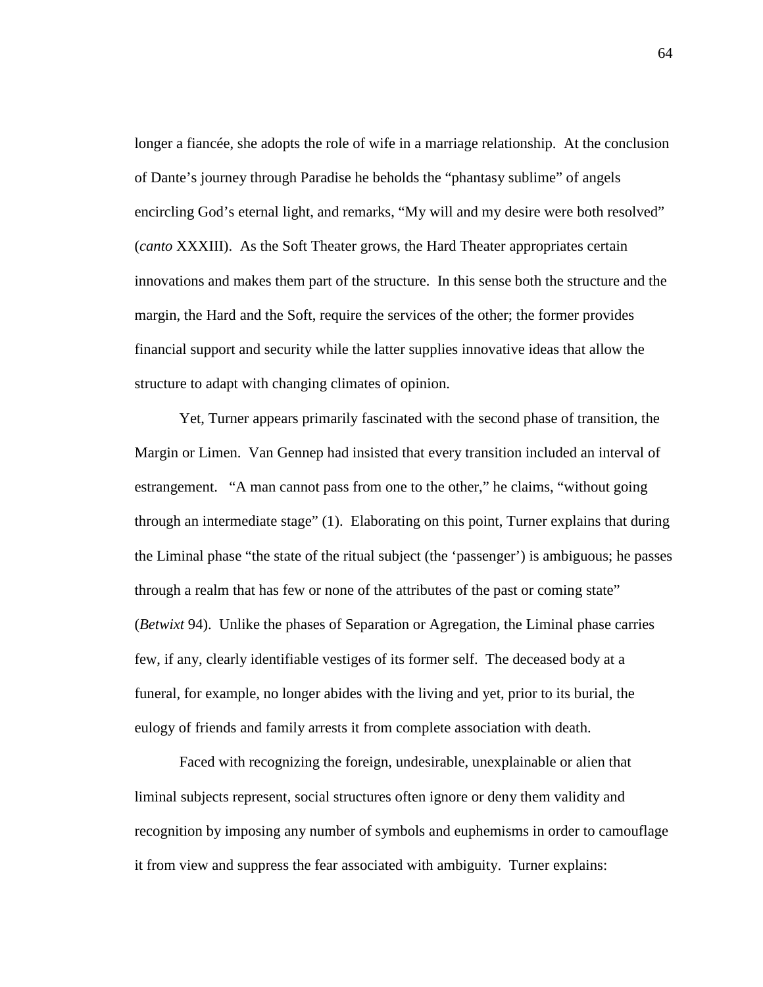longer a fiancée, she adopts the role of wife in a marriage relationship. At the conclusion of Dante's journey through Paradise he beholds the "phantasy sublime" of angels encircling God's eternal light, and remarks, "My will and my desire were both resolved" (*canto* XXXIII). As the Soft Theater grows, the Hard Theater appropriates certain innovations and makes them part of the structure. In this sense both the structure and the margin, the Hard and the Soft, require the services of the other; the former provides financial support and security while the latter supplies innovative ideas that allow the structure to adapt with changing climates of opinion.

Yet, Turner appears primarily fascinated with the second phase of transition, the Margin or Limen. Van Gennep had insisted that every transition included an interval of estrangement. "A man cannot pass from one to the other," he claims, "without going through an intermediate stage" (1). Elaborating on this point, Turner explains that during the Liminal phase "the state of the ritual subject (the 'passenger') is ambiguous; he passes through a realm that has few or none of the attributes of the past or coming state" (*Betwixt* 94). Unlike the phases of Separation or Agregation, the Liminal phase carries few, if any, clearly identifiable vestiges of its former self. The deceased body at a funeral, for example, no longer abides with the living and yet, prior to its burial, the eulogy of friends and family arrests it from complete association with death.

Faced with recognizing the foreign, undesirable, unexplainable or alien that liminal subjects represent, social structures often ignore or deny them validity and recognition by imposing any number of symbols and euphemisms in order to camouflage it from view and suppress the fear associated with ambiguity. Turner explains: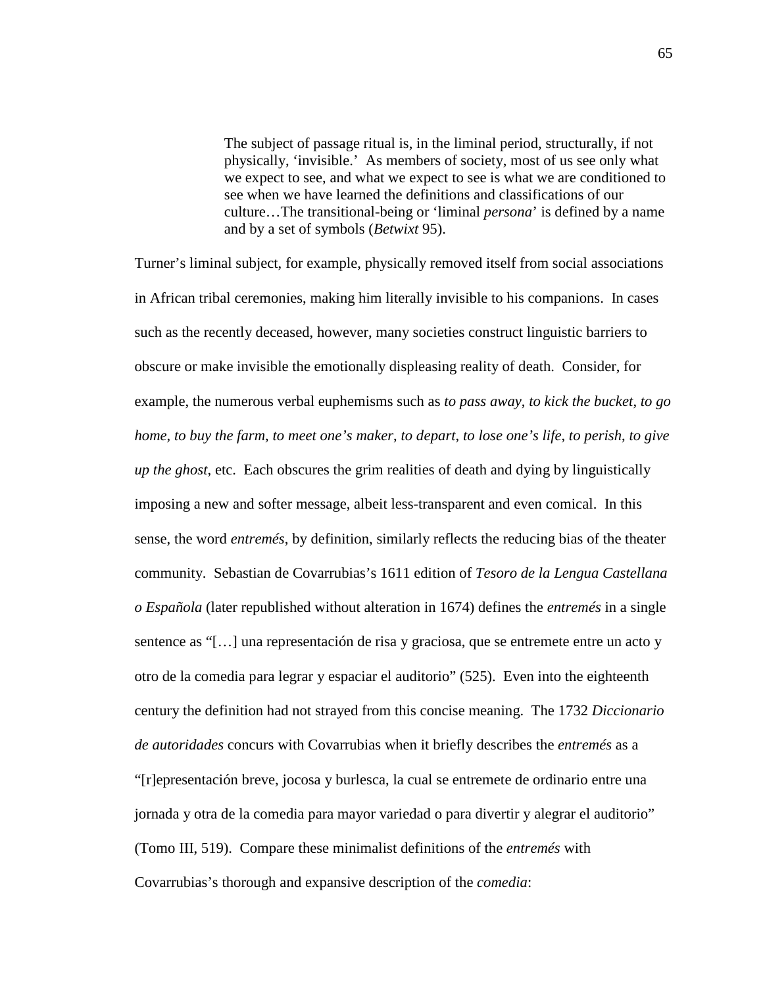The subject of passage ritual is, in the liminal period, structurally, if not physically, 'invisible.' As members of society, most of us see only what we expect to see, and what we expect to see is what we are conditioned to see when we have learned the definitions and classifications of our culture…The transitional-being or 'liminal *persona*' is defined by a name and by a set of symbols (*Betwixt* 95).

Turner's liminal subject, for example, physically removed itself from social associations in African tribal ceremonies, making him literally invisible to his companions. In cases such as the recently deceased, however, many societies construct linguistic barriers to obscure or make invisible the emotionally displeasing reality of death. Consider, for example, the numerous verbal euphemisms such as *to pass away*, *to kick the bucket*, *to go home*, *to buy the farm*, *to meet one's maker*, *to depart*, *to lose one's life*, *to perish*, *to give up the ghost*, etc. Each obscures the grim realities of death and dying by linguistically imposing a new and softer message, albeit less-transparent and even comical. In this sense, the word *entremés*, by definition, similarly reflects the reducing bias of the theater community. Sebastian de Covarrubias's 1611 edition of *Tesoro de la Lengua Castellana o Española* (later republished without alteration in 1674) defines the *entremés* in a single sentence as "[…] una representación de risa y graciosa, que se entremete entre un acto y otro de la comedia para legrar y espaciar el auditorio" (525). Even into the eighteenth century the definition had not strayed from this concise meaning. The 1732 *Diccionario de autoridades* concurs with Covarrubias when it briefly describes the *entremés* as a "[r]epresentación breve, jocosa y burlesca, la cual se entremete de ordinario entre una jornada y otra de la comedia para mayor variedad o para divertir y alegrar el auditorio" (Tomo III, 519). Compare these minimalist definitions of the *entremés* with Covarrubias's thorough and expansive description of the *comedia*: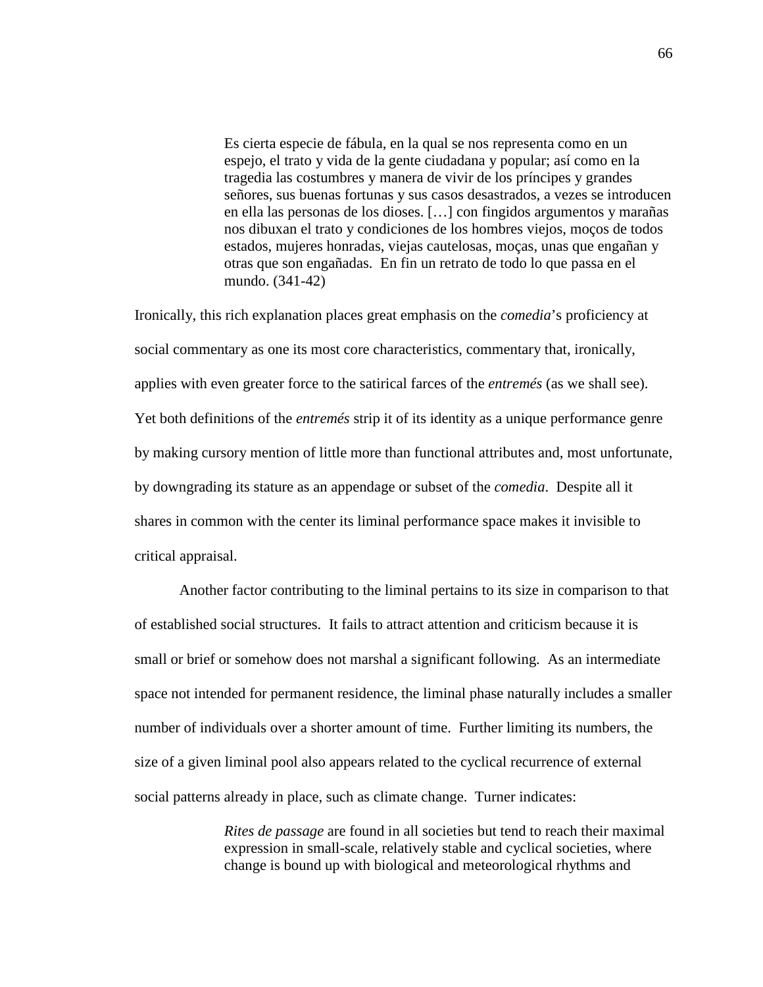Es cierta especie de fábula, en la qual se nos representa como en un espejo, el trato y vida de la gente ciudadana y popular; así como en la tragedia las costumbres y manera de vivir de los príncipes y grandes señores, sus buenas fortunas y sus casos desastrados, a vezes se introducen en ella las personas de los dioses. […] con fingidos argumentos y marañas nos dibuxan el trato y condiciones de los hombres viejos, moços de todos estados, mujeres honradas, viejas cautelosas, moças, unas que engañan y otras que son engañadas. En fin un retrato de todo lo que passa en el mundo. (341-42)

Ironically, this rich explanation places great emphasis on the *comedia*'s proficiency at social commentary as one its most core characteristics, commentary that, ironically, applies with even greater force to the satirical farces of the *entremés* (as we shall see). Yet both definitions of the *entremés* strip it of its identity as a unique performance genre by making cursory mention of little more than functional attributes and, most unfortunate, by downgrading its stature as an appendage or subset of the *comedia*. Despite all it shares in common with the center its liminal performance space makes it invisible to critical appraisal.

Another factor contributing to the liminal pertains to its size in comparison to that of established social structures. It fails to attract attention and criticism because it is small or brief or somehow does not marshal a significant following. As an intermediate space not intended for permanent residence, the liminal phase naturally includes a smaller number of individuals over a shorter amount of time. Further limiting its numbers, the size of a given liminal pool also appears related to the cyclical recurrence of external social patterns already in place, such as climate change. Turner indicates:

> *Rites de passage* are found in all societies but tend to reach their maximal expression in small-scale, relatively stable and cyclical societies, where change is bound up with biological and meteorological rhythms and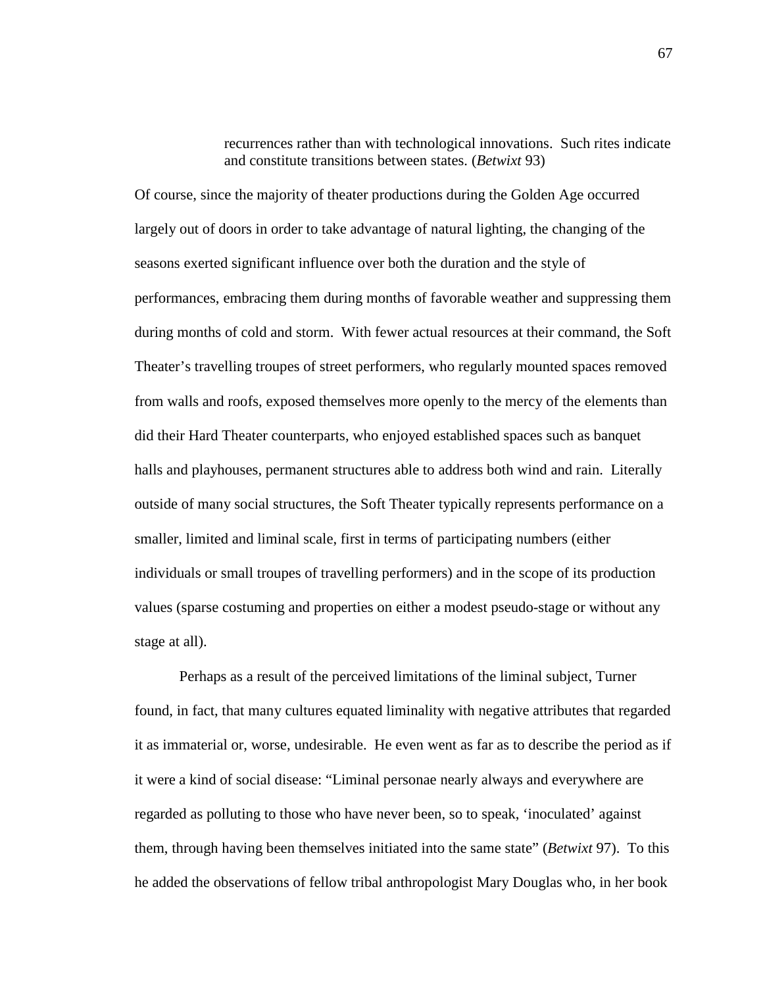recurrences rather than with technological innovations. Such rites indicate and constitute transitions between states. (*Betwixt* 93)

Of course, since the majority of theater productions during the Golden Age occurred largely out of doors in order to take advantage of natural lighting, the changing of the seasons exerted significant influence over both the duration and the style of performances, embracing them during months of favorable weather and suppressing them during months of cold and storm. With fewer actual resources at their command, the Soft Theater's travelling troupes of street performers, who regularly mounted spaces removed from walls and roofs, exposed themselves more openly to the mercy of the elements than did their Hard Theater counterparts, who enjoyed established spaces such as banquet halls and playhouses, permanent structures able to address both wind and rain. Literally outside of many social structures, the Soft Theater typically represents performance on a smaller, limited and liminal scale, first in terms of participating numbers (either individuals or small troupes of travelling performers) and in the scope of its production values (sparse costuming and properties on either a modest pseudo-stage or without any stage at all).

Perhaps as a result of the perceived limitations of the liminal subject, Turner found, in fact, that many cultures equated liminality with negative attributes that regarded it as immaterial or, worse, undesirable. He even went as far as to describe the period as if it were a kind of social disease: "Liminal personae nearly always and everywhere are regarded as polluting to those who have never been, so to speak, 'inoculated' against them, through having been themselves initiated into the same state" (*Betwixt* 97). To this he added the observations of fellow tribal anthropologist Mary Douglas who, in her book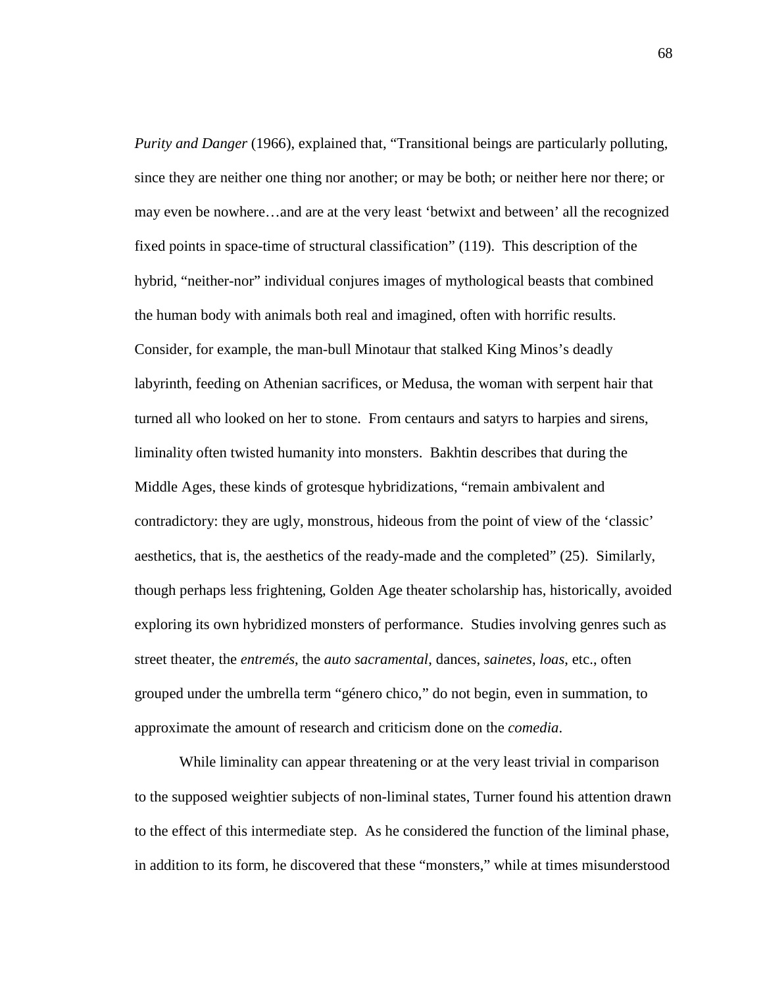*Purity and Danger* (1966), explained that, "Transitional beings are particularly polluting, since they are neither one thing nor another; or may be both; or neither here nor there; or may even be nowhere…and are at the very least 'betwixt and between' all the recognized fixed points in space-time of structural classification" (119). This description of the hybrid, "neither-nor" individual conjures images of mythological beasts that combined the human body with animals both real and imagined, often with horrific results. Consider, for example, the man-bull Minotaur that stalked King Minos's deadly labyrinth, feeding on Athenian sacrifices, or Medusa, the woman with serpent hair that turned all who looked on her to stone. From centaurs and satyrs to harpies and sirens, liminality often twisted humanity into monsters. Bakhtin describes that during the Middle Ages, these kinds of grotesque hybridizations, "remain ambivalent and contradictory: they are ugly, monstrous, hideous from the point of view of the 'classic' aesthetics, that is, the aesthetics of the ready-made and the completed" (25). Similarly, though perhaps less frightening, Golden Age theater scholarship has, historically, avoided exploring its own hybridized monsters of performance. Studies involving genres such as street theater, the *entremés*, the *auto sacramental*, dances, *sainetes*, *loas*, etc., often grouped under the umbrella term "género chico," do not begin, even in summation, to approximate the amount of research and criticism done on the *comedia*.

While liminality can appear threatening or at the very least trivial in comparison to the supposed weightier subjects of non-liminal states, Turner found his attention drawn to the effect of this intermediate step. As he considered the function of the liminal phase, in addition to its form, he discovered that these "monsters," while at times misunderstood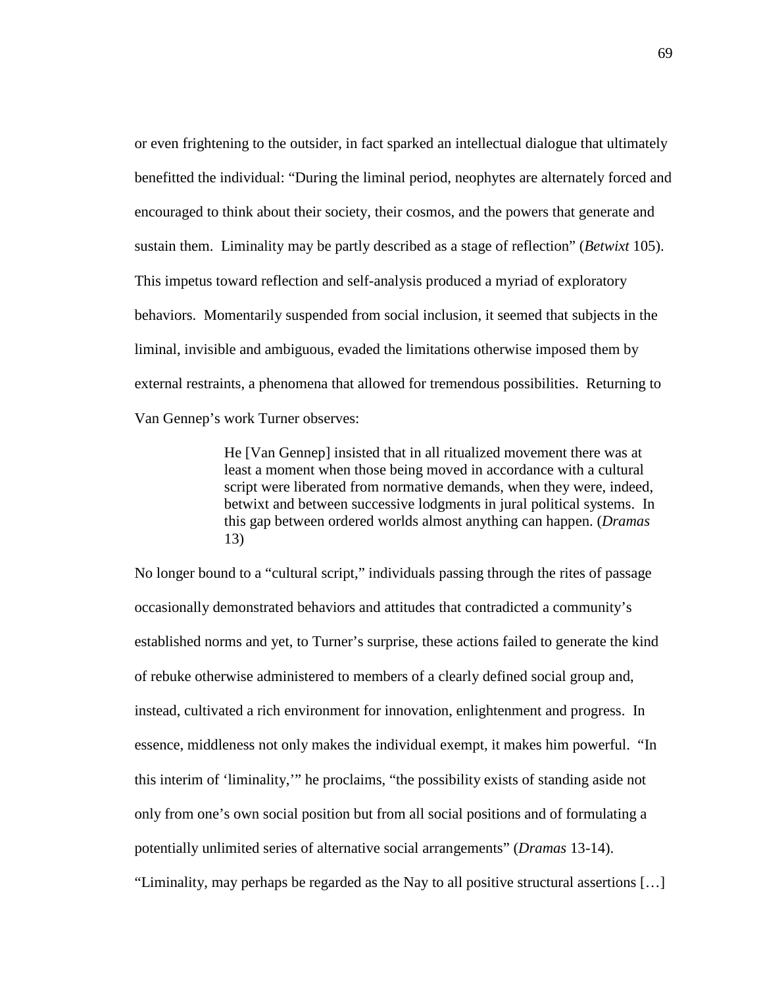or even frightening to the outsider, in fact sparked an intellectual dialogue that ultimately benefitted the individual: "During the liminal period, neophytes are alternately forced and encouraged to think about their society, their cosmos, and the powers that generate and sustain them. Liminality may be partly described as a stage of reflection" (*Betwixt* 105). This impetus toward reflection and self-analysis produced a myriad of exploratory behaviors. Momentarily suspended from social inclusion, it seemed that subjects in the liminal, invisible and ambiguous, evaded the limitations otherwise imposed them by external restraints, a phenomena that allowed for tremendous possibilities. Returning to Van Gennep's work Turner observes:

> He [Van Gennep] insisted that in all ritualized movement there was at least a moment when those being moved in accordance with a cultural script were liberated from normative demands, when they were, indeed, betwixt and between successive lodgments in jural political systems. In this gap between ordered worlds almost anything can happen. (*Dramas* 13)

No longer bound to a "cultural script," individuals passing through the rites of passage occasionally demonstrated behaviors and attitudes that contradicted a community's established norms and yet, to Turner's surprise, these actions failed to generate the kind of rebuke otherwise administered to members of a clearly defined social group and, instead, cultivated a rich environment for innovation, enlightenment and progress. In essence, middleness not only makes the individual exempt, it makes him powerful. "In this interim of 'liminality,'" he proclaims, "the possibility exists of standing aside not only from one's own social position but from all social positions and of formulating a potentially unlimited series of alternative social arrangements" (*Dramas* 13-14). "Liminality, may perhaps be regarded as the Nay to all positive structural assertions […]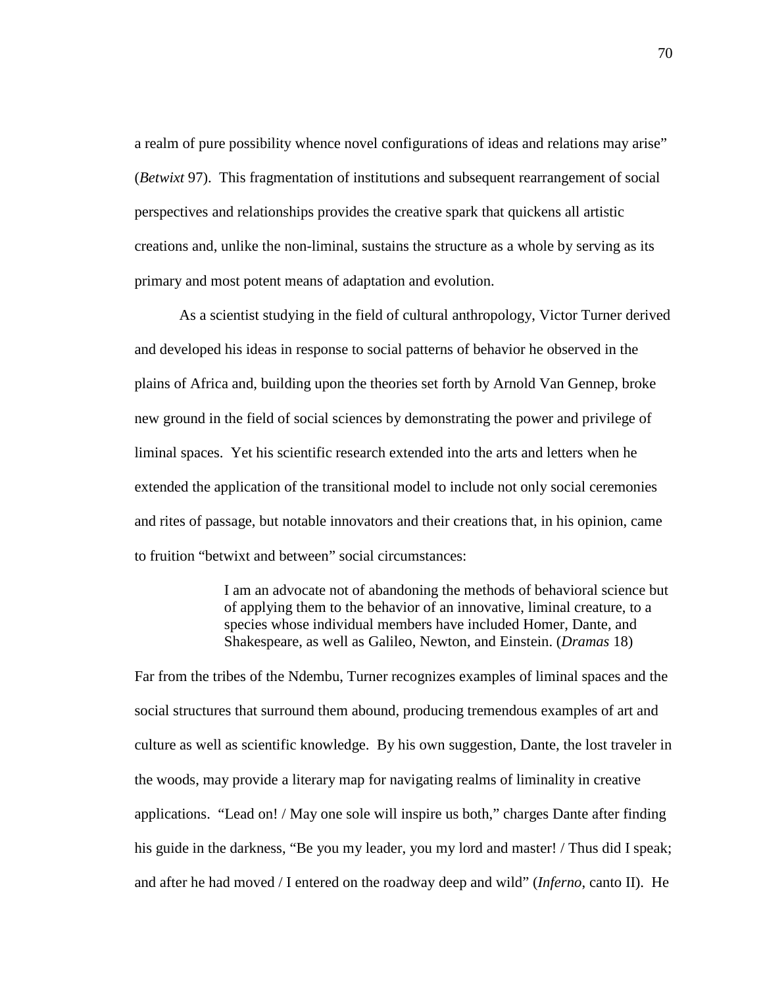a realm of pure possibility whence novel configurations of ideas and relations may arise" (*Betwixt* 97). This fragmentation of institutions and subsequent rearrangement of social perspectives and relationships provides the creative spark that quickens all artistic creations and, unlike the non-liminal, sustains the structure as a whole by serving as its primary and most potent means of adaptation and evolution.

As a scientist studying in the field of cultural anthropology, Victor Turner derived and developed his ideas in response to social patterns of behavior he observed in the plains of Africa and, building upon the theories set forth by Arnold Van Gennep, broke new ground in the field of social sciences by demonstrating the power and privilege of liminal spaces. Yet his scientific research extended into the arts and letters when he extended the application of the transitional model to include not only social ceremonies and rites of passage, but notable innovators and their creations that, in his opinion, came to fruition "betwixt and between" social circumstances:

> I am an advocate not of abandoning the methods of behavioral science but of applying them to the behavior of an innovative, liminal creature, to a species whose individual members have included Homer, Dante, and Shakespeare, as well as Galileo, Newton, and Einstein. (*Dramas* 18)

Far from the tribes of the Ndembu, Turner recognizes examples of liminal spaces and the social structures that surround them abound, producing tremendous examples of art and culture as well as scientific knowledge. By his own suggestion, Dante, the lost traveler in the woods, may provide a literary map for navigating realms of liminality in creative applications. "Lead on! / May one sole will inspire us both," charges Dante after finding his guide in the darkness, "Be you my leader, you my lord and master! / Thus did I speak; and after he had moved / I entered on the roadway deep and wild" (*Inferno*, canto II). He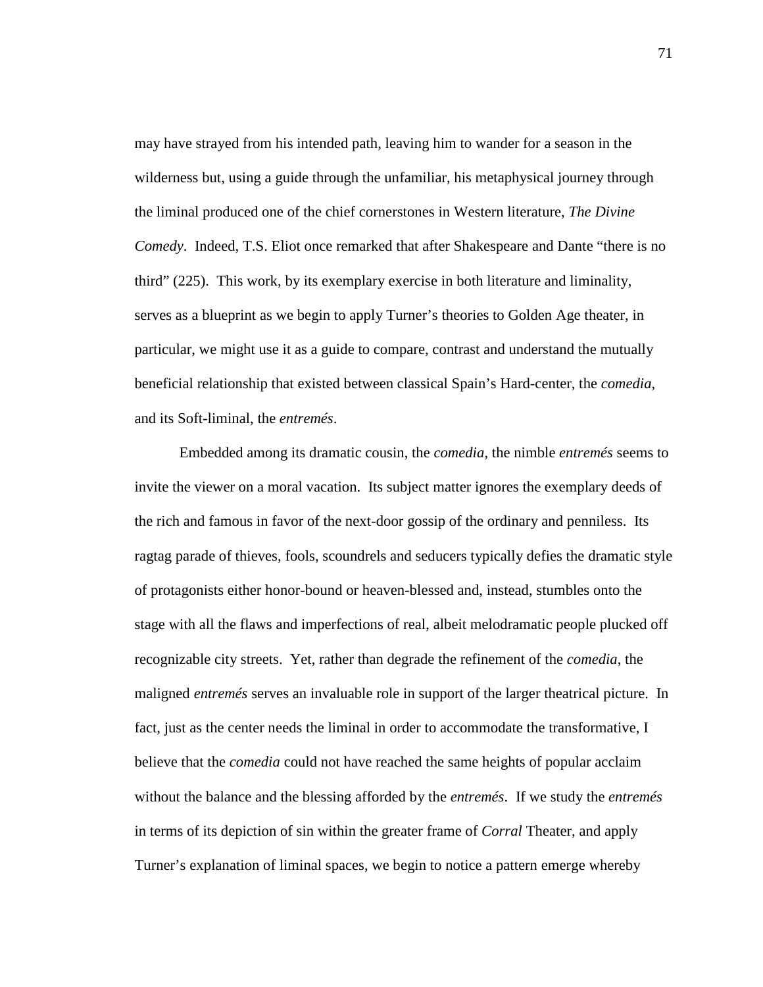may have strayed from his intended path, leaving him to wander for a season in the wilderness but, using a guide through the unfamiliar, his metaphysical journey through the liminal produced one of the chief cornerstones in Western literature, *The Divine Comedy*. Indeed, T.S. Eliot once remarked that after Shakespeare and Dante "there is no third" (225). This work, by its exemplary exercise in both literature and liminality, serves as a blueprint as we begin to apply Turner's theories to Golden Age theater, in particular, we might use it as a guide to compare, contrast and understand the mutually beneficial relationship that existed between classical Spain's Hard-center, the *comedia*, and its Soft-liminal, the *entremés*.

Embedded among its dramatic cousin, the *comedia*, the nimble *entremés* seems to invite the viewer on a moral vacation. Its subject matter ignores the exemplary deeds of the rich and famous in favor of the next-door gossip of the ordinary and penniless. Its ragtag parade of thieves, fools, scoundrels and seducers typically defies the dramatic style of protagonists either honor-bound or heaven-blessed and, instead, stumbles onto the stage with all the flaws and imperfections of real, albeit melodramatic people plucked off recognizable city streets. Yet, rather than degrade the refinement of the *comedia*, the maligned *entremés* serves an invaluable role in support of the larger theatrical picture. In fact, just as the center needs the liminal in order to accommodate the transformative, I believe that the *comedia* could not have reached the same heights of popular acclaim without the balance and the blessing afforded by the *entremés*. If we study the *entremés* in terms of its depiction of sin within the greater frame of *Corral* Theater, and apply Turner's explanation of liminal spaces, we begin to notice a pattern emerge whereby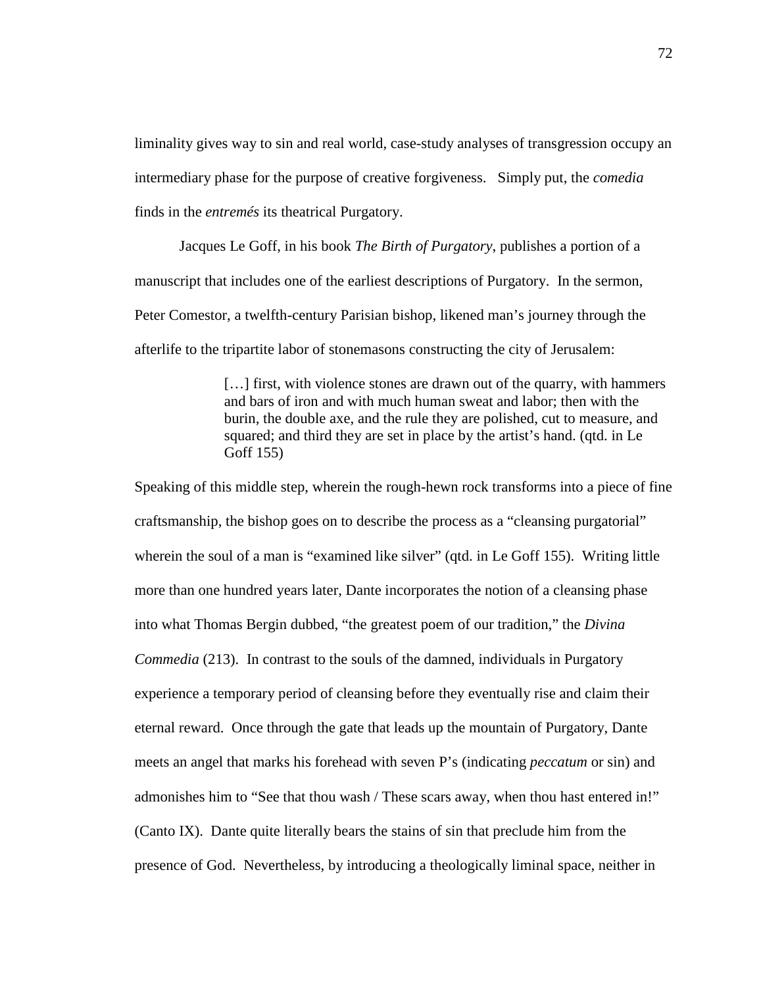liminality gives way to sin and real world, case-study analyses of transgression occupy an intermediary phase for the purpose of creative forgiveness. Simply put, the *comedia* finds in the *entremés* its theatrical Purgatory.

Jacques Le Goff, in his book *The Birth of Purgatory*, publishes a portion of a manuscript that includes one of the earliest descriptions of Purgatory. In the sermon, Peter Comestor, a twelfth-century Parisian bishop, likened man's journey through the afterlife to the tripartite labor of stonemasons constructing the city of Jerusalem:

> [...] first, with violence stones are drawn out of the quarry, with hammers and bars of iron and with much human sweat and labor; then with the burin, the double axe, and the rule they are polished, cut to measure, and squared; and third they are set in place by the artist's hand. (qtd. in Le Goff 155)

Speaking of this middle step, wherein the rough-hewn rock transforms into a piece of fine craftsmanship, the bishop goes on to describe the process as a "cleansing purgatorial" wherein the soul of a man is "examined like silver" (qtd. in Le Goff 155). Writing little more than one hundred years later, Dante incorporates the notion of a cleansing phase into what Thomas Bergin dubbed, "the greatest poem of our tradition," the *Divina Commedia* (213). In contrast to the souls of the damned, individuals in Purgatory experience a temporary period of cleansing before they eventually rise and claim their eternal reward. Once through the gate that leads up the mountain of Purgatory, Dante meets an angel that marks his forehead with seven P's (indicating *peccatum* or sin) and admonishes him to "See that thou wash / These scars away, when thou hast entered in!" (Canto IX). Dante quite literally bears the stains of sin that preclude him from the presence of God. Nevertheless, by introducing a theologically liminal space, neither in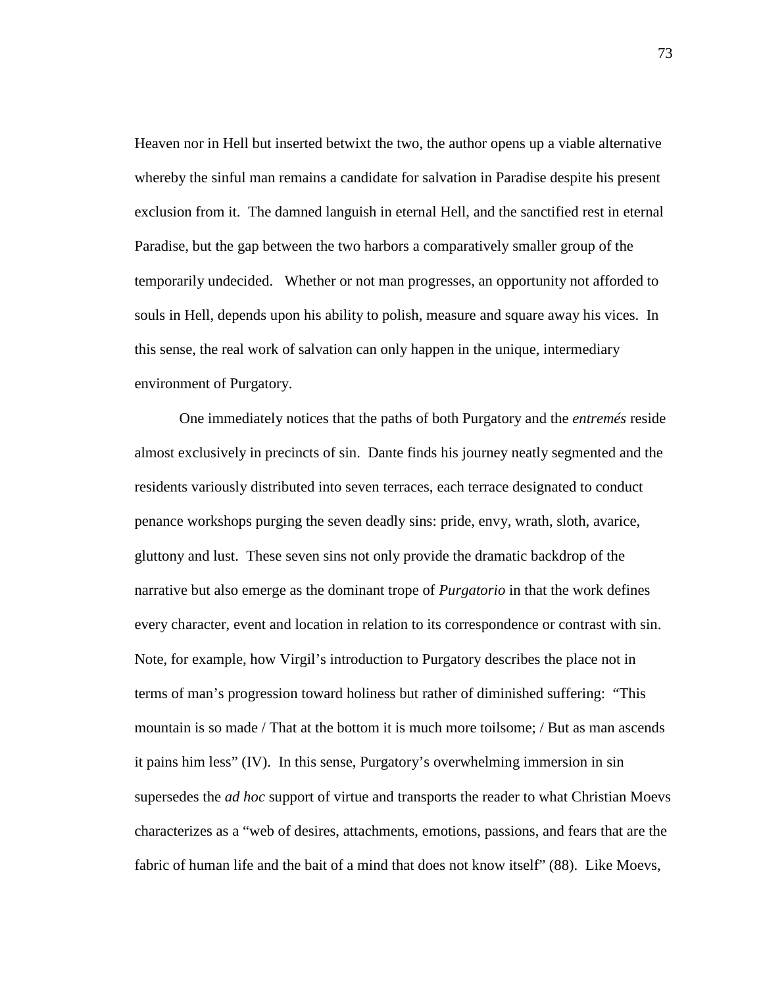Heaven nor in Hell but inserted betwixt the two, the author opens up a viable alternative whereby the sinful man remains a candidate for salvation in Paradise despite his present exclusion from it. The damned languish in eternal Hell, and the sanctified rest in eternal Paradise, but the gap between the two harbors a comparatively smaller group of the temporarily undecided. Whether or not man progresses, an opportunity not afforded to souls in Hell, depends upon his ability to polish, measure and square away his vices. In this sense, the real work of salvation can only happen in the unique, intermediary environment of Purgatory.

One immediately notices that the paths of both Purgatory and the *entremés* reside almost exclusively in precincts of sin. Dante finds his journey neatly segmented and the residents variously distributed into seven terraces, each terrace designated to conduct penance workshops purging the seven deadly sins: pride, envy, wrath, sloth, avarice, gluttony and lust. These seven sins not only provide the dramatic backdrop of the narrative but also emerge as the dominant trope of *Purgatorio* in that the work defines every character, event and location in relation to its correspondence or contrast with sin. Note, for example, how Virgil's introduction to Purgatory describes the place not in terms of man's progression toward holiness but rather of diminished suffering: "This mountain is so made / That at the bottom it is much more toilsome; / But as man ascends it pains him less" (IV). In this sense, Purgatory's overwhelming immersion in sin supersedes the *ad hoc* support of virtue and transports the reader to what Christian Moevs characterizes as a "web of desires, attachments, emotions, passions, and fears that are the fabric of human life and the bait of a mind that does not know itself" (88). Like Moevs,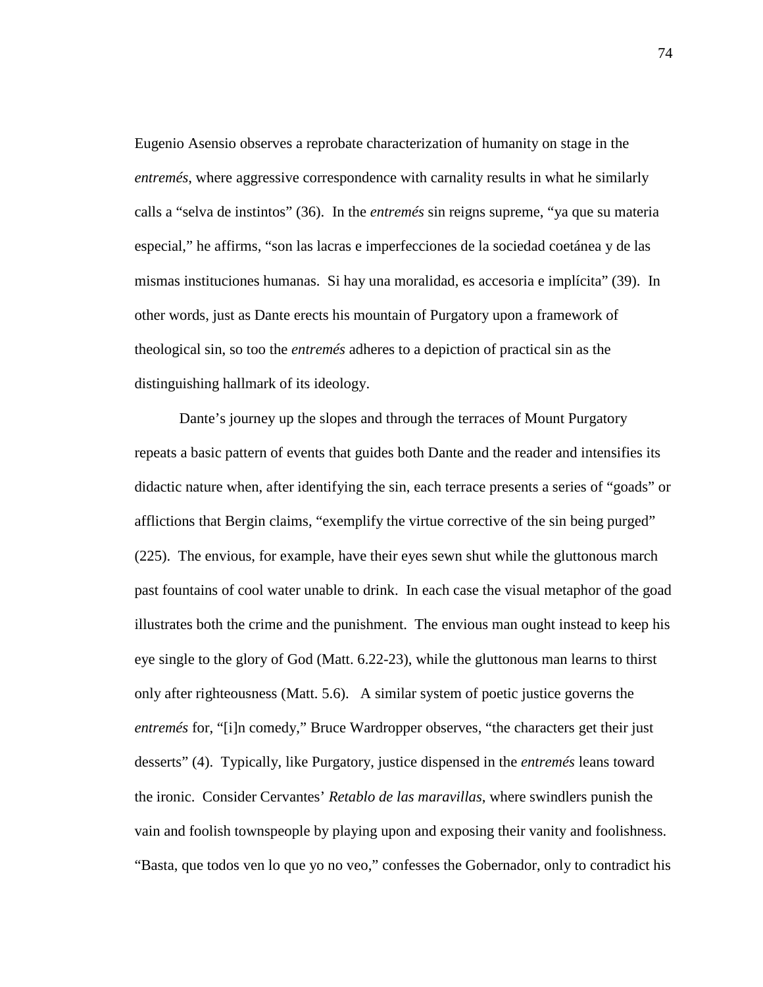Eugenio Asensio observes a reprobate characterization of humanity on stage in the *entremés*, where aggressive correspondence with carnality results in what he similarly calls a "selva de instintos" (36). In the *entremés* sin reigns supreme, "ya que su materia especial," he affirms, "son las lacras e imperfecciones de la sociedad coetánea y de las mismas instituciones humanas. Si hay una moralidad, es accesoria e implícita" (39). In other words, just as Dante erects his mountain of Purgatory upon a framework of theological sin, so too the *entremés* adheres to a depiction of practical sin as the distinguishing hallmark of its ideology.

Dante's journey up the slopes and through the terraces of Mount Purgatory repeats a basic pattern of events that guides both Dante and the reader and intensifies its didactic nature when, after identifying the sin, each terrace presents a series of "goads" or afflictions that Bergin claims, "exemplify the virtue corrective of the sin being purged" (225). The envious, for example, have their eyes sewn shut while the gluttonous march past fountains of cool water unable to drink. In each case the visual metaphor of the goad illustrates both the crime and the punishment. The envious man ought instead to keep his eye single to the glory of God (Matt. 6.22-23), while the gluttonous man learns to thirst only after righteousness (Matt. 5.6). A similar system of poetic justice governs the *entremés* for, "[i]n comedy," Bruce Wardropper observes, "the characters get their just desserts" (4). Typically, like Purgatory, justice dispensed in the *entremés* leans toward the ironic. Consider Cervantes' *Retablo de las maravillas*, where swindlers punish the vain and foolish townspeople by playing upon and exposing their vanity and foolishness. "Basta, que todos ven lo que yo no veo," confesses the Gobernador, only to contradict his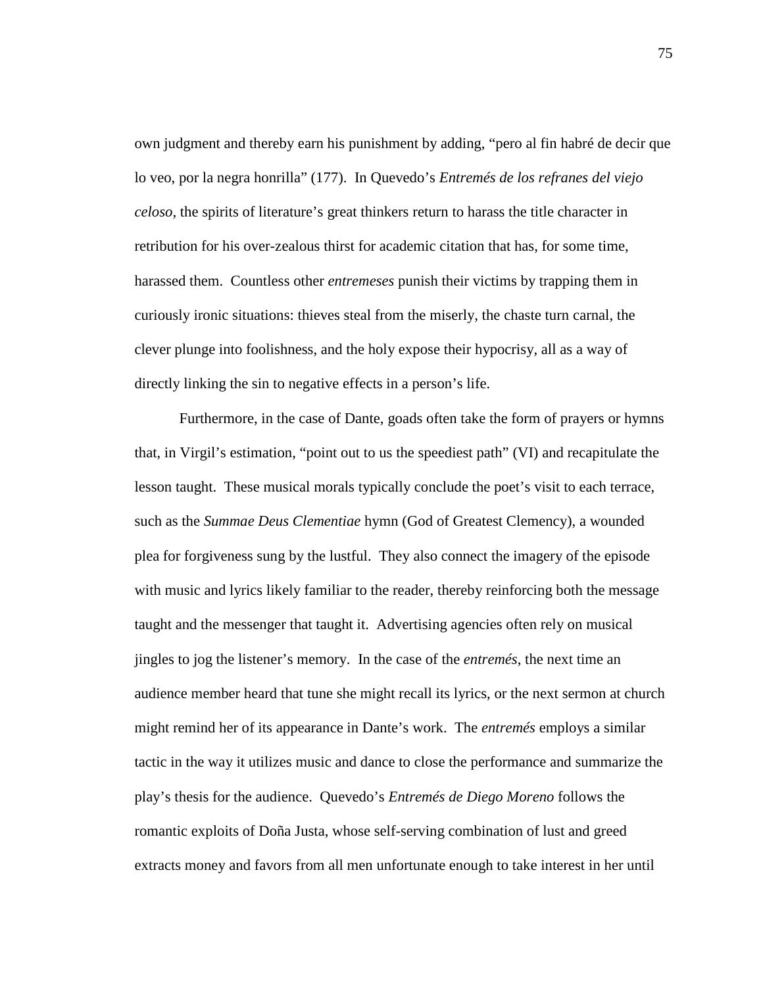own judgment and thereby earn his punishment by adding, "pero al fin habré de decir que lo veo, por la negra honrilla" (177). In Quevedo's *Entremés de los refranes del viejo celoso*, the spirits of literature's great thinkers return to harass the title character in retribution for his over-zealous thirst for academic citation that has, for some time, harassed them. Countless other *entremeses* punish their victims by trapping them in curiously ironic situations: thieves steal from the miserly, the chaste turn carnal, the clever plunge into foolishness, and the holy expose their hypocrisy, all as a way of directly linking the sin to negative effects in a person's life.

Furthermore, in the case of Dante, goads often take the form of prayers or hymns that, in Virgil's estimation, "point out to us the speediest path" (VI) and recapitulate the lesson taught. These musical morals typically conclude the poet's visit to each terrace, such as the *Summae Deus Clementiae* hymn (God of Greatest Clemency), a wounded plea for forgiveness sung by the lustful. They also connect the imagery of the episode with music and lyrics likely familiar to the reader, thereby reinforcing both the message taught and the messenger that taught it. Advertising agencies often rely on musical jingles to jog the listener's memory. In the case of the *entremés*, the next time an audience member heard that tune she might recall its lyrics, or the next sermon at church might remind her of its appearance in Dante's work. The *entremés* employs a similar tactic in the way it utilizes music and dance to close the performance and summarize the play's thesis for the audience. Quevedo's *Entremés de Diego Moreno* follows the romantic exploits of Doña Justa, whose self-serving combination of lust and greed extracts money and favors from all men unfortunate enough to take interest in her until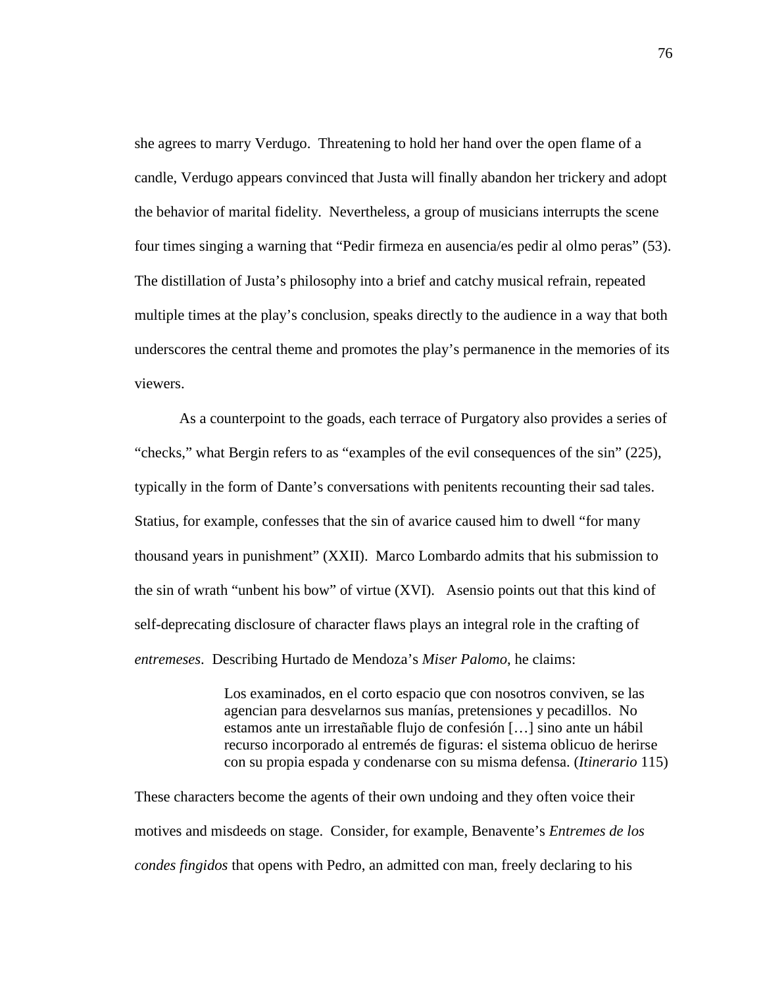she agrees to marry Verdugo. Threatening to hold her hand over the open flame of a candle, Verdugo appears convinced that Justa will finally abandon her trickery and adopt the behavior of marital fidelity. Nevertheless, a group of musicians interrupts the scene four times singing a warning that "Pedir firmeza en ausencia/es pedir al olmo peras" (53). The distillation of Justa's philosophy into a brief and catchy musical refrain, repeated multiple times at the play's conclusion, speaks directly to the audience in a way that both underscores the central theme and promotes the play's permanence in the memories of its viewers.

As a counterpoint to the goads, each terrace of Purgatory also provides a series of "checks," what Bergin refers to as "examples of the evil consequences of the sin" (225), typically in the form of Dante's conversations with penitents recounting their sad tales. Statius, for example, confesses that the sin of avarice caused him to dwell "for many thousand years in punishment" (XXII). Marco Lombardo admits that his submission to the sin of wrath "unbent his bow" of virtue (XVI). Asensio points out that this kind of self-deprecating disclosure of character flaws plays an integral role in the crafting of *entremeses*. Describing Hurtado de Mendoza's *Miser Palomo*, he claims:

> Los examinados, en el corto espacio que con nosotros conviven, se las agencian para desvelarnos sus manías, pretensiones y pecadillos. No estamos ante un irrestañable flujo de confesión […] sino ante un hábil recurso incorporado al entremés de figuras: el sistema oblicuo de herirse con su propia espada y condenarse con su misma defensa. (*Itinerario* 115)

These characters become the agents of their own undoing and they often voice their motives and misdeeds on stage. Consider, for example, Benavente's *Entremes de los condes fingidos* that opens with Pedro, an admitted con man, freely declaring to his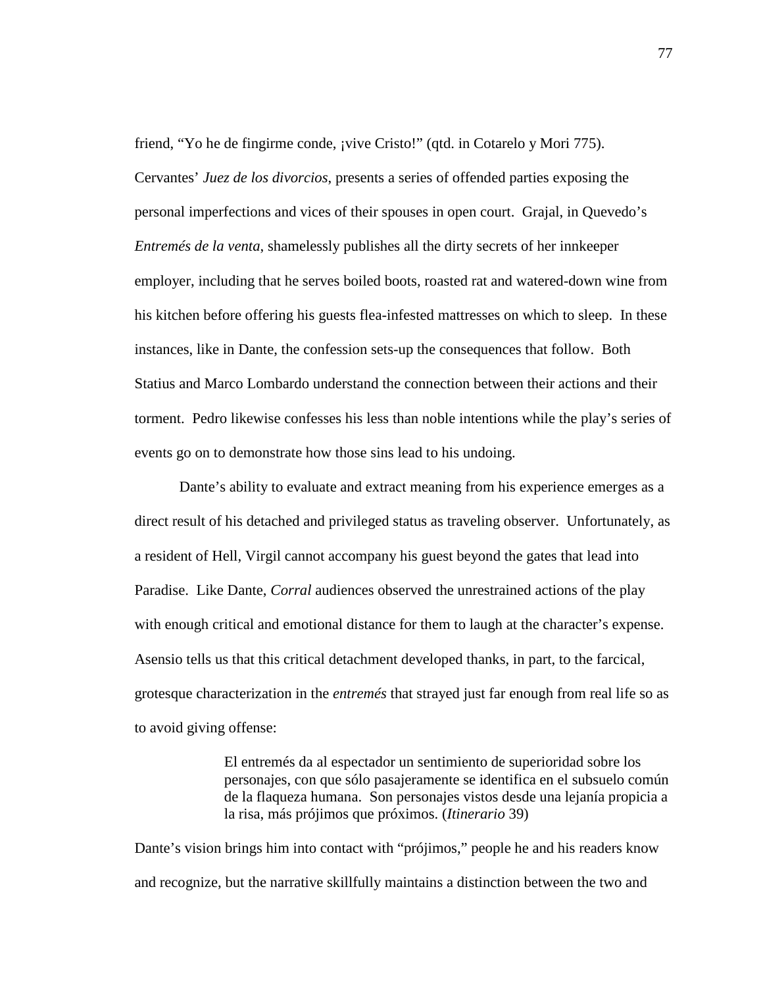friend, "Yo he de fingirme conde, ¡vive Cristo!" (qtd. in Cotarelo y Mori 775). Cervantes' *Juez de los divorcios*, presents a series of offended parties exposing the personal imperfections and vices of their spouses in open court. Grajal, in Quevedo's *Entremés de la venta*, shamelessly publishes all the dirty secrets of her innkeeper employer, including that he serves boiled boots, roasted rat and watered-down wine from his kitchen before offering his guests flea-infested mattresses on which to sleep. In these instances, like in Dante, the confession sets-up the consequences that follow. Both Statius and Marco Lombardo understand the connection between their actions and their torment. Pedro likewise confesses his less than noble intentions while the play's series of events go on to demonstrate how those sins lead to his undoing.

Dante's ability to evaluate and extract meaning from his experience emerges as a direct result of his detached and privileged status as traveling observer. Unfortunately, as a resident of Hell, Virgil cannot accompany his guest beyond the gates that lead into Paradise. Like Dante, *Corral* audiences observed the unrestrained actions of the play with enough critical and emotional distance for them to laugh at the character's expense. Asensio tells us that this critical detachment developed thanks, in part, to the farcical, grotesque characterization in the *entremés* that strayed just far enough from real life so as to avoid giving offense:

> El entremés da al espectador un sentimiento de superioridad sobre los personajes, con que sólo pasajeramente se identifica en el subsuelo común de la flaqueza humana. Son personajes vistos desde una lejanía propicia a la risa, más prójimos que próximos. (*Itinerario* 39)

Dante's vision brings him into contact with "prójimos," people he and his readers know and recognize, but the narrative skillfully maintains a distinction between the two and

77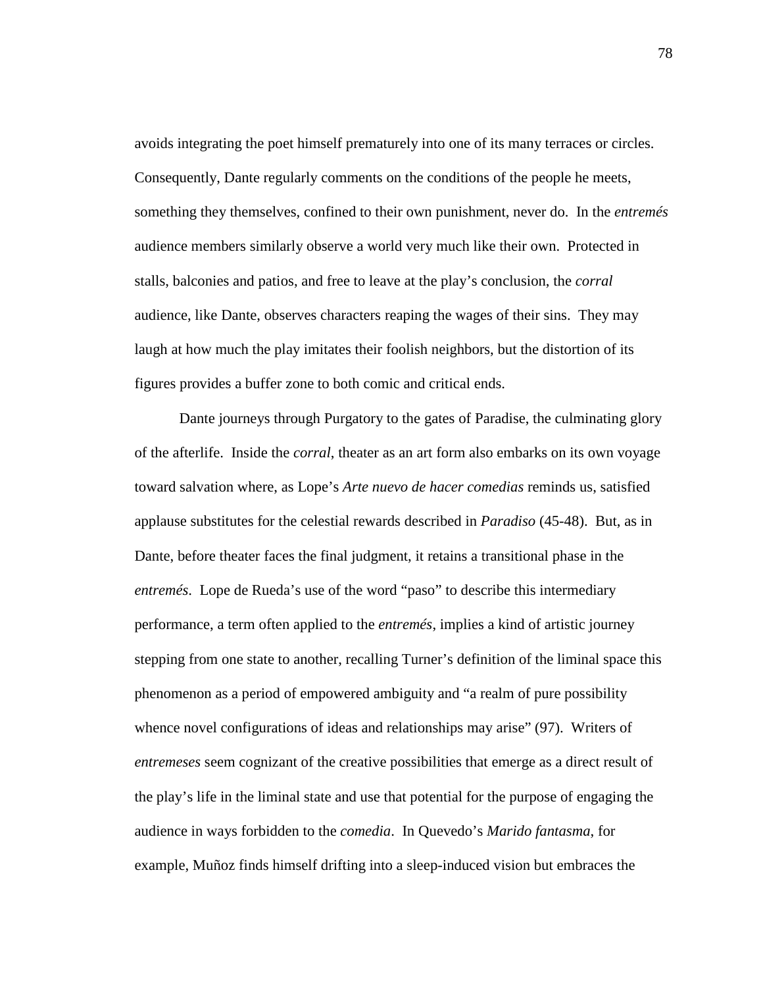avoids integrating the poet himself prematurely into one of its many terraces or circles. Consequently, Dante regularly comments on the conditions of the people he meets, something they themselves, confined to their own punishment, never do. In the *entremés* audience members similarly observe a world very much like their own. Protected in stalls, balconies and patios, and free to leave at the play's conclusion, the *corral* audience, like Dante, observes characters reaping the wages of their sins. They may laugh at how much the play imitates their foolish neighbors, but the distortion of its figures provides a buffer zone to both comic and critical ends.

Dante journeys through Purgatory to the gates of Paradise, the culminating glory of the afterlife. Inside the *corral*, theater as an art form also embarks on its own voyage toward salvation where, as Lope's *Arte nuevo de hacer comedias* reminds us, satisfied applause substitutes for the celestial rewards described in *Paradiso* (45-48). But, as in Dante, before theater faces the final judgment, it retains a transitional phase in the *entremés*. Lope de Rueda's use of the word "paso" to describe this intermediary performance, a term often applied to the *entremés*, implies a kind of artistic journey stepping from one state to another, recalling Turner's definition of the liminal space this phenomenon as a period of empowered ambiguity and "a realm of pure possibility whence novel configurations of ideas and relationships may arise" (97). Writers of *entremeses* seem cognizant of the creative possibilities that emerge as a direct result of the play's life in the liminal state and use that potential for the purpose of engaging the audience in ways forbidden to the *comedia*. In Quevedo's *Marido fantasma*, for example, Muñoz finds himself drifting into a sleep-induced vision but embraces the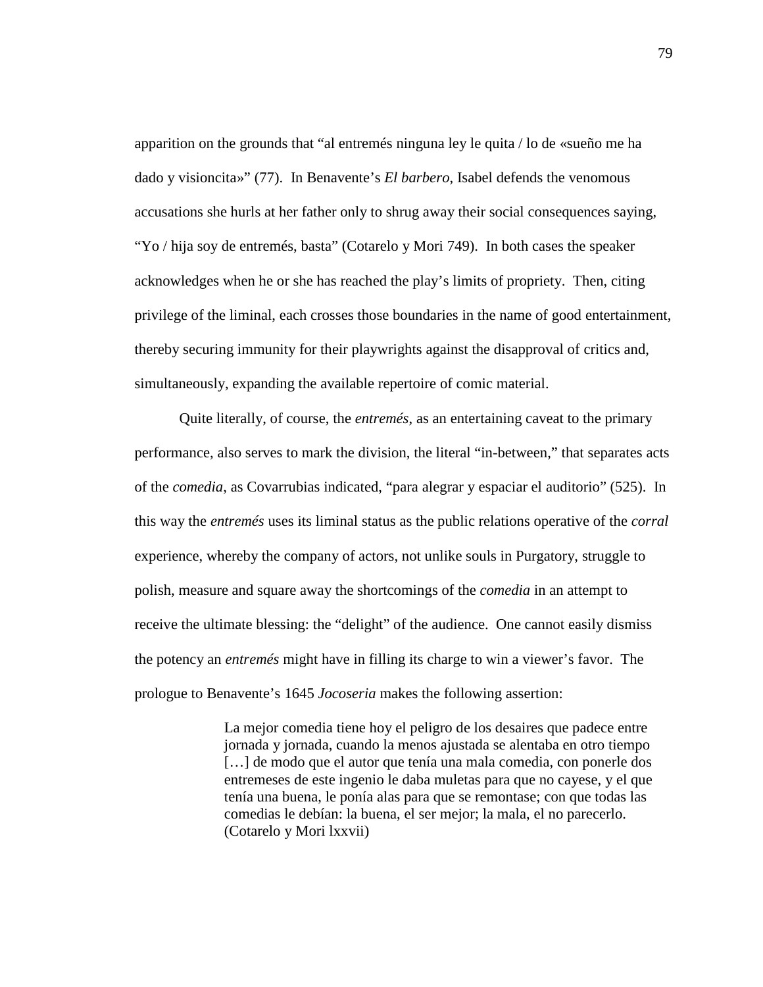apparition on the grounds that "al entremés ninguna ley le quita / lo de «sueño me ha dado y visioncita»" (77). In Benavente's *El barbero*, Isabel defends the venomous accusations she hurls at her father only to shrug away their social consequences saying, "Yo / hija soy de entremés, basta" (Cotarelo y Mori 749). In both cases the speaker acknowledges when he or she has reached the play's limits of propriety. Then, citing privilege of the liminal, each crosses those boundaries in the name of good entertainment, thereby securing immunity for their playwrights against the disapproval of critics and, simultaneously, expanding the available repertoire of comic material.

Quite literally, of course, the *entremés*, as an entertaining caveat to the primary performance, also serves to mark the division, the literal "in-between," that separates acts of the *comedia*, as Covarrubias indicated, "para alegrar y espaciar el auditorio" (525). In this way the *entremés* uses its liminal status as the public relations operative of the *corral* experience, whereby the company of actors, not unlike souls in Purgatory, struggle to polish, measure and square away the shortcomings of the *comedia* in an attempt to receive the ultimate blessing: the "delight" of the audience. One cannot easily dismiss the potency an *entremés* might have in filling its charge to win a viewer's favor. The prologue to Benavente's 1645 *Jocoseria* makes the following assertion:

> La mejor comedia tiene hoy el peligro de los desaires que padece entre jornada y jornada, cuando la menos ajustada se alentaba en otro tiempo [...] de modo que el autor que tenía una mala comedia, con ponerle dos entremeses de este ingenio le daba muletas para que no cayese, y el que tenía una buena, le ponía alas para que se remontase; con que todas las comedias le debían: la buena, el ser mejor; la mala, el no parecerlo. (Cotarelo y Mori lxxvii)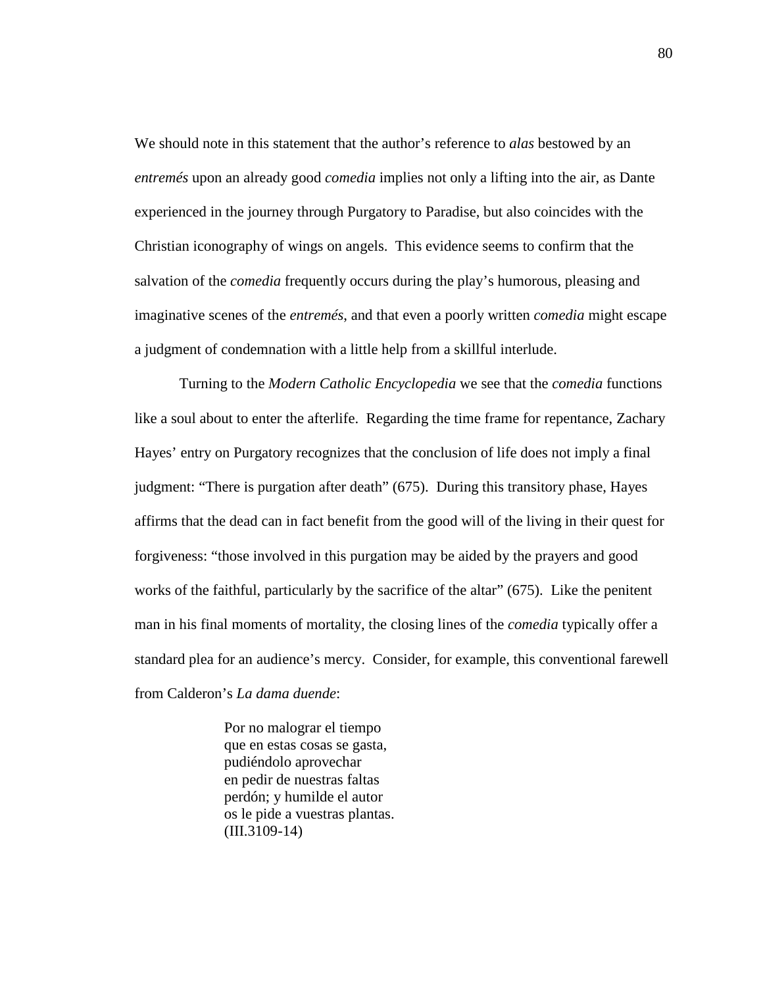We should note in this statement that the author's reference to *alas* bestowed by an *entremés* upon an already good *comedia* implies not only a lifting into the air, as Dante experienced in the journey through Purgatory to Paradise, but also coincides with the Christian iconography of wings on angels. This evidence seems to confirm that the salvation of the *comedia* frequently occurs during the play's humorous, pleasing and imaginative scenes of the *entremés*, and that even a poorly written *comedia* might escape a judgment of condemnation with a little help from a skillful interlude.

Turning to the *Modern Catholic Encyclopedia* we see that the *comedia* functions like a soul about to enter the afterlife. Regarding the time frame for repentance, Zachary Hayes' entry on Purgatory recognizes that the conclusion of life does not imply a final judgment: "There is purgation after death" (675). During this transitory phase, Hayes affirms that the dead can in fact benefit from the good will of the living in their quest for forgiveness: "those involved in this purgation may be aided by the prayers and good works of the faithful, particularly by the sacrifice of the altar" (675). Like the penitent man in his final moments of mortality, the closing lines of the *comedia* typically offer a standard plea for an audience's mercy. Consider, for example, this conventional farewell from Calderon's *La dama duende*:

> Por no malograr el tiempo que en estas cosas se gasta, pudiéndolo aprovechar en pedir de nuestras faltas perdón; y humilde el autor os le pide a vuestras plantas. (III.3109-14)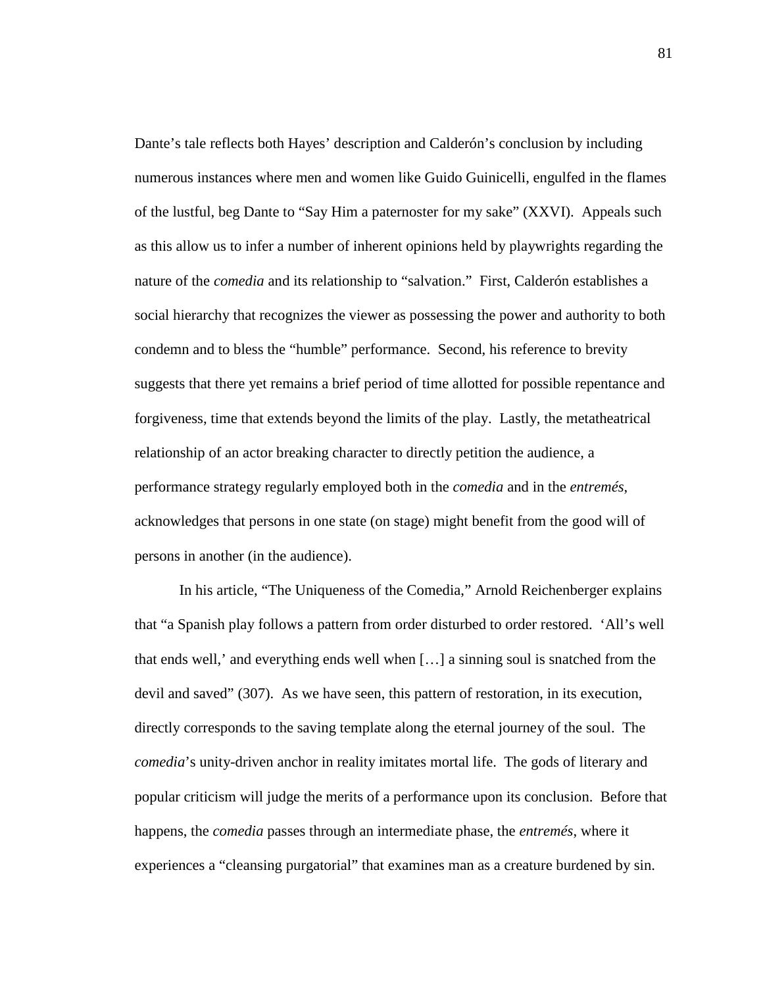Dante's tale reflects both Hayes' description and Calderón's conclusion by including numerous instances where men and women like Guido Guinicelli, engulfed in the flames of the lustful, beg Dante to "Say Him a paternoster for my sake" (XXVI). Appeals such as this allow us to infer a number of inherent opinions held by playwrights regarding the nature of the *comedia* and its relationship to "salvation." First, Calderón establishes a social hierarchy that recognizes the viewer as possessing the power and authority to both condemn and to bless the "humble" performance. Second, his reference to brevity suggests that there yet remains a brief period of time allotted for possible repentance and forgiveness, time that extends beyond the limits of the play. Lastly, the metatheatrical relationship of an actor breaking character to directly petition the audience, a performance strategy regularly employed both in the *comedia* and in the *entremés*, acknowledges that persons in one state (on stage) might benefit from the good will of persons in another (in the audience).

In his article, "The Uniqueness of the Comedia," Arnold Reichenberger explains that "a Spanish play follows a pattern from order disturbed to order restored. 'All's well that ends well,' and everything ends well when […] a sinning soul is snatched from the devil and saved" (307). As we have seen, this pattern of restoration, in its execution, directly corresponds to the saving template along the eternal journey of the soul. The *comedia*'s unity-driven anchor in reality imitates mortal life. The gods of literary and popular criticism will judge the merits of a performance upon its conclusion. Before that happens, the *comedia* passes through an intermediate phase, the *entremés*, where it experiences a "cleansing purgatorial" that examines man as a creature burdened by sin.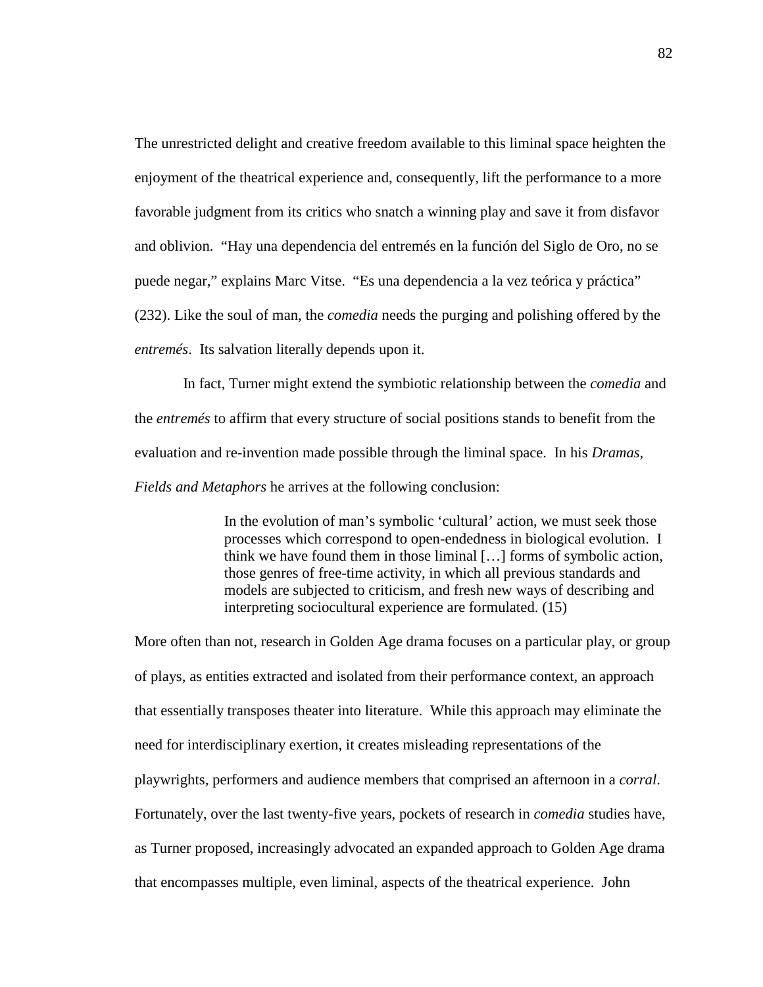The unrestricted delight and creative freedom available to this liminal space heighten the enjoyment of the theatrical experience and, consequently, lift the performance to a more favorable judgment from its critics who snatch a winning play and save it from disfavor and oblivion. "Hay una dependencia del entremés en la función del Siglo de Oro, no se puede negar," explains Marc Vitse. "Es una dependencia a la vez teórica y práctica" (232). Like the soul of man, the *comedia* needs the purging and polishing offered by the *entremés*. Its salvation literally depends upon it.

 In fact, Turner might extend the symbiotic relationship between the *comedia* and the *entremés* to affirm that every structure of social positions stands to benefit from the evaluation and re-invention made possible through the liminal space. In his *Dramas, Fields and Metaphors* he arrives at the following conclusion:

> In the evolution of man's symbolic 'cultural' action, we must seek those processes which correspond to open-endedness in biological evolution. I think we have found them in those liminal […] forms of symbolic action, those genres of free-time activity, in which all previous standards and models are subjected to criticism, and fresh new ways of describing and interpreting sociocultural experience are formulated. (15)

More often than not, research in Golden Age drama focuses on a particular play, or group of plays, as entities extracted and isolated from their performance context, an approach that essentially transposes theater into literature. While this approach may eliminate the need for interdisciplinary exertion, it creates misleading representations of the playwrights, performers and audience members that comprised an afternoon in a *corral*. Fortunately, over the last twenty-five years, pockets of research in *comedia* studies have, as Turner proposed, increasingly advocated an expanded approach to Golden Age drama that encompasses multiple, even liminal, aspects of the theatrical experience. John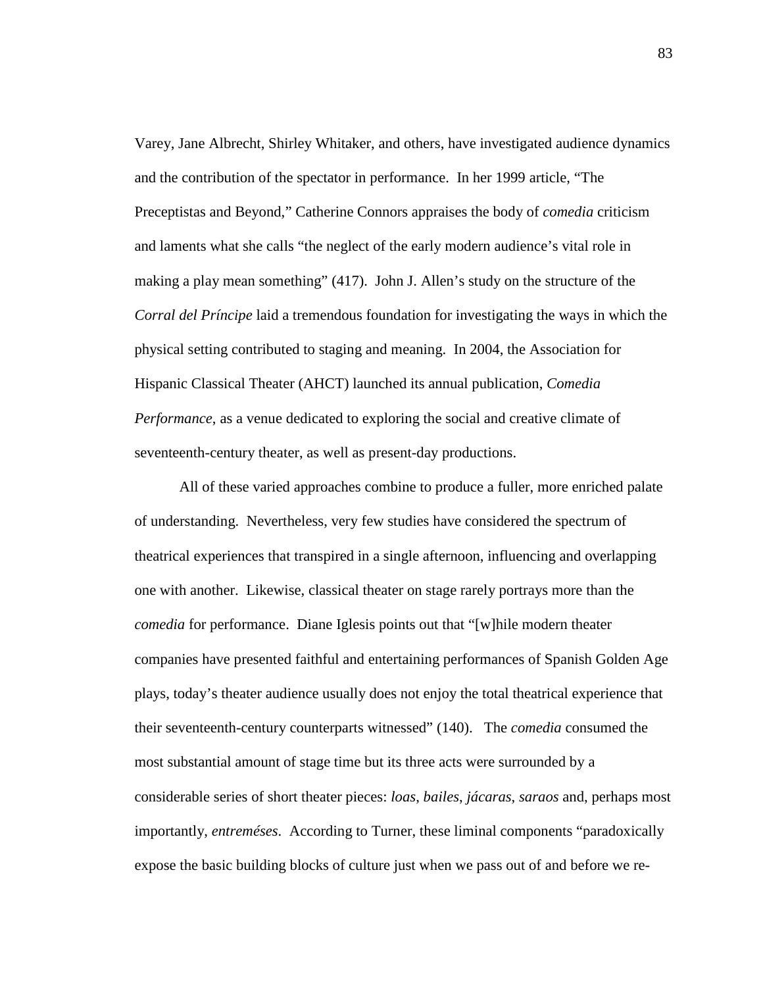Varey, Jane Albrecht, Shirley Whitaker, and others, have investigated audience dynamics and the contribution of the spectator in performance. In her 1999 article, "The Preceptistas and Beyond," Catherine Connors appraises the body of *comedia* criticism and laments what she calls "the neglect of the early modern audience's vital role in making a play mean something" (417). John J. Allen's study on the structure of the *Corral del Príncipe* laid a tremendous foundation for investigating the ways in which the physical setting contributed to staging and meaning. In 2004, the Association for Hispanic Classical Theater (AHCT) launched its annual publication, *Comedia Performance*, as a venue dedicated to exploring the social and creative climate of seventeenth-century theater, as well as present-day productions.

All of these varied approaches combine to produce a fuller, more enriched palate of understanding. Nevertheless, very few studies have considered the spectrum of theatrical experiences that transpired in a single afternoon, influencing and overlapping one with another. Likewise, classical theater on stage rarely portrays more than the *comedia* for performance. Diane Iglesis points out that "[w]hile modern theater companies have presented faithful and entertaining performances of Spanish Golden Age plays, today's theater audience usually does not enjoy the total theatrical experience that their seventeenth-century counterparts witnessed" (140). The *comedia* consumed the most substantial amount of stage time but its three acts were surrounded by a considerable series of short theater pieces: *loas*, *bailes*, *jácaras*, *saraos* and, perhaps most importantly, *entreméses*. According to Turner, these liminal components "paradoxically expose the basic building blocks of culture just when we pass out of and before we re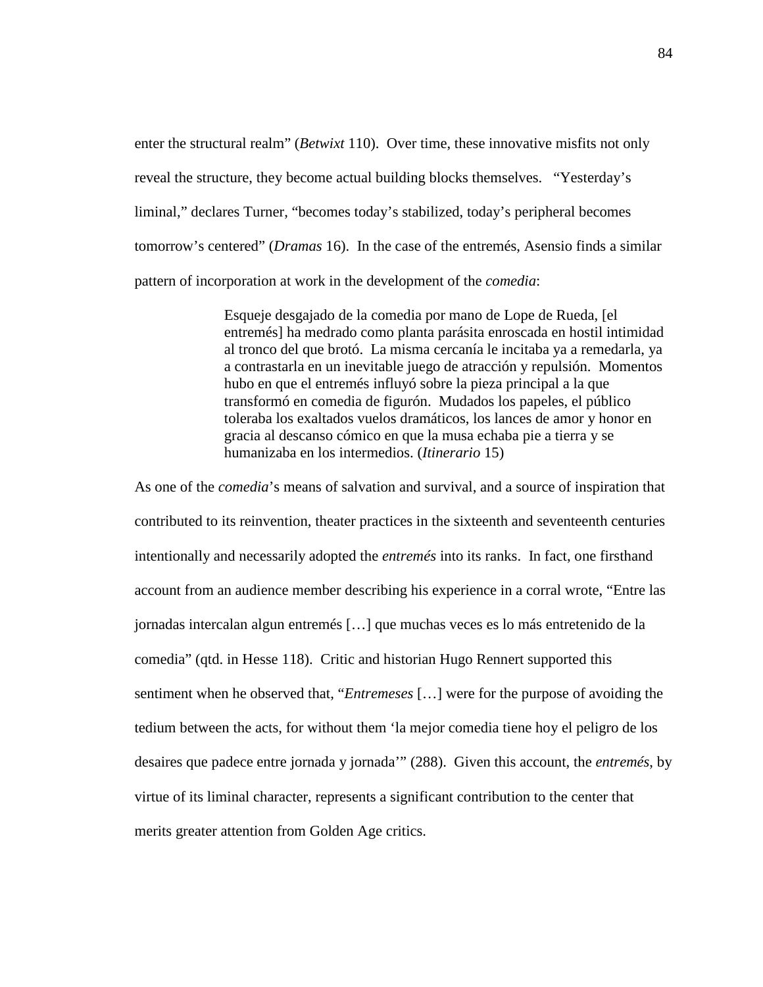enter the structural realm" (*Betwixt* 110). Over time, these innovative misfits not only reveal the structure, they become actual building blocks themselves. "Yesterday's liminal," declares Turner, "becomes today's stabilized, today's peripheral becomes tomorrow's centered" (*Dramas* 16). In the case of the entremés, Asensio finds a similar pattern of incorporation at work in the development of the *comedia*:

> Esqueje desgajado de la comedia por mano de Lope de Rueda, [el entremés] ha medrado como planta parásita enroscada en hostil intimidad al tronco del que brotó. La misma cercanía le incitaba ya a remedarla, ya a contrastarla en un inevitable juego de atracción y repulsión. Momentos hubo en que el entremés influyó sobre la pieza principal a la que transformó en comedia de figurón. Mudados los papeles, el público toleraba los exaltados vuelos dramáticos, los lances de amor y honor en gracia al descanso cómico en que la musa echaba pie a tierra y se humanizaba en los intermedios. (*Itinerario* 15)

As one of the *comedia*'s means of salvation and survival, and a source of inspiration that contributed to its reinvention, theater practices in the sixteenth and seventeenth centuries intentionally and necessarily adopted the *entremés* into its ranks. In fact, one firsthand account from an audience member describing his experience in a corral wrote, "Entre las jornadas intercalan algun entremés […] que muchas veces es lo más entretenido de la comedia" (qtd. in Hesse 118). Critic and historian Hugo Rennert supported this sentiment when he observed that, "*Entremeses* […] were for the purpose of avoiding the tedium between the acts, for without them 'la mejor comedia tiene hoy el peligro de los desaires que padece entre jornada y jornada'" (288). Given this account, the *entremés*, by virtue of its liminal character, represents a significant contribution to the center that merits greater attention from Golden Age critics.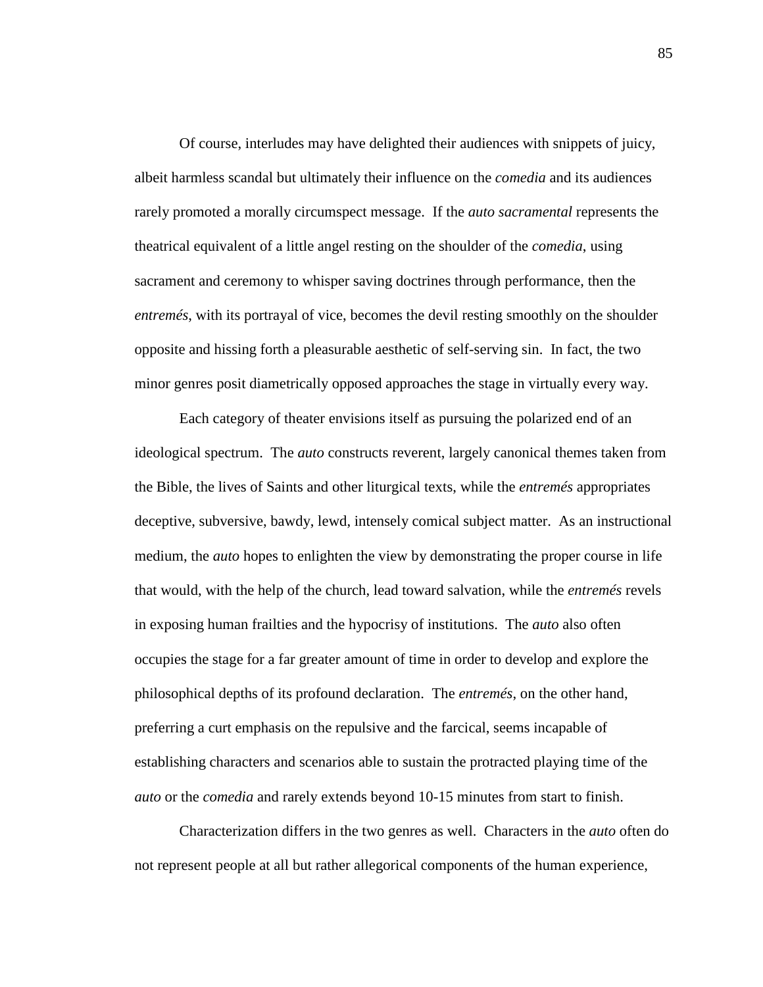Of course, interludes may have delighted their audiences with snippets of juicy, albeit harmless scandal but ultimately their influence on the *comedia* and its audiences rarely promoted a morally circumspect message. If the *auto sacramental* represents the theatrical equivalent of a little angel resting on the shoulder of the *comedia*, using sacrament and ceremony to whisper saving doctrines through performance, then the *entremés*, with its portrayal of vice, becomes the devil resting smoothly on the shoulder opposite and hissing forth a pleasurable aesthetic of self-serving sin. In fact, the two minor genres posit diametrically opposed approaches the stage in virtually every way.

Each category of theater envisions itself as pursuing the polarized end of an ideological spectrum. The *auto* constructs reverent, largely canonical themes taken from the Bible, the lives of Saints and other liturgical texts, while the *entremés* appropriates deceptive, subversive, bawdy, lewd, intensely comical subject matter. As an instructional medium, the *auto* hopes to enlighten the view by demonstrating the proper course in life that would, with the help of the church, lead toward salvation, while the *entremés* revels in exposing human frailties and the hypocrisy of institutions. The *auto* also often occupies the stage for a far greater amount of time in order to develop and explore the philosophical depths of its profound declaration. The *entremés*, on the other hand, preferring a curt emphasis on the repulsive and the farcical, seems incapable of establishing characters and scenarios able to sustain the protracted playing time of the *auto* or the *comedia* and rarely extends beyond 10-15 minutes from start to finish.

Characterization differs in the two genres as well. Characters in the *auto* often do not represent people at all but rather allegorical components of the human experience,

85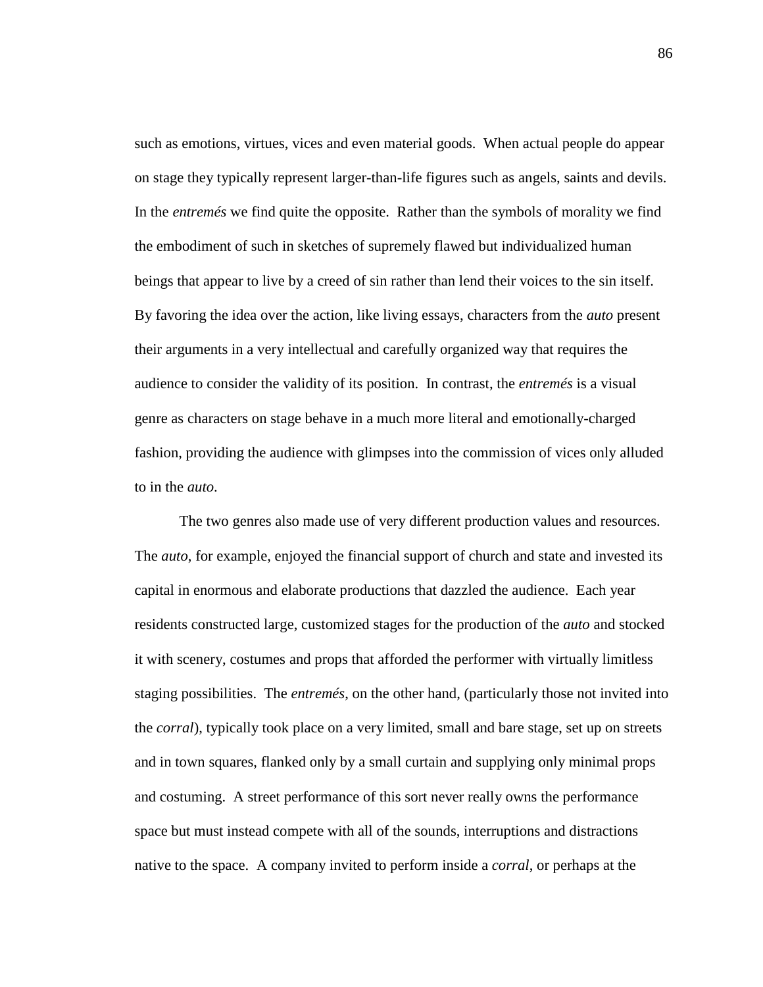such as emotions, virtues, vices and even material goods. When actual people do appear on stage they typically represent larger-than-life figures such as angels, saints and devils. In the *entremés* we find quite the opposite. Rather than the symbols of morality we find the embodiment of such in sketches of supremely flawed but individualized human beings that appear to live by a creed of sin rather than lend their voices to the sin itself. By favoring the idea over the action, like living essays, characters from the *auto* present their arguments in a very intellectual and carefully organized way that requires the audience to consider the validity of its position. In contrast, the *entremés* is a visual genre as characters on stage behave in a much more literal and emotionally-charged fashion, providing the audience with glimpses into the commission of vices only alluded to in the *auto*.

The two genres also made use of very different production values and resources. The *auto*, for example, enjoyed the financial support of church and state and invested its capital in enormous and elaborate productions that dazzled the audience. Each year residents constructed large, customized stages for the production of the *auto* and stocked it with scenery, costumes and props that afforded the performer with virtually limitless staging possibilities. The *entremés*, on the other hand, (particularly those not invited into the *corral*), typically took place on a very limited, small and bare stage, set up on streets and in town squares, flanked only by a small curtain and supplying only minimal props and costuming. A street performance of this sort never really owns the performance space but must instead compete with all of the sounds, interruptions and distractions native to the space. A company invited to perform inside a *corral*, or perhaps at the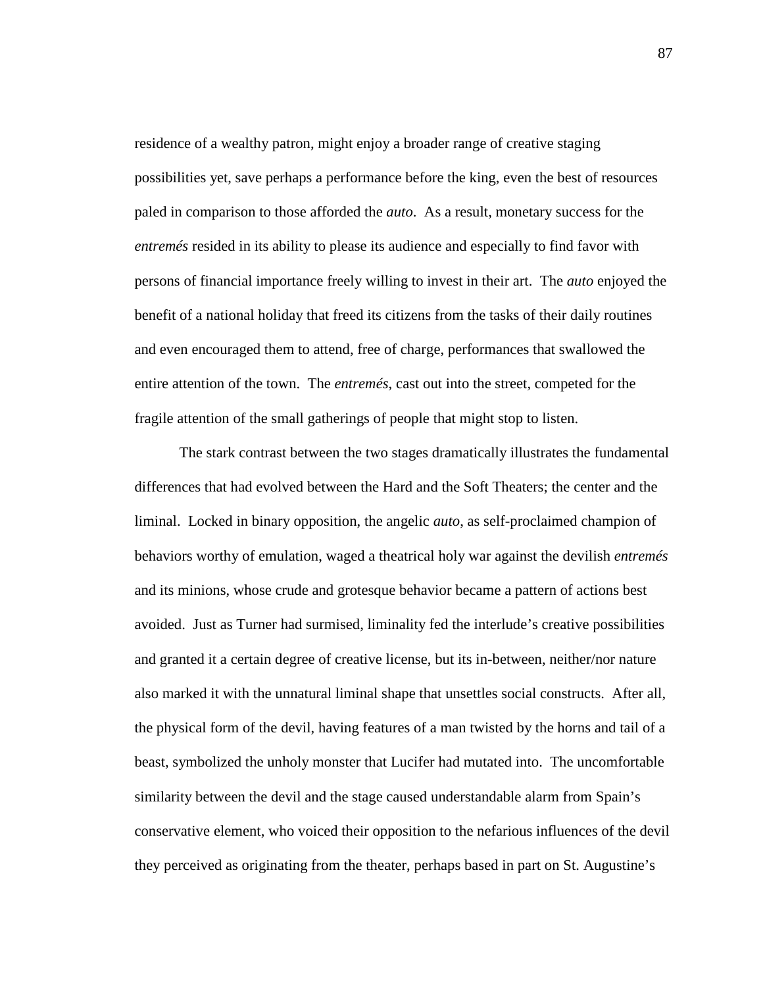residence of a wealthy patron, might enjoy a broader range of creative staging possibilities yet, save perhaps a performance before the king, even the best of resources paled in comparison to those afforded the *auto*. As a result, monetary success for the *entremés* resided in its ability to please its audience and especially to find favor with persons of financial importance freely willing to invest in their art. The *auto* enjoyed the benefit of a national holiday that freed its citizens from the tasks of their daily routines and even encouraged them to attend, free of charge, performances that swallowed the entire attention of the town. The *entremés*, cast out into the street, competed for the fragile attention of the small gatherings of people that might stop to listen.

The stark contrast between the two stages dramatically illustrates the fundamental differences that had evolved between the Hard and the Soft Theaters; the center and the liminal. Locked in binary opposition, the angelic *auto*, as self-proclaimed champion of behaviors worthy of emulation, waged a theatrical holy war against the devilish *entremés* and its minions, whose crude and grotesque behavior became a pattern of actions best avoided. Just as Turner had surmised, liminality fed the interlude's creative possibilities and granted it a certain degree of creative license, but its in-between, neither/nor nature also marked it with the unnatural liminal shape that unsettles social constructs. After all, the physical form of the devil, having features of a man twisted by the horns and tail of a beast, symbolized the unholy monster that Lucifer had mutated into. The uncomfortable similarity between the devil and the stage caused understandable alarm from Spain's conservative element, who voiced their opposition to the nefarious influences of the devil they perceived as originating from the theater, perhaps based in part on St. Augustine's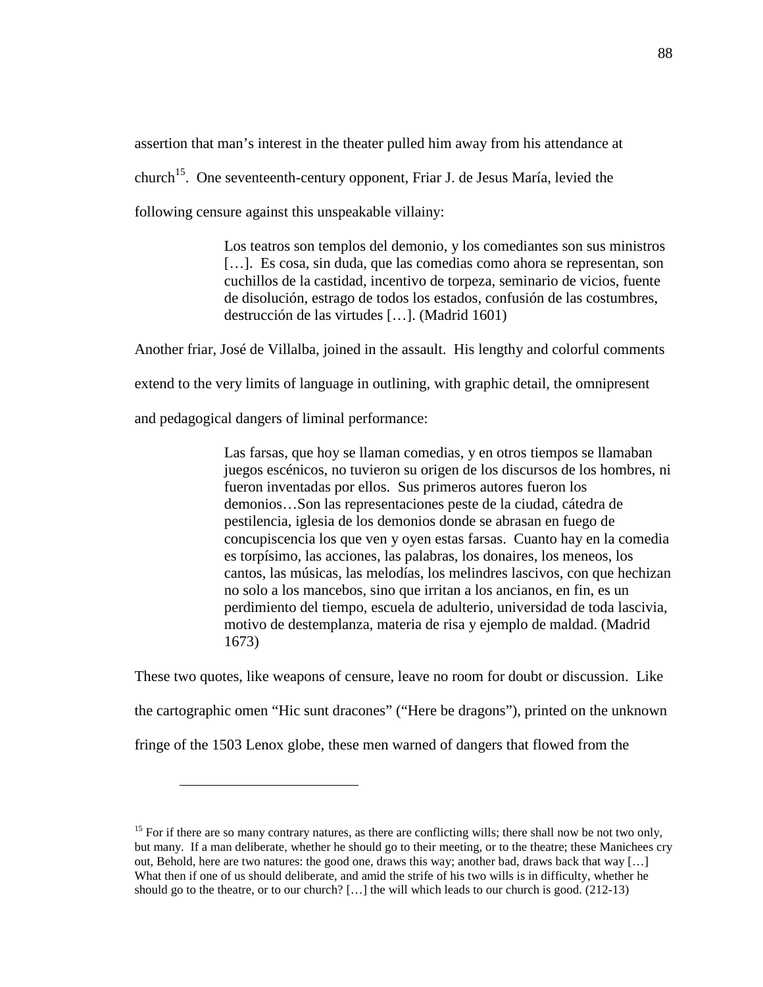assertion that man's interest in the theater pulled him away from his attendance at church<sup>15</sup>. One seventeenth-century opponent, Friar J. de Jesus María, levied the following censure against this unspeakable villainy:

> Los teatros son templos del demonio, y los comediantes son sus ministros [...]. Es cosa, sin duda, que las comedias como ahora se representan, son cuchillos de la castidad, incentivo de torpeza, seminario de vicios, fuente de disolución, estrago de todos los estados, confusión de las costumbres, destrucción de las virtudes […]. (Madrid 1601)

Another friar, José de Villalba, joined in the assault. His lengthy and colorful comments

extend to the very limits of language in outlining, with graphic detail, the omnipresent

and pedagogical dangers of liminal performance:

 $\overline{a}$ 

Las farsas, que hoy se llaman comedias, y en otros tiempos se llamaban juegos escénicos, no tuvieron su origen de los discursos de los hombres, ni fueron inventadas por ellos. Sus primeros autores fueron los demonios…Son las representaciones peste de la ciudad, cátedra de pestilencia, iglesia de los demonios donde se abrasan en fuego de concupiscencia los que ven y oyen estas farsas. Cuanto hay en la comedia es torpísimo, las acciones, las palabras, los donaires, los meneos, los cantos, las músicas, las melodías, los melindres lascivos, con que hechizan no solo a los mancebos, sino que irritan a los ancianos, en fin, es un perdimiento del tiempo, escuela de adulterio, universidad de toda lascivia, motivo de destemplanza, materia de risa y ejemplo de maldad. (Madrid 1673)

These two quotes, like weapons of censure, leave no room for doubt or discussion. Like the cartographic omen "Hic sunt dracones" ("Here be dragons"), printed on the unknown fringe of the 1503 Lenox globe, these men warned of dangers that flowed from the

<sup>&</sup>lt;sup>15</sup> For if there are so many contrary natures, as there are conflicting wills; there shall now be not two only, but many. If a man deliberate, whether he should go to their meeting, or to the theatre; these Manichees cry out, Behold, here are two natures: the good one, draws this way; another bad, draws back that way […] What then if one of us should deliberate, and amid the strife of his two wills is in difficulty, whether he should go to the theatre, or to our church? […] the will which leads to our church is good. (212-13)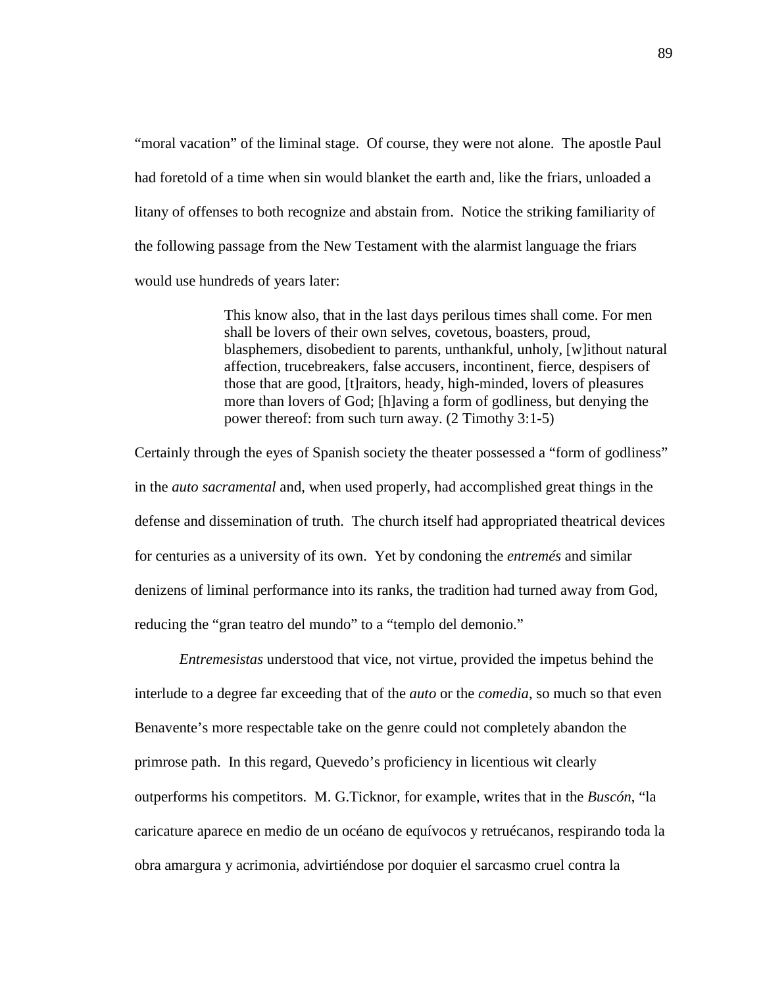"moral vacation" of the liminal stage. Of course, they were not alone. The apostle Paul had foretold of a time when sin would blanket the earth and, like the friars, unloaded a litany of offenses to both recognize and abstain from. Notice the striking familiarity of the following passage from the New Testament with the alarmist language the friars would use hundreds of years later:

> This know also, that in the last days perilous times shall come. For men shall be lovers of their own selves, covetous, boasters, proud, blasphemers, disobedient to parents, unthankful, unholy, [w]ithout natural affection, trucebreakers, false accusers, incontinent, fierce, despisers of those that are good, [t]raitors, heady, high-minded, lovers of pleasures more than lovers of God; [h]aving a form of godliness, but denying the power thereof: from such turn away. (2 Timothy 3:1-5)

Certainly through the eyes of Spanish society the theater possessed a "form of godliness" in the *auto sacramental* and, when used properly, had accomplished great things in the defense and dissemination of truth. The church itself had appropriated theatrical devices for centuries as a university of its own. Yet by condoning the *entremés* and similar denizens of liminal performance into its ranks, the tradition had turned away from God, reducing the "gran teatro del mundo" to a "templo del demonio."

*Entremesistas* understood that vice, not virtue, provided the impetus behind the interlude to a degree far exceeding that of the *auto* or the *comedia*, so much so that even Benavente's more respectable take on the genre could not completely abandon the primrose path. In this regard, Quevedo's proficiency in licentious wit clearly outperforms his competitors. M. G.Ticknor, for example, writes that in the *Buscón*, "la caricature aparece en medio de un océano de equívocos y retruécanos, respirando toda la obra amargura y acrimonia, advirtiéndose por doquier el sarcasmo cruel contra la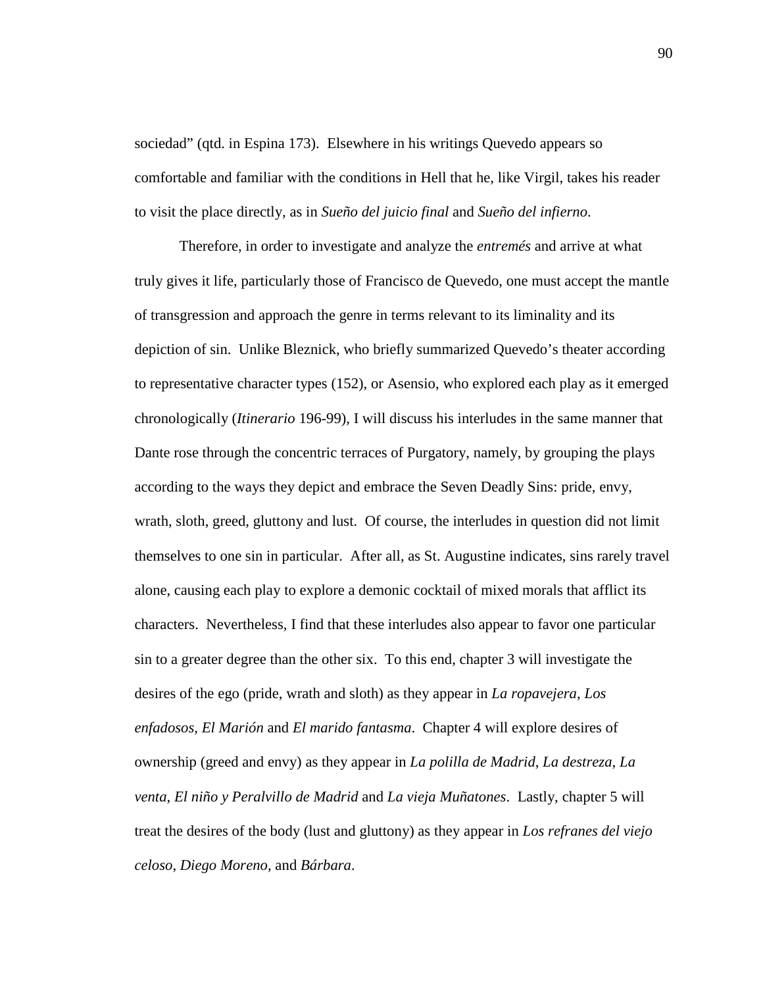sociedad" (qtd. in Espina 173). Elsewhere in his writings Quevedo appears so comfortable and familiar with the conditions in Hell that he, like Virgil, takes his reader to visit the place directly, as in *Sueño del juicio final* and *Sueño del infierno*.

Therefore, in order to investigate and analyze the *entremés* and arrive at what truly gives it life, particularly those of Francisco de Quevedo, one must accept the mantle of transgression and approach the genre in terms relevant to its liminality and its depiction of sin. Unlike Bleznick, who briefly summarized Quevedo's theater according to representative character types (152), or Asensio, who explored each play as it emerged chronologically (*Itinerario* 196-99), I will discuss his interludes in the same manner that Dante rose through the concentric terraces of Purgatory, namely, by grouping the plays according to the ways they depict and embrace the Seven Deadly Sins: pride, envy, wrath, sloth, greed, gluttony and lust. Of course, the interludes in question did not limit themselves to one sin in particular. After all, as St. Augustine indicates, sins rarely travel alone, causing each play to explore a demonic cocktail of mixed morals that afflict its characters. Nevertheless, I find that these interludes also appear to favor one particular sin to a greater degree than the other six. To this end, chapter 3 will investigate the desires of the ego (pride, wrath and sloth) as they appear in *La ropavejera*, *Los enfadosos*, *El Marión* and *El marido fantasma*. Chapter 4 will explore desires of ownership (greed and envy) as they appear in *La polilla de Madrid*, *La destreza*, *La venta*, *El niño y Peralvillo de Madrid* and *La vieja Muñatones*. Lastly, chapter 5 will treat the desires of the body (lust and gluttony) as they appear in *Los refranes del viejo celoso*, *Diego Moreno*, and *Bárbara*.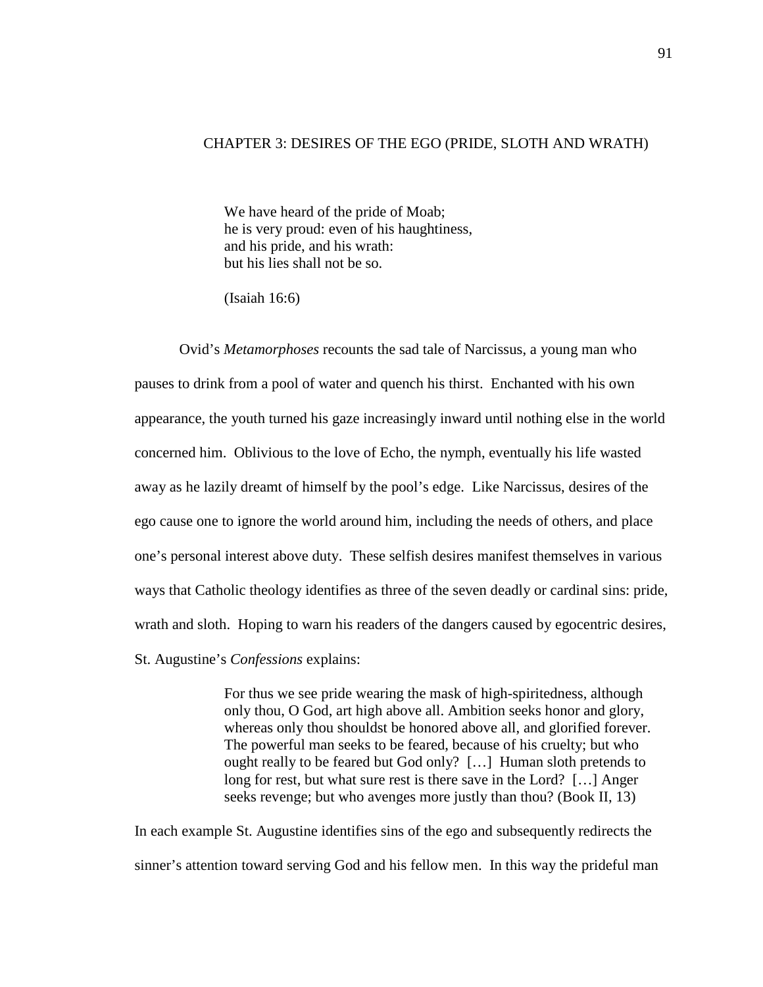## CHAPTER 3: DESIRES OF THE EGO (PRIDE, SLOTH AND WRATH)

We have heard of the pride of Moab; he is very proud: even of his haughtiness, and his pride, and his wrath: but his lies shall not be so.

(Isaiah 16:6)

 Ovid's *Metamorphoses* recounts the sad tale of Narcissus, a young man who pauses to drink from a pool of water and quench his thirst. Enchanted with his own appearance, the youth turned his gaze increasingly inward until nothing else in the world concerned him. Oblivious to the love of Echo, the nymph, eventually his life wasted away as he lazily dreamt of himself by the pool's edge. Like Narcissus, desires of the ego cause one to ignore the world around him, including the needs of others, and place one's personal interest above duty. These selfish desires manifest themselves in various ways that Catholic theology identifies as three of the seven deadly or cardinal sins: pride, wrath and sloth. Hoping to warn his readers of the dangers caused by egocentric desires, St. Augustine's *Confessions* explains:

> For thus we see pride wearing the mask of high-spiritedness, although only thou, O God, art high above all. Ambition seeks honor and glory, whereas only thou shouldst be honored above all, and glorified forever. The powerful man seeks to be feared, because of his cruelty; but who ought really to be feared but God only? […] Human sloth pretends to long for rest, but what sure rest is there save in the Lord? […] Anger seeks revenge; but who avenges more justly than thou? (Book II, 13)

In each example St. Augustine identifies sins of the ego and subsequently redirects the sinner's attention toward serving God and his fellow men. In this way the prideful man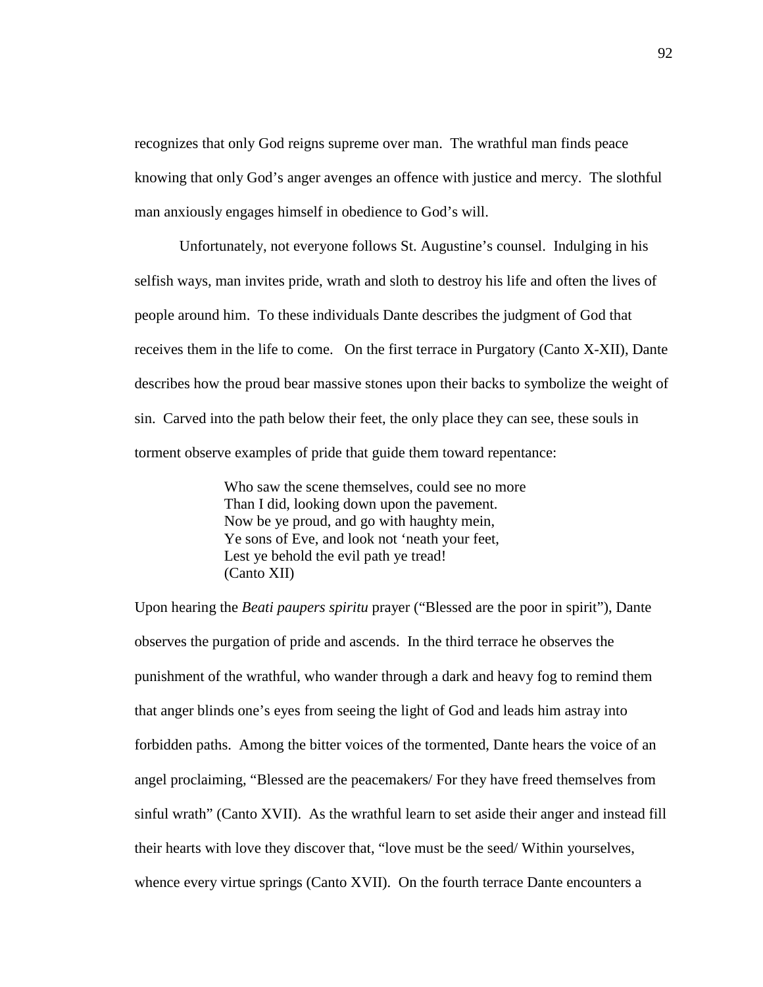recognizes that only God reigns supreme over man. The wrathful man finds peace knowing that only God's anger avenges an offence with justice and mercy. The slothful man anxiously engages himself in obedience to God's will.

 Unfortunately, not everyone follows St. Augustine's counsel. Indulging in his selfish ways, man invites pride, wrath and sloth to destroy his life and often the lives of people around him. To these individuals Dante describes the judgment of God that receives them in the life to come. On the first terrace in Purgatory (Canto X-XII), Dante describes how the proud bear massive stones upon their backs to symbolize the weight of sin. Carved into the path below their feet, the only place they can see, these souls in torment observe examples of pride that guide them toward repentance:

> Who saw the scene themselves, could see no more Than I did, looking down upon the pavement. Now be ye proud, and go with haughty mein, Ye sons of Eve, and look not 'neath your feet, Lest ye behold the evil path ye tread! (Canto XII)

Upon hearing the *Beati paupers spiritu* prayer ("Blessed are the poor in spirit"), Dante observes the purgation of pride and ascends. In the third terrace he observes the punishment of the wrathful, who wander through a dark and heavy fog to remind them that anger blinds one's eyes from seeing the light of God and leads him astray into forbidden paths. Among the bitter voices of the tormented, Dante hears the voice of an angel proclaiming, "Blessed are the peacemakers/ For they have freed themselves from sinful wrath" (Canto XVII). As the wrathful learn to set aside their anger and instead fill their hearts with love they discover that, "love must be the seed/ Within yourselves, whence every virtue springs (Canto XVII). On the fourth terrace Dante encounters a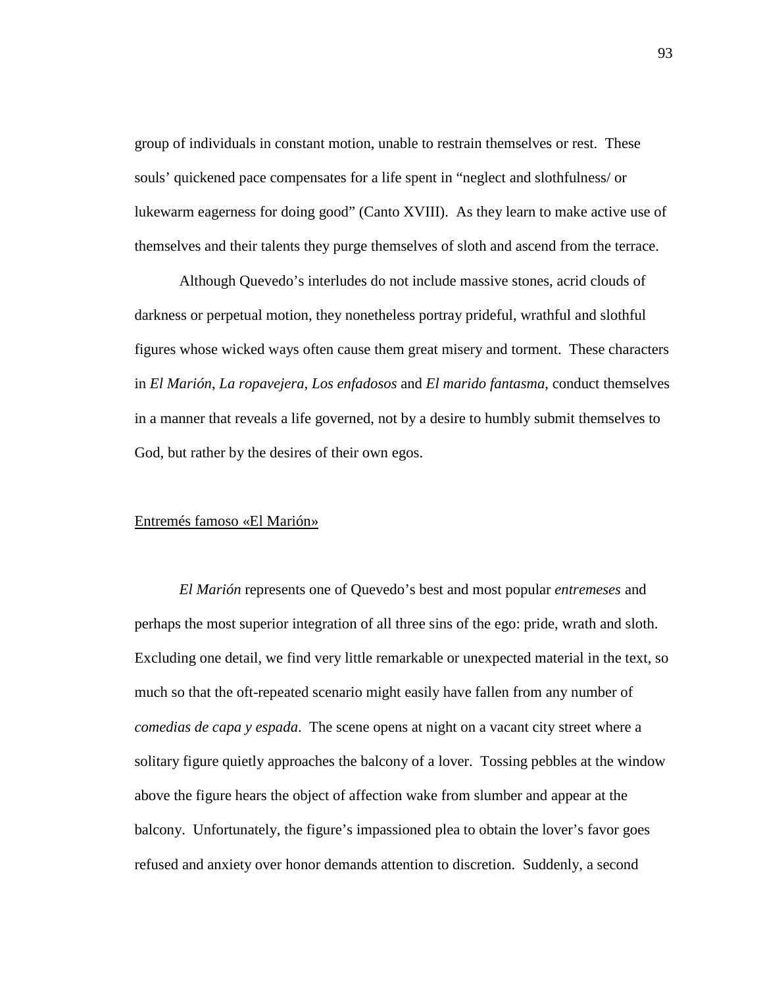group of individuals in constant motion, unable to restrain themselves or rest. These souls' quickened pace compensates for a life spent in "neglect and slothfulness/ or lukewarm eagerness for doing good" (Canto XVIII). As they learn to make active use of themselves and their talents they purge themselves of sloth and ascend from the terrace.

 Although Quevedo's interludes do not include massive stones, acrid clouds of darkness or perpetual motion, they nonetheless portray prideful, wrathful and slothful figures whose wicked ways often cause them great misery and torment. These characters in *El Marión*, *La ropavejera*, *Los enfadosos* and *El marido fantasma*, conduct themselves in a manner that reveals a life governed, not by a desire to humbly submit themselves to God, but rather by the desires of their own egos.

## Entremés famoso «El Marión»

*El Marión* represents one of Quevedo's best and most popular *entremeses* and perhaps the most superior integration of all three sins of the ego: pride, wrath and sloth. Excluding one detail, we find very little remarkable or unexpected material in the text, so much so that the oft-repeated scenario might easily have fallen from any number of *comedias de capa y espada*. The scene opens at night on a vacant city street where a solitary figure quietly approaches the balcony of a lover. Tossing pebbles at the window above the figure hears the object of affection wake from slumber and appear at the balcony. Unfortunately, the figure's impassioned plea to obtain the lover's favor goes refused and anxiety over honor demands attention to discretion. Suddenly, a second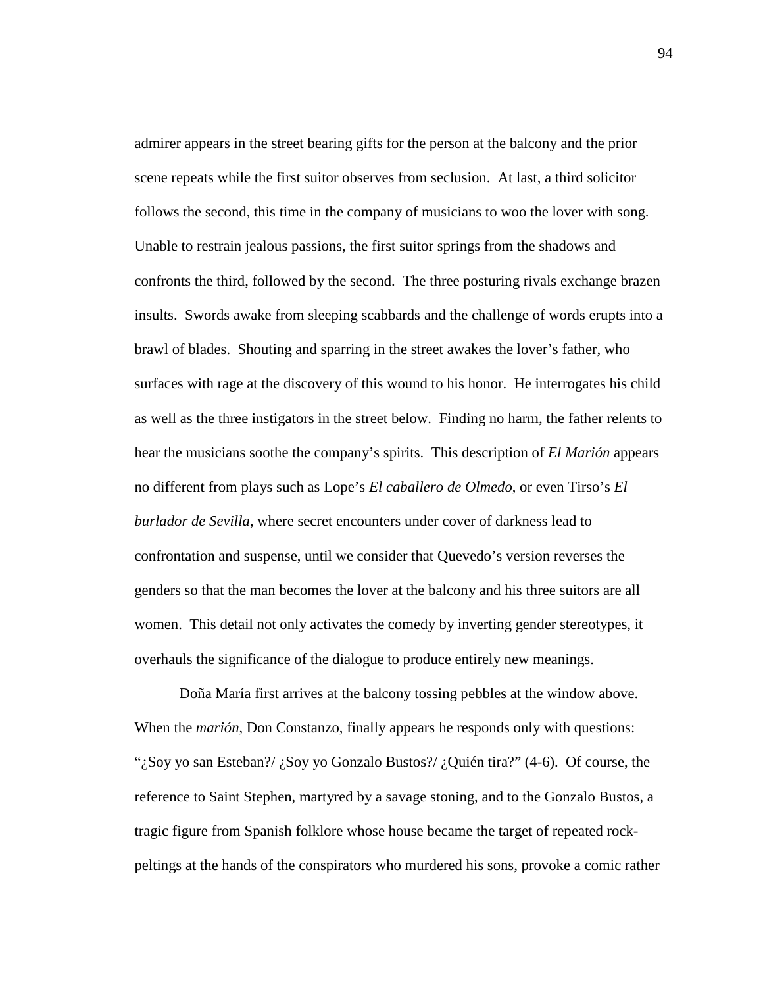admirer appears in the street bearing gifts for the person at the balcony and the prior scene repeats while the first suitor observes from seclusion. At last, a third solicitor follows the second, this time in the company of musicians to woo the lover with song. Unable to restrain jealous passions, the first suitor springs from the shadows and confronts the third, followed by the second. The three posturing rivals exchange brazen insults. Swords awake from sleeping scabbards and the challenge of words erupts into a brawl of blades. Shouting and sparring in the street awakes the lover's father, who surfaces with rage at the discovery of this wound to his honor. He interrogates his child as well as the three instigators in the street below. Finding no harm, the father relents to hear the musicians soothe the company's spirits. This description of *El Marión* appears no different from plays such as Lope's *El caballero de Olmedo*, or even Tirso's *El burlador de Sevilla*, where secret encounters under cover of darkness lead to confrontation and suspense, until we consider that Quevedo's version reverses the genders so that the man becomes the lover at the balcony and his three suitors are all women. This detail not only activates the comedy by inverting gender stereotypes, it overhauls the significance of the dialogue to produce entirely new meanings.

 Doña María first arrives at the balcony tossing pebbles at the window above. When the *marión*, Don Constanzo, finally appears he responds only with questions: " $\chi$ Soy yo san Esteban?/ $\chi$ Soy yo Gonzalo Bustos?/ $\chi$ Quién tira?" (4-6). Of course, the reference to Saint Stephen, martyred by a savage stoning, and to the Gonzalo Bustos, a tragic figure from Spanish folklore whose house became the target of repeated rockpeltings at the hands of the conspirators who murdered his sons, provoke a comic rather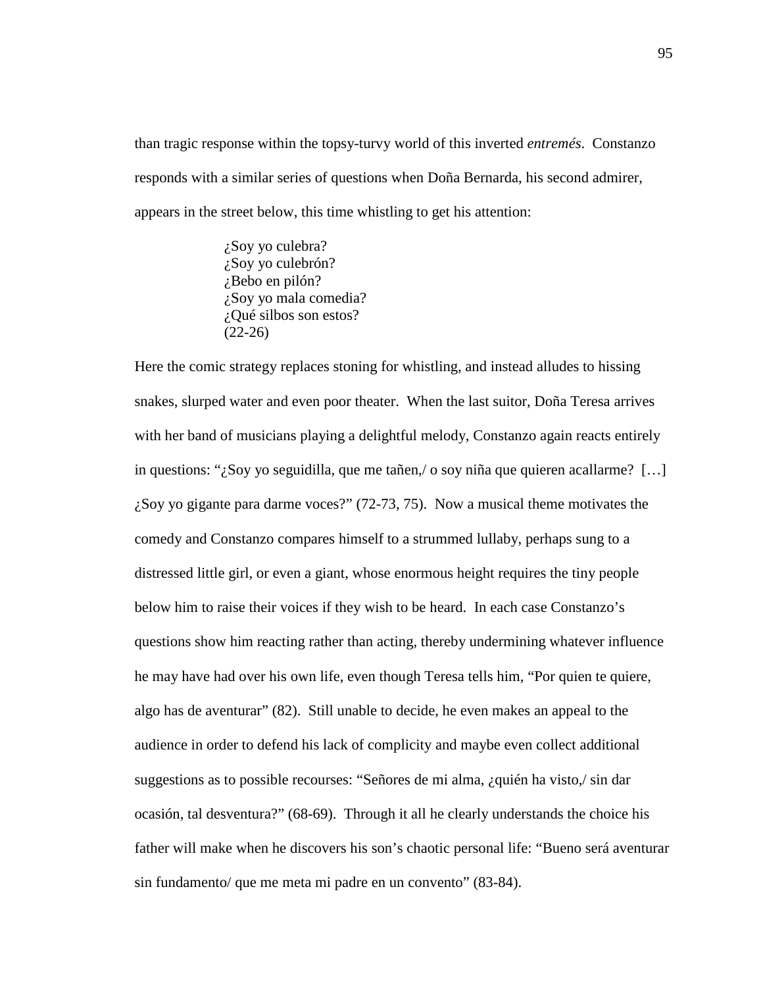than tragic response within the topsy-turvy world of this inverted *entremés*. Constanzo responds with a similar series of questions when Doña Bernarda, his second admirer, appears in the street below, this time whistling to get his attention:

> ¿Soy yo culebra? ¿Soy yo culebrón? ¿Bebo en pilón? ¿Soy yo mala comedia? ¿Qué silbos son estos?  $(22-26)$

Here the comic strategy replaces stoning for whistling, and instead alludes to hissing snakes, slurped water and even poor theater. When the last suitor, Doña Teresa arrives with her band of musicians playing a delightful melody, Constanzo again reacts entirely in questions: "¿Soy yo seguidilla, que me tañen,/ o soy niña que quieren acallarme? […] ¿Soy yo gigante para darme voces?" (72-73, 75). Now a musical theme motivates the comedy and Constanzo compares himself to a strummed lullaby, perhaps sung to a distressed little girl, or even a giant, whose enormous height requires the tiny people below him to raise their voices if they wish to be heard. In each case Constanzo's questions show him reacting rather than acting, thereby undermining whatever influence he may have had over his own life, even though Teresa tells him, "Por quien te quiere, algo has de aventurar" (82). Still unable to decide, he even makes an appeal to the audience in order to defend his lack of complicity and maybe even collect additional suggestions as to possible recourses: "Señores de mi alma, ¿quién ha visto,/ sin dar ocasión, tal desventura?" (68-69). Through it all he clearly understands the choice his father will make when he discovers his son's chaotic personal life: "Bueno será aventurar sin fundamento/ que me meta mi padre en un convento" (83-84).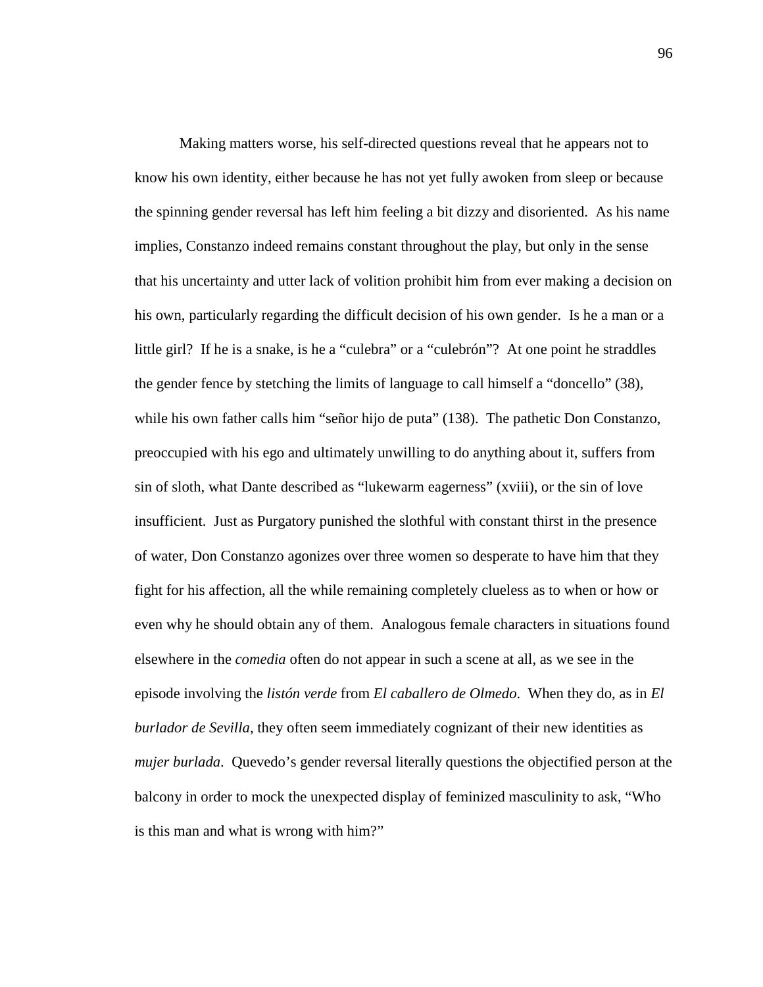Making matters worse, his self-directed questions reveal that he appears not to know his own identity, either because he has not yet fully awoken from sleep or because the spinning gender reversal has left him feeling a bit dizzy and disoriented. As his name implies, Constanzo indeed remains constant throughout the play, but only in the sense that his uncertainty and utter lack of volition prohibit him from ever making a decision on his own, particularly regarding the difficult decision of his own gender. Is he a man or a little girl? If he is a snake, is he a "culebra" or a "culebrón"? At one point he straddles the gender fence by stetching the limits of language to call himself a "doncello" (38), while his own father calls him "señor hijo de puta" (138). The pathetic Don Constanzo, preoccupied with his ego and ultimately unwilling to do anything about it, suffers from sin of sloth, what Dante described as "lukewarm eagerness" (xviii), or the sin of love insufficient. Just as Purgatory punished the slothful with constant thirst in the presence of water, Don Constanzo agonizes over three women so desperate to have him that they fight for his affection, all the while remaining completely clueless as to when or how or even why he should obtain any of them. Analogous female characters in situations found elsewhere in the *comedia* often do not appear in such a scene at all, as we see in the episode involving the *listón verde* from *El caballero de Olmedo*. When they do, as in *El burlador de Sevilla*, they often seem immediately cognizant of their new identities as *mujer burlada*. Quevedo's gender reversal literally questions the objectified person at the balcony in order to mock the unexpected display of feminized masculinity to ask, "Who is this man and what is wrong with him?"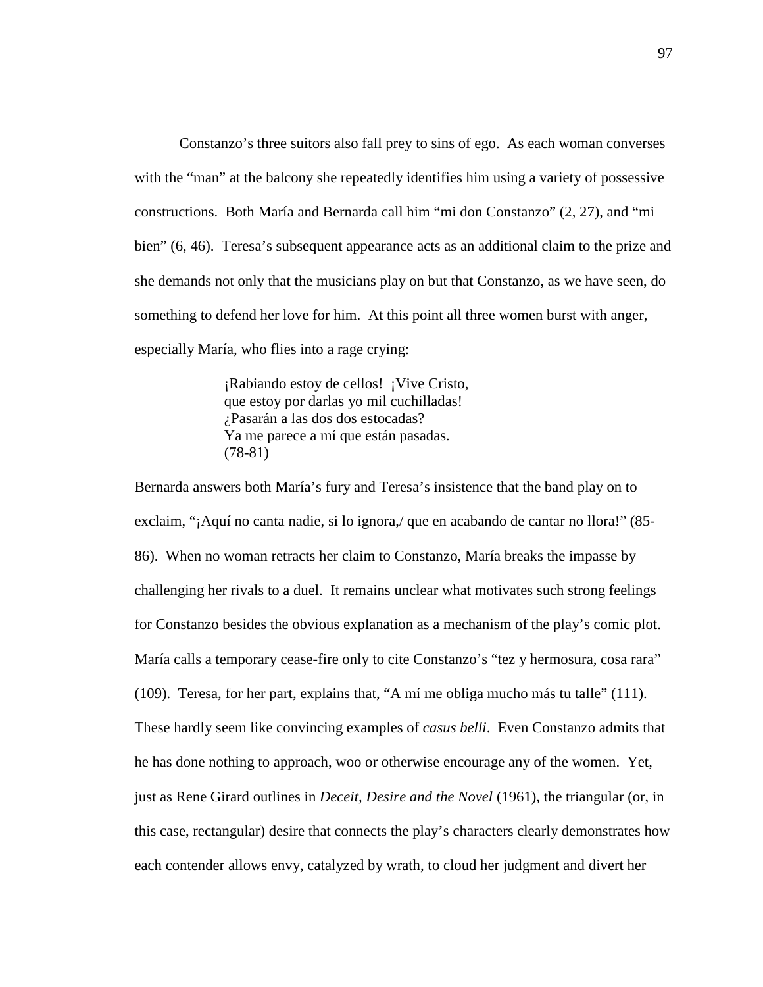Constanzo's three suitors also fall prey to sins of ego. As each woman converses with the "man" at the balcony she repeatedly identifies him using a variety of possessive constructions. Both María and Bernarda call him "mi don Constanzo" (2, 27), and "mi bien" (6, 46). Teresa's subsequent appearance acts as an additional claim to the prize and she demands not only that the musicians play on but that Constanzo, as we have seen, do something to defend her love for him. At this point all three women burst with anger, especially María, who flies into a rage crying:

> ¡Rabiando estoy de cellos! ¡Vive Cristo, que estoy por darlas yo mil cuchilladas! ¿Pasarán a las dos dos estocadas? Ya me parece a mí que están pasadas. (78-81)

Bernarda answers both María's fury and Teresa's insistence that the band play on to exclaim, "¡Aquí no canta nadie, si lo ignora,/ que en acabando de cantar no llora!" (85- 86). When no woman retracts her claim to Constanzo, María breaks the impasse by challenging her rivals to a duel. It remains unclear what motivates such strong feelings for Constanzo besides the obvious explanation as a mechanism of the play's comic plot. María calls a temporary cease-fire only to cite Constanzo's "tez y hermosura, cosa rara" (109). Teresa, for her part, explains that, "A mí me obliga mucho más tu talle" (111). These hardly seem like convincing examples of *casus belli*. Even Constanzo admits that he has done nothing to approach, woo or otherwise encourage any of the women. Yet, just as Rene Girard outlines in *Deceit, Desire and the Novel* (1961), the triangular (or, in this case, rectangular) desire that connects the play's characters clearly demonstrates how each contender allows envy, catalyzed by wrath, to cloud her judgment and divert her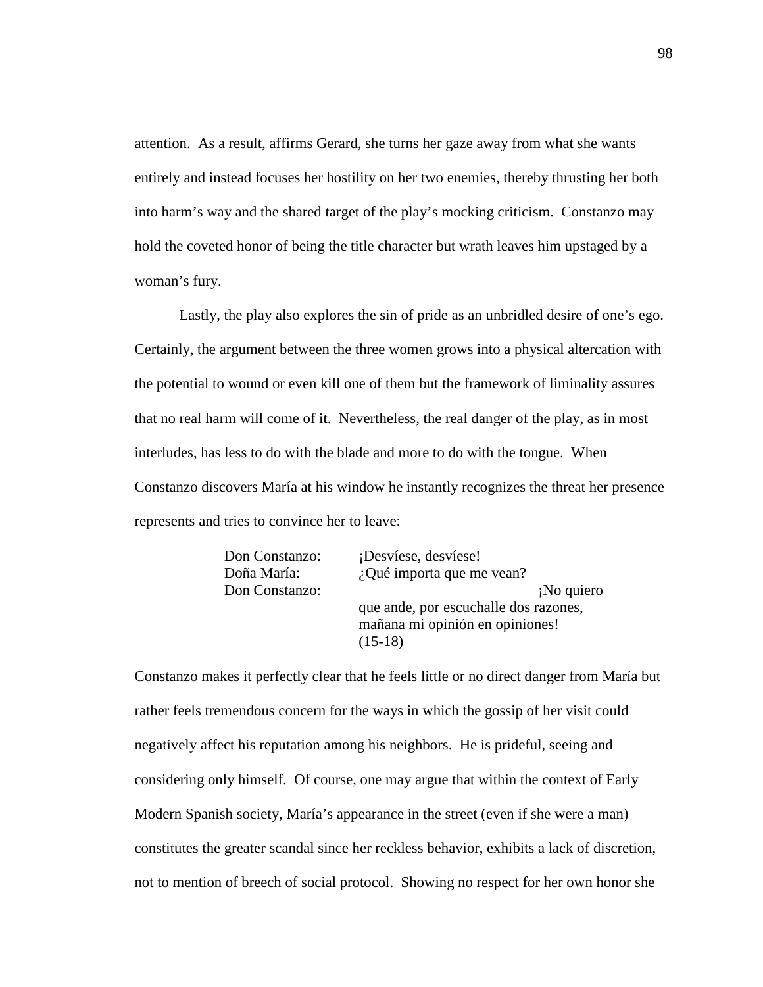attention. As a result, affirms Gerard, she turns her gaze away from what she wants entirely and instead focuses her hostility on her two enemies, thereby thrusting her both into harm's way and the shared target of the play's mocking criticism. Constanzo may hold the coveted honor of being the title character but wrath leaves him upstaged by a woman's fury.

 Lastly, the play also explores the sin of pride as an unbridled desire of one's ego. Certainly, the argument between the three women grows into a physical altercation with the potential to wound or even kill one of them but the framework of liminality assures that no real harm will come of it. Nevertheless, the real danger of the play, as in most interludes, has less to do with the blade and more to do with the tongue. When Constanzo discovers María at his window he instantly recognizes the threat her presence represents and tries to convince her to leave:

| Don Constanzo: | ¡Desvíese, desvíese!                  |
|----------------|---------------------------------------|
| Doña María:    | ¿Qué importa que me vean?             |
| Don Constanzo: | ¡No quiero                            |
|                | que ande, por escuchalle dos razones, |
|                | mañana mi opinión en opiniones!       |
|                | $(15-18)$                             |
|                |                                       |

Constanzo makes it perfectly clear that he feels little or no direct danger from María but rather feels tremendous concern for the ways in which the gossip of her visit could negatively affect his reputation among his neighbors. He is prideful, seeing and considering only himself. Of course, one may argue that within the context of Early Modern Spanish society, María's appearance in the street (even if she were a man) constitutes the greater scandal since her reckless behavior, exhibits a lack of discretion, not to mention of breech of social protocol. Showing no respect for her own honor she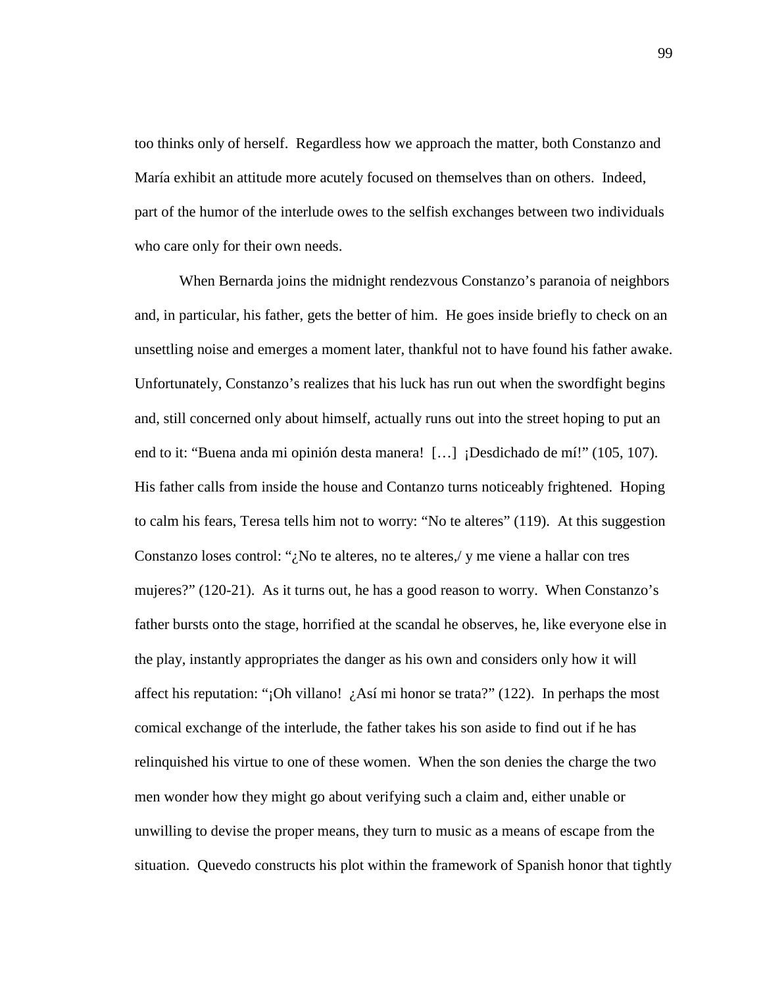too thinks only of herself. Regardless how we approach the matter, both Constanzo and María exhibit an attitude more acutely focused on themselves than on others. Indeed, part of the humor of the interlude owes to the selfish exchanges between two individuals who care only for their own needs.

 When Bernarda joins the midnight rendezvous Constanzo's paranoia of neighbors and, in particular, his father, gets the better of him. He goes inside briefly to check on an unsettling noise and emerges a moment later, thankful not to have found his father awake. Unfortunately, Constanzo's realizes that his luck has run out when the swordfight begins and, still concerned only about himself, actually runs out into the street hoping to put an end to it: "Buena anda mi opinión desta manera! […] ¡Desdichado de mí!" (105, 107). His father calls from inside the house and Contanzo turns noticeably frightened. Hoping to calm his fears, Teresa tells him not to worry: "No te alteres" (119). At this suggestion Constanzo loses control: "¿No te alteres, no te alteres,/ y me viene a hallar con tres mujeres?" (120-21). As it turns out, he has a good reason to worry. When Constanzo's father bursts onto the stage, horrified at the scandal he observes, he, like everyone else in the play, instantly appropriates the danger as his own and considers only how it will affect his reputation: "¡Oh villano! ¿Así mi honor se trata?" (122). In perhaps the most comical exchange of the interlude, the father takes his son aside to find out if he has relinquished his virtue to one of these women. When the son denies the charge the two men wonder how they might go about verifying such a claim and, either unable or unwilling to devise the proper means, they turn to music as a means of escape from the situation. Quevedo constructs his plot within the framework of Spanish honor that tightly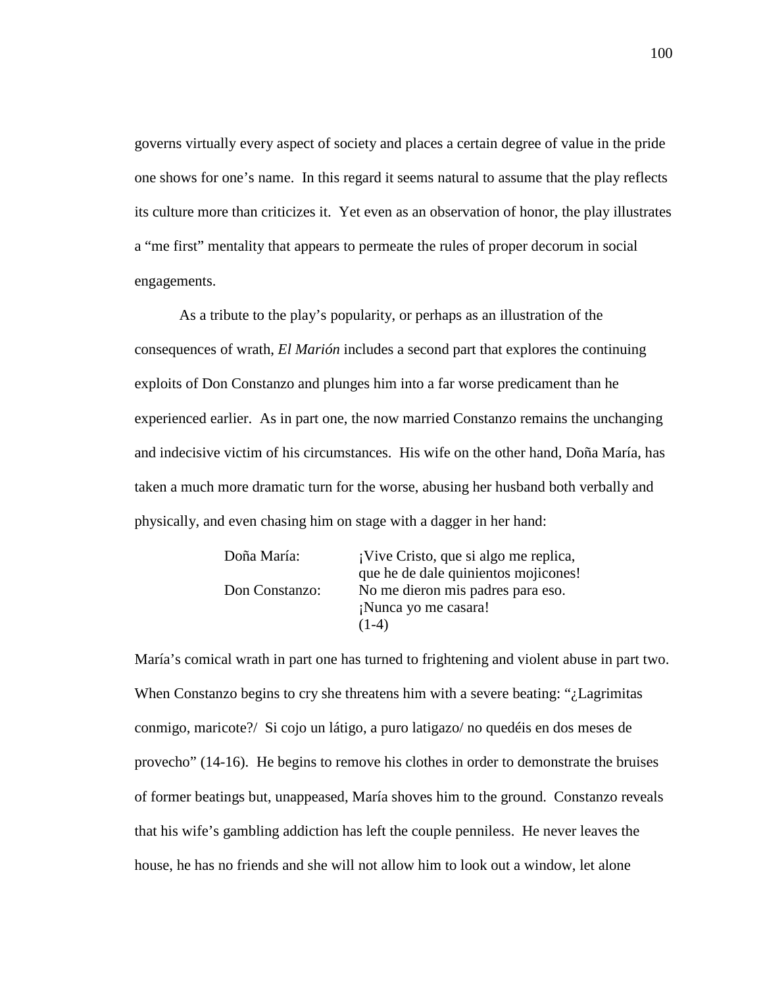governs virtually every aspect of society and places a certain degree of value in the pride one shows for one's name. In this regard it seems natural to assume that the play reflects its culture more than criticizes it. Yet even as an observation of honor, the play illustrates a "me first" mentality that appears to permeate the rules of proper decorum in social engagements.

 As a tribute to the play's popularity, or perhaps as an illustration of the consequences of wrath, *El Marión* includes a second part that explores the continuing exploits of Don Constanzo and plunges him into a far worse predicament than he experienced earlier. As in part one, the now married Constanzo remains the unchanging and indecisive victim of his circumstances. His wife on the other hand, Doña María, has taken a much more dramatic turn for the worse, abusing her husband both verbally and physically, and even chasing him on stage with a dagger in her hand:

| Doña María:    | ¡Vive Cristo, que si algo me replica, |
|----------------|---------------------------------------|
|                | que he de dale quinientos mojicones!  |
| Don Constanzo: | No me dieron mis padres para eso.     |
|                | ¡Nunca yo me casara!                  |
|                | $(1-4)$                               |

María's comical wrath in part one has turned to frightening and violent abuse in part two. When Constanzo begins to cry she threatens him with a severe beating: "*i* Lagrimitas" conmigo, maricote?/ Si cojo un látigo, a puro latigazo/ no quedéis en dos meses de provecho" (14-16). He begins to remove his clothes in order to demonstrate the bruises of former beatings but, unappeased, María shoves him to the ground. Constanzo reveals that his wife's gambling addiction has left the couple penniless. He never leaves the house, he has no friends and she will not allow him to look out a window, let alone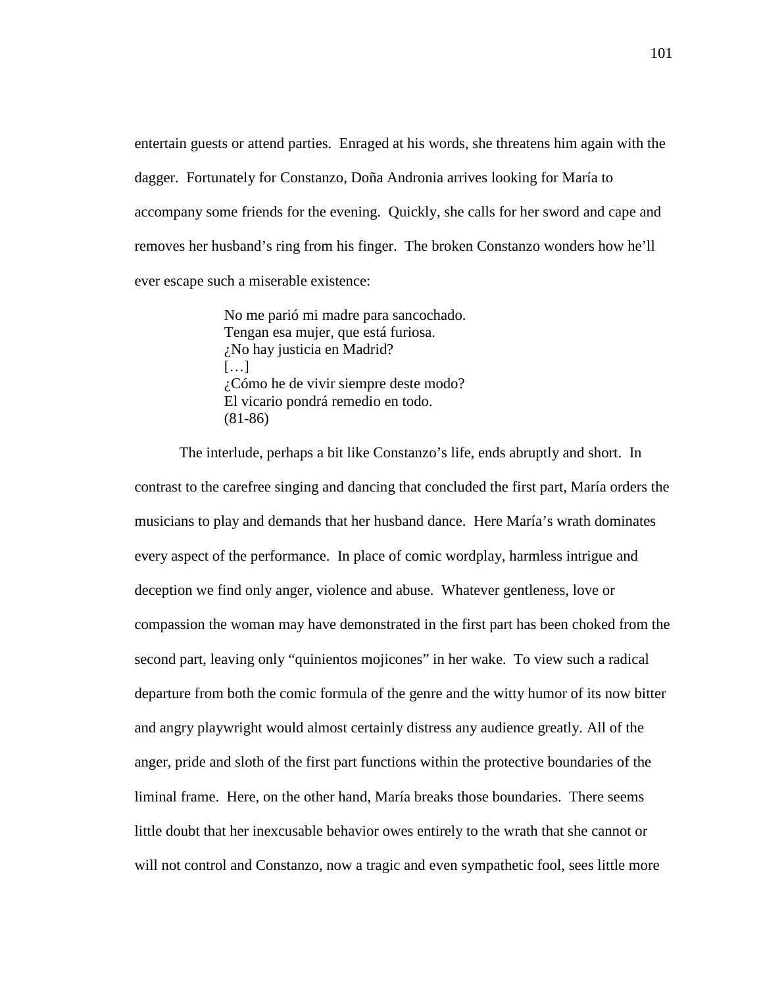entertain guests or attend parties. Enraged at his words, she threatens him again with the dagger. Fortunately for Constanzo, Doña Andronia arrives looking for María to accompany some friends for the evening. Quickly, she calls for her sword and cape and removes her husband's ring from his finger. The broken Constanzo wonders how he'll ever escape such a miserable existence:

> No me parió mi madre para sancochado. Tengan esa mujer, que está furiosa. ¿No hay justicia en Madrid? […] ¿Cómo he de vivir siempre deste modo? El vicario pondrá remedio en todo. (81-86)

 The interlude, perhaps a bit like Constanzo's life, ends abruptly and short. In contrast to the carefree singing and dancing that concluded the first part, María orders the musicians to play and demands that her husband dance. Here María's wrath dominates every aspect of the performance. In place of comic wordplay, harmless intrigue and deception we find only anger, violence and abuse. Whatever gentleness, love or compassion the woman may have demonstrated in the first part has been choked from the second part, leaving only "quinientos mojicones" in her wake. To view such a radical departure from both the comic formula of the genre and the witty humor of its now bitter and angry playwright would almost certainly distress any audience greatly. All of the anger, pride and sloth of the first part functions within the protective boundaries of the liminal frame. Here, on the other hand, María breaks those boundaries. There seems little doubt that her inexcusable behavior owes entirely to the wrath that she cannot or will not control and Constanzo, now a tragic and even sympathetic fool, sees little more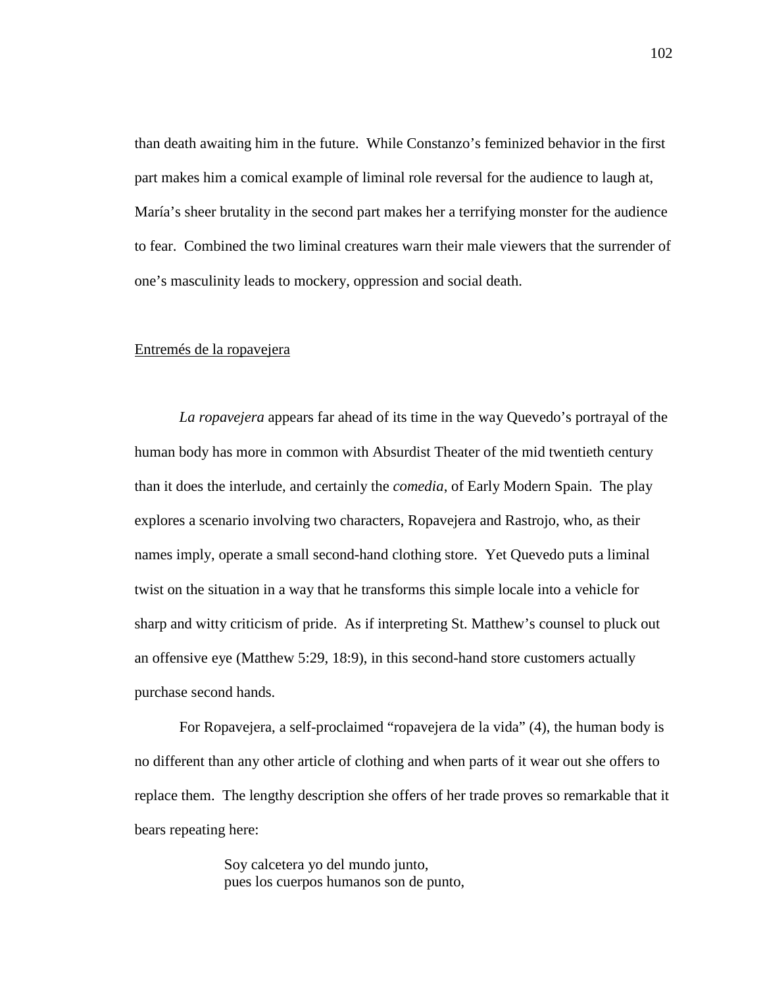than death awaiting him in the future. While Constanzo's feminized behavior in the first part makes him a comical example of liminal role reversal for the audience to laugh at, María's sheer brutality in the second part makes her a terrifying monster for the audience to fear. Combined the two liminal creatures warn their male viewers that the surrender of one's masculinity leads to mockery, oppression and social death.

## Entremés de la ropavejera

*La ropavejera* appears far ahead of its time in the way Quevedo's portrayal of the human body has more in common with Absurdist Theater of the mid twentieth century than it does the interlude, and certainly the *comedia*, of Early Modern Spain. The play explores a scenario involving two characters, Ropavejera and Rastrojo, who, as their names imply, operate a small second-hand clothing store. Yet Quevedo puts a liminal twist on the situation in a way that he transforms this simple locale into a vehicle for sharp and witty criticism of pride. As if interpreting St. Matthew's counsel to pluck out an offensive eye (Matthew 5:29, 18:9), in this second-hand store customers actually purchase second hands.

For Ropavejera, a self-proclaimed "ropavejera de la vida" (4), the human body is no different than any other article of clothing and when parts of it wear out she offers to replace them. The lengthy description she offers of her trade proves so remarkable that it bears repeating here:

> Soy calcetera yo del mundo junto, pues los cuerpos humanos son de punto,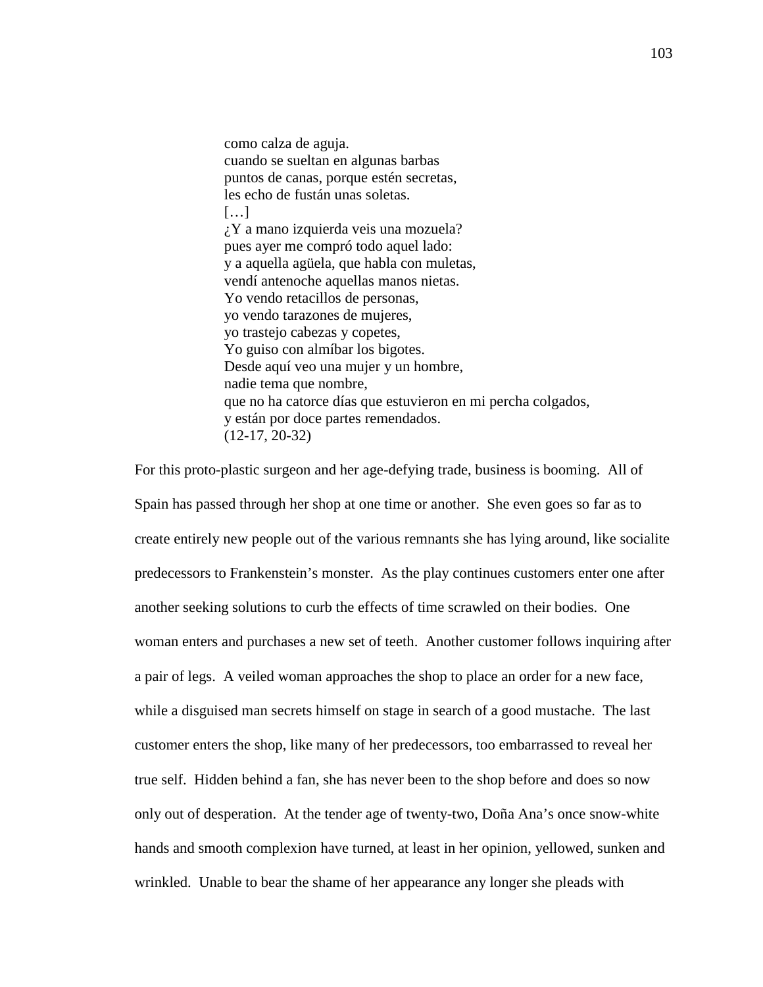como calza de aguja. cuando se sueltan en algunas barbas puntos de canas, porque estén secretas, les echo de fustán unas soletas. […] ¿Y a mano izquierda veis una mozuela? pues ayer me compró todo aquel lado: y a aquella agüela, que habla con muletas, vendí antenoche aquellas manos nietas. Yo vendo retacillos de personas, yo vendo tarazones de mujeres, yo trastejo cabezas y copetes, Yo guiso con almíbar los bigotes. Desde aquí veo una mujer y un hombre, nadie tema que nombre, que no ha catorce días que estuvieron en mi percha colgados, y están por doce partes remendados. (12-17, 20-32)

For this proto-plastic surgeon and her age-defying trade, business is booming. All of Spain has passed through her shop at one time or another. She even goes so far as to create entirely new people out of the various remnants she has lying around, like socialite predecessors to Frankenstein's monster. As the play continues customers enter one after another seeking solutions to curb the effects of time scrawled on their bodies. One woman enters and purchases a new set of teeth. Another customer follows inquiring after a pair of legs. A veiled woman approaches the shop to place an order for a new face, while a disguised man secrets himself on stage in search of a good mustache. The last customer enters the shop, like many of her predecessors, too embarrassed to reveal her true self. Hidden behind a fan, she has never been to the shop before and does so now only out of desperation. At the tender age of twenty-two, Doña Ana's once snow-white hands and smooth complexion have turned, at least in her opinion, yellowed, sunken and wrinkled. Unable to bear the shame of her appearance any longer she pleads with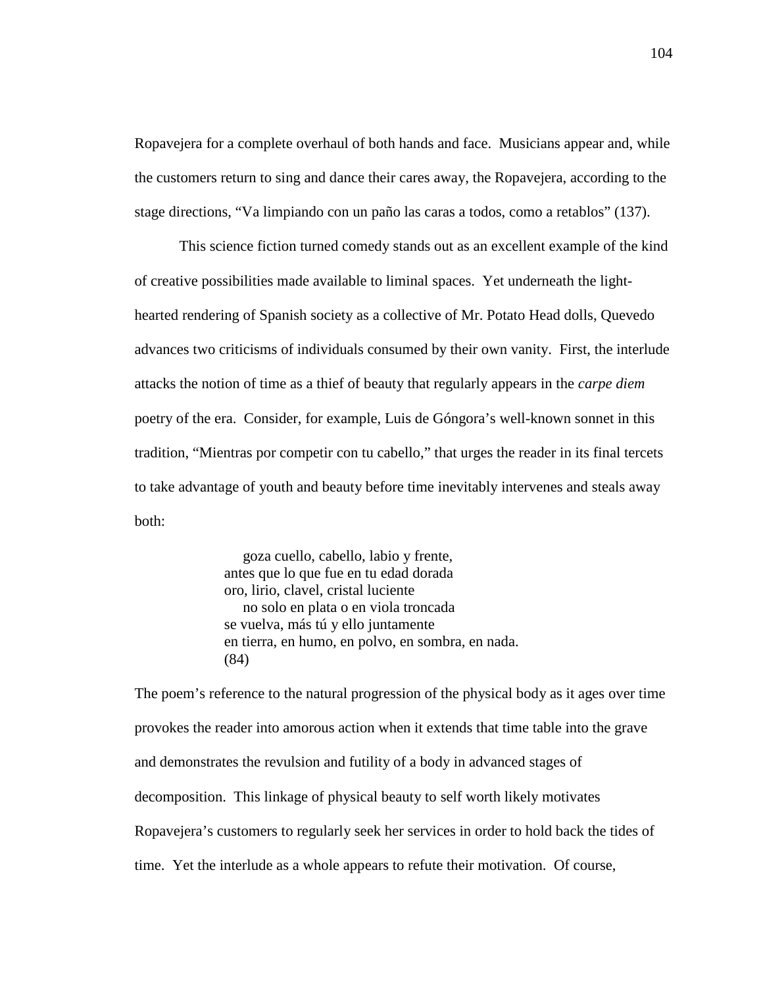Ropavejera for a complete overhaul of both hands and face. Musicians appear and, while the customers return to sing and dance their cares away, the Ropavejera, according to the stage directions, "Va limpiando con un paño las caras a todos, como a retablos" (137).

 This science fiction turned comedy stands out as an excellent example of the kind of creative possibilities made available to liminal spaces. Yet underneath the lighthearted rendering of Spanish society as a collective of Mr. Potato Head dolls, Quevedo advances two criticisms of individuals consumed by their own vanity. First, the interlude attacks the notion of time as a thief of beauty that regularly appears in the *carpe diem* poetry of the era. Consider, for example, Luis de Góngora's well-known sonnet in this tradition, "Mientras por competir con tu cabello," that urges the reader in its final tercets to take advantage of youth and beauty before time inevitably intervenes and steals away both:

> goza cuello, cabello, labio y frente, antes que lo que fue en tu edad dorada oro, lirio, clavel, cristal luciente no solo en plata o en viola troncada se vuelva, más tú y ello juntamente en tierra, en humo, en polvo, en sombra, en nada. (84)

The poem's reference to the natural progression of the physical body as it ages over time provokes the reader into amorous action when it extends that time table into the grave and demonstrates the revulsion and futility of a body in advanced stages of decomposition. This linkage of physical beauty to self worth likely motivates Ropavejera's customers to regularly seek her services in order to hold back the tides of time. Yet the interlude as a whole appears to refute their motivation. Of course,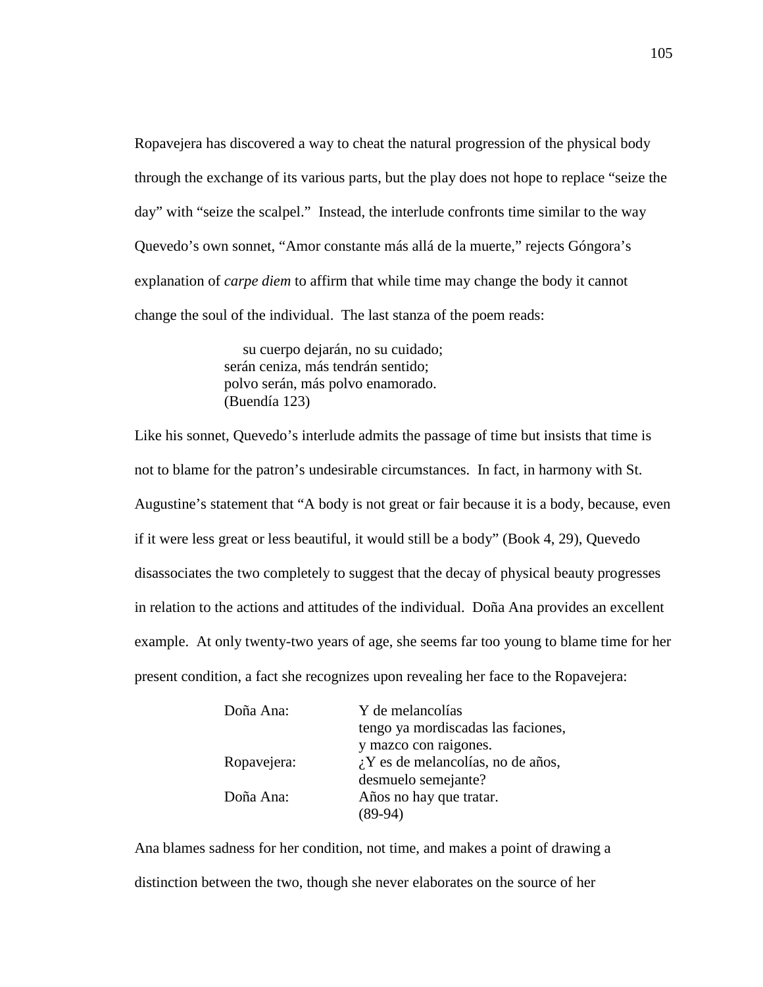Ropavejera has discovered a way to cheat the natural progression of the physical body through the exchange of its various parts, but the play does not hope to replace "seize the day" with "seize the scalpel." Instead, the interlude confronts time similar to the way Quevedo's own sonnet, "Amor constante más allá de la muerte," rejects Góngora's explanation of *carpe diem* to affirm that while time may change the body it cannot change the soul of the individual. The last stanza of the poem reads:

> su cuerpo dejarán, no su cuidado; serán ceniza, más tendrán sentido; polvo serán, más polvo enamorado. (Buendía 123)

Like his sonnet, Quevedo's interlude admits the passage of time but insists that time is not to blame for the patron's undesirable circumstances. In fact, in harmony with St. Augustine's statement that "A body is not great or fair because it is a body, because, even if it were less great or less beautiful, it would still be a body" (Book 4, 29), Quevedo disassociates the two completely to suggest that the decay of physical beauty progresses in relation to the actions and attitudes of the individual. Doña Ana provides an excellent example. At only twenty-two years of age, she seems far too young to blame time for her present condition, a fact she recognizes upon revealing her face to the Ropavejera:

| Doña Ana:   | Y de melancolías                       |
|-------------|----------------------------------------|
|             | tengo ya mordiscadas las faciones,     |
|             | y mazco con raigones.                  |
| Ropavejera: | $i$ , Y es de melancolías, no de años, |
|             | desmuelo semejante?                    |
| Doña Ana:   | Años no hay que tratar.                |
|             | (89-94)                                |

Ana blames sadness for her condition, not time, and makes a point of drawing a distinction between the two, though she never elaborates on the source of her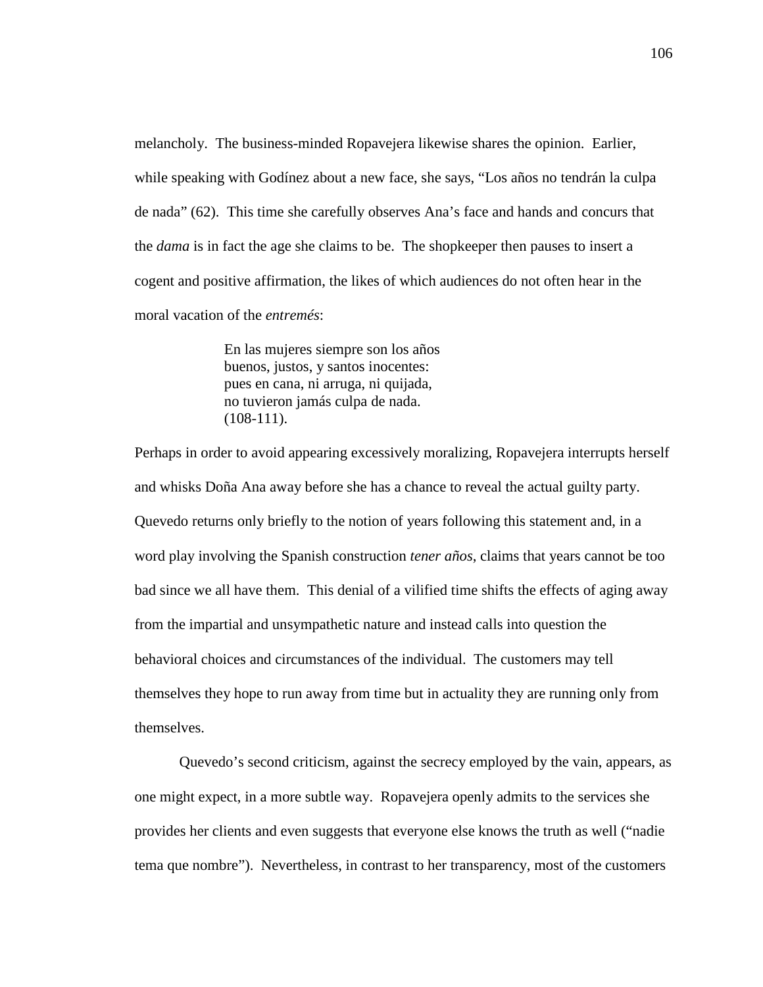melancholy. The business-minded Ropavejera likewise shares the opinion. Earlier, while speaking with Godínez about a new face, she says, "Los años no tendrán la culpa de nada" (62). This time she carefully observes Ana's face and hands and concurs that the *dama* is in fact the age she claims to be. The shopkeeper then pauses to insert a cogent and positive affirmation, the likes of which audiences do not often hear in the moral vacation of the *entremés*:

> En las mujeres siempre son los años buenos, justos, y santos inocentes: pues en cana, ni arruga, ni quijada, no tuvieron jamás culpa de nada. (108-111).

Perhaps in order to avoid appearing excessively moralizing, Ropavejera interrupts herself and whisks Doña Ana away before she has a chance to reveal the actual guilty party. Quevedo returns only briefly to the notion of years following this statement and, in a word play involving the Spanish construction *tener años*, claims that years cannot be too bad since we all have them. This denial of a vilified time shifts the effects of aging away from the impartial and unsympathetic nature and instead calls into question the behavioral choices and circumstances of the individual. The customers may tell themselves they hope to run away from time but in actuality they are running only from themselves.

 Quevedo's second criticism, against the secrecy employed by the vain, appears, as one might expect, in a more subtle way. Ropavejera openly admits to the services she provides her clients and even suggests that everyone else knows the truth as well ("nadie tema que nombre"). Nevertheless, in contrast to her transparency, most of the customers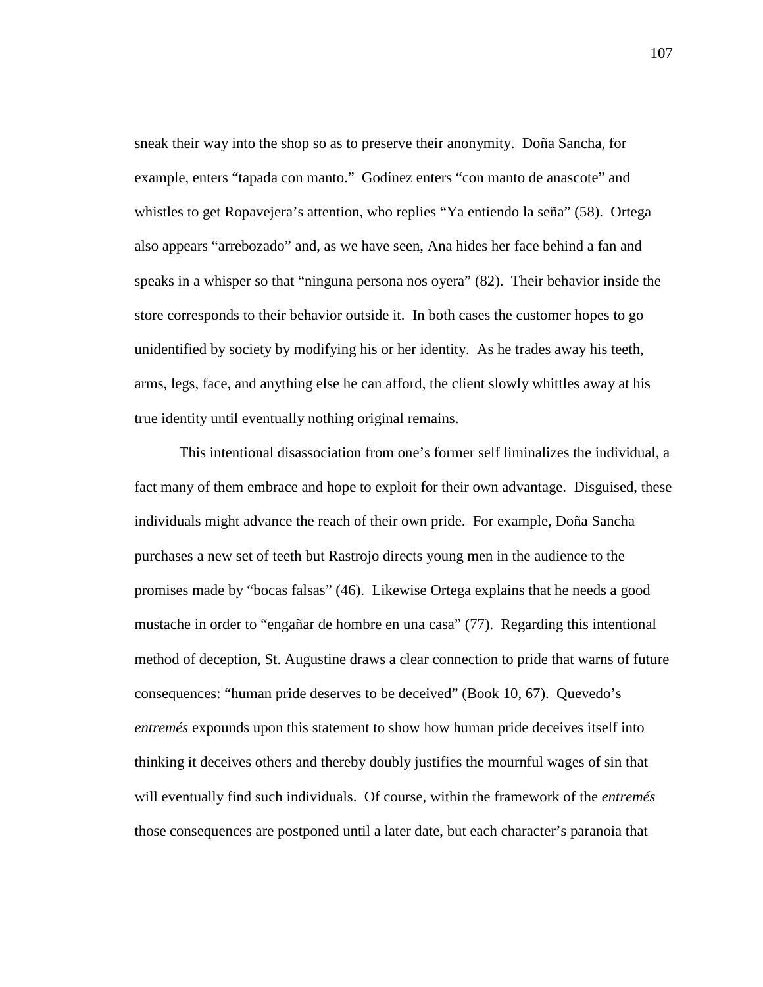sneak their way into the shop so as to preserve their anonymity. Doña Sancha, for example, enters "tapada con manto." Godínez enters "con manto de anascote" and whistles to get Ropavejera's attention, who replies "Ya entiendo la seña" (58). Ortega also appears "arrebozado" and, as we have seen, Ana hides her face behind a fan and speaks in a whisper so that "ninguna persona nos oyera" (82). Their behavior inside the store corresponds to their behavior outside it. In both cases the customer hopes to go unidentified by society by modifying his or her identity. As he trades away his teeth, arms, legs, face, and anything else he can afford, the client slowly whittles away at his true identity until eventually nothing original remains.

This intentional disassociation from one's former self liminalizes the individual, a fact many of them embrace and hope to exploit for their own advantage. Disguised, these individuals might advance the reach of their own pride. For example, Doña Sancha purchases a new set of teeth but Rastrojo directs young men in the audience to the promises made by "bocas falsas" (46). Likewise Ortega explains that he needs a good mustache in order to "engañar de hombre en una casa" (77). Regarding this intentional method of deception, St. Augustine draws a clear connection to pride that warns of future consequences: "human pride deserves to be deceived" (Book 10, 67). Quevedo's *entremés* expounds upon this statement to show how human pride deceives itself into thinking it deceives others and thereby doubly justifies the mournful wages of sin that will eventually find such individuals. Of course, within the framework of the *entremés* those consequences are postponed until a later date, but each character's paranoia that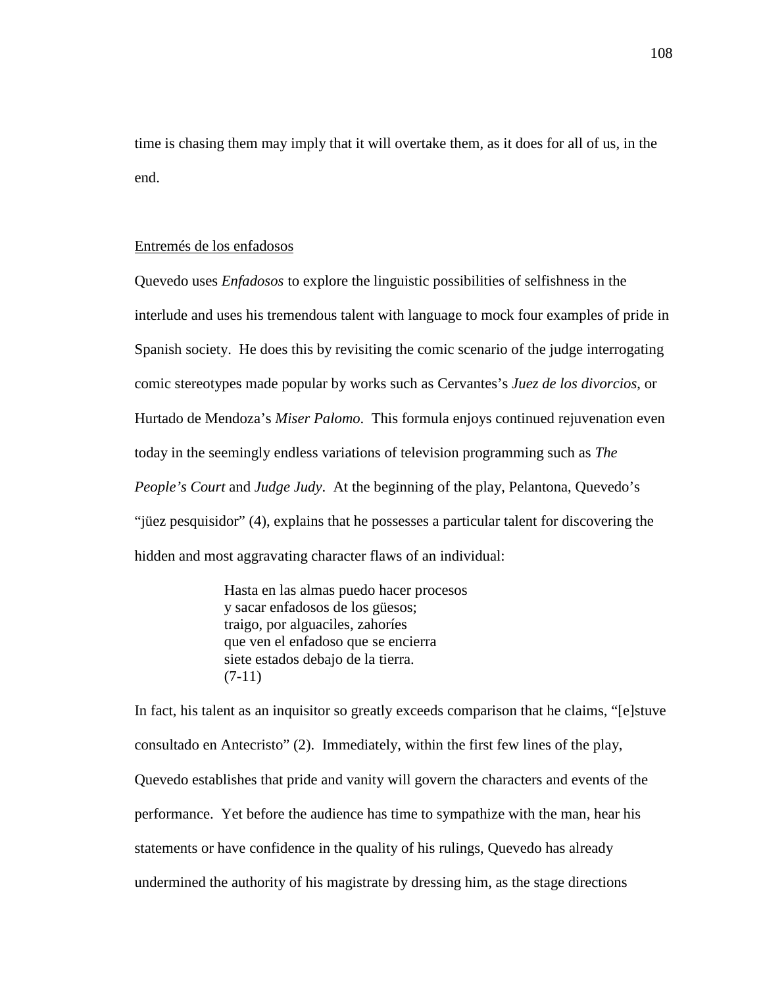time is chasing them may imply that it will overtake them, as it does for all of us, in the end.

## Entremés de los enfadosos

Quevedo uses *Enfadosos* to explore the linguistic possibilities of selfishness in the interlude and uses his tremendous talent with language to mock four examples of pride in Spanish society. He does this by revisiting the comic scenario of the judge interrogating comic stereotypes made popular by works such as Cervantes's *Juez de los divorcios*, or Hurtado de Mendoza's *Miser Palomo*. This formula enjoys continued rejuvenation even today in the seemingly endless variations of television programming such as *The People's Court* and *Judge Judy*. At the beginning of the play, Pelantona, Quevedo's "jüez pesquisidor" (4), explains that he possesses a particular talent for discovering the hidden and most aggravating character flaws of an individual:

> Hasta en las almas puedo hacer procesos y sacar enfadosos de los güesos; traigo, por alguaciles, zahoríes que ven el enfadoso que se encierra siete estados debajo de la tierra.  $(7-11)$

In fact, his talent as an inquisitor so greatly exceeds comparison that he claims, "[e]stuve consultado en Antecristo" (2). Immediately, within the first few lines of the play, Quevedo establishes that pride and vanity will govern the characters and events of the performance. Yet before the audience has time to sympathize with the man, hear his statements or have confidence in the quality of his rulings, Quevedo has already undermined the authority of his magistrate by dressing him, as the stage directions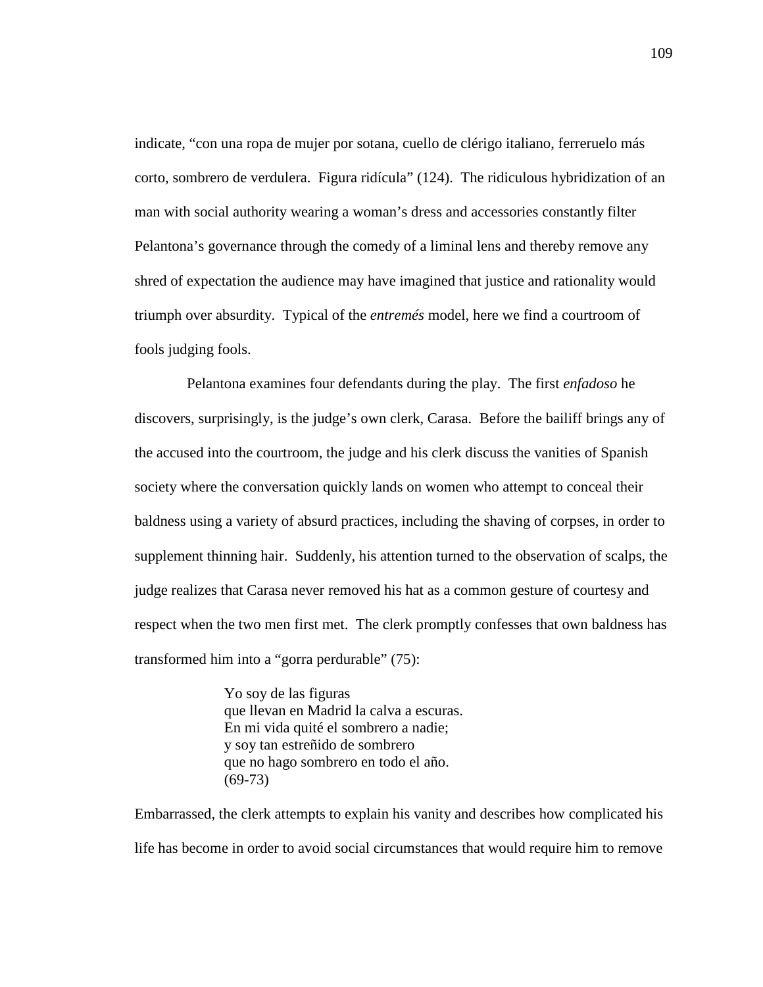indicate, "con una ropa de mujer por sotana, cuello de clérigo italiano, ferreruelo más corto, sombrero de verdulera. Figura ridícula" (124). The ridiculous hybridization of an man with social authority wearing a woman's dress and accessories constantly filter Pelantona's governance through the comedy of a liminal lens and thereby remove any shred of expectation the audience may have imagined that justice and rationality would triumph over absurdity. Typical of the *entremés* model, here we find a courtroom of fools judging fools.

 Pelantona examines four defendants during the play. The first *enfadoso* he discovers, surprisingly, is the judge's own clerk, Carasa. Before the bailiff brings any of the accused into the courtroom, the judge and his clerk discuss the vanities of Spanish society where the conversation quickly lands on women who attempt to conceal their baldness using a variety of absurd practices, including the shaving of corpses, in order to supplement thinning hair. Suddenly, his attention turned to the observation of scalps, the judge realizes that Carasa never removed his hat as a common gesture of courtesy and respect when the two men first met. The clerk promptly confesses that own baldness has transformed him into a "gorra perdurable" (75):

> Yo soy de las figuras que llevan en Madrid la calva a escuras. En mi vida quité el sombrero a nadie; y soy tan estreñido de sombrero que no hago sombrero en todo el año. (69-73)

Embarrassed, the clerk attempts to explain his vanity and describes how complicated his life has become in order to avoid social circumstances that would require him to remove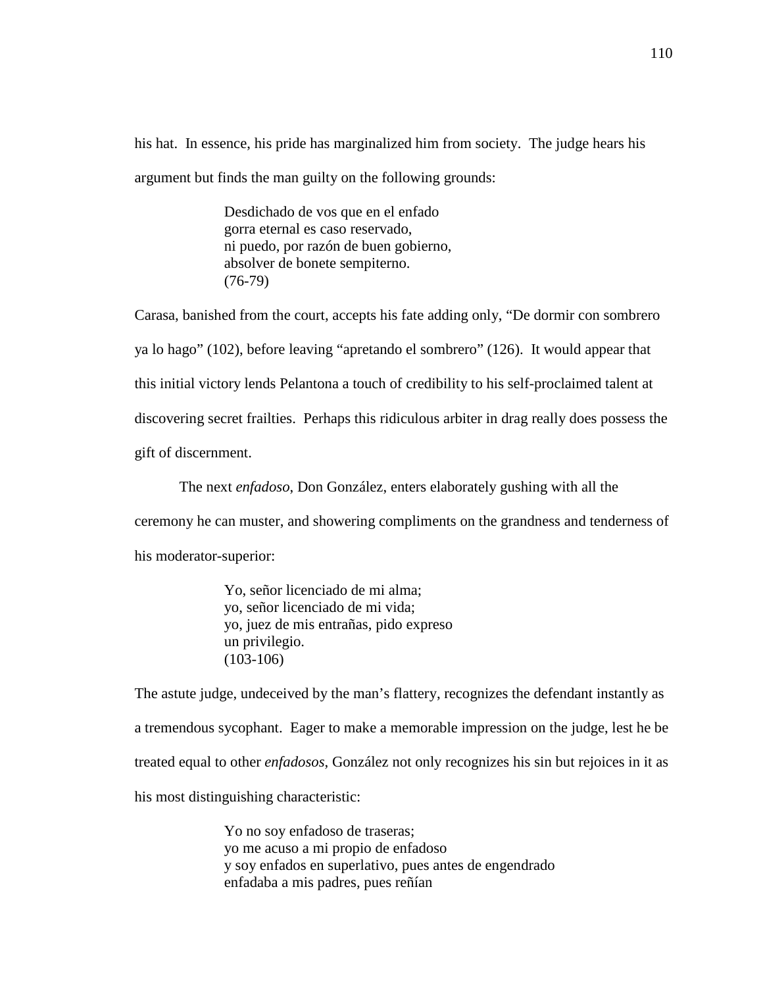his hat. In essence, his pride has marginalized him from society. The judge hears his argument but finds the man guilty on the following grounds:

> Desdichado de vos que en el enfado gorra eternal es caso reservado, ni puedo, por razón de buen gobierno, absolver de bonete sempiterno. (76-79)

Carasa, banished from the court, accepts his fate adding only, "De dormir con sombrero ya lo hago" (102), before leaving "apretando el sombrero" (126). It would appear that this initial victory lends Pelantona a touch of credibility to his self-proclaimed talent at discovering secret frailties. Perhaps this ridiculous arbiter in drag really does possess the gift of discernment.

 The next *enfadoso*, Don González, enters elaborately gushing with all the ceremony he can muster, and showering compliments on the grandness and tenderness of his moderator-superior:

> Yo, señor licenciado de mi alma; yo, señor licenciado de mi vida; yo, juez de mis entrañas, pido expreso un privilegio. (103-106)

The astute judge, undeceived by the man's flattery, recognizes the defendant instantly as a tremendous sycophant. Eager to make a memorable impression on the judge, lest he be treated equal to other *enfadosos*, González not only recognizes his sin but rejoices in it as his most distinguishing characteristic:

> Yo no soy enfadoso de traseras; yo me acuso a mi propio de enfadoso y soy enfados en superlativo, pues antes de engendrado enfadaba a mis padres, pues reñían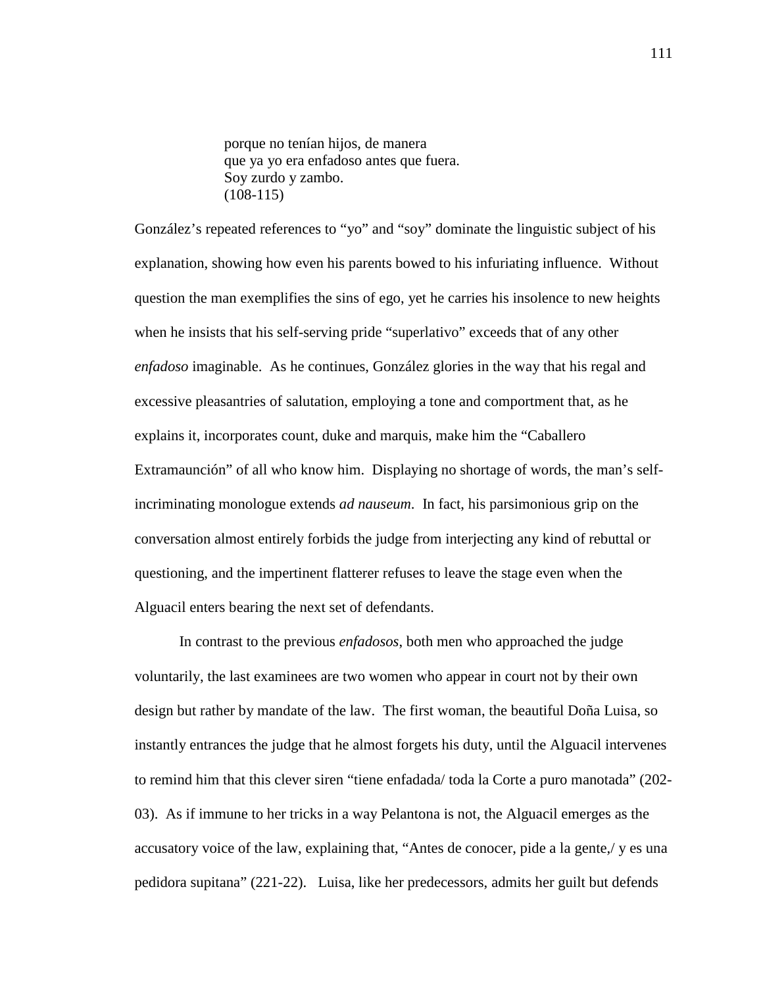porque no tenían hijos, de manera que ya yo era enfadoso antes que fuera. Soy zurdo y zambo. (108-115)

González's repeated references to "yo" and "soy" dominate the linguistic subject of his explanation, showing how even his parents bowed to his infuriating influence. Without question the man exemplifies the sins of ego, yet he carries his insolence to new heights when he insists that his self-serving pride "superlativo" exceeds that of any other *enfadoso* imaginable. As he continues, González glories in the way that his regal and excessive pleasantries of salutation, employing a tone and comportment that, as he explains it, incorporates count, duke and marquis, make him the "Caballero Extramaunción" of all who know him. Displaying no shortage of words, the man's selfincriminating monologue extends *ad nauseum*. In fact, his parsimonious grip on the conversation almost entirely forbids the judge from interjecting any kind of rebuttal or questioning, and the impertinent flatterer refuses to leave the stage even when the Alguacil enters bearing the next set of defendants.

 In contrast to the previous *enfadosos*, both men who approached the judge voluntarily, the last examinees are two women who appear in court not by their own design but rather by mandate of the law. The first woman, the beautiful Doña Luisa, so instantly entrances the judge that he almost forgets his duty, until the Alguacil intervenes to remind him that this clever siren "tiene enfadada/ toda la Corte a puro manotada" (202- 03). As if immune to her tricks in a way Pelantona is not, the Alguacil emerges as the accusatory voice of the law, explaining that, "Antes de conocer, pide a la gente,/ y es una pedidora supitana" (221-22). Luisa, like her predecessors, admits her guilt but defends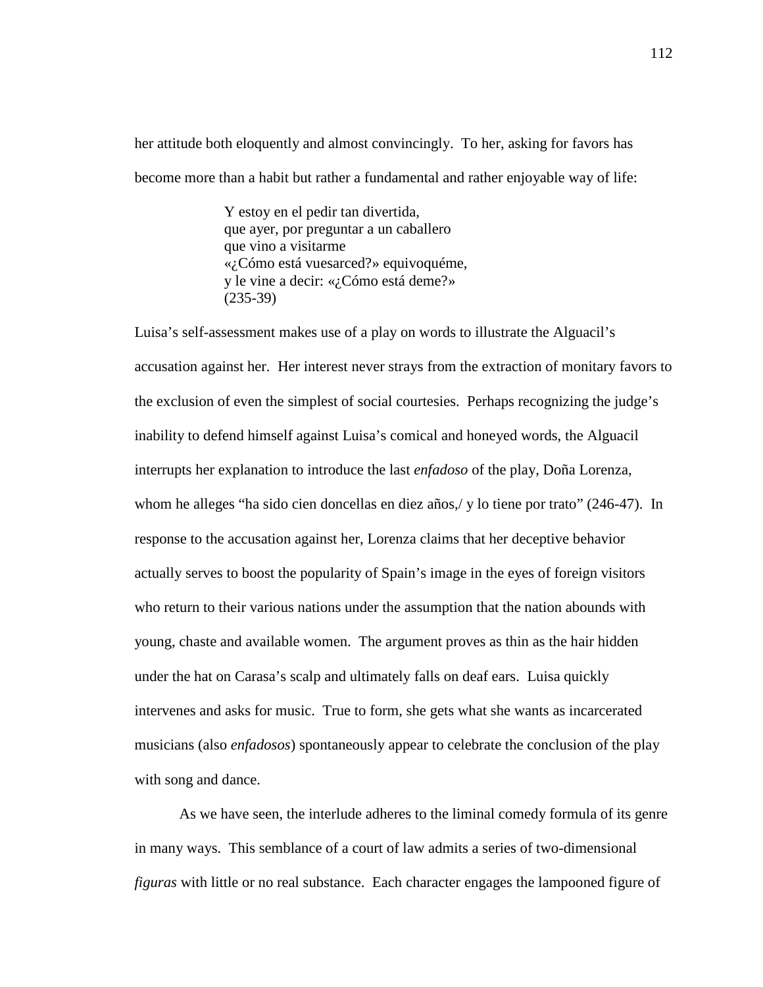her attitude both eloquently and almost convincingly. To her, asking for favors has become more than a habit but rather a fundamental and rather enjoyable way of life:

> Y estoy en el pedir tan divertida, que ayer, por preguntar a un caballero que vino a visitarme «¿Cómo está vuesarced?» equivoquéme, y le vine a decir: «¿Cómo está deme?» (235-39)

Luisa's self-assessment makes use of a play on words to illustrate the Alguacil's accusation against her. Her interest never strays from the extraction of monitary favors to the exclusion of even the simplest of social courtesies. Perhaps recognizing the judge's inability to defend himself against Luisa's comical and honeyed words, the Alguacil interrupts her explanation to introduce the last *enfadoso* of the play, Doña Lorenza, whom he alleges "ha sido cien doncellas en diez años,/ y lo tiene por trato" (246-47). In response to the accusation against her, Lorenza claims that her deceptive behavior actually serves to boost the popularity of Spain's image in the eyes of foreign visitors who return to their various nations under the assumption that the nation abounds with young, chaste and available women. The argument proves as thin as the hair hidden under the hat on Carasa's scalp and ultimately falls on deaf ears. Luisa quickly intervenes and asks for music. True to form, she gets what she wants as incarcerated musicians (also *enfadosos*) spontaneously appear to celebrate the conclusion of the play with song and dance.

 As we have seen, the interlude adheres to the liminal comedy formula of its genre in many ways. This semblance of a court of law admits a series of two-dimensional *figuras* with little or no real substance. Each character engages the lampooned figure of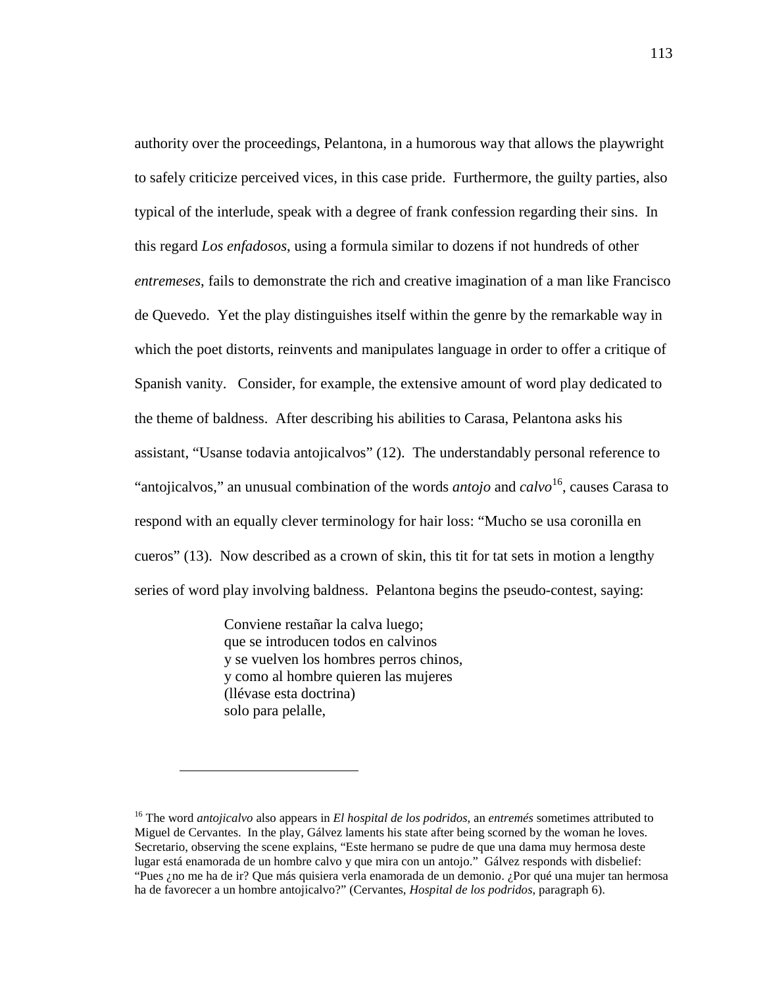authority over the proceedings, Pelantona, in a humorous way that allows the playwright to safely criticize perceived vices, in this case pride. Furthermore, the guilty parties, also typical of the interlude, speak with a degree of frank confession regarding their sins. In this regard *Los enfadosos*, using a formula similar to dozens if not hundreds of other *entremeses*, fails to demonstrate the rich and creative imagination of a man like Francisco de Quevedo. Yet the play distinguishes itself within the genre by the remarkable way in which the poet distorts, reinvents and manipulates language in order to offer a critique of Spanish vanity. Consider, for example, the extensive amount of word play dedicated to the theme of baldness. After describing his abilities to Carasa, Pelantona asks his assistant, "Usanse todavia antojicalvos" (12). The understandably personal reference to "antojicalvos," an unusual combination of the words *antojo* and *calvo*<sup>16</sup>, causes Carasa to respond with an equally clever terminology for hair loss: "Mucho se usa coronilla en cueros" (13). Now described as a crown of skin, this tit for tat sets in motion a lengthy series of word play involving baldness. Pelantona begins the pseudo-contest, saying:

> Conviene restañar la calva luego; que se introducen todos en calvinos y se vuelven los hombres perros chinos, y como al hombre quieren las mujeres (llévase esta doctrina) solo para pelalle,

 $\overline{a}$ 

<sup>16</sup> The word *antojicalvo* also appears in *El hospital de los podridos*, an *entremés* sometimes attributed to Miguel de Cervantes. In the play, Gálvez laments his state after being scorned by the woman he loves. Secretario, observing the scene explains, "Este hermano se pudre de que una dama muy hermosa deste lugar está enamorada de un hombre calvo y que mira con un antojo." Gálvez responds with disbelief: "Pues ¿no me ha de ir? Que más quisiera verla enamorada de un demonio. ¿Por qué una mujer tan hermosa ha de favorecer a un hombre antojicalvo?" (Cervantes, *Hospital de los podridos*, paragraph 6).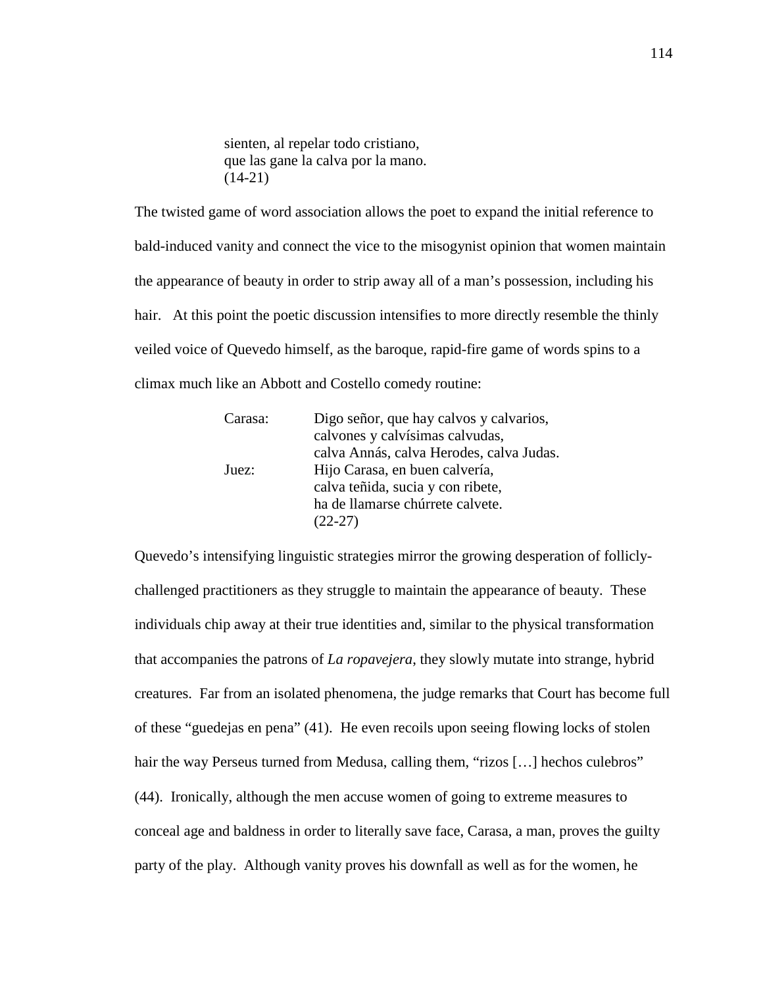sienten, al repelar todo cristiano, que las gane la calva por la mano.  $(14-21)$ 

The twisted game of word association allows the poet to expand the initial reference to bald-induced vanity and connect the vice to the misogynist opinion that women maintain the appearance of beauty in order to strip away all of a man's possession, including his hair. At this point the poetic discussion intensifies to more directly resemble the thinly veiled voice of Quevedo himself, as the baroque, rapid-fire game of words spins to a climax much like an Abbott and Costello comedy routine:

| Carasa: | Digo señor, que hay calvos y calvarios,  |
|---------|------------------------------------------|
|         | calvones y calvísimas calvudas,          |
|         | calva Annás, calva Herodes, calva Judas. |
| Juez:   | Hijo Carasa, en buen calvería,           |
|         | calva teñida, sucia y con ribete,        |
|         | ha de llamarse chúrrete calvete.         |
|         | $(22-27)$                                |

Quevedo's intensifying linguistic strategies mirror the growing desperation of folliclychallenged practitioners as they struggle to maintain the appearance of beauty. These individuals chip away at their true identities and, similar to the physical transformation that accompanies the patrons of *La ropavejera*, they slowly mutate into strange, hybrid creatures. Far from an isolated phenomena, the judge remarks that Court has become full of these "guedejas en pena" (41). He even recoils upon seeing flowing locks of stolen hair the way Perseus turned from Medusa, calling them, "rizos [...] hechos culebros" (44). Ironically, although the men accuse women of going to extreme measures to conceal age and baldness in order to literally save face, Carasa, a man, proves the guilty party of the play. Although vanity proves his downfall as well as for the women, he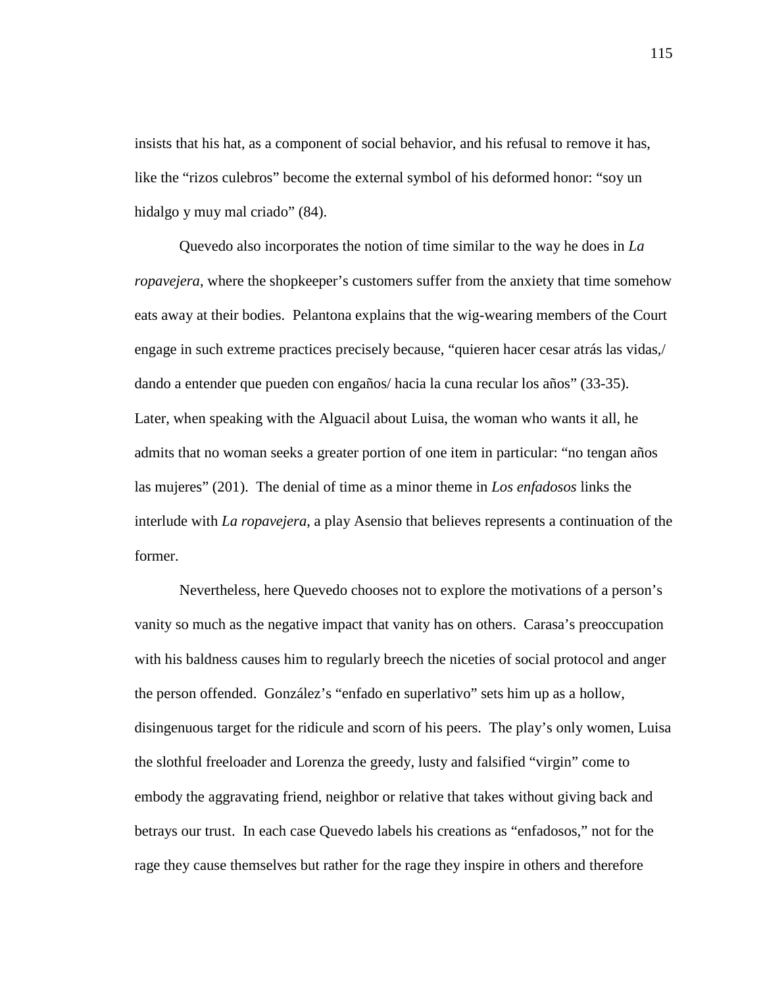insists that his hat, as a component of social behavior, and his refusal to remove it has, like the "rizos culebros" become the external symbol of his deformed honor: "soy un hidalgo y muy mal criado" (84).

Quevedo also incorporates the notion of time similar to the way he does in *La ropavejera*, where the shopkeeper's customers suffer from the anxiety that time somehow eats away at their bodies. Pelantona explains that the wig-wearing members of the Court engage in such extreme practices precisely because, "quieren hacer cesar atrás las vidas,/ dando a entender que pueden con engaños/ hacia la cuna recular los años" (33-35). Later, when speaking with the Alguacil about Luisa, the woman who wants it all, he admits that no woman seeks a greater portion of one item in particular: "no tengan años las mujeres" (201). The denial of time as a minor theme in *Los enfadosos* links the interlude with *La ropavejera*, a play Asensio that believes represents a continuation of the former.

Nevertheless, here Quevedo chooses not to explore the motivations of a person's vanity so much as the negative impact that vanity has on others. Carasa's preoccupation with his baldness causes him to regularly breech the niceties of social protocol and anger the person offended. González's "enfado en superlativo" sets him up as a hollow, disingenuous target for the ridicule and scorn of his peers. The play's only women, Luisa the slothful freeloader and Lorenza the greedy, lusty and falsified "virgin" come to embody the aggravating friend, neighbor or relative that takes without giving back and betrays our trust. In each case Quevedo labels his creations as "enfadosos," not for the rage they cause themselves but rather for the rage they inspire in others and therefore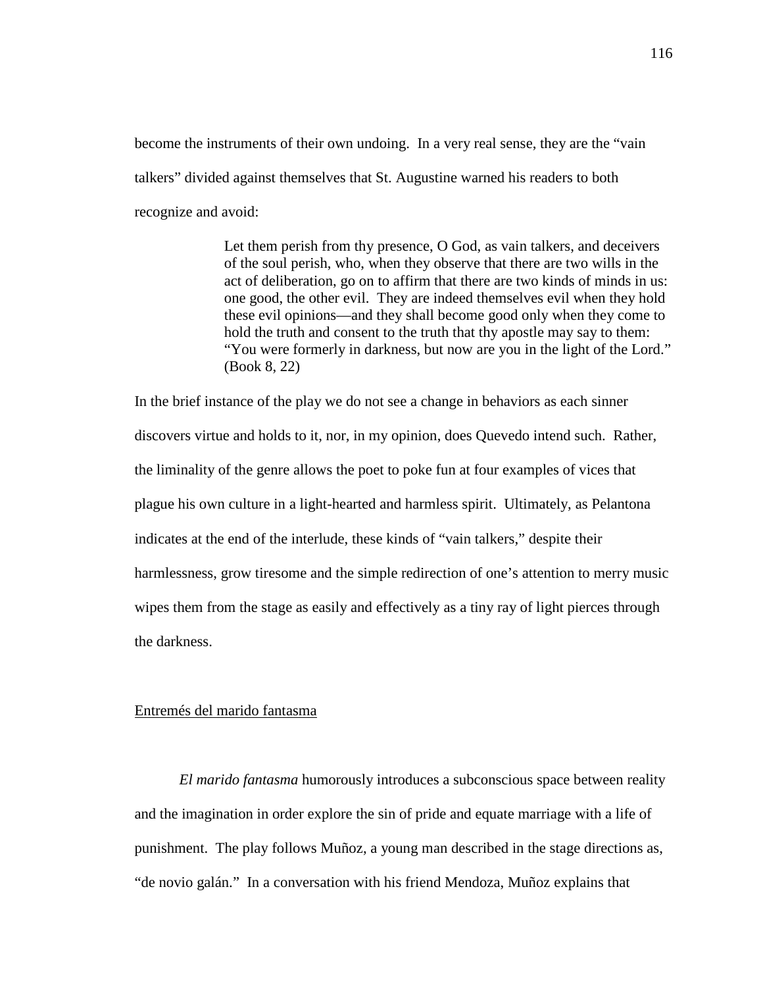become the instruments of their own undoing. In a very real sense, they are the "vain talkers" divided against themselves that St. Augustine warned his readers to both recognize and avoid:

> Let them perish from thy presence, O God, as vain talkers, and deceivers of the soul perish, who, when they observe that there are two wills in the act of deliberation, go on to affirm that there are two kinds of minds in us: one good, the other evil. They are indeed themselves evil when they hold these evil opinions—and they shall become good only when they come to hold the truth and consent to the truth that thy apostle may say to them: "You were formerly in darkness, but now are you in the light of the Lord." (Book 8, 22)

In the brief instance of the play we do not see a change in behaviors as each sinner discovers virtue and holds to it, nor, in my opinion, does Quevedo intend such. Rather, the liminality of the genre allows the poet to poke fun at four examples of vices that plague his own culture in a light-hearted and harmless spirit. Ultimately, as Pelantona indicates at the end of the interlude, these kinds of "vain talkers," despite their harmlessness, grow tiresome and the simple redirection of one's attention to merry music wipes them from the stage as easily and effectively as a tiny ray of light pierces through the darkness.

#### Entremés del marido fantasma

*El marido fantasma* humorously introduces a subconscious space between reality and the imagination in order explore the sin of pride and equate marriage with a life of punishment. The play follows Muñoz, a young man described in the stage directions as, "de novio galán." In a conversation with his friend Mendoza, Muñoz explains that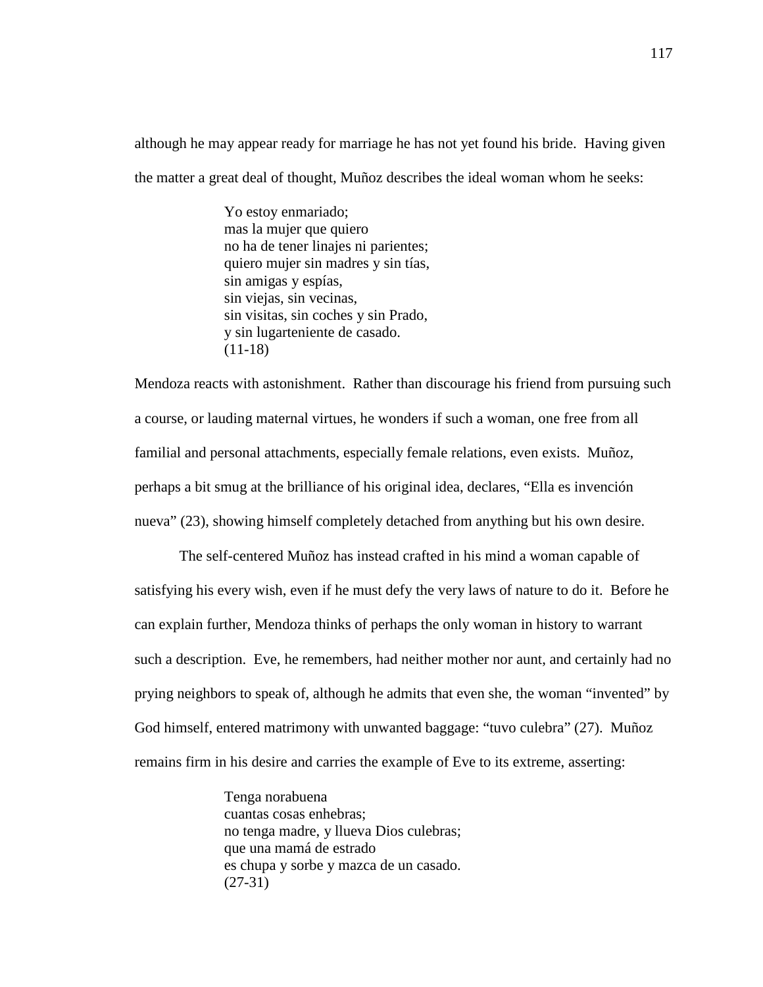although he may appear ready for marriage he has not yet found his bride. Having given the matter a great deal of thought, Muñoz describes the ideal woman whom he seeks:

> Yo estoy enmariado; mas la mujer que quiero no ha de tener linajes ni parientes; quiero mujer sin madres y sin tías, sin amigas y espías, sin viejas, sin vecinas, sin visitas, sin coches y sin Prado, y sin lugarteniente de casado. (11-18)

Mendoza reacts with astonishment. Rather than discourage his friend from pursuing such a course, or lauding maternal virtues, he wonders if such a woman, one free from all familial and personal attachments, especially female relations, even exists. Muñoz, perhaps a bit smug at the brilliance of his original idea, declares, "Ella es invención nueva" (23), showing himself completely detached from anything but his own desire.

The self-centered Muñoz has instead crafted in his mind a woman capable of satisfying his every wish, even if he must defy the very laws of nature to do it. Before he can explain further, Mendoza thinks of perhaps the only woman in history to warrant such a description. Eve, he remembers, had neither mother nor aunt, and certainly had no prying neighbors to speak of, although he admits that even she, the woman "invented" by God himself, entered matrimony with unwanted baggage: "tuvo culebra" (27). Muñoz remains firm in his desire and carries the example of Eve to its extreme, asserting:

> Tenga norabuena cuantas cosas enhebras; no tenga madre, y llueva Dios culebras; que una mamá de estrado es chupa y sorbe y mazca de un casado. (27-31)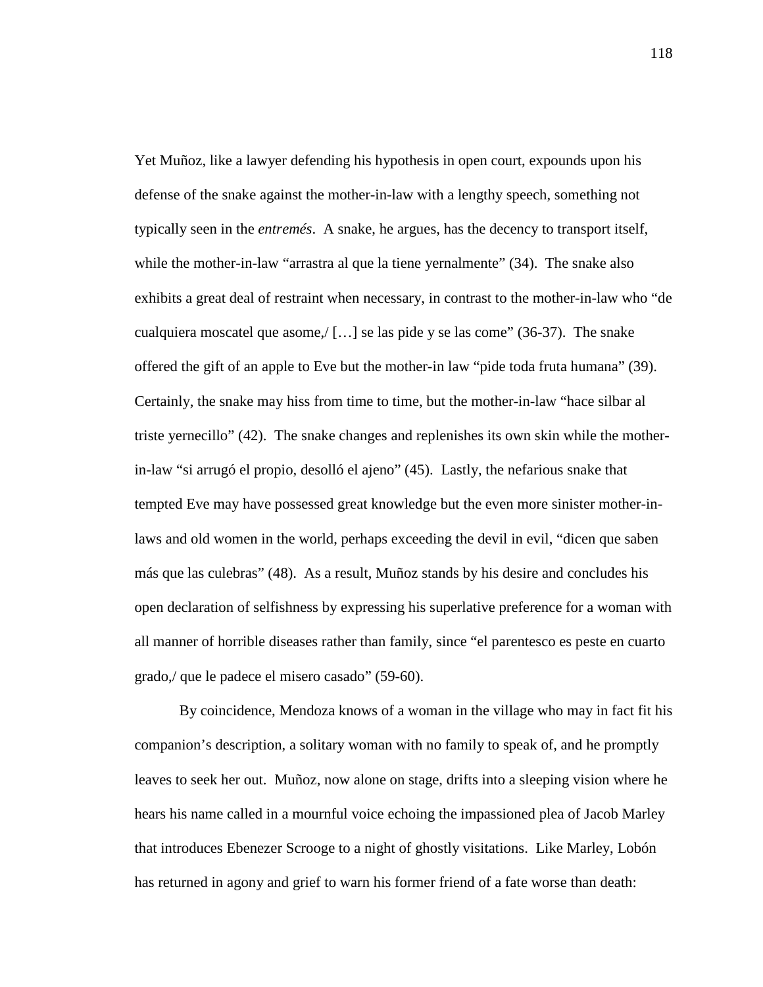Yet Muñoz, like a lawyer defending his hypothesis in open court, expounds upon his defense of the snake against the mother-in-law with a lengthy speech, something not typically seen in the *entremés*. A snake, he argues, has the decency to transport itself, while the mother-in-law "arrastra al que la tiene yernalmente" (34). The snake also exhibits a great deal of restraint when necessary, in contrast to the mother-in-law who "de cualquiera moscatel que asome,  $[...]$  se las pide y se las come" (36-37). The snake offered the gift of an apple to Eve but the mother-in law "pide toda fruta humana" (39). Certainly, the snake may hiss from time to time, but the mother-in-law "hace silbar al triste yernecillo" (42). The snake changes and replenishes its own skin while the motherin-law "si arrugó el propio, desolló el ajeno" (45). Lastly, the nefarious snake that tempted Eve may have possessed great knowledge but the even more sinister mother-inlaws and old women in the world, perhaps exceeding the devil in evil, "dicen que saben más que las culebras" (48). As a result, Muñoz stands by his desire and concludes his open declaration of selfishness by expressing his superlative preference for a woman with all manner of horrible diseases rather than family, since "el parentesco es peste en cuarto grado,/ que le padece el misero casado" (59-60).

 By coincidence, Mendoza knows of a woman in the village who may in fact fit his companion's description, a solitary woman with no family to speak of, and he promptly leaves to seek her out. Muñoz, now alone on stage, drifts into a sleeping vision where he hears his name called in a mournful voice echoing the impassioned plea of Jacob Marley that introduces Ebenezer Scrooge to a night of ghostly visitations. Like Marley, Lobón has returned in agony and grief to warn his former friend of a fate worse than death: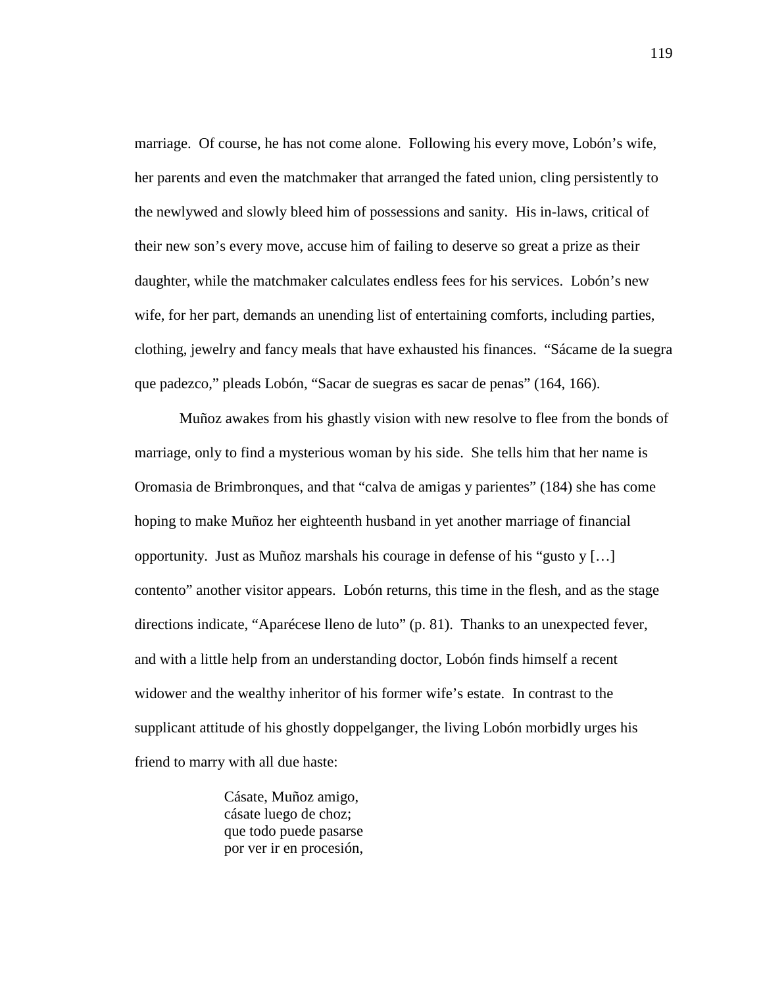marriage. Of course, he has not come alone. Following his every move, Lobón's wife, her parents and even the matchmaker that arranged the fated union, cling persistently to the newlywed and slowly bleed him of possessions and sanity. His in-laws, critical of their new son's every move, accuse him of failing to deserve so great a prize as their daughter, while the matchmaker calculates endless fees for his services. Lobón's new wife, for her part, demands an unending list of entertaining comforts, including parties, clothing, jewelry and fancy meals that have exhausted his finances. "Sácame de la suegra que padezco," pleads Lobón, "Sacar de suegras es sacar de penas" (164, 166).

 Muñoz awakes from his ghastly vision with new resolve to flee from the bonds of marriage, only to find a mysterious woman by his side. She tells him that her name is Oromasia de Brimbronques, and that "calva de amigas y parientes" (184) she has come hoping to make Muñoz her eighteenth husband in yet another marriage of financial opportunity. Just as Muñoz marshals his courage in defense of his "gusto y […] contento" another visitor appears. Lobón returns, this time in the flesh, and as the stage directions indicate, "Aparécese lleno de luto" (p. 81). Thanks to an unexpected fever, and with a little help from an understanding doctor, Lobón finds himself a recent widower and the wealthy inheritor of his former wife's estate. In contrast to the supplicant attitude of his ghostly doppelganger, the living Lobón morbidly urges his friend to marry with all due haste:

> Cásate, Muñoz amigo, cásate luego de choz; que todo puede pasarse por ver ir en procesión,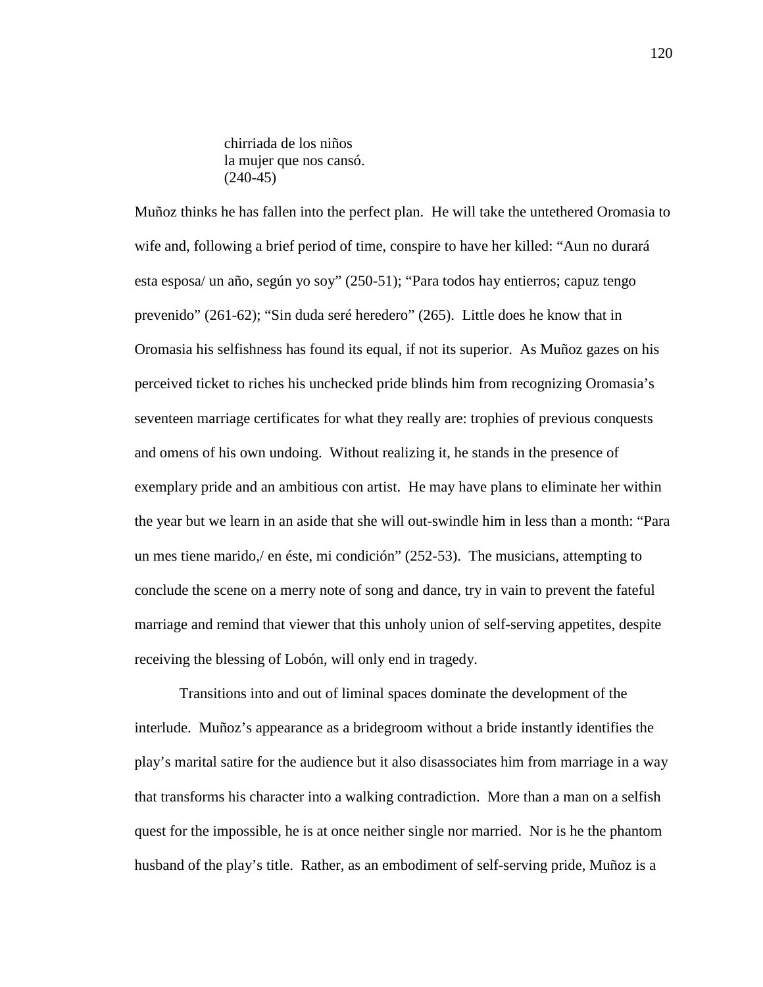chirriada de los niños la mujer que nos cansó. (240-45)

Muñoz thinks he has fallen into the perfect plan. He will take the untethered Oromasia to wife and, following a brief period of time, conspire to have her killed: "Aun no durará esta esposa/ un año, según yo soy" (250-51); "Para todos hay entierros; capuz tengo prevenido" (261-62); "Sin duda seré heredero" (265). Little does he know that in Oromasia his selfishness has found its equal, if not its superior. As Muñoz gazes on his perceived ticket to riches his unchecked pride blinds him from recognizing Oromasia's seventeen marriage certificates for what they really are: trophies of previous conquests and omens of his own undoing. Without realizing it, he stands in the presence of exemplary pride and an ambitious con artist. He may have plans to eliminate her within the year but we learn in an aside that she will out-swindle him in less than a month: "Para un mes tiene marido,/ en éste, mi condición" (252-53). The musicians, attempting to conclude the scene on a merry note of song and dance, try in vain to prevent the fateful marriage and remind that viewer that this unholy union of self-serving appetites, despite receiving the blessing of Lobón, will only end in tragedy.

 Transitions into and out of liminal spaces dominate the development of the interlude. Muñoz's appearance as a bridegroom without a bride instantly identifies the play's marital satire for the audience but it also disassociates him from marriage in a way that transforms his character into a walking contradiction. More than a man on a selfish quest for the impossible, he is at once neither single nor married. Nor is he the phantom husband of the play's title. Rather, as an embodiment of self-serving pride, Muñoz is a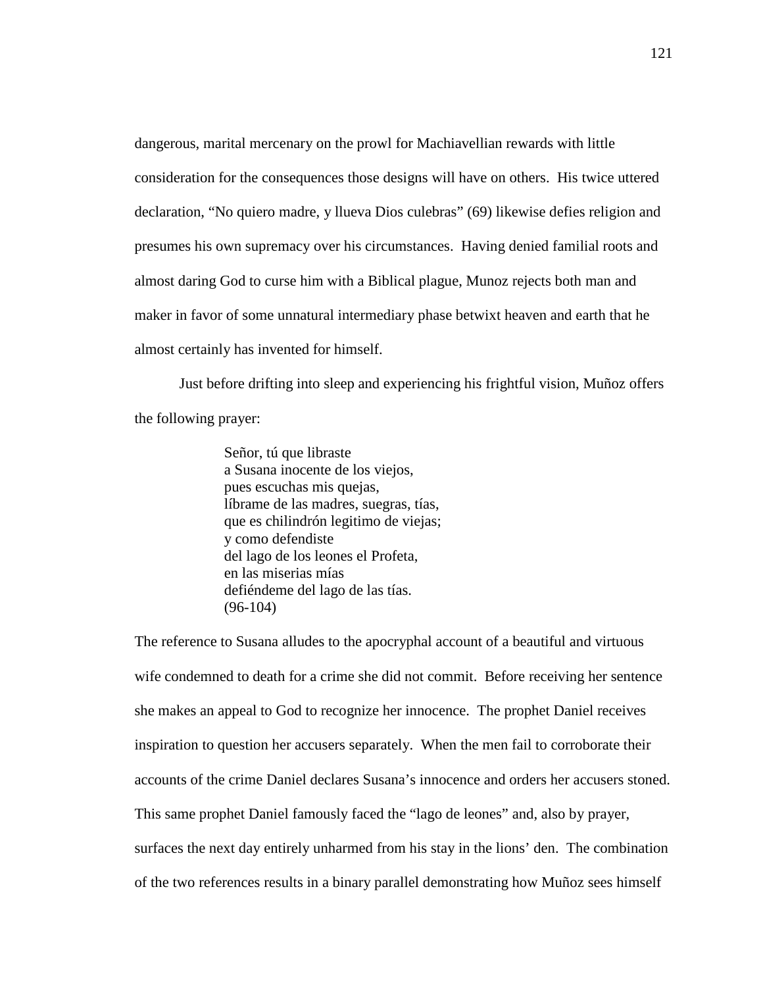dangerous, marital mercenary on the prowl for Machiavellian rewards with little consideration for the consequences those designs will have on others. His twice uttered declaration, "No quiero madre, y llueva Dios culebras" (69) likewise defies religion and presumes his own supremacy over his circumstances. Having denied familial roots and almost daring God to curse him with a Biblical plague, Munoz rejects both man and maker in favor of some unnatural intermediary phase betwixt heaven and earth that he almost certainly has invented for himself.

Just before drifting into sleep and experiencing his frightful vision, Muñoz offers the following prayer:

> Señor, tú que libraste a Susana inocente de los viejos, pues escuchas mis quejas, líbrame de las madres, suegras, tías, que es chilindrón legitimo de viejas; y como defendiste del lago de los leones el Profeta, en las miserias mías defiéndeme del lago de las tías. (96-104)

The reference to Susana alludes to the apocryphal account of a beautiful and virtuous wife condemned to death for a crime she did not commit. Before receiving her sentence she makes an appeal to God to recognize her innocence. The prophet Daniel receives inspiration to question her accusers separately. When the men fail to corroborate their accounts of the crime Daniel declares Susana's innocence and orders her accusers stoned. This same prophet Daniel famously faced the "lago de leones" and, also by prayer, surfaces the next day entirely unharmed from his stay in the lions' den. The combination of the two references results in a binary parallel demonstrating how Muñoz sees himself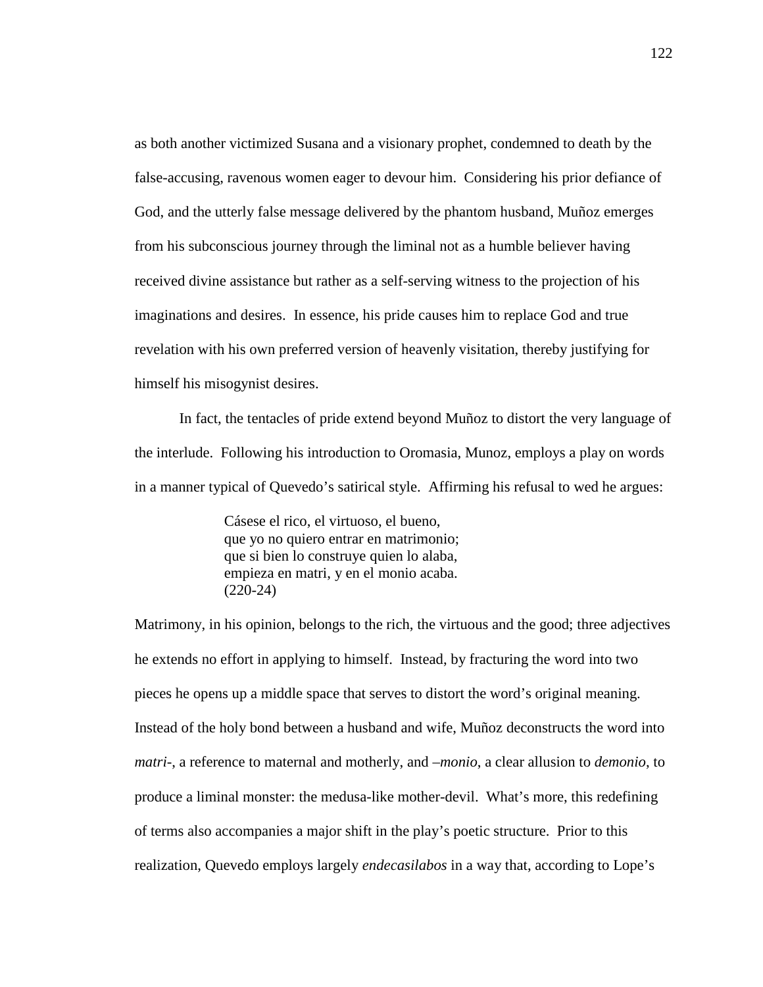as both another victimized Susana and a visionary prophet, condemned to death by the false-accusing, ravenous women eager to devour him. Considering his prior defiance of God, and the utterly false message delivered by the phantom husband, Muñoz emerges from his subconscious journey through the liminal not as a humble believer having received divine assistance but rather as a self-serving witness to the projection of his imaginations and desires. In essence, his pride causes him to replace God and true revelation with his own preferred version of heavenly visitation, thereby justifying for himself his misogynist desires.

 In fact, the tentacles of pride extend beyond Muñoz to distort the very language of the interlude. Following his introduction to Oromasia, Munoz, employs a play on words in a manner typical of Quevedo's satirical style. Affirming his refusal to wed he argues:

> Cásese el rico, el virtuoso, el bueno, que yo no quiero entrar en matrimonio; que si bien lo construye quien lo alaba, empieza en matri, y en el monio acaba. (220-24)

Matrimony, in his opinion, belongs to the rich, the virtuous and the good; three adjectives he extends no effort in applying to himself. Instead, by fracturing the word into two pieces he opens up a middle space that serves to distort the word's original meaning. Instead of the holy bond between a husband and wife, Muñoz deconstructs the word into *matri*-, a reference to maternal and motherly, and –*monio*, a clear allusion to *demonio*, to produce a liminal monster: the medusa-like mother-devil. What's more, this redefining of terms also accompanies a major shift in the play's poetic structure. Prior to this realization, Quevedo employs largely *endecasilabos* in a way that, according to Lope's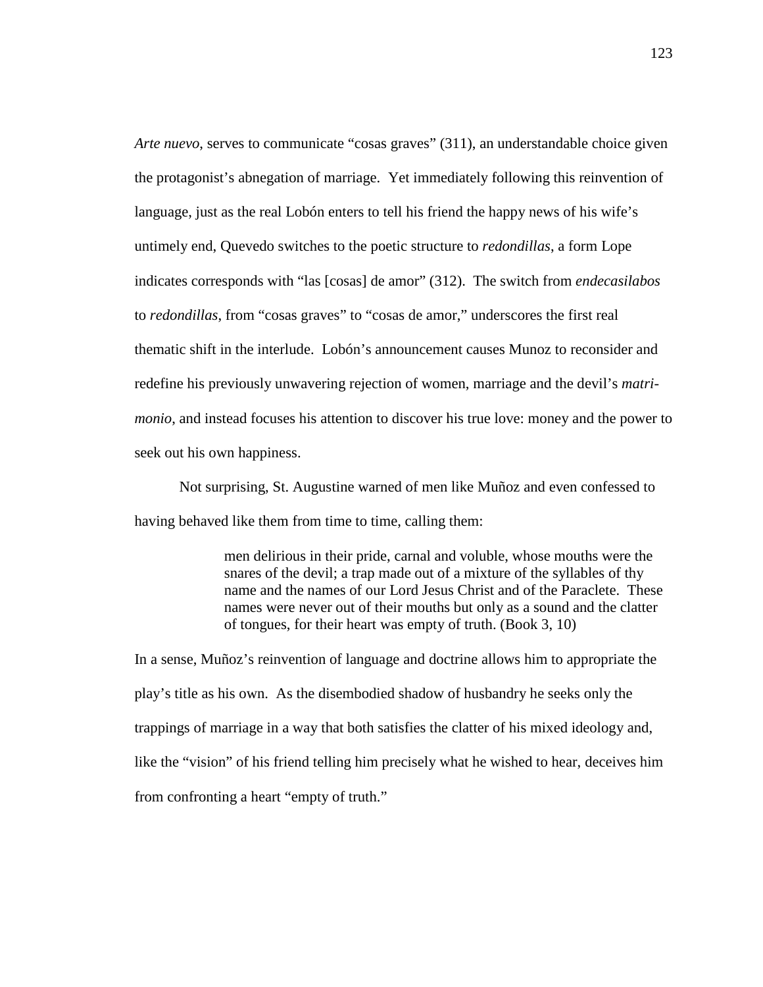*Arte nuevo*, serves to communicate "cosas graves" (311), an understandable choice given the protagonist's abnegation of marriage. Yet immediately following this reinvention of language, just as the real Lobón enters to tell his friend the happy news of his wife's untimely end, Quevedo switches to the poetic structure to *redondillas*, a form Lope indicates corresponds with "las [cosas] de amor" (312). The switch from *endecasilabos* to *redondillas*, from "cosas graves" to "cosas de amor," underscores the first real thematic shift in the interlude. Lobón's announcement causes Munoz to reconsider and redefine his previously unwavering rejection of women, marriage and the devil's *matrimonio*, and instead focuses his attention to discover his true love: money and the power to seek out his own happiness.

Not surprising, St. Augustine warned of men like Muñoz and even confessed to having behaved like them from time to time, calling them:

> men delirious in their pride, carnal and voluble, whose mouths were the snares of the devil; a trap made out of a mixture of the syllables of thy name and the names of our Lord Jesus Christ and of the Paraclete. These names were never out of their mouths but only as a sound and the clatter of tongues, for their heart was empty of truth. (Book 3, 10)

In a sense, Muñoz's reinvention of language and doctrine allows him to appropriate the play's title as his own. As the disembodied shadow of husbandry he seeks only the trappings of marriage in a way that both satisfies the clatter of his mixed ideology and, like the "vision" of his friend telling him precisely what he wished to hear, deceives him from confronting a heart "empty of truth."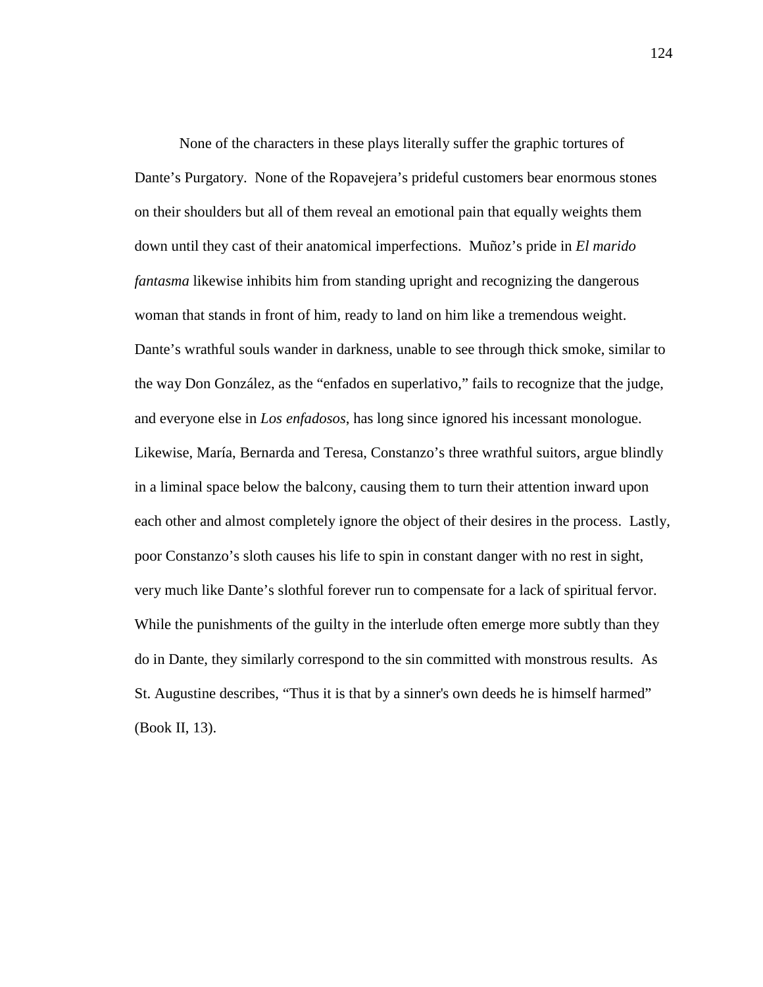None of the characters in these plays literally suffer the graphic tortures of Dante's Purgatory. None of the Ropavejera's prideful customers bear enormous stones on their shoulders but all of them reveal an emotional pain that equally weights them down until they cast of their anatomical imperfections. Muñoz's pride in *El marido fantasma* likewise inhibits him from standing upright and recognizing the dangerous woman that stands in front of him, ready to land on him like a tremendous weight. Dante's wrathful souls wander in darkness, unable to see through thick smoke, similar to the way Don González, as the "enfados en superlativo," fails to recognize that the judge, and everyone else in *Los enfadosos*, has long since ignored his incessant monologue. Likewise, María, Bernarda and Teresa, Constanzo's three wrathful suitors, argue blindly in a liminal space below the balcony, causing them to turn their attention inward upon each other and almost completely ignore the object of their desires in the process. Lastly, poor Constanzo's sloth causes his life to spin in constant danger with no rest in sight, very much like Dante's slothful forever run to compensate for a lack of spiritual fervor. While the punishments of the guilty in the interlude often emerge more subtly than they do in Dante, they similarly correspond to the sin committed with monstrous results. As St. Augustine describes, "Thus it is that by a sinner's own deeds he is himself harmed" (Book II, 13).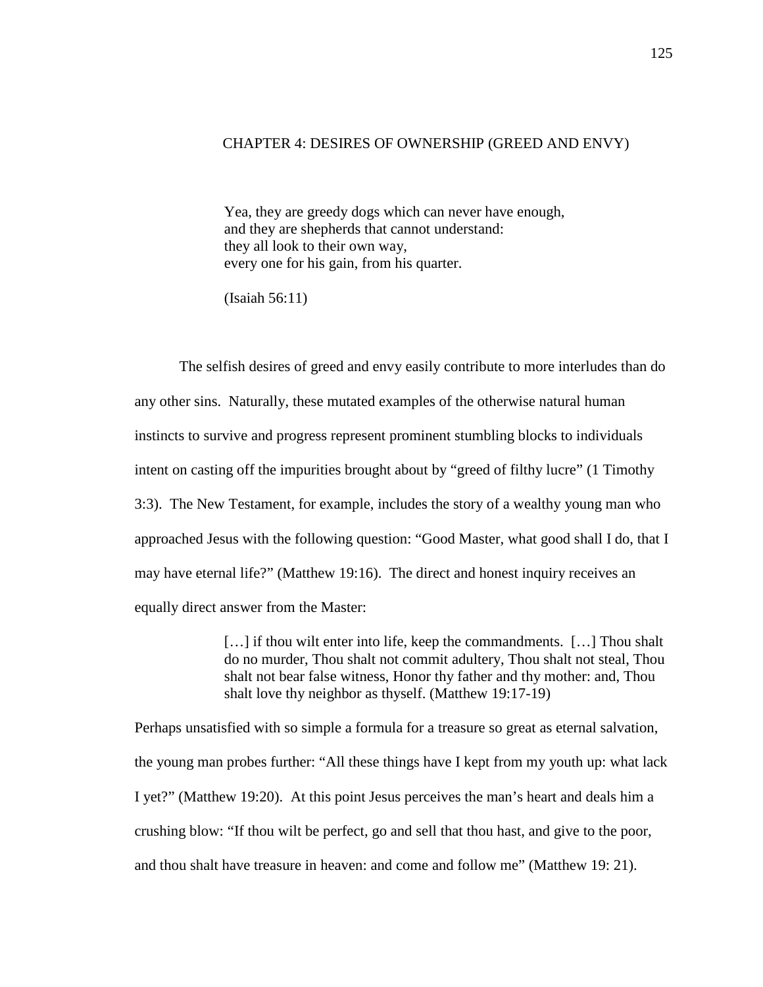# CHAPTER 4: DESIRES OF OWNERSHIP (GREED AND ENVY)

Yea, they are greedy dogs which can never have enough, and they are shepherds that cannot understand: they all look to their own way, every one for his gain, from his quarter.

(Isaiah 56:11)

The selfish desires of greed and envy easily contribute to more interludes than do any other sins. Naturally, these mutated examples of the otherwise natural human instincts to survive and progress represent prominent stumbling blocks to individuals intent on casting off the impurities brought about by "greed of filthy lucre" (1 Timothy 3:3). The New Testament, for example, includes the story of a wealthy young man who approached Jesus with the following question: "Good Master, what good shall I do, that I may have eternal life?" (Matthew 19:16). The direct and honest inquiry receives an equally direct answer from the Master:

> [...] if thou wilt enter into life, keep the commandments. [...] Thou shalt do no murder, Thou shalt not commit adultery, Thou shalt not steal, Thou shalt not bear false witness, Honor thy father and thy mother: and, Thou shalt love thy neighbor as thyself. (Matthew 19:17-19)

Perhaps unsatisfied with so simple a formula for a treasure so great as eternal salvation, the young man probes further: "All these things have I kept from my youth up: what lack I yet?" (Matthew 19:20). At this point Jesus perceives the man's heart and deals him a crushing blow: "If thou wilt be perfect, go and sell that thou hast, and give to the poor, and thou shalt have treasure in heaven: and come and follow me" (Matthew 19: 21).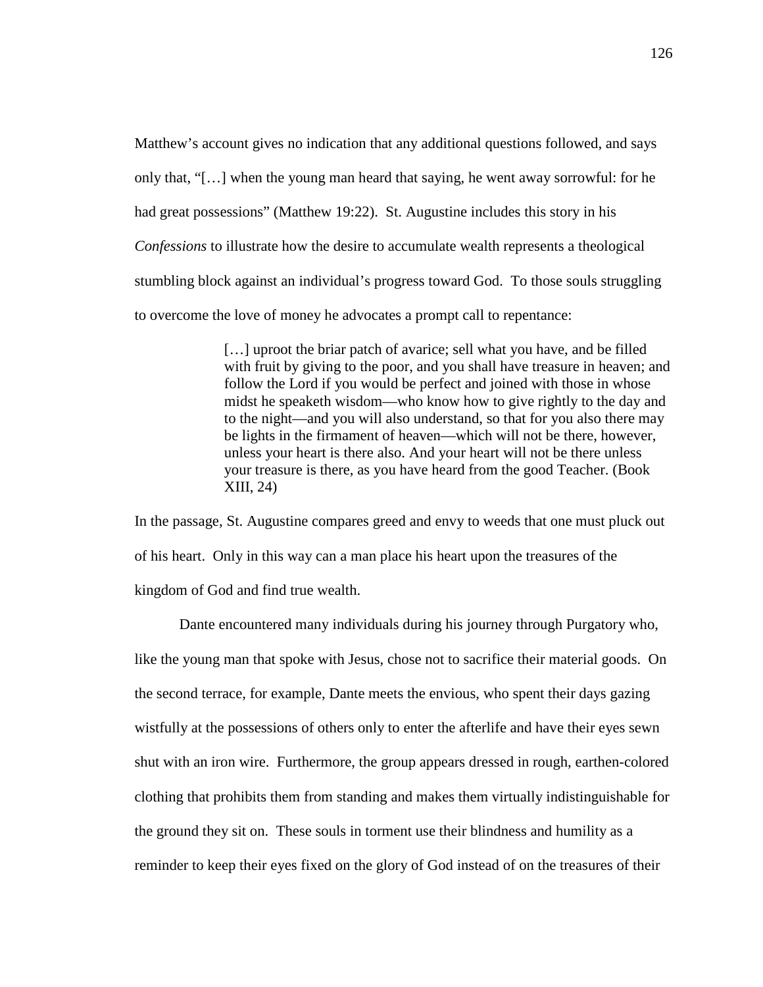Matthew's account gives no indication that any additional questions followed, and says only that, "[…] when the young man heard that saying, he went away sorrowful: for he had great possessions" (Matthew 19:22). St. Augustine includes this story in his *Confessions* to illustrate how the desire to accumulate wealth represents a theological stumbling block against an individual's progress toward God. To those souls struggling to overcome the love of money he advocates a prompt call to repentance:

> [...] uproot the briar patch of avarice; sell what you have, and be filled with fruit by giving to the poor, and you shall have treasure in heaven; and follow the Lord if you would be perfect and joined with those in whose midst he speaketh wisdom—who know how to give rightly to the day and to the night—and you will also understand, so that for you also there may be lights in the firmament of heaven—which will not be there, however, unless your heart is there also. And your heart will not be there unless your treasure is there, as you have heard from the good Teacher. (Book XIII, 24)

In the passage, St. Augustine compares greed and envy to weeds that one must pluck out of his heart. Only in this way can a man place his heart upon the treasures of the kingdom of God and find true wealth.

 Dante encountered many individuals during his journey through Purgatory who, like the young man that spoke with Jesus, chose not to sacrifice their material goods. On the second terrace, for example, Dante meets the envious, who spent their days gazing wistfully at the possessions of others only to enter the afterlife and have their eyes sewn shut with an iron wire. Furthermore, the group appears dressed in rough, earthen-colored clothing that prohibits them from standing and makes them virtually indistinguishable for the ground they sit on. These souls in torment use their blindness and humility as a reminder to keep their eyes fixed on the glory of God instead of on the treasures of their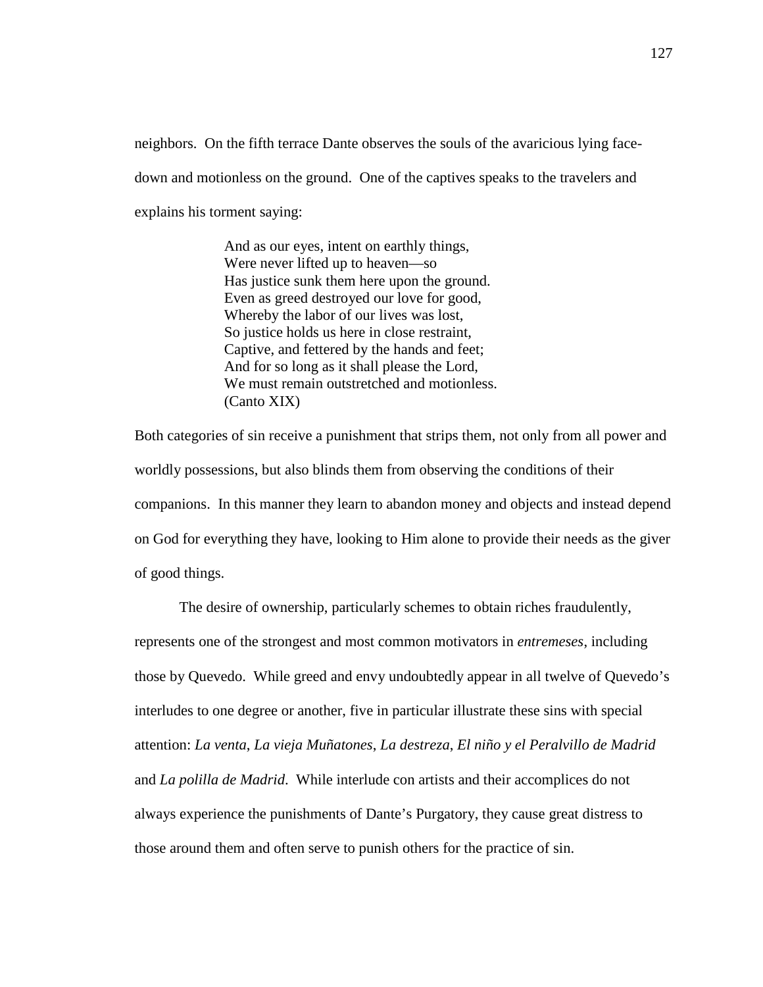neighbors. On the fifth terrace Dante observes the souls of the avaricious lying facedown and motionless on the ground. One of the captives speaks to the travelers and explains his torment saying:

> And as our eyes, intent on earthly things, Were never lifted up to heaven—so Has justice sunk them here upon the ground. Even as greed destroyed our love for good, Whereby the labor of our lives was lost, So justice holds us here in close restraint, Captive, and fettered by the hands and feet; And for so long as it shall please the Lord, We must remain outstretched and motionless. (Canto XIX)

Both categories of sin receive a punishment that strips them, not only from all power and worldly possessions, but also blinds them from observing the conditions of their companions. In this manner they learn to abandon money and objects and instead depend on God for everything they have, looking to Him alone to provide their needs as the giver of good things.

 The desire of ownership, particularly schemes to obtain riches fraudulently, represents one of the strongest and most common motivators in *entremeses*, including those by Quevedo. While greed and envy undoubtedly appear in all twelve of Quevedo's interludes to one degree or another, five in particular illustrate these sins with special attention: *La venta*, *La vieja Muñatones*, *La destreza*, *El niño y el Peralvillo de Madrid* and *La polilla de Madrid*. While interlude con artists and their accomplices do not always experience the punishments of Dante's Purgatory, they cause great distress to those around them and often serve to punish others for the practice of sin.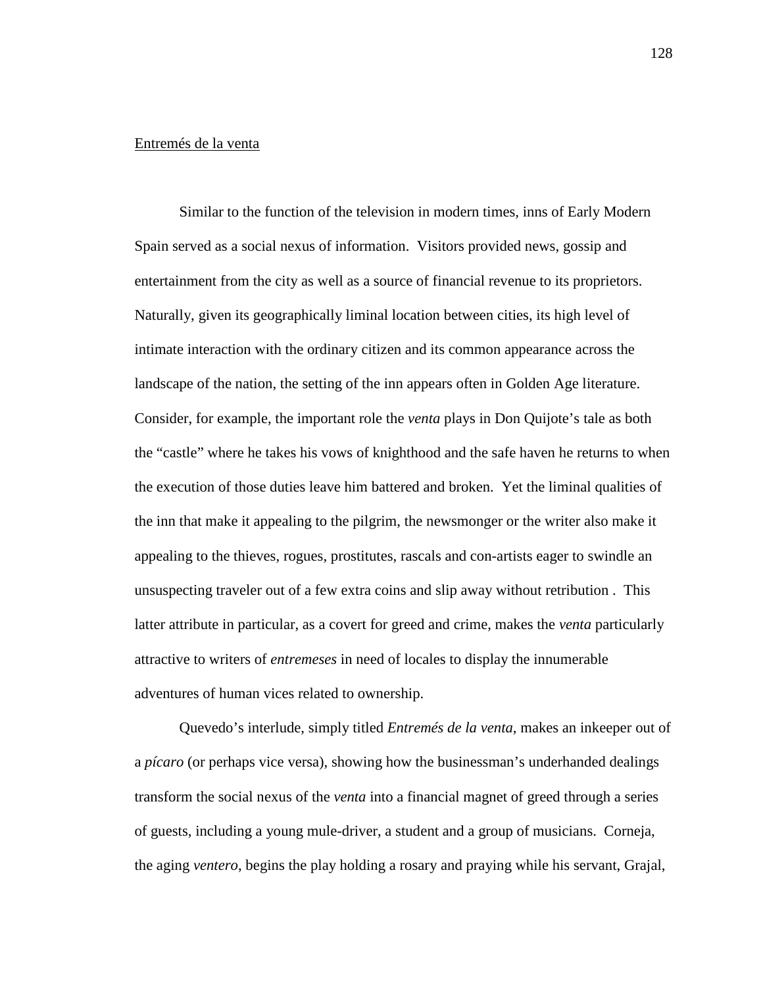### Entremés de la venta

 Similar to the function of the television in modern times, inns of Early Modern Spain served as a social nexus of information. Visitors provided news, gossip and entertainment from the city as well as a source of financial revenue to its proprietors. Naturally, given its geographically liminal location between cities, its high level of intimate interaction with the ordinary citizen and its common appearance across the landscape of the nation, the setting of the inn appears often in Golden Age literature. Consider, for example, the important role the *venta* plays in Don Quijote's tale as both the "castle" where he takes his vows of knighthood and the safe haven he returns to when the execution of those duties leave him battered and broken. Yet the liminal qualities of the inn that make it appealing to the pilgrim, the newsmonger or the writer also make it appealing to the thieves, rogues, prostitutes, rascals and con-artists eager to swindle an unsuspecting traveler out of a few extra coins and slip away without retribution . This latter attribute in particular, as a covert for greed and crime, makes the *venta* particularly attractive to writers of *entremeses* in need of locales to display the innumerable adventures of human vices related to ownership.

 Quevedo's interlude, simply titled *Entremés de la venta*, makes an inkeeper out of a *pícaro* (or perhaps vice versa), showing how the businessman's underhanded dealings transform the social nexus of the *venta* into a financial magnet of greed through a series of guests, including a young mule-driver, a student and a group of musicians. Corneja, the aging *ventero*, begins the play holding a rosary and praying while his servant, Grajal,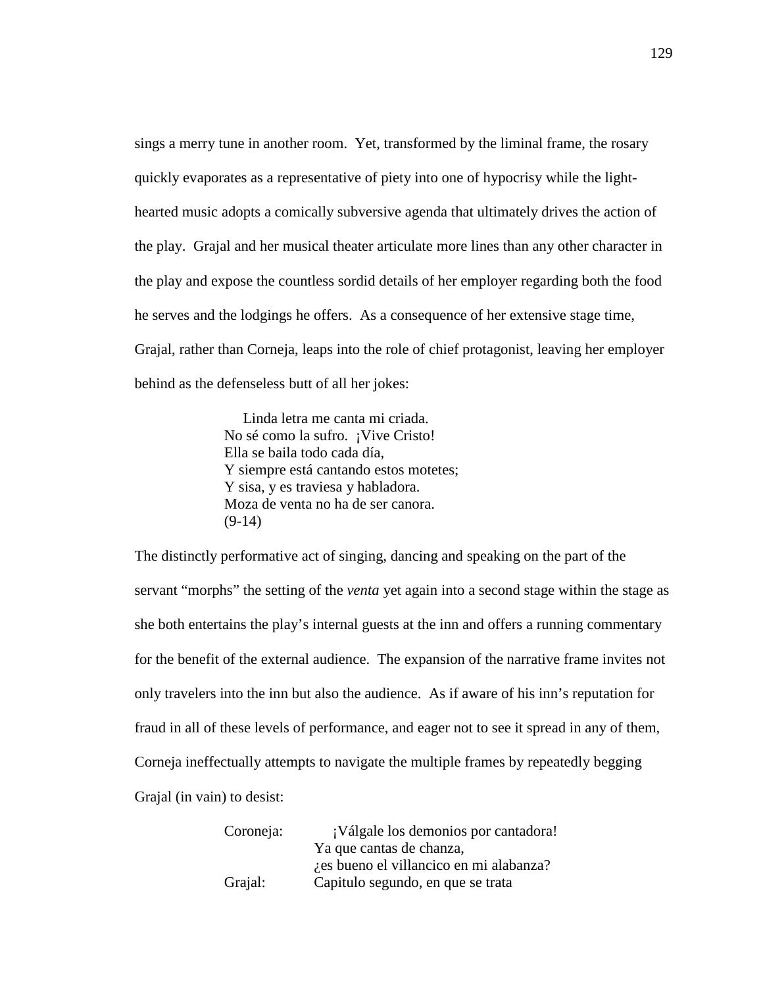sings a merry tune in another room. Yet, transformed by the liminal frame, the rosary quickly evaporates as a representative of piety into one of hypocrisy while the lighthearted music adopts a comically subversive agenda that ultimately drives the action of the play. Grajal and her musical theater articulate more lines than any other character in the play and expose the countless sordid details of her employer regarding both the food he serves and the lodgings he offers. As a consequence of her extensive stage time, Grajal, rather than Corneja, leaps into the role of chief protagonist, leaving her employer behind as the defenseless butt of all her jokes:

> Linda letra me canta mi criada. No sé como la sufro. ¡Vive Cristo! Ella se baila todo cada día, Y siempre está cantando estos motetes; Y sisa, y es traviesa y habladora. Moza de venta no ha de ser canora. (9-14)

The distinctly performative act of singing, dancing and speaking on the part of the servant "morphs" the setting of the *venta* yet again into a second stage within the stage as she both entertains the play's internal guests at the inn and offers a running commentary for the benefit of the external audience. The expansion of the narrative frame invites not only travelers into the inn but also the audience. As if aware of his inn's reputation for fraud in all of these levels of performance, and eager not to see it spread in any of them, Corneja ineffectually attempts to navigate the multiple frames by repeatedly begging Grajal (in vain) to desist:

| Coroneja: | ¡Válgale los demonios por cantadora!    |
|-----------|-----------------------------------------|
|           | Ya que cantas de chanza,                |
|           | Les bueno el villancico en mi alabanza? |
| Grajal:   | Capitulo segundo, en que se trata       |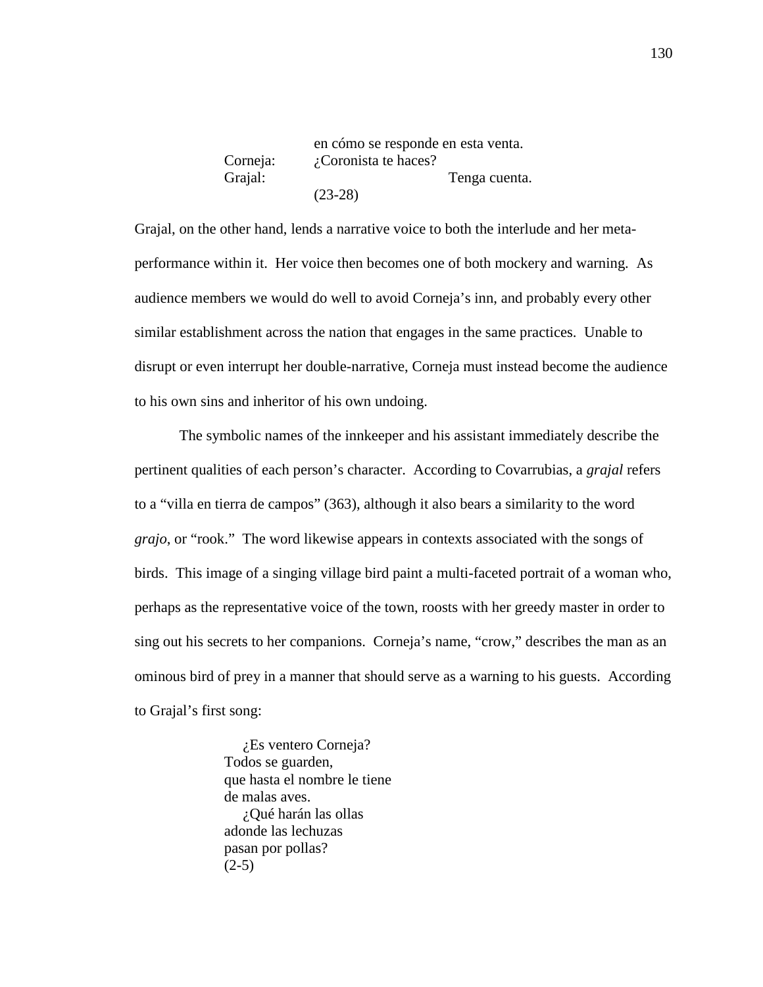en cómo se responde en esta venta. Corneja: ¿Coronista te haces? Grajal: Tenga cuenta. (23-28)

Grajal, on the other hand, lends a narrative voice to both the interlude and her metaperformance within it. Her voice then becomes one of both mockery and warning. As audience members we would do well to avoid Corneja's inn, and probably every other similar establishment across the nation that engages in the same practices. Unable to disrupt or even interrupt her double-narrative, Corneja must instead become the audience to his own sins and inheritor of his own undoing.

The symbolic names of the innkeeper and his assistant immediately describe the pertinent qualities of each person's character. According to Covarrubias, a *grajal* refers to a "villa en tierra de campos" (363), although it also bears a similarity to the word *grajo*, or "rook." The word likewise appears in contexts associated with the songs of birds. This image of a singing village bird paint a multi-faceted portrait of a woman who, perhaps as the representative voice of the town, roosts with her greedy master in order to sing out his secrets to her companions. Corneja's name, "crow," describes the man as an ominous bird of prey in a manner that should serve as a warning to his guests. According to Grajal's first song:

> ¿Es ventero Corneja? Todos se guarden, que hasta el nombre le tiene de malas aves. ¿Qué harán las ollas adonde las lechuzas pasan por pollas?  $(2-5)$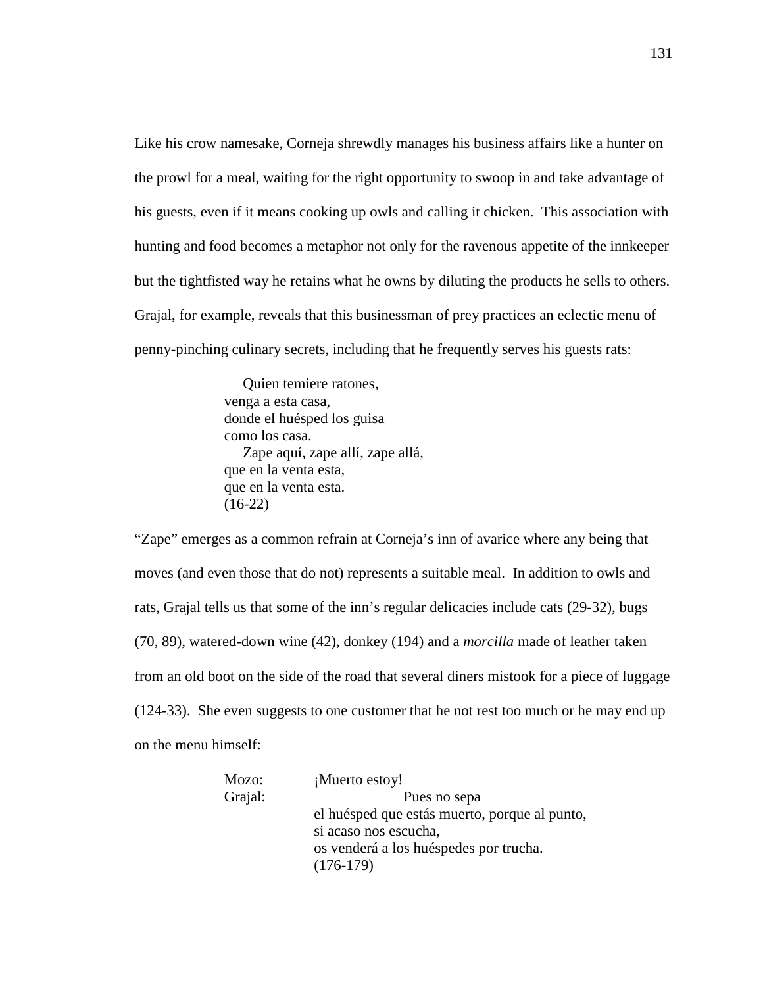Like his crow namesake, Corneja shrewdly manages his business affairs like a hunter on the prowl for a meal, waiting for the right opportunity to swoop in and take advantage of his guests, even if it means cooking up owls and calling it chicken. This association with hunting and food becomes a metaphor not only for the ravenous appetite of the innkeeper but the tightfisted way he retains what he owns by diluting the products he sells to others. Grajal, for example, reveals that this businessman of prey practices an eclectic menu of penny-pinching culinary secrets, including that he frequently serves his guests rats:

> Quien temiere ratones, venga a esta casa, donde el huésped los guisa como los casa. Zape aquí, zape allí, zape allá, que en la venta esta, que en la venta esta. (16-22)

"Zape" emerges as a common refrain at Corneja's inn of avarice where any being that moves (and even those that do not) represents a suitable meal. In addition to owls and rats, Grajal tells us that some of the inn's regular delicacies include cats (29-32), bugs (70, 89), watered-down wine (42), donkey (194) and a *morcilla* made of leather taken from an old boot on the side of the road that several diners mistook for a piece of luggage (124-33). She even suggests to one customer that he not rest too much or he may end up on the menu himself:

| Mozo:   | ¡Muerto estoy!                                |
|---------|-----------------------------------------------|
| Grajal: | Pues no sepa                                  |
|         | el huésped que estás muerto, porque al punto, |
|         | si acaso nos escucha,                         |
|         | os venderá a los huéspedes por trucha.        |
|         | $(176-179)$                                   |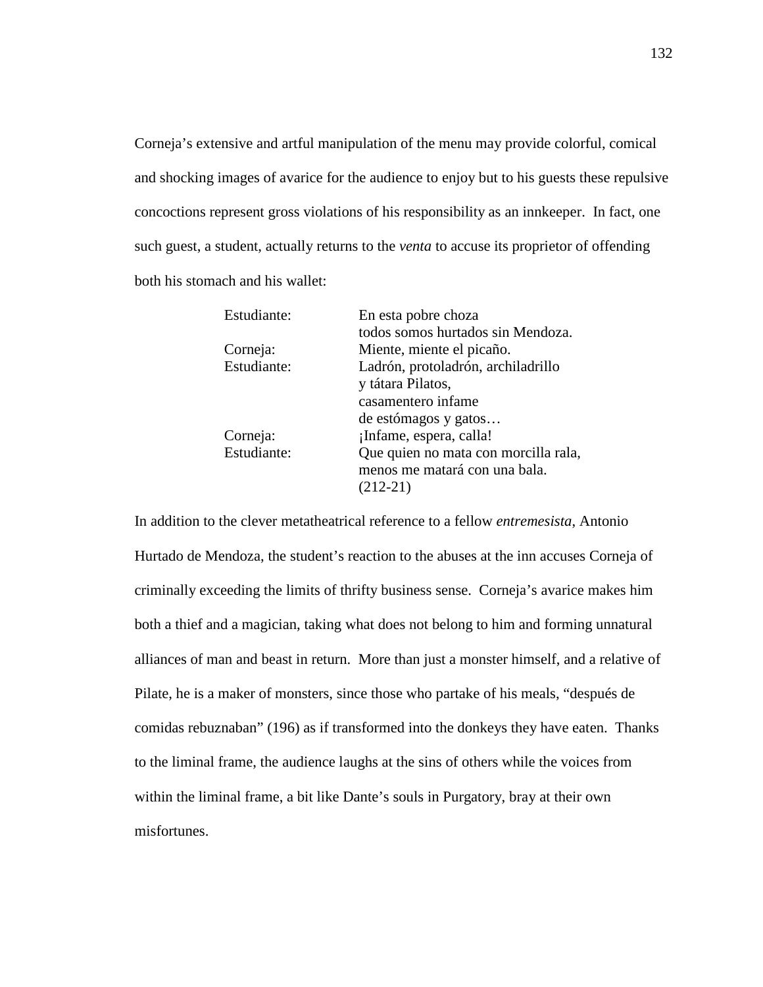Corneja's extensive and artful manipulation of the menu may provide colorful, comical and shocking images of avarice for the audience to enjoy but to his guests these repulsive concoctions represent gross violations of his responsibility as an innkeeper. In fact, one such guest, a student, actually returns to the *venta* to accuse its proprietor of offending both his stomach and his wallet:

| Estudiante: | En esta pobre choza                  |
|-------------|--------------------------------------|
|             | todos somos hurtados sin Mendoza.    |
| Corneja:    | Miente, miente el picaño.            |
| Estudiante: | Ladrón, protoladrón, archiladrillo   |
|             | y tátara Pilatos,                    |
|             | casamentero infame                   |
|             | de estómagos y gatos                 |
| Corneja:    | ¡Infame, espera, calla!              |
| Estudiante: | Que quien no mata con morcilla rala, |
|             | menos me matará con una bala.        |
|             | $(212-21)$                           |

In addition to the clever metatheatrical reference to a fellow *entremesista*, Antonio Hurtado de Mendoza, the student's reaction to the abuses at the inn accuses Corneja of criminally exceeding the limits of thrifty business sense. Corneja's avarice makes him both a thief and a magician, taking what does not belong to him and forming unnatural alliances of man and beast in return. More than just a monster himself, and a relative of Pilate, he is a maker of monsters, since those who partake of his meals, "después de comidas rebuznaban" (196) as if transformed into the donkeys they have eaten. Thanks to the liminal frame, the audience laughs at the sins of others while the voices from within the liminal frame, a bit like Dante's souls in Purgatory, bray at their own misfortunes.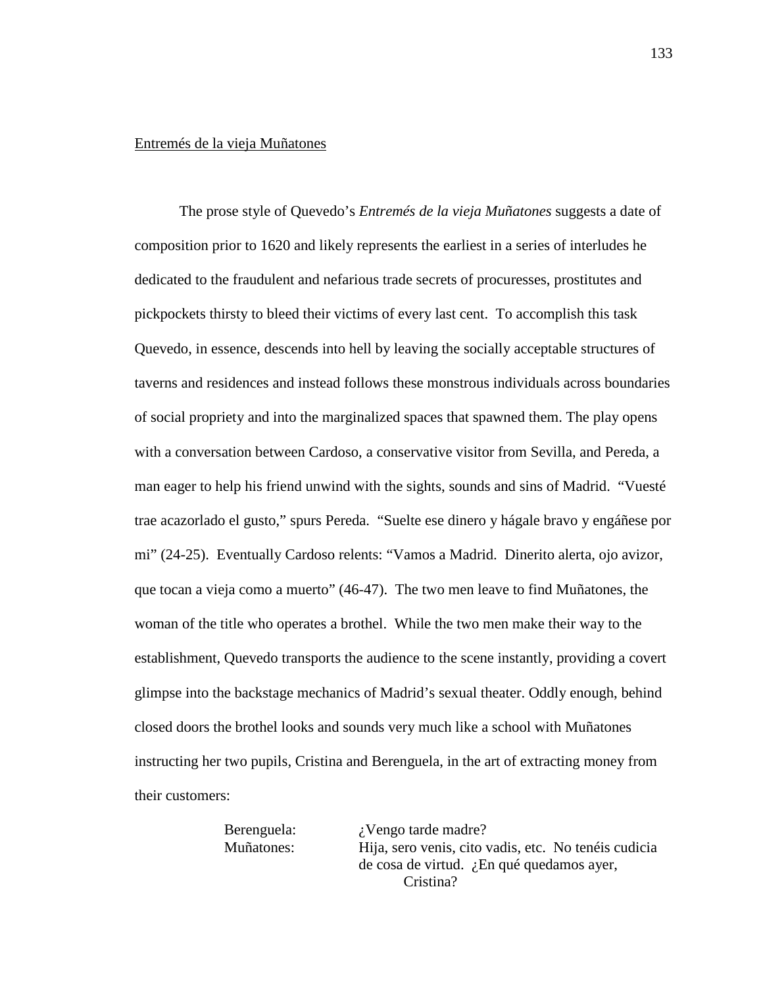# Entremés de la vieja Muñatones

 The prose style of Quevedo's *Entremés de la vieja Muñatones* suggests a date of composition prior to 1620 and likely represents the earliest in a series of interludes he dedicated to the fraudulent and nefarious trade secrets of procuresses, prostitutes and pickpockets thirsty to bleed their victims of every last cent. To accomplish this task Quevedo, in essence, descends into hell by leaving the socially acceptable structures of taverns and residences and instead follows these monstrous individuals across boundaries of social propriety and into the marginalized spaces that spawned them. The play opens with a conversation between Cardoso, a conservative visitor from Sevilla, and Pereda, a man eager to help his friend unwind with the sights, sounds and sins of Madrid. "Vuesté trae acazorlado el gusto," spurs Pereda. "Suelte ese dinero y hágale bravo y engáñese por mi" (24-25). Eventually Cardoso relents: "Vamos a Madrid. Dinerito alerta, ojo avizor, que tocan a vieja como a muerto" (46-47). The two men leave to find Muñatones, the woman of the title who operates a brothel. While the two men make their way to the establishment, Quevedo transports the audience to the scene instantly, providing a covert glimpse into the backstage mechanics of Madrid's sexual theater. Oddly enough, behind closed doors the brothel looks and sounds very much like a school with Muñatones instructing her two pupils, Cristina and Berenguela, in the art of extracting money from their customers:

Berenguela: *i* Vengo tarde madre? Muñatones: Hija, sero venis, cito vadis, etc. No tenéis cudicia de cosa de virtud. ¿En qué quedamos ayer, Cristina?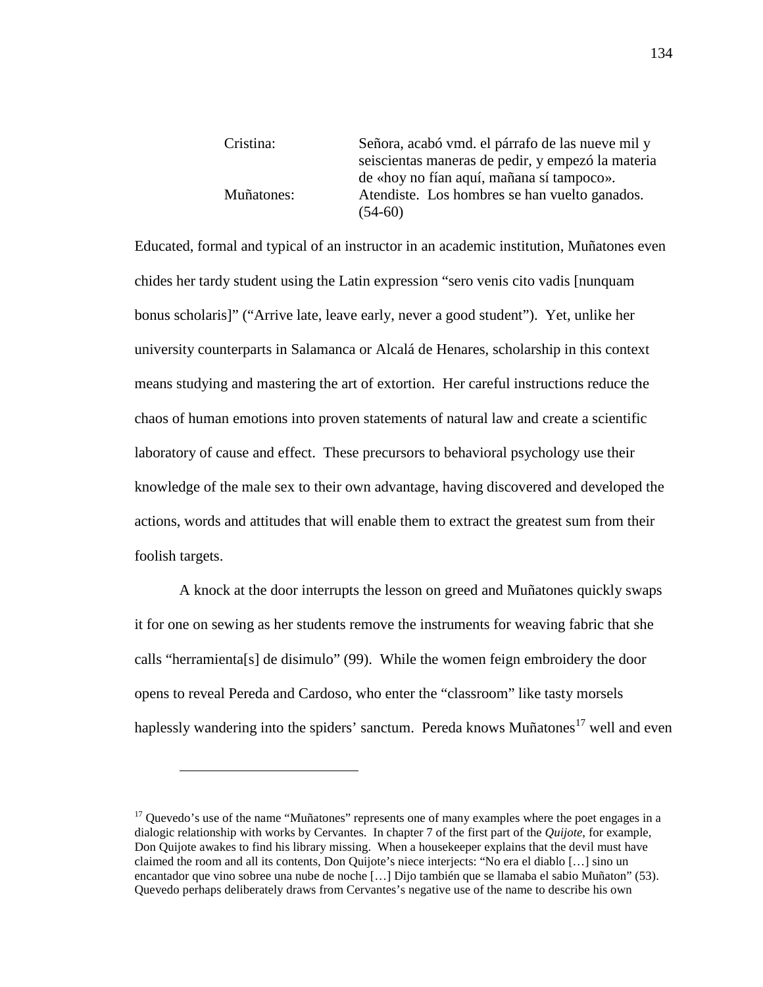| Cristina:  | Señora, acabó vmd. el párrafo de las nueve mil y  |
|------------|---------------------------------------------------|
|            | seiscientas maneras de pedir, y empezó la materia |
|            | de «hoy no fían aquí, mañana sí tampoco».         |
| Muñatones: | Atendiste. Los hombres se han vuelto ganados.     |
|            | $(54-60)$                                         |

Educated, formal and typical of an instructor in an academic institution, Muñatones even chides her tardy student using the Latin expression "sero venis cito vadis [nunquam bonus scholaris]" ("Arrive late, leave early, never a good student"). Yet, unlike her university counterparts in Salamanca or Alcalá de Henares, scholarship in this context means studying and mastering the art of extortion. Her careful instructions reduce the chaos of human emotions into proven statements of natural law and create a scientific laboratory of cause and effect. These precursors to behavioral psychology use their knowledge of the male sex to their own advantage, having discovered and developed the actions, words and attitudes that will enable them to extract the greatest sum from their foolish targets.

A knock at the door interrupts the lesson on greed and Muñatones quickly swaps it for one on sewing as her students remove the instruments for weaving fabric that she calls "herramienta[s] de disimulo" (99). While the women feign embroidery the door opens to reveal Pereda and Cardoso, who enter the "classroom" like tasty morsels haplessly wandering into the spiders' sanctum. Pereda knows Muñatones<sup>17</sup> well and even

 $\overline{a}$ 

<sup>&</sup>lt;sup>17</sup> Quevedo's use of the name "Muñatones" represents one of many examples where the poet engages in a dialogic relationship with works by Cervantes. In chapter 7 of the first part of the *Quijote*, for example, Don Quijote awakes to find his library missing. When a housekeeper explains that the devil must have claimed the room and all its contents, Don Quijote's niece interjects: "No era el diablo […] sino un encantador que vino sobree una nube de noche […] Dijo también que se llamaba el sabio Muñaton" (53). Quevedo perhaps deliberately draws from Cervantes's negative use of the name to describe his own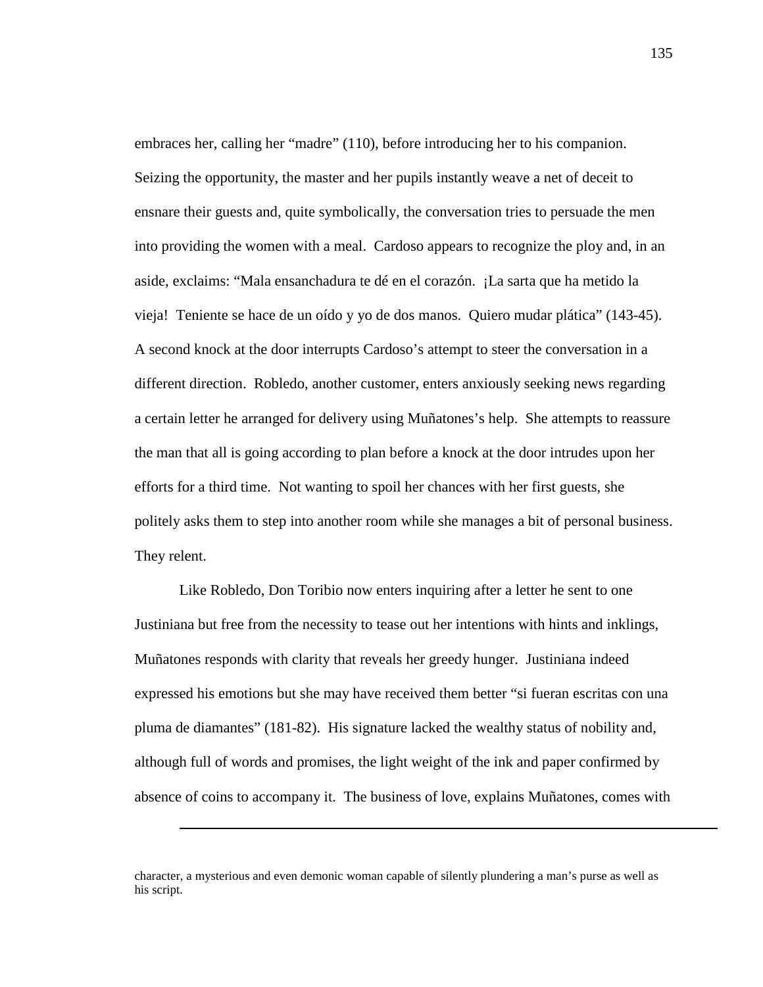embraces her, calling her "madre" (110), before introducing her to his companion. Seizing the opportunity, the master and her pupils instantly weave a net of deceit to ensnare their guests and, quite symbolically, the conversation tries to persuade the men into providing the women with a meal. Cardoso appears to recognize the ploy and, in an aside, exclaims: "Mala ensanchadura te dé en el corazón. ¡La sarta que ha metido la vieja! Teniente se hace de un oído y yo de dos manos. Quiero mudar plática" (143-45). A second knock at the door interrupts Cardoso's attempt to steer the conversation in a different direction. Robledo, another customer, enters anxiously seeking news regarding a certain letter he arranged for delivery using Muñatones's help. She attempts to reassure the man that all is going according to plan before a knock at the door intrudes upon her efforts for a third time. Not wanting to spoil her chances with her first guests, she politely asks them to step into another room while she manages a bit of personal business. They relent.

Like Robledo, Don Toribio now enters inquiring after a letter he sent to one Justiniana but free from the necessity to tease out her intentions with hints and inklings, Muñatones responds with clarity that reveals her greedy hunger. Justiniana indeed expressed his emotions but she may have received them better "si fueran escritas con una pluma de diamantes" (181-82). His signature lacked the wealthy status of nobility and, although full of words and promises, the light weight of the ink and paper confirmed by absence of coins to accompany it. The business of love, explains Muñatones, comes with

l

character, a mysterious and even demonic woman capable of silently plundering a man's purse as well as his script.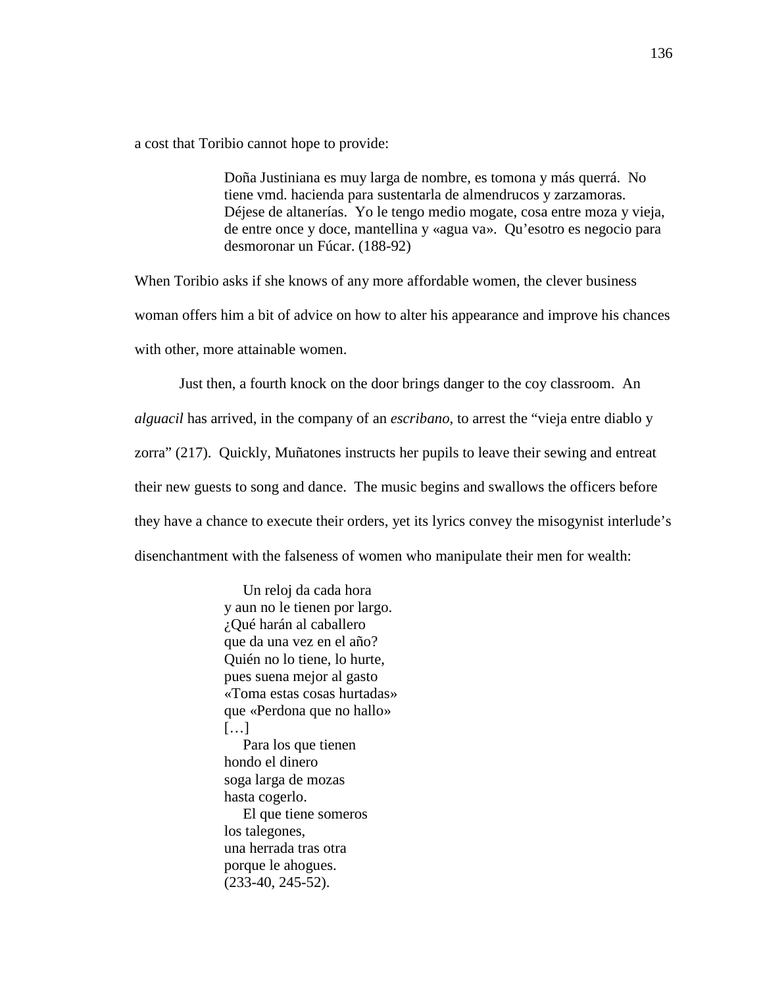a cost that Toribio cannot hope to provide:

Doña Justiniana es muy larga de nombre, es tomona y más querrá. No tiene vmd. hacienda para sustentarla de almendrucos y zarzamoras. Déjese de altanerías. Yo le tengo medio mogate, cosa entre moza y vieja, de entre once y doce, mantellina y «agua va». Qu'esotro es negocio para desmoronar un Fúcar. (188-92)

When Toribio asks if she knows of any more affordable women, the clever business woman offers him a bit of advice on how to alter his appearance and improve his chances with other, more attainable women.

Just then, a fourth knock on the door brings danger to the coy classroom. An *alguacil* has arrived, in the company of an *escribano*, to arrest the "vieja entre diablo y zorra" (217). Quickly, Muñatones instructs her pupils to leave their sewing and entreat their new guests to song and dance. The music begins and swallows the officers before they have a chance to execute their orders, yet its lyrics convey the misogynist interlude's disenchantment with the falseness of women who manipulate their men for wealth:

> Un reloj da cada hora y aun no le tienen por largo. ¿Qué harán al caballero que da una vez en el año? Quién no lo tiene, lo hurte, pues suena mejor al gasto «Toma estas cosas hurtadas» que «Perdona que no hallo»  $[\ldots]$  Para los que tienen hondo el dinero soga larga de mozas hasta cogerlo. El que tiene someros los talegones,

una herrada tras otra porque le ahogues. (233-40, 245-52).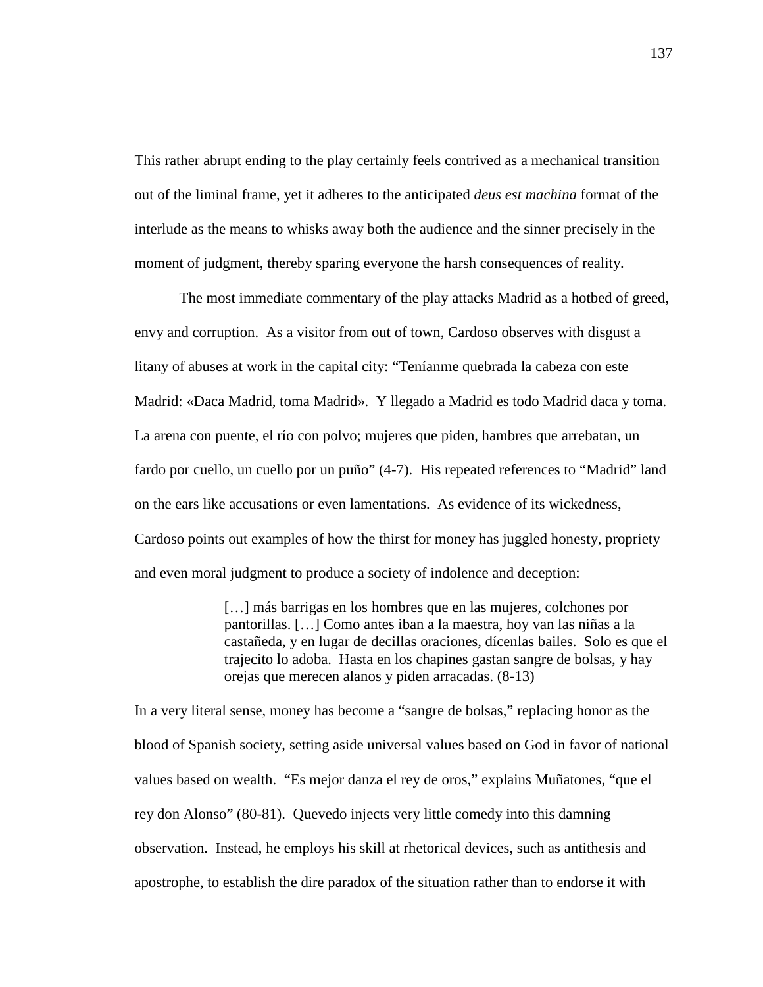This rather abrupt ending to the play certainly feels contrived as a mechanical transition out of the liminal frame, yet it adheres to the anticipated *deus est machina* format of the interlude as the means to whisks away both the audience and the sinner precisely in the moment of judgment, thereby sparing everyone the harsh consequences of reality.

The most immediate commentary of the play attacks Madrid as a hotbed of greed, envy and corruption. As a visitor from out of town, Cardoso observes with disgust a litany of abuses at work in the capital city: "Teníanme quebrada la cabeza con este Madrid: «Daca Madrid, toma Madrid». Y llegado a Madrid es todo Madrid daca y toma. La arena con puente, el río con polvo; mujeres que piden, hambres que arrebatan, un fardo por cuello, un cuello por un puño" (4-7). His repeated references to "Madrid" land on the ears like accusations or even lamentations. As evidence of its wickedness, Cardoso points out examples of how the thirst for money has juggled honesty, propriety and even moral judgment to produce a society of indolence and deception:

> [...] más barrigas en los hombres que en las mujeres, colchones por pantorillas. […] Como antes iban a la maestra, hoy van las niñas a la castañeda, y en lugar de decillas oraciones, dícenlas bailes. Solo es que el trajecito lo adoba. Hasta en los chapines gastan sangre de bolsas, y hay orejas que merecen alanos y piden arracadas. (8-13)

In a very literal sense, money has become a "sangre de bolsas," replacing honor as the blood of Spanish society, setting aside universal values based on God in favor of national values based on wealth. "Es mejor danza el rey de oros," explains Muñatones, "que el rey don Alonso" (80-81). Quevedo injects very little comedy into this damning observation. Instead, he employs his skill at rhetorical devices, such as antithesis and apostrophe, to establish the dire paradox of the situation rather than to endorse it with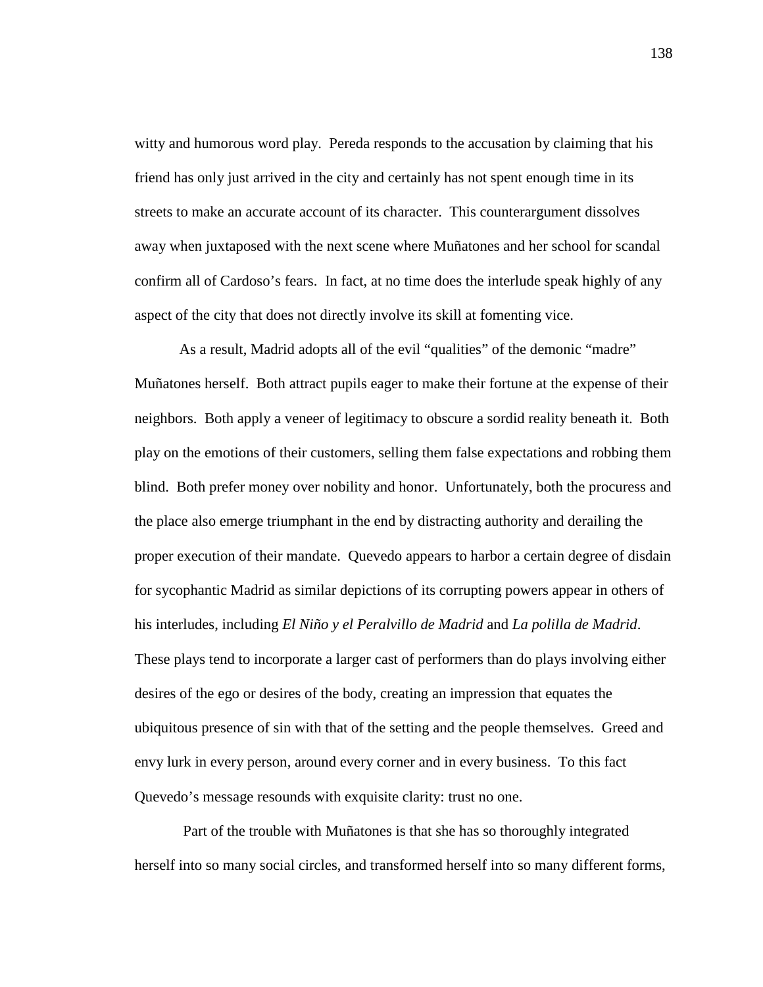witty and humorous word play. Pereda responds to the accusation by claiming that his friend has only just arrived in the city and certainly has not spent enough time in its streets to make an accurate account of its character. This counterargument dissolves away when juxtaposed with the next scene where Muñatones and her school for scandal confirm all of Cardoso's fears. In fact, at no time does the interlude speak highly of any aspect of the city that does not directly involve its skill at fomenting vice.

As a result, Madrid adopts all of the evil "qualities" of the demonic "madre" Muñatones herself. Both attract pupils eager to make their fortune at the expense of their neighbors. Both apply a veneer of legitimacy to obscure a sordid reality beneath it. Both play on the emotions of their customers, selling them false expectations and robbing them blind. Both prefer money over nobility and honor. Unfortunately, both the procuress and the place also emerge triumphant in the end by distracting authority and derailing the proper execution of their mandate. Quevedo appears to harbor a certain degree of disdain for sycophantic Madrid as similar depictions of its corrupting powers appear in others of his interludes, including *El Niño y el Peralvillo de Madrid* and *La polilla de Madrid*. These plays tend to incorporate a larger cast of performers than do plays involving either desires of the ego or desires of the body, creating an impression that equates the ubiquitous presence of sin with that of the setting and the people themselves. Greed and envy lurk in every person, around every corner and in every business. To this fact Quevedo's message resounds with exquisite clarity: trust no one.

 Part of the trouble with Muñatones is that she has so thoroughly integrated herself into so many social circles, and transformed herself into so many different forms,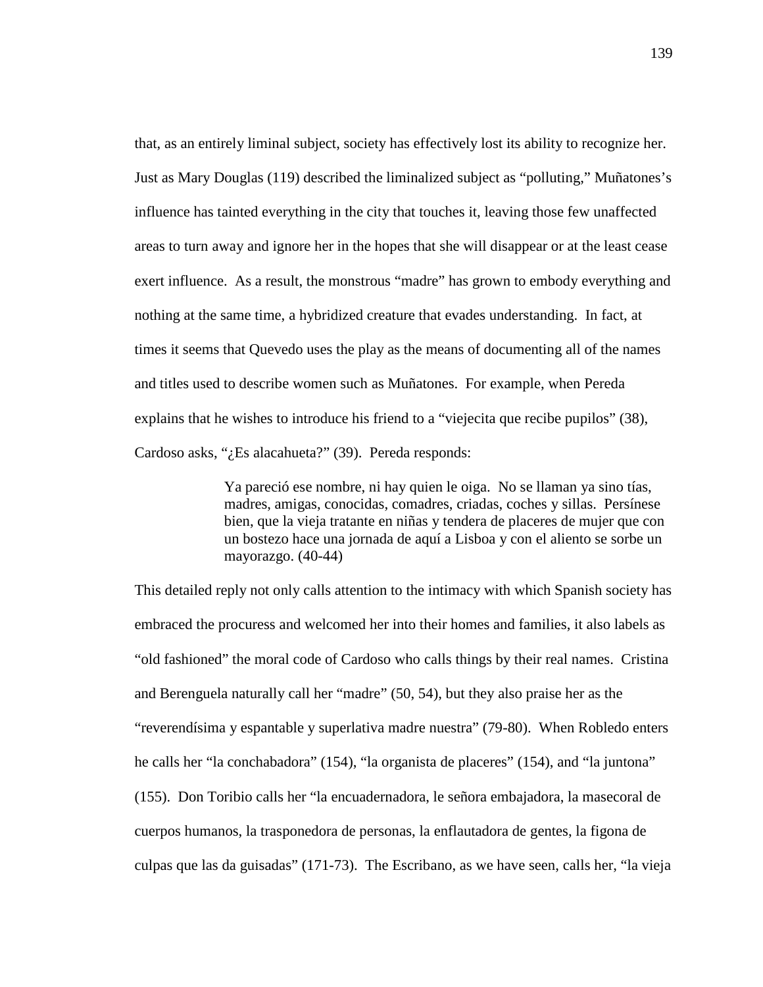that, as an entirely liminal subject, society has effectively lost its ability to recognize her. Just as Mary Douglas (119) described the liminalized subject as "polluting," Muñatones's influence has tainted everything in the city that touches it, leaving those few unaffected areas to turn away and ignore her in the hopes that she will disappear or at the least cease exert influence. As a result, the monstrous "madre" has grown to embody everything and nothing at the same time, a hybridized creature that evades understanding. In fact, at times it seems that Quevedo uses the play as the means of documenting all of the names and titles used to describe women such as Muñatones. For example, when Pereda explains that he wishes to introduce his friend to a "viejecita que recibe pupilos" (38), Cardoso asks, "¿Es alacahueta?" (39). Pereda responds:

> Ya pareció ese nombre, ni hay quien le oiga. No se llaman ya sino tías, madres, amigas, conocidas, comadres, criadas, coches y sillas. Persínese bien, que la vieja tratante en niñas y tendera de placeres de mujer que con un bostezo hace una jornada de aquí a Lisboa y con el aliento se sorbe un mayorazgo. (40-44)

This detailed reply not only calls attention to the intimacy with which Spanish society has embraced the procuress and welcomed her into their homes and families, it also labels as "old fashioned" the moral code of Cardoso who calls things by their real names. Cristina and Berenguela naturally call her "madre" (50, 54), but they also praise her as the "reverendísima y espantable y superlativa madre nuestra" (79-80). When Robledo enters he calls her "la conchabadora" (154), "la organista de placeres" (154), and "la juntona" (155). Don Toribio calls her "la encuadernadora, le señora embajadora, la masecoral de cuerpos humanos, la trasponedora de personas, la enflautadora de gentes, la figona de culpas que las da guisadas" (171-73). The Escribano, as we have seen, calls her, "la vieja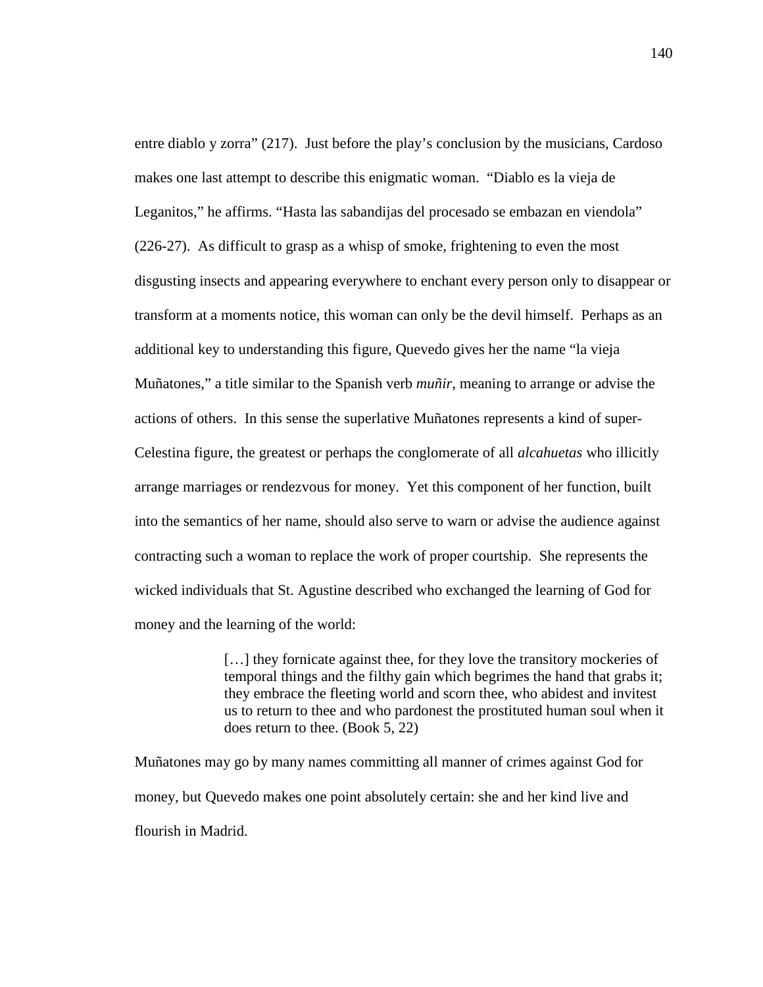entre diablo y zorra" (217). Just before the play's conclusion by the musicians, Cardoso makes one last attempt to describe this enigmatic woman. "Diablo es la vieja de Leganitos," he affirms. "Hasta las sabandijas del procesado se embazan en viendola" (226-27). As difficult to grasp as a whisp of smoke, frightening to even the most disgusting insects and appearing everywhere to enchant every person only to disappear or transform at a moments notice, this woman can only be the devil himself. Perhaps as an additional key to understanding this figure, Quevedo gives her the name "la vieja Muñatones," a title similar to the Spanish verb *muñir*, meaning to arrange or advise the actions of others. In this sense the superlative Muñatones represents a kind of super-Celestina figure, the greatest or perhaps the conglomerate of all *alcahuetas* who illicitly arrange marriages or rendezvous for money. Yet this component of her function, built into the semantics of her name, should also serve to warn or advise the audience against contracting such a woman to replace the work of proper courtship. She represents the wicked individuals that St. Agustine described who exchanged the learning of God for money and the learning of the world:

> [...] they fornicate against thee, for they love the transitory mockeries of temporal things and the filthy gain which begrimes the hand that grabs it; they embrace the fleeting world and scorn thee, who abidest and invitest us to return to thee and who pardonest the prostituted human soul when it does return to thee. (Book 5, 22)

Muñatones may go by many names committing all manner of crimes against God for money, but Quevedo makes one point absolutely certain: she and her kind live and flourish in Madrid.

140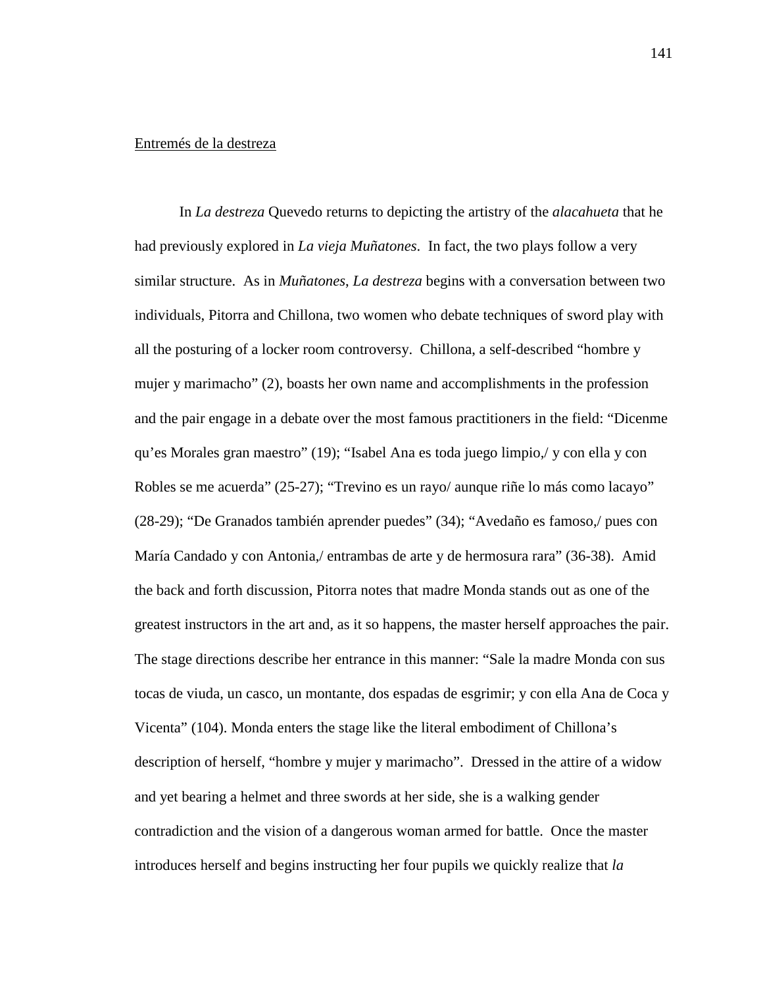# Entremés de la destreza

 In *La destreza* Quevedo returns to depicting the artistry of the *alacahueta* that he had previously explored in *La vieja Muñatones*. In fact, the two plays follow a very similar structure. As in *Muñatones*, *La destreza* begins with a conversation between two individuals, Pitorra and Chillona, two women who debate techniques of sword play with all the posturing of a locker room controversy. Chillona, a self-described "hombre y mujer y marimacho" (2), boasts her own name and accomplishments in the profession and the pair engage in a debate over the most famous practitioners in the field: "Dicenme qu'es Morales gran maestro" (19); "Isabel Ana es toda juego limpio,/ y con ella y con Robles se me acuerda" (25-27); "Trevino es un rayo/ aunque riñe lo más como lacayo" (28-29); "De Granados también aprender puedes" (34); "Avedaño es famoso,/ pues con María Candado y con Antonia,/ entrambas de arte y de hermosura rara" (36-38). Amid the back and forth discussion, Pitorra notes that madre Monda stands out as one of the greatest instructors in the art and, as it so happens, the master herself approaches the pair. The stage directions describe her entrance in this manner: "Sale la madre Monda con sus tocas de viuda, un casco, un montante, dos espadas de esgrimir; y con ella Ana de Coca y Vicenta" (104). Monda enters the stage like the literal embodiment of Chillona's description of herself, "hombre y mujer y marimacho". Dressed in the attire of a widow and yet bearing a helmet and three swords at her side, she is a walking gender contradiction and the vision of a dangerous woman armed for battle. Once the master introduces herself and begins instructing her four pupils we quickly realize that *la*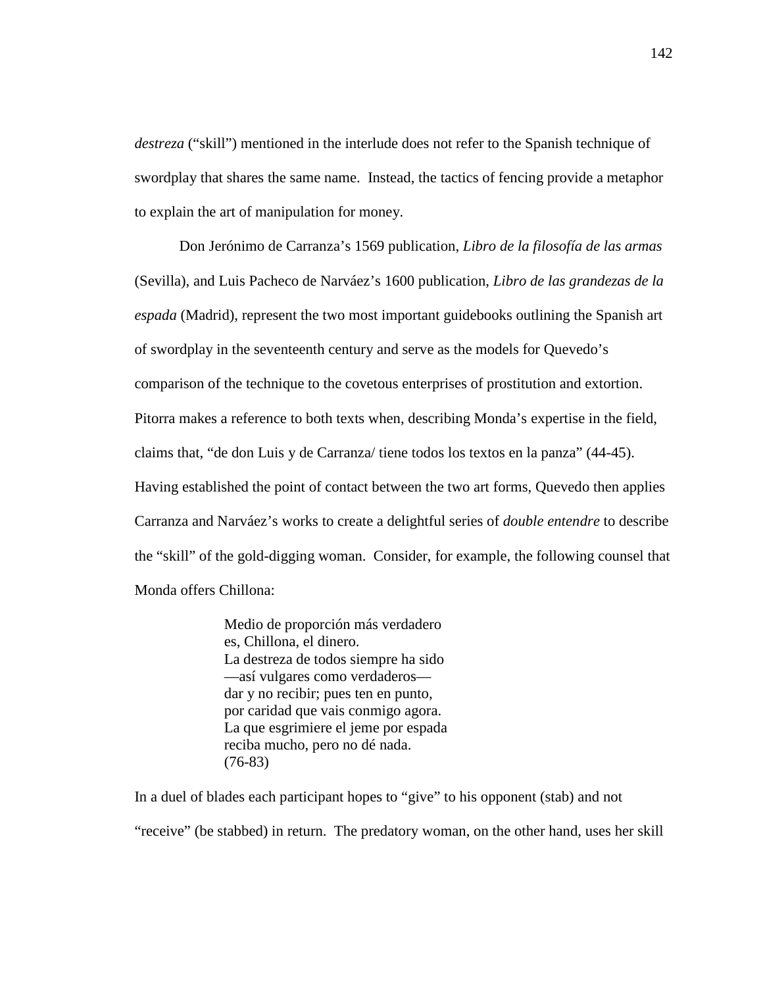*destreza* ("skill") mentioned in the interlude does not refer to the Spanish technique of swordplay that shares the same name. Instead, the tactics of fencing provide a metaphor to explain the art of manipulation for money.

 Don Jerónimo de Carranza's 1569 publication, *Libro de la filosofía de las armas* (Sevilla), and Luis Pacheco de Narváez's 1600 publication, *Libro de las grandezas de la espada* (Madrid), represent the two most important guidebooks outlining the Spanish art of swordplay in the seventeenth century and serve as the models for Quevedo's comparison of the technique to the covetous enterprises of prostitution and extortion. Pitorra makes a reference to both texts when, describing Monda's expertise in the field, claims that, "de don Luis y de Carranza/ tiene todos los textos en la panza" (44-45). Having established the point of contact between the two art forms, Quevedo then applies Carranza and Narváez's works to create a delightful series of *double entendre* to describe the "skill" of the gold-digging woman. Consider, for example, the following counsel that Monda offers Chillona:

> Medio de proporción más verdadero es, Chillona, el dinero. La destreza de todos siempre ha sido —así vulgares como verdaderos dar y no recibir; pues ten en punto, por caridad que vais conmigo agora. La que esgrimiere el jeme por espada reciba mucho, pero no dé nada. (76-83)

In a duel of blades each participant hopes to "give" to his opponent (stab) and not "receive" (be stabbed) in return. The predatory woman, on the other hand, uses her skill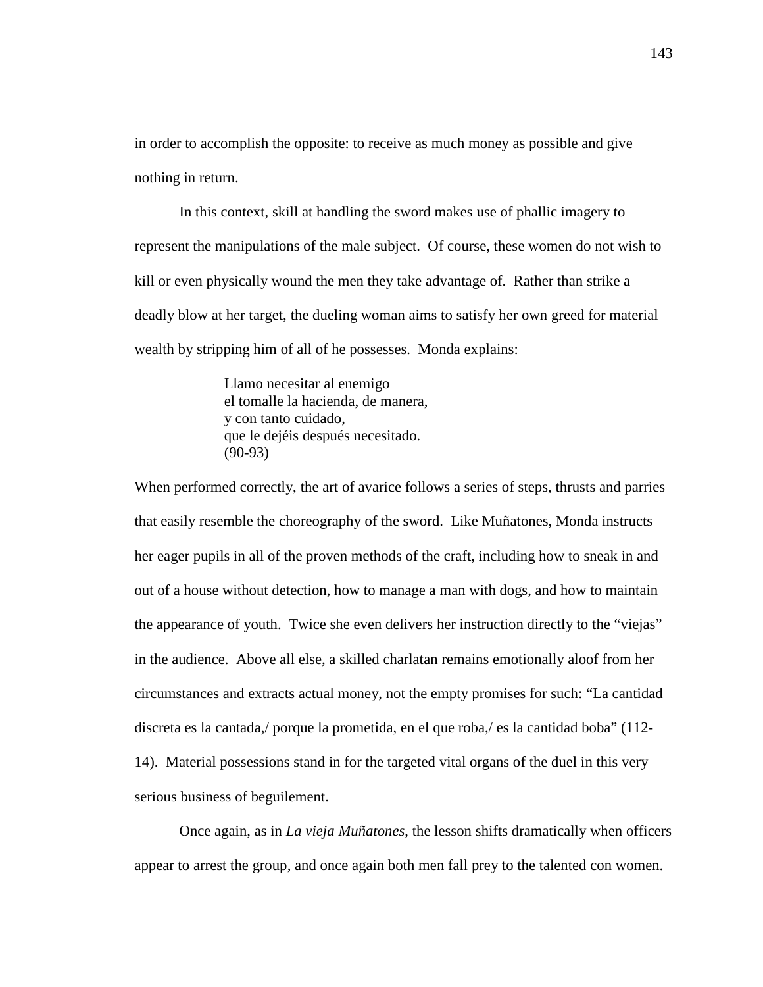in order to accomplish the opposite: to receive as much money as possible and give nothing in return.

In this context, skill at handling the sword makes use of phallic imagery to represent the manipulations of the male subject. Of course, these women do not wish to kill or even physically wound the men they take advantage of. Rather than strike a deadly blow at her target, the dueling woman aims to satisfy her own greed for material wealth by stripping him of all of he possesses. Monda explains:

> Llamo necesitar al enemigo el tomalle la hacienda, de manera, y con tanto cuidado, que le dejéis después necesitado. (90-93)

When performed correctly, the art of avarice follows a series of steps, thrusts and parries that easily resemble the choreography of the sword. Like Muñatones, Monda instructs her eager pupils in all of the proven methods of the craft, including how to sneak in and out of a house without detection, how to manage a man with dogs, and how to maintain the appearance of youth. Twice she even delivers her instruction directly to the "viejas" in the audience. Above all else, a skilled charlatan remains emotionally aloof from her circumstances and extracts actual money, not the empty promises for such: "La cantidad discreta es la cantada,/ porque la prometida, en el que roba,/ es la cantidad boba" (112- 14). Material possessions stand in for the targeted vital organs of the duel in this very serious business of beguilement.

Once again, as in *La vieja Muñatones*, the lesson shifts dramatically when officers appear to arrest the group, and once again both men fall prey to the talented con women.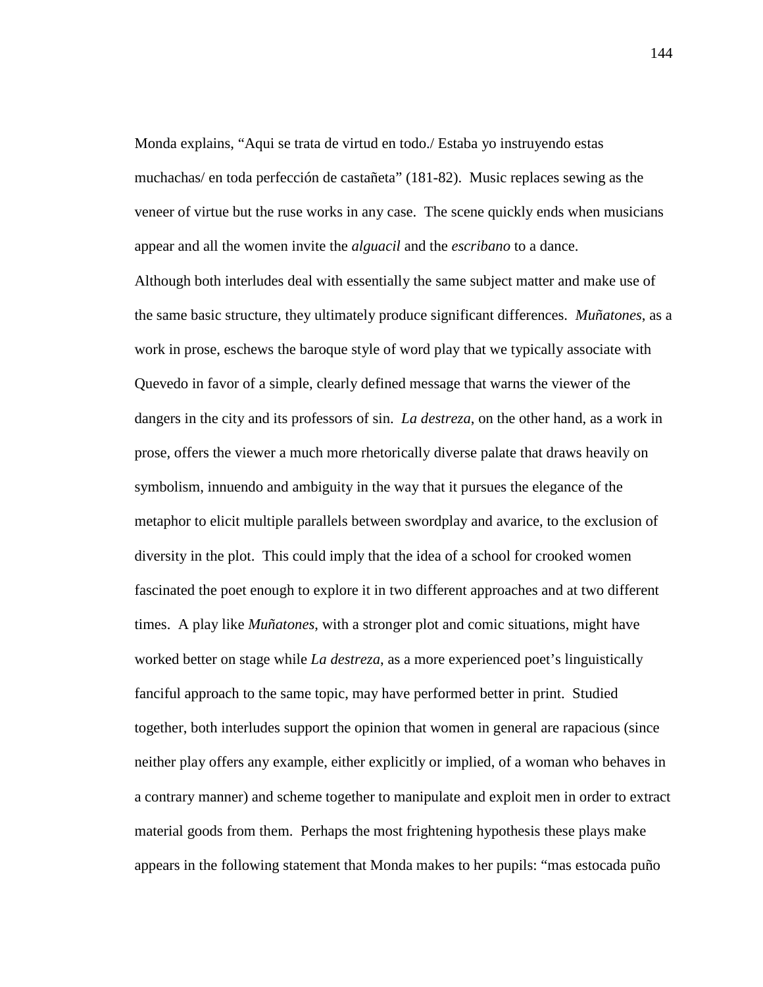Monda explains, "Aqui se trata de virtud en todo./ Estaba yo instruyendo estas muchachas/ en toda perfección de castañeta" (181-82). Music replaces sewing as the veneer of virtue but the ruse works in any case. The scene quickly ends when musicians appear and all the women invite the *alguacil* and the *escribano* to a dance.

Although both interludes deal with essentially the same subject matter and make use of the same basic structure, they ultimately produce significant differences. *Muñatones*, as a work in prose, eschews the baroque style of word play that we typically associate with Quevedo in favor of a simple, clearly defined message that warns the viewer of the dangers in the city and its professors of sin. *La destreza*, on the other hand, as a work in prose, offers the viewer a much more rhetorically diverse palate that draws heavily on symbolism, innuendo and ambiguity in the way that it pursues the elegance of the metaphor to elicit multiple parallels between swordplay and avarice, to the exclusion of diversity in the plot. This could imply that the idea of a school for crooked women fascinated the poet enough to explore it in two different approaches and at two different times. A play like *Muñatones*, with a stronger plot and comic situations, might have worked better on stage while *La destreza*, as a more experienced poet's linguistically fanciful approach to the same topic, may have performed better in print. Studied together, both interludes support the opinion that women in general are rapacious (since neither play offers any example, either explicitly or implied, of a woman who behaves in a contrary manner) and scheme together to manipulate and exploit men in order to extract material goods from them. Perhaps the most frightening hypothesis these plays make appears in the following statement that Monda makes to her pupils: "mas estocada puño

144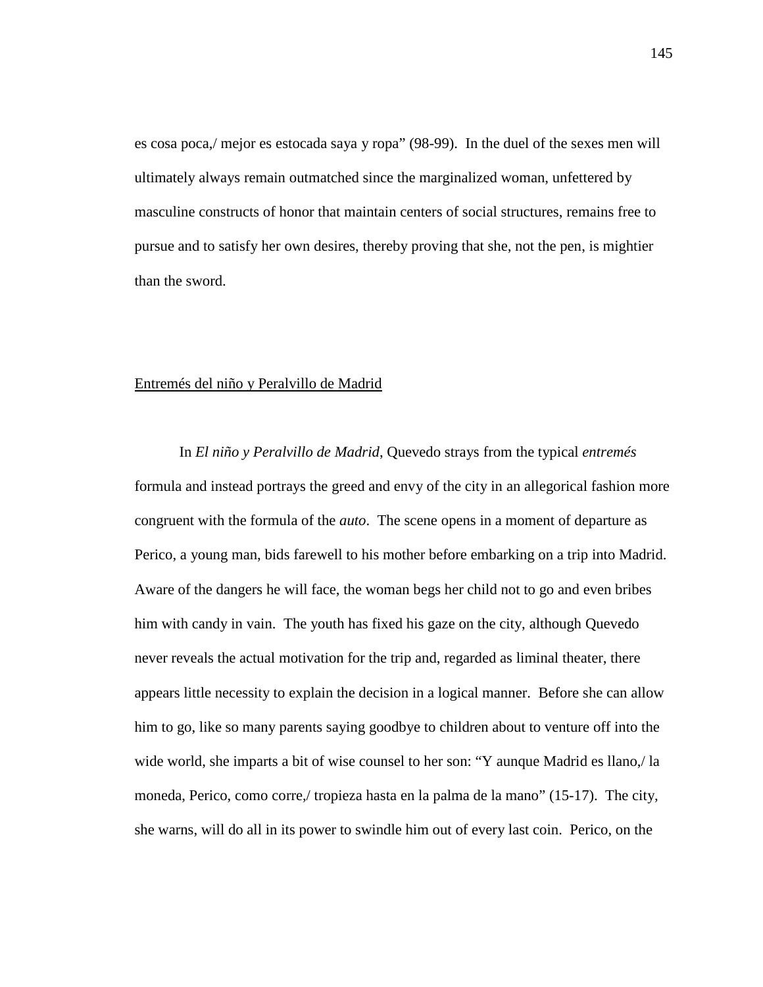es cosa poca,/ mejor es estocada saya y ropa" (98-99). In the duel of the sexes men will ultimately always remain outmatched since the marginalized woman, unfettered by masculine constructs of honor that maintain centers of social structures, remains free to pursue and to satisfy her own desires, thereby proving that she, not the pen, is mightier than the sword.

# Entremés del niño y Peralvillo de Madrid

 In *El niño y Peralvillo de Madrid*, Quevedo strays from the typical *entremés* formula and instead portrays the greed and envy of the city in an allegorical fashion more congruent with the formula of the *auto*. The scene opens in a moment of departure as Perico, a young man, bids farewell to his mother before embarking on a trip into Madrid. Aware of the dangers he will face, the woman begs her child not to go and even bribes him with candy in vain. The youth has fixed his gaze on the city, although Quevedo never reveals the actual motivation for the trip and, regarded as liminal theater, there appears little necessity to explain the decision in a logical manner. Before she can allow him to go, like so many parents saying goodbye to children about to venture off into the wide world, she imparts a bit of wise counsel to her son: "Y aunque Madrid es llano,/ la moneda, Perico, como corre,/ tropieza hasta en la palma de la mano" (15-17). The city, she warns, will do all in its power to swindle him out of every last coin. Perico, on the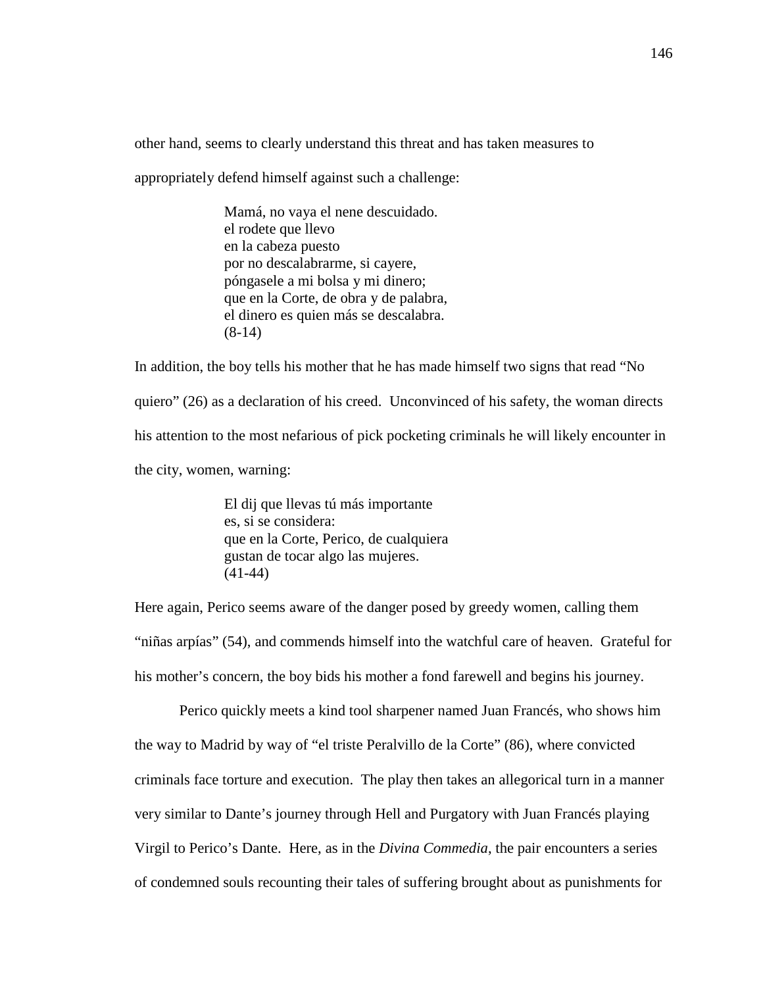other hand, seems to clearly understand this threat and has taken measures to

appropriately defend himself against such a challenge:

Mamá, no vaya el nene descuidado. el rodete que llevo en la cabeza puesto por no descalabrarme, si cayere, póngasele a mi bolsa y mi dinero; que en la Corte, de obra y de palabra, el dinero es quien más se descalabra. (8-14)

In addition, the boy tells his mother that he has made himself two signs that read "No quiero" (26) as a declaration of his creed. Unconvinced of his safety, the woman directs his attention to the most nefarious of pick pocketing criminals he will likely encounter in the city, women, warning:

> El dij que llevas tú más importante es, si se considera: que en la Corte, Perico, de cualquiera gustan de tocar algo las mujeres. (41-44)

Here again, Perico seems aware of the danger posed by greedy women, calling them "niñas arpías" (54), and commends himself into the watchful care of heaven. Grateful for his mother's concern, the boy bids his mother a fond farewell and begins his journey.

 Perico quickly meets a kind tool sharpener named Juan Francés, who shows him the way to Madrid by way of "el triste Peralvillo de la Corte" (86), where convicted criminals face torture and execution. The play then takes an allegorical turn in a manner very similar to Dante's journey through Hell and Purgatory with Juan Francés playing Virgil to Perico's Dante. Here, as in the *Divina Commedia*, the pair encounters a series of condemned souls recounting their tales of suffering brought about as punishments for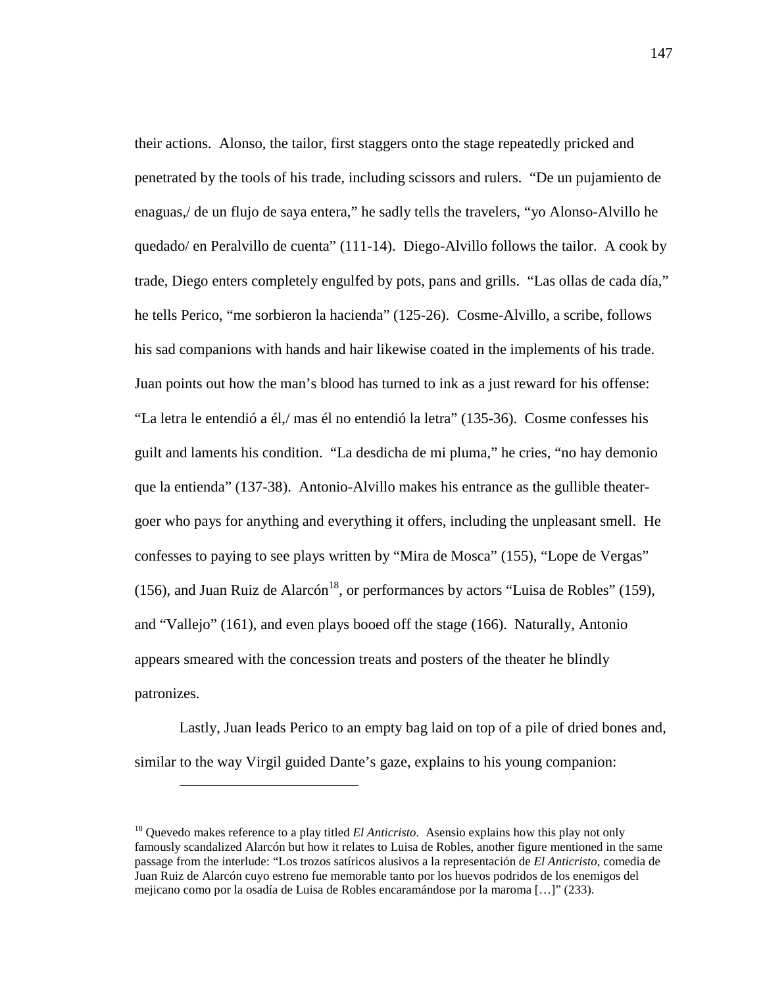their actions. Alonso, the tailor, first staggers onto the stage repeatedly pricked and penetrated by the tools of his trade, including scissors and rulers. "De un pujamiento de enaguas,/ de un flujo de saya entera," he sadly tells the travelers, "yo Alonso-Alvillo he quedado/ en Peralvillo de cuenta" (111-14). Diego-Alvillo follows the tailor. A cook by trade, Diego enters completely engulfed by pots, pans and grills. "Las ollas de cada día," he tells Perico, "me sorbieron la hacienda" (125-26). Cosme-Alvillo, a scribe, follows his sad companions with hands and hair likewise coated in the implements of his trade. Juan points out how the man's blood has turned to ink as a just reward for his offense: "La letra le entendió a él,/ mas él no entendió la letra" (135-36). Cosme confesses his guilt and laments his condition. "La desdicha de mi pluma," he cries, "no hay demonio que la entienda" (137-38). Antonio-Alvillo makes his entrance as the gullible theatergoer who pays for anything and everything it offers, including the unpleasant smell. He confesses to paying to see plays written by "Mira de Mosca" (155), "Lope de Vergas" (156), and Juan Ruiz de Alarcón<sup>18</sup>, or performances by actors "Luisa de Robles" (159), and "Vallejo" (161), and even plays booed off the stage (166). Naturally, Antonio appears smeared with the concession treats and posters of the theater he blindly patronizes.

Lastly, Juan leads Perico to an empty bag laid on top of a pile of dried bones and, similar to the way Virgil guided Dante's gaze, explains to his young companion:

l

<sup>18</sup> Quevedo makes reference to a play titled *El Anticristo*. Asensio explains how this play not only famously scandalized Alarcón but how it relates to Luisa de Robles, another figure mentioned in the same passage from the interlude: "Los trozos satíricos alusivos a la representación de *El Anticristo*, comedia de Juan Ruiz de Alarcón cuyo estreno fue memorable tanto por los huevos podridos de los enemigos del mejicano como por la osadía de Luisa de Robles encaramándose por la maroma […]" (233).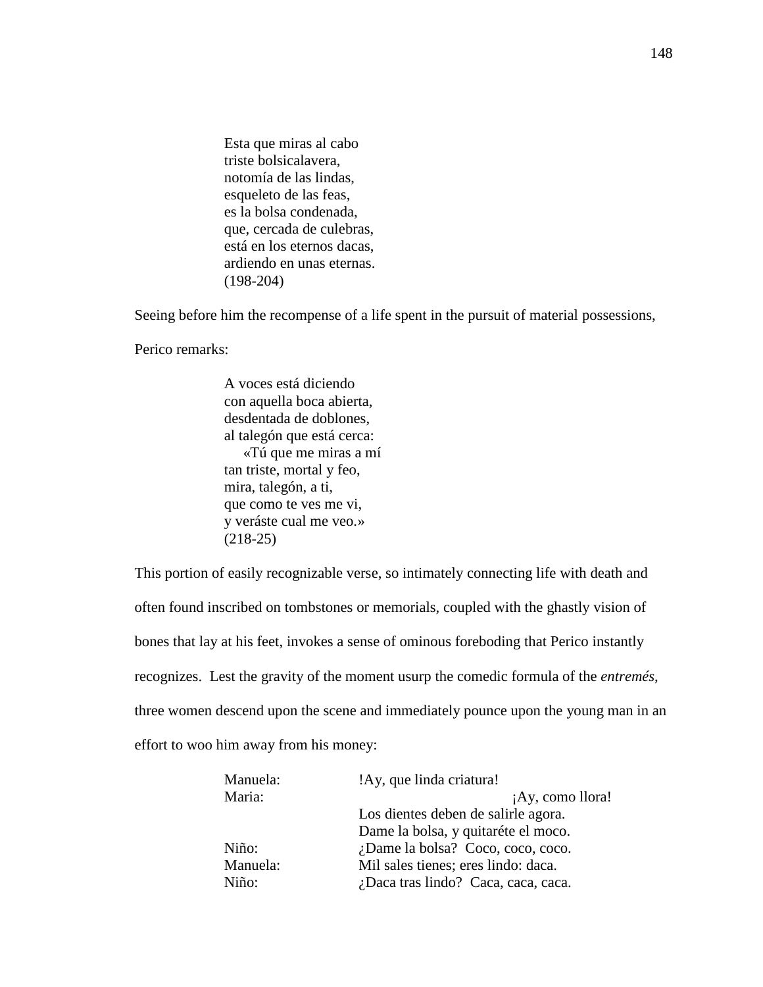Esta que miras al cabo triste bolsicalavera, notomía de las lindas, esqueleto de las feas, es la bolsa condenada, que, cercada de culebras, está en los eternos dacas, ardiendo en unas eternas. (198-204)

Seeing before him the recompense of a life spent in the pursuit of material possessions,

Perico remarks:

A voces está diciendo con aquella boca abierta, desdentada de doblones, al talegón que está cerca: «Tú que me miras a mí tan triste, mortal y feo, mira, talegón, a ti, que como te ves me vi, y veráste cual me veo.» (218-25)

This portion of easily recognizable verse, so intimately connecting life with death and often found inscribed on tombstones or memorials, coupled with the ghastly vision of bones that lay at his feet, invokes a sense of ominous foreboding that Perico instantly recognizes. Lest the gravity of the moment usurp the comedic formula of the *entremés*, three women descend upon the scene and immediately pounce upon the young man in an effort to woo him away from his money:

| Manuela: | !Ay, que linda criatura!            |
|----------|-------------------------------------|
| Maria:   | ¡Ay, como llora!                    |
|          | Los dientes deben de salirle agora. |
|          | Dame la bolsa, y quitaréte el moco. |
| Niño:    | ¿Dame la bolsa? Coco, coco, coco.   |
| Manuela: | Mil sales tienes; eres lindo: daca. |
| Niño:    | ¿Daca tras lindo? Caca, caca, caca. |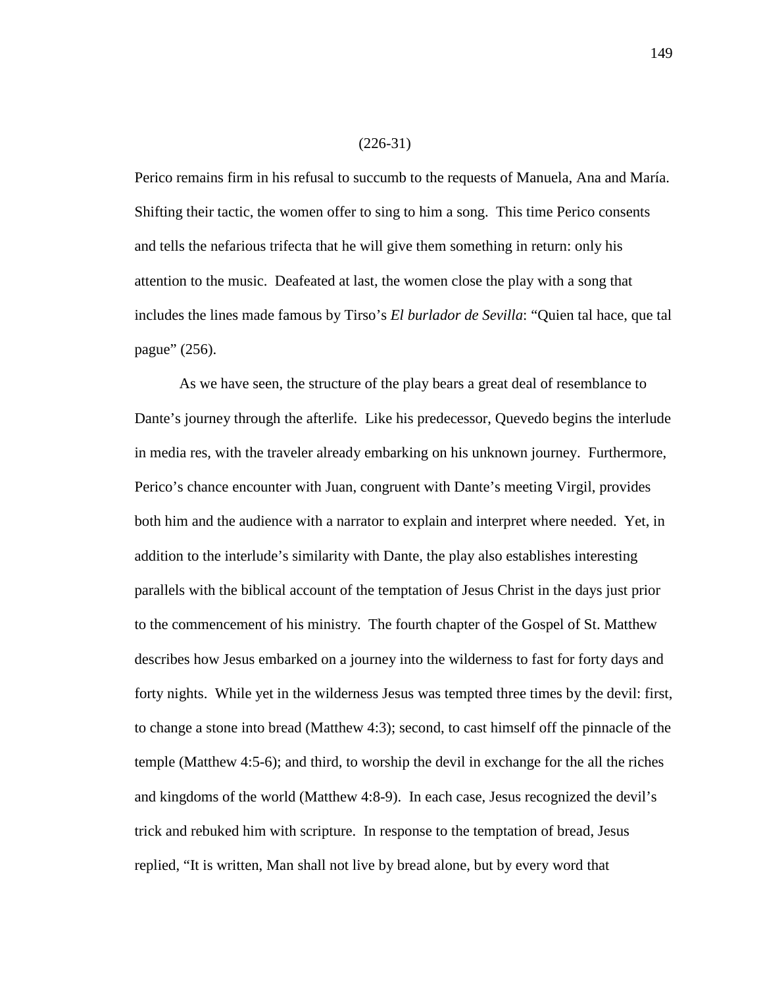#### (226-31)

Perico remains firm in his refusal to succumb to the requests of Manuela, Ana and María. Shifting their tactic, the women offer to sing to him a song. This time Perico consents and tells the nefarious trifecta that he will give them something in return: only his attention to the music. Deafeated at last, the women close the play with a song that includes the lines made famous by Tirso's *El burlador de Sevilla*: "Quien tal hace, que tal pague" (256).

 As we have seen, the structure of the play bears a great deal of resemblance to Dante's journey through the afterlife. Like his predecessor, Quevedo begins the interlude in media res, with the traveler already embarking on his unknown journey. Furthermore, Perico's chance encounter with Juan, congruent with Dante's meeting Virgil, provides both him and the audience with a narrator to explain and interpret where needed. Yet, in addition to the interlude's similarity with Dante, the play also establishes interesting parallels with the biblical account of the temptation of Jesus Christ in the days just prior to the commencement of his ministry. The fourth chapter of the Gospel of St. Matthew describes how Jesus embarked on a journey into the wilderness to fast for forty days and forty nights. While yet in the wilderness Jesus was tempted three times by the devil: first, to change a stone into bread (Matthew 4:3); second, to cast himself off the pinnacle of the temple (Matthew 4:5-6); and third, to worship the devil in exchange for the all the riches and kingdoms of the world (Matthew 4:8-9). In each case, Jesus recognized the devil's trick and rebuked him with scripture. In response to the temptation of bread, Jesus replied, "It is written, Man shall not live by bread alone, but by every word that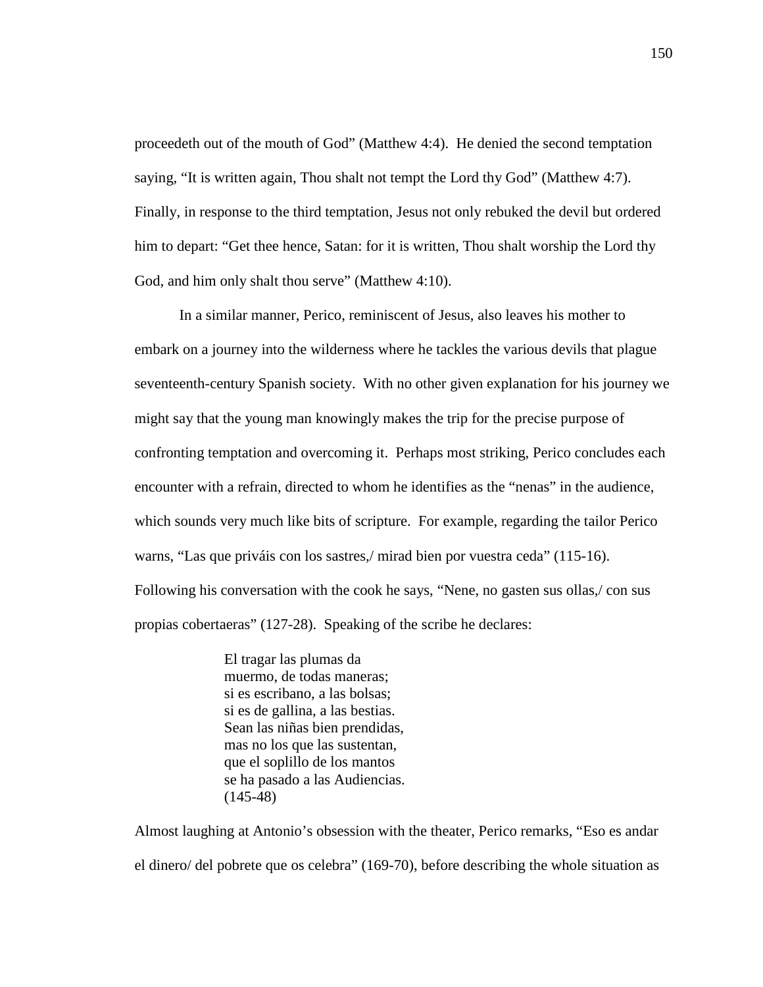proceedeth out of the mouth of God" (Matthew 4:4). He denied the second temptation saying, "It is written again, Thou shalt not tempt the Lord thy God" (Matthew 4:7). Finally, in response to the third temptation, Jesus not only rebuked the devil but ordered him to depart: "Get thee hence, Satan: for it is written, Thou shalt worship the Lord thy God, and him only shalt thou serve" (Matthew 4:10).

In a similar manner, Perico, reminiscent of Jesus, also leaves his mother to embark on a journey into the wilderness where he tackles the various devils that plague seventeenth-century Spanish society. With no other given explanation for his journey we might say that the young man knowingly makes the trip for the precise purpose of confronting temptation and overcoming it. Perhaps most striking, Perico concludes each encounter with a refrain, directed to whom he identifies as the "nenas" in the audience, which sounds very much like bits of scripture. For example, regarding the tailor Perico warns, "Las que priváis con los sastres,/ mirad bien por vuestra ceda" (115-16). Following his conversation with the cook he says, "Nene, no gasten sus ollas,/ con sus propias cobertaeras" (127-28). Speaking of the scribe he declares:

> El tragar las plumas da muermo, de todas maneras; si es escribano, a las bolsas; si es de gallina, a las bestias. Sean las niñas bien prendidas, mas no los que las sustentan, que el soplillo de los mantos se ha pasado a las Audiencias. (145-48)

Almost laughing at Antonio's obsession with the theater, Perico remarks, "Eso es andar el dinero/ del pobrete que os celebra" (169-70), before describing the whole situation as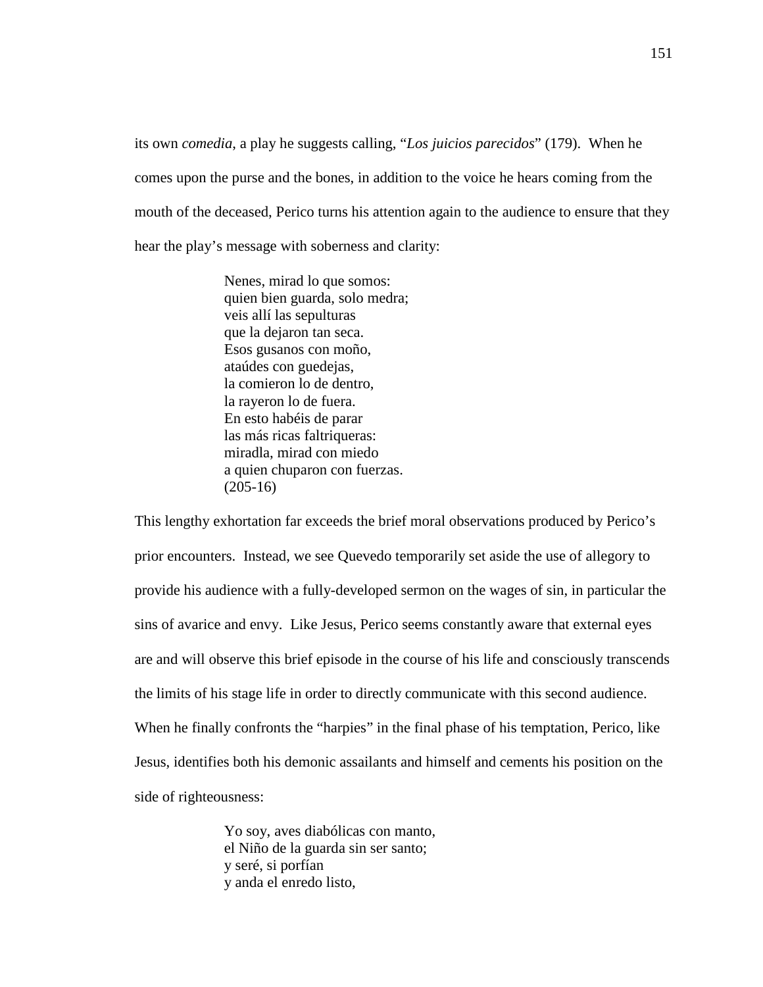its own *comedia*, a play he suggests calling, "*Los juicios parecidos*" (179). When he comes upon the purse and the bones, in addition to the voice he hears coming from the mouth of the deceased, Perico turns his attention again to the audience to ensure that they hear the play's message with soberness and clarity:

> Nenes, mirad lo que somos: quien bien guarda, solo medra; veis allí las sepulturas que la dejaron tan seca. Esos gusanos con moño, ataúdes con guedejas, la comieron lo de dentro, la rayeron lo de fuera. En esto habéis de parar las más ricas faltriqueras: miradla, mirad con miedo a quien chuparon con fuerzas. (205-16)

This lengthy exhortation far exceeds the brief moral observations produced by Perico's prior encounters. Instead, we see Quevedo temporarily set aside the use of allegory to provide his audience with a fully-developed sermon on the wages of sin, in particular the sins of avarice and envy. Like Jesus, Perico seems constantly aware that external eyes are and will observe this brief episode in the course of his life and consciously transcends the limits of his stage life in order to directly communicate with this second audience. When he finally confronts the "harpies" in the final phase of his temptation, Perico, like Jesus, identifies both his demonic assailants and himself and cements his position on the side of righteousness:

> Yo soy, aves diabólicas con manto, el Niño de la guarda sin ser santo; y seré, si porfían y anda el enredo listo,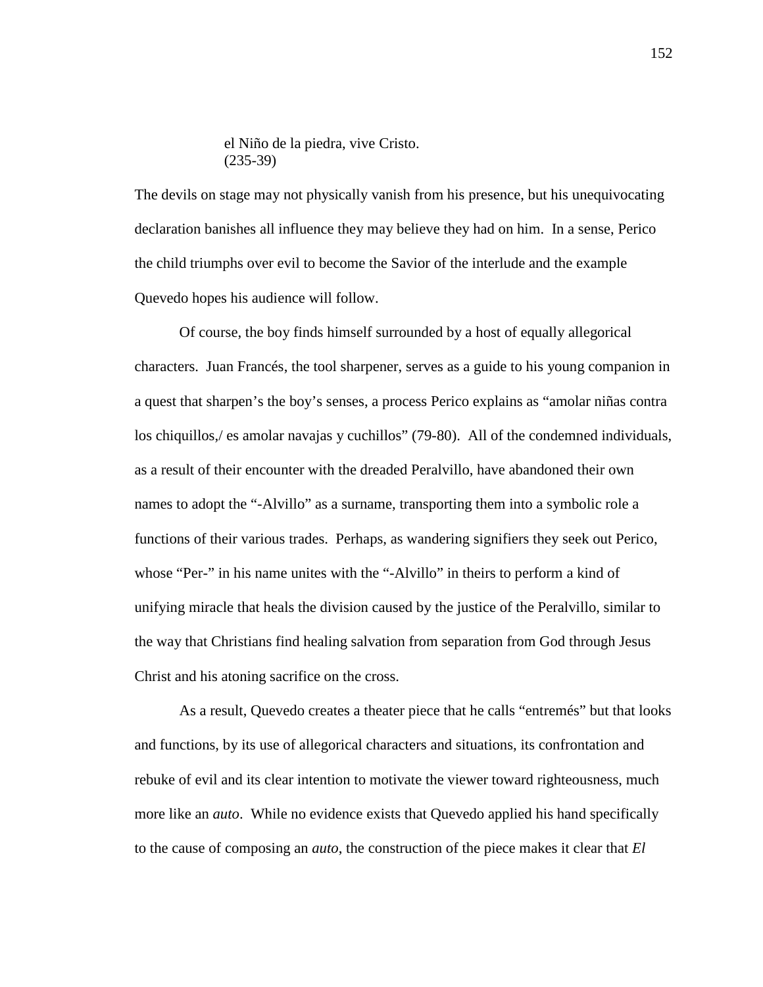el Niño de la piedra, vive Cristo. (235-39)

The devils on stage may not physically vanish from his presence, but his unequivocating declaration banishes all influence they may believe they had on him. In a sense, Perico the child triumphs over evil to become the Savior of the interlude and the example Quevedo hopes his audience will follow.

 Of course, the boy finds himself surrounded by a host of equally allegorical characters. Juan Francés, the tool sharpener, serves as a guide to his young companion in a quest that sharpen's the boy's senses, a process Perico explains as "amolar niñas contra los chiquillos,/ es amolar navajas y cuchillos" (79-80). All of the condemned individuals, as a result of their encounter with the dreaded Peralvillo, have abandoned their own names to adopt the "-Alvillo" as a surname, transporting them into a symbolic role a functions of their various trades. Perhaps, as wandering signifiers they seek out Perico, whose "Per-" in his name unites with the "-Alvillo" in theirs to perform a kind of unifying miracle that heals the division caused by the justice of the Peralvillo, similar to the way that Christians find healing salvation from separation from God through Jesus Christ and his atoning sacrifice on the cross.

 As a result, Quevedo creates a theater piece that he calls "entremés" but that looks and functions, by its use of allegorical characters and situations, its confrontation and rebuke of evil and its clear intention to motivate the viewer toward righteousness, much more like an *auto*. While no evidence exists that Quevedo applied his hand specifically to the cause of composing an *auto*, the construction of the piece makes it clear that *El*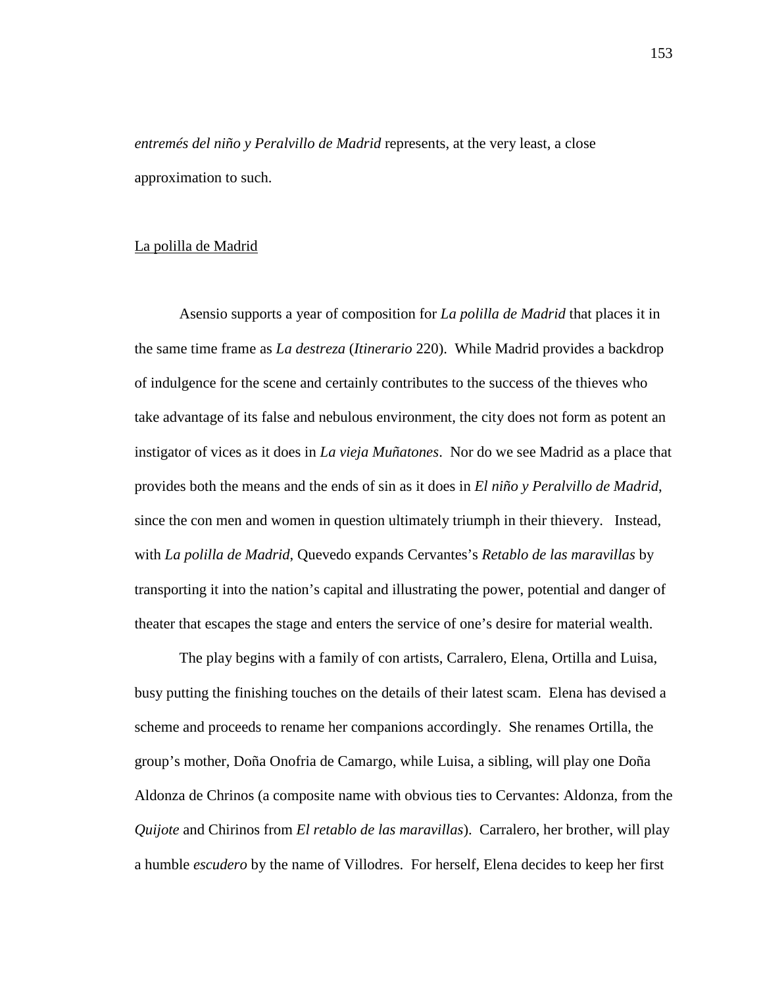*entremés del niño y Peralvillo de Madrid* represents, at the very least, a close approximation to such.

#### La polilla de Madrid

Asensio supports a year of composition for *La polilla de Madrid* that places it in the same time frame as *La destreza* (*Itinerario* 220). While Madrid provides a backdrop of indulgence for the scene and certainly contributes to the success of the thieves who take advantage of its false and nebulous environment, the city does not form as potent an instigator of vices as it does in *La vieja Muñatones*. Nor do we see Madrid as a place that provides both the means and the ends of sin as it does in *El niño y Peralvillo de Madrid*, since the con men and women in question ultimately triumph in their thievery. Instead, with *La polilla de Madrid*, Quevedo expands Cervantes's *Retablo de las maravillas* by transporting it into the nation's capital and illustrating the power, potential and danger of theater that escapes the stage and enters the service of one's desire for material wealth.

The play begins with a family of con artists, Carralero, Elena, Ortilla and Luisa, busy putting the finishing touches on the details of their latest scam. Elena has devised a scheme and proceeds to rename her companions accordingly. She renames Ortilla, the group's mother, Doña Onofria de Camargo, while Luisa, a sibling, will play one Doña Aldonza de Chrinos (a composite name with obvious ties to Cervantes: Aldonza, from the *Quijote* and Chirinos from *El retablo de las maravillas*). Carralero, her brother, will play a humble *escudero* by the name of Villodres. For herself, Elena decides to keep her first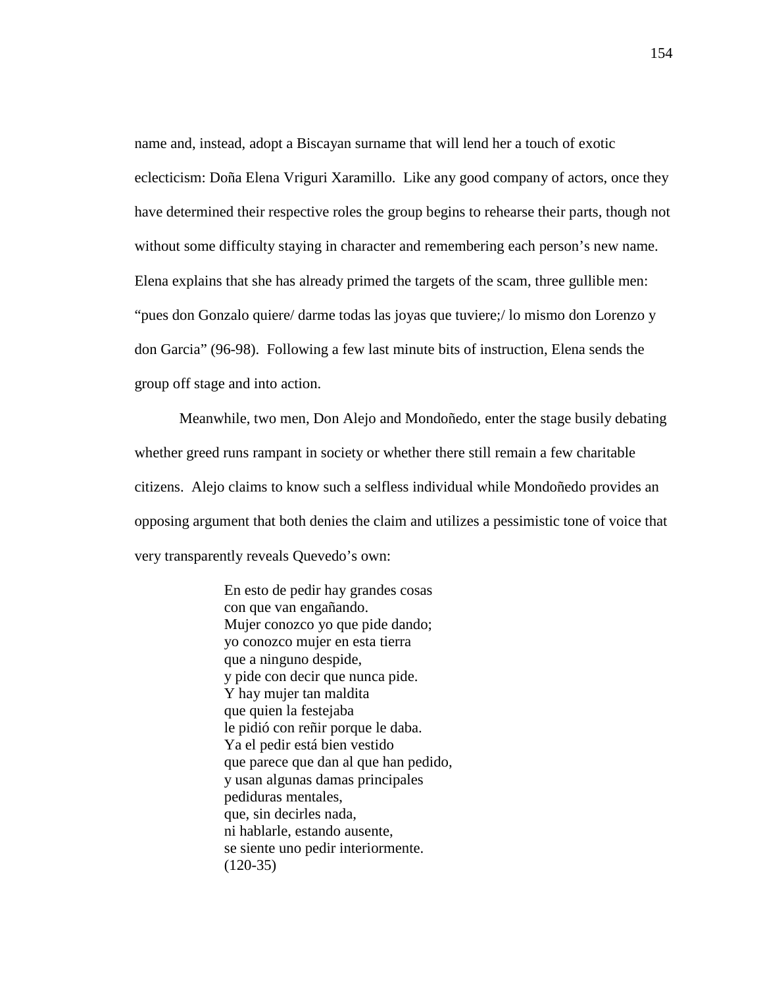name and, instead, adopt a Biscayan surname that will lend her a touch of exotic eclecticism: Doña Elena Vriguri Xaramillo. Like any good company of actors, once they have determined their respective roles the group begins to rehearse their parts, though not without some difficulty staying in character and remembering each person's new name. Elena explains that she has already primed the targets of the scam, three gullible men: "pues don Gonzalo quiere/ darme todas las joyas que tuviere;/ lo mismo don Lorenzo y don Garcia" (96-98). Following a few last minute bits of instruction, Elena sends the group off stage and into action.

Meanwhile, two men, Don Alejo and Mondoñedo, enter the stage busily debating whether greed runs rampant in society or whether there still remain a few charitable citizens. Alejo claims to know such a selfless individual while Mondoñedo provides an opposing argument that both denies the claim and utilizes a pessimistic tone of voice that very transparently reveals Quevedo's own:

> En esto de pedir hay grandes cosas con que van engañando. Mujer conozco yo que pide dando; yo conozco mujer en esta tierra que a ninguno despide, y pide con decir que nunca pide. Y hay mujer tan maldita que quien la festejaba le pidió con reñir porque le daba. Ya el pedir está bien vestido que parece que dan al que han pedido, y usan algunas damas principales pediduras mentales, que, sin decirles nada, ni hablarle, estando ausente, se siente uno pedir interiormente.  $(120-35)$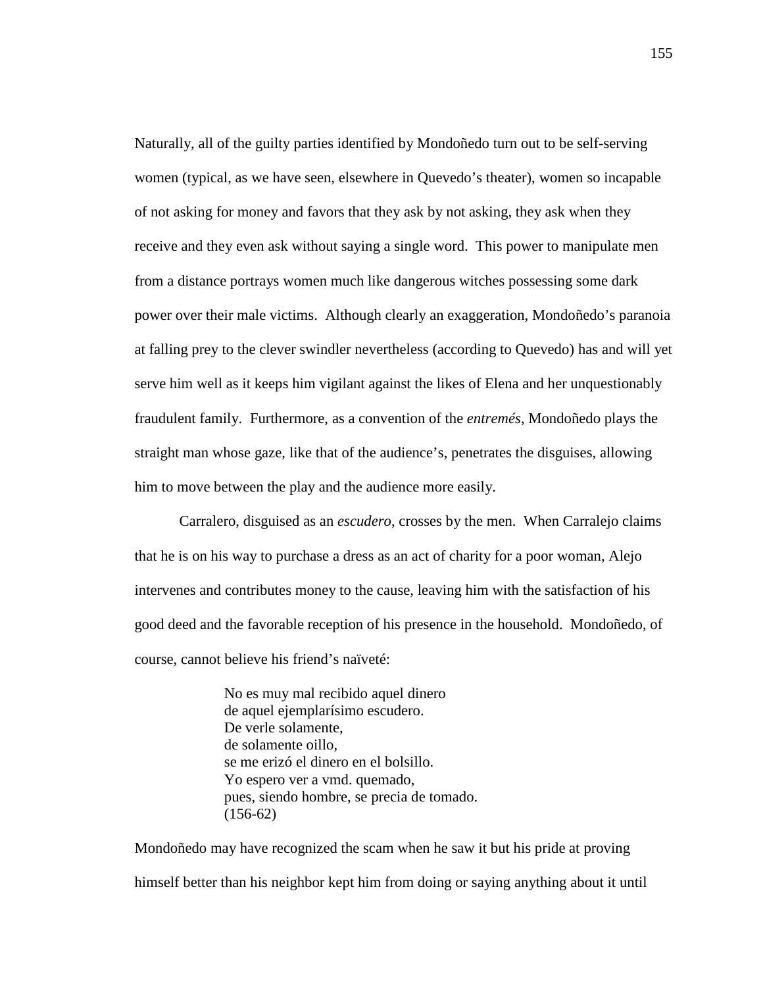Naturally, all of the guilty parties identified by Mondoñedo turn out to be self-serving women (typical, as we have seen, elsewhere in Quevedo's theater), women so incapable of not asking for money and favors that they ask by not asking, they ask when they receive and they even ask without saying a single word. This power to manipulate men from a distance portrays women much like dangerous witches possessing some dark power over their male victims. Although clearly an exaggeration, Mondoñedo's paranoia at falling prey to the clever swindler nevertheless (according to Quevedo) has and will yet serve him well as it keeps him vigilant against the likes of Elena and her unquestionably fraudulent family. Furthermore, as a convention of the *entremés*, Mondoñedo plays the straight man whose gaze, like that of the audience's, penetrates the disguises, allowing him to move between the play and the audience more easily.

 Carralero, disguised as an *escudero*, crosses by the men. When Carralejo claims that he is on his way to purchase a dress as an act of charity for a poor woman, Alejo intervenes and contributes money to the cause, leaving him with the satisfaction of his good deed and the favorable reception of his presence in the household. Mondoñedo, of course, cannot believe his friend's naïveté:

> No es muy mal recibido aquel dinero de aquel ejemplarísimo escudero. De verle solamente, de solamente oillo, se me erizó el dinero en el bolsillo. Yo espero ver a vmd. quemado, pues, siendo hombre, se precia de tomado. (156-62)

Mondoñedo may have recognized the scam when he saw it but his pride at proving himself better than his neighbor kept him from doing or saying anything about it until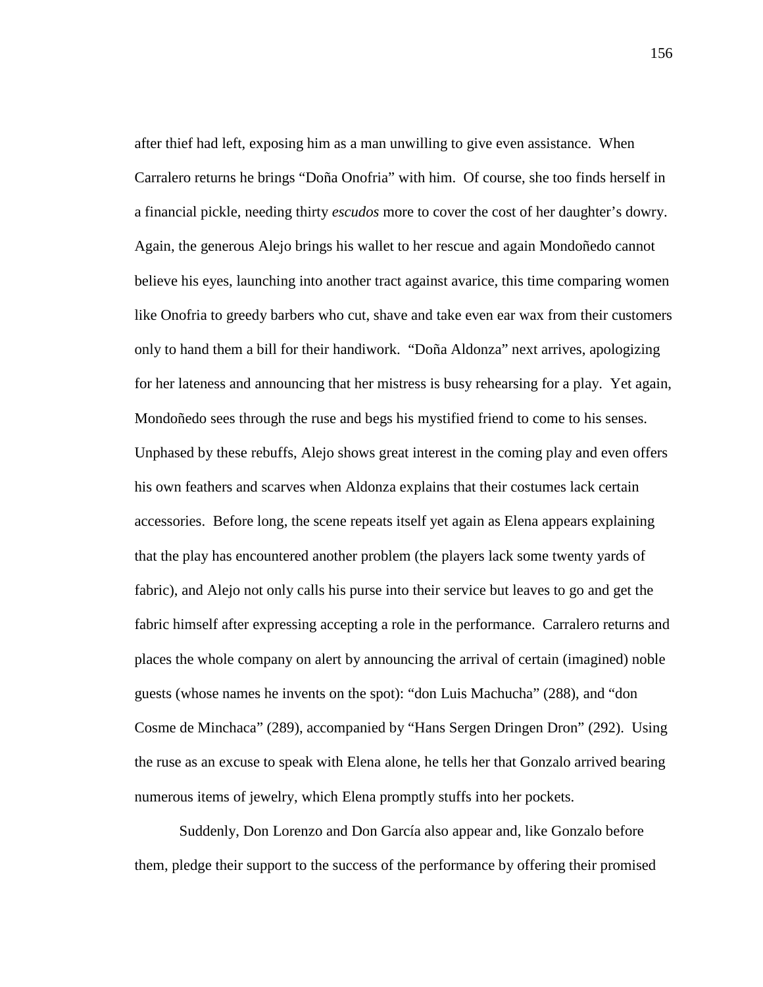after thief had left, exposing him as a man unwilling to give even assistance. When Carralero returns he brings "Doña Onofria" with him. Of course, she too finds herself in a financial pickle, needing thirty *escudos* more to cover the cost of her daughter's dowry. Again, the generous Alejo brings his wallet to her rescue and again Mondoñedo cannot believe his eyes, launching into another tract against avarice, this time comparing women like Onofria to greedy barbers who cut, shave and take even ear wax from their customers only to hand them a bill for their handiwork. "Doña Aldonza" next arrives, apologizing for her lateness and announcing that her mistress is busy rehearsing for a play. Yet again, Mondoñedo sees through the ruse and begs his mystified friend to come to his senses. Unphased by these rebuffs, Alejo shows great interest in the coming play and even offers his own feathers and scarves when Aldonza explains that their costumes lack certain accessories. Before long, the scene repeats itself yet again as Elena appears explaining that the play has encountered another problem (the players lack some twenty yards of fabric), and Alejo not only calls his purse into their service but leaves to go and get the fabric himself after expressing accepting a role in the performance. Carralero returns and places the whole company on alert by announcing the arrival of certain (imagined) noble guests (whose names he invents on the spot): "don Luis Machucha" (288), and "don Cosme de Minchaca" (289), accompanied by "Hans Sergen Dringen Dron" (292). Using the ruse as an excuse to speak with Elena alone, he tells her that Gonzalo arrived bearing numerous items of jewelry, which Elena promptly stuffs into her pockets.

 Suddenly, Don Lorenzo and Don García also appear and, like Gonzalo before them, pledge their support to the success of the performance by offering their promised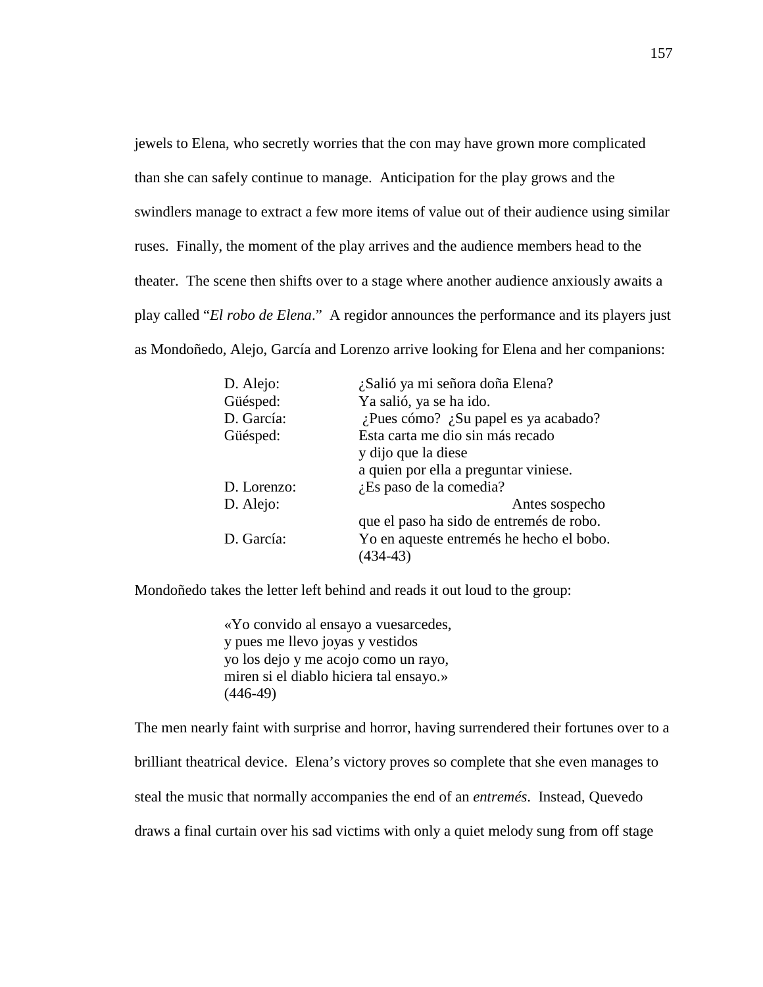jewels to Elena, who secretly worries that the con may have grown more complicated than she can safely continue to manage. Anticipation for the play grows and the swindlers manage to extract a few more items of value out of their audience using similar ruses. Finally, the moment of the play arrives and the audience members head to the theater. The scene then shifts over to a stage where another audience anxiously awaits a play called "*El robo de Elena*." A regidor announces the performance and its players just as Mondoñedo, Alejo, García and Lorenzo arrive looking for Elena and her companions:

| D. Alejo:   | ¿Salió ya mi señora doña Elena?            |
|-------------|--------------------------------------------|
| Güésped:    | Ya salió, ya se ha ido.                    |
| D. García:  | $i$ Pues cómo? $i$ Su papel es ya acabado? |
| Güésped:    | Esta carta me dio sin más recado           |
|             | y dijo que la diese                        |
|             | a quien por ella a preguntar viniese.      |
| D. Lorenzo: | ¿Es paso de la comedia?                    |
| D. Alejo:   | Antes sospecho                             |
|             | que el paso ha sido de entremés de robo.   |
| D. García:  | Yo en aqueste entremés he hecho el bobo.   |
|             | (434-43)                                   |

Mondoñedo takes the letter left behind and reads it out loud to the group:

«Yo convido al ensayo a vuesarcedes, y pues me llevo joyas y vestidos yo los dejo y me acojo como un rayo, miren si el diablo hiciera tal ensayo.» (446-49)

The men nearly faint with surprise and horror, having surrendered their fortunes over to a brilliant theatrical device. Elena's victory proves so complete that she even manages to steal the music that normally accompanies the end of an *entremés*. Instead, Quevedo draws a final curtain over his sad victims with only a quiet melody sung from off stage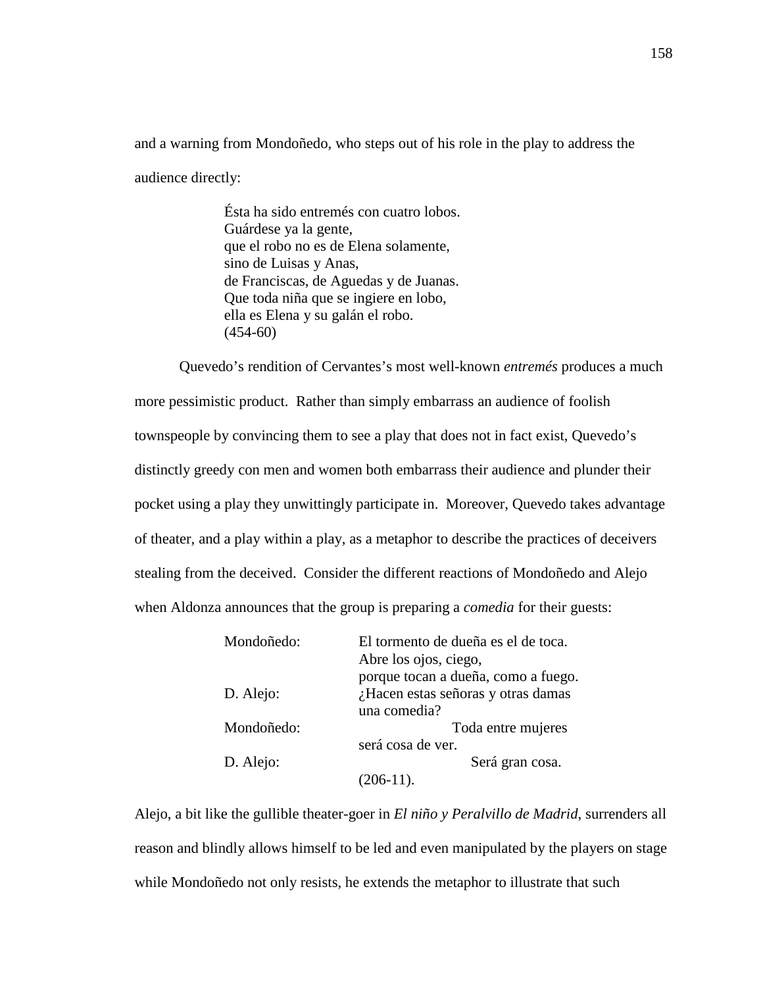and a warning from Mondoñedo, who steps out of his role in the play to address the audience directly:

> Ésta ha sido entremés con cuatro lobos. Guárdese ya la gente, que el robo no es de Elena solamente, sino de Luisas y Anas, de Franciscas, de Aguedas y de Juanas. Que toda niña que se ingiere en lobo, ella es Elena y su galán el robo. (454-60)

 Quevedo's rendition of Cervantes's most well-known *entremés* produces a much more pessimistic product. Rather than simply embarrass an audience of foolish townspeople by convincing them to see a play that does not in fact exist, Quevedo's distinctly greedy con men and women both embarrass their audience and plunder their pocket using a play they unwittingly participate in. Moreover, Quevedo takes advantage of theater, and a play within a play, as a metaphor to describe the practices of deceivers stealing from the deceived. Consider the different reactions of Mondoñedo and Alejo when Aldonza announces that the group is preparing a *comedia* for their guests:

| Mondoñedo: | El tormento de dueña es el de toca. |
|------------|-------------------------------------|
|            | Abre los ojos, ciego,               |
|            | porque tocan a dueña, como a fuego. |
| D. Alejo:  | ¿Hacen estas señoras y otras damas  |
|            | una comedia?                        |
| Mondoñedo: | Toda entre mujeres                  |
|            | será cosa de ver.                   |
| D. Alejo:  | Será gran cosa.                     |
|            | $(206-11).$                         |

Alejo, a bit like the gullible theater-goer in *El niño y Peralvillo de Madrid*, surrenders all reason and blindly allows himself to be led and even manipulated by the players on stage while Mondoñedo not only resists, he extends the metaphor to illustrate that such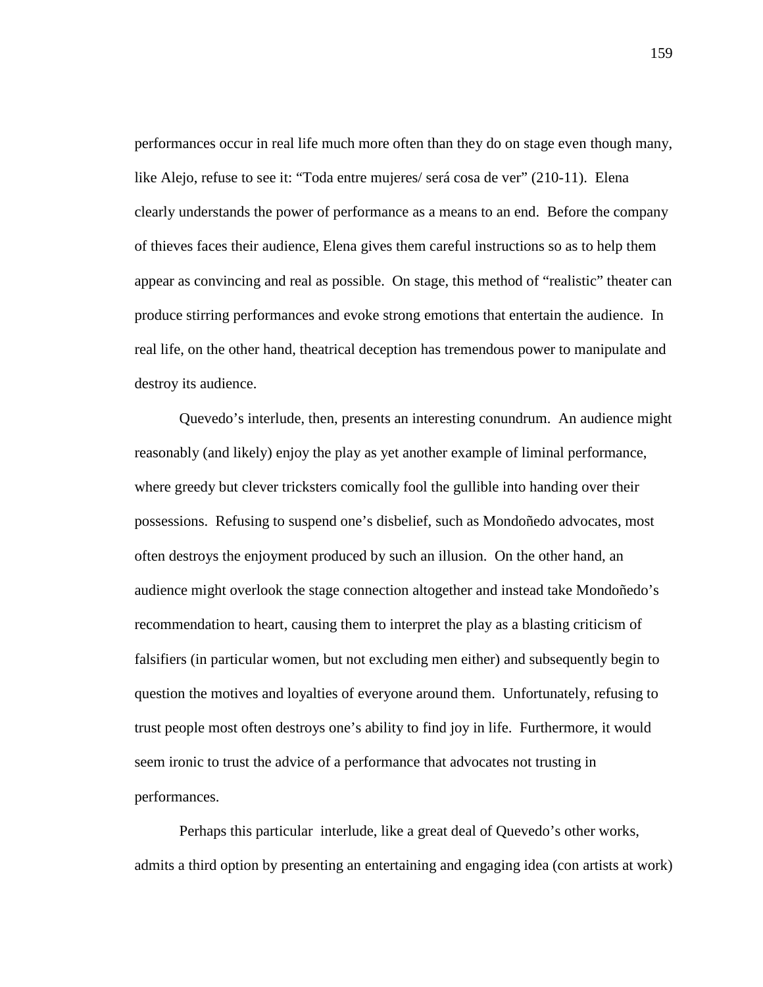performances occur in real life much more often than they do on stage even though many, like Alejo, refuse to see it: "Toda entre mujeres/ será cosa de ver" (210-11). Elena clearly understands the power of performance as a means to an end. Before the company of thieves faces their audience, Elena gives them careful instructions so as to help them appear as convincing and real as possible. On stage, this method of "realistic" theater can produce stirring performances and evoke strong emotions that entertain the audience. In real life, on the other hand, theatrical deception has tremendous power to manipulate and destroy its audience.

 Quevedo's interlude, then, presents an interesting conundrum. An audience might reasonably (and likely) enjoy the play as yet another example of liminal performance, where greedy but clever tricksters comically fool the gullible into handing over their possessions. Refusing to suspend one's disbelief, such as Mondoñedo advocates, most often destroys the enjoyment produced by such an illusion. On the other hand, an audience might overlook the stage connection altogether and instead take Mondoñedo's recommendation to heart, causing them to interpret the play as a blasting criticism of falsifiers (in particular women, but not excluding men either) and subsequently begin to question the motives and loyalties of everyone around them. Unfortunately, refusing to trust people most often destroys one's ability to find joy in life. Furthermore, it would seem ironic to trust the advice of a performance that advocates not trusting in performances.

Perhaps this particular interlude, like a great deal of Quevedo's other works, admits a third option by presenting an entertaining and engaging idea (con artists at work)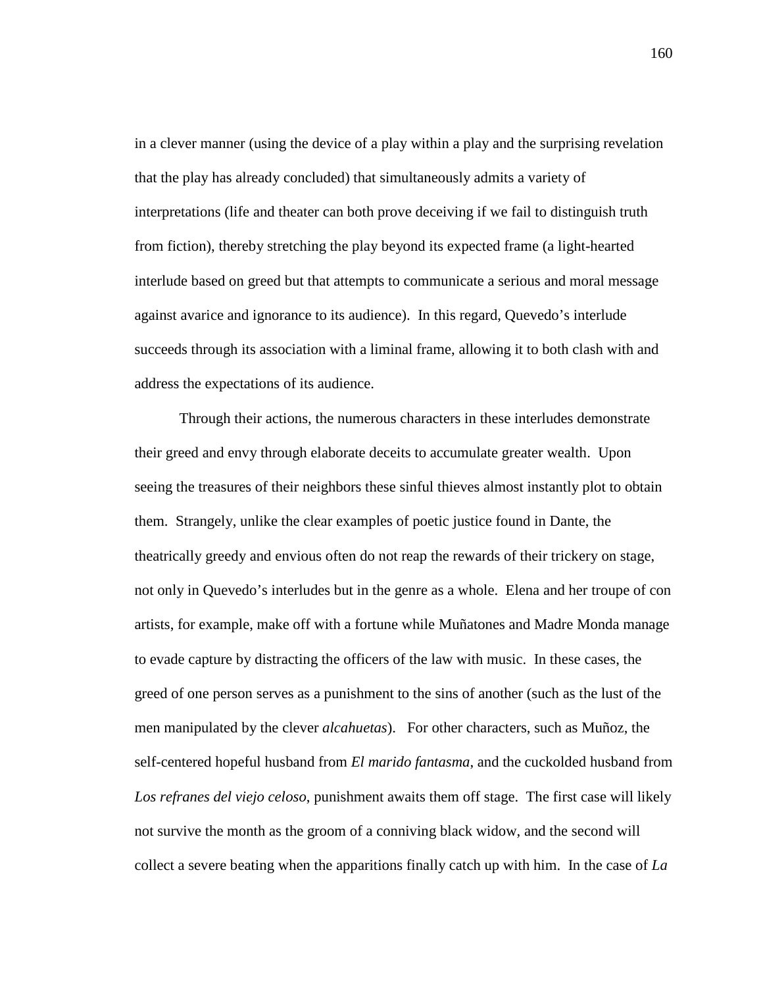in a clever manner (using the device of a play within a play and the surprising revelation that the play has already concluded) that simultaneously admits a variety of interpretations (life and theater can both prove deceiving if we fail to distinguish truth from fiction), thereby stretching the play beyond its expected frame (a light-hearted interlude based on greed but that attempts to communicate a serious and moral message against avarice and ignorance to its audience). In this regard, Quevedo's interlude succeeds through its association with a liminal frame, allowing it to both clash with and address the expectations of its audience.

 Through their actions, the numerous characters in these interludes demonstrate their greed and envy through elaborate deceits to accumulate greater wealth. Upon seeing the treasures of their neighbors these sinful thieves almost instantly plot to obtain them. Strangely, unlike the clear examples of poetic justice found in Dante, the theatrically greedy and envious often do not reap the rewards of their trickery on stage, not only in Quevedo's interludes but in the genre as a whole. Elena and her troupe of con artists, for example, make off with a fortune while Muñatones and Madre Monda manage to evade capture by distracting the officers of the law with music. In these cases, the greed of one person serves as a punishment to the sins of another (such as the lust of the men manipulated by the clever *alcahuetas*). For other characters, such as Muñoz, the self-centered hopeful husband from *El marido fantasma*, and the cuckolded husband from *Los refranes del viejo celoso*, punishment awaits them off stage. The first case will likely not survive the month as the groom of a conniving black widow, and the second will collect a severe beating when the apparitions finally catch up with him. In the case of *La*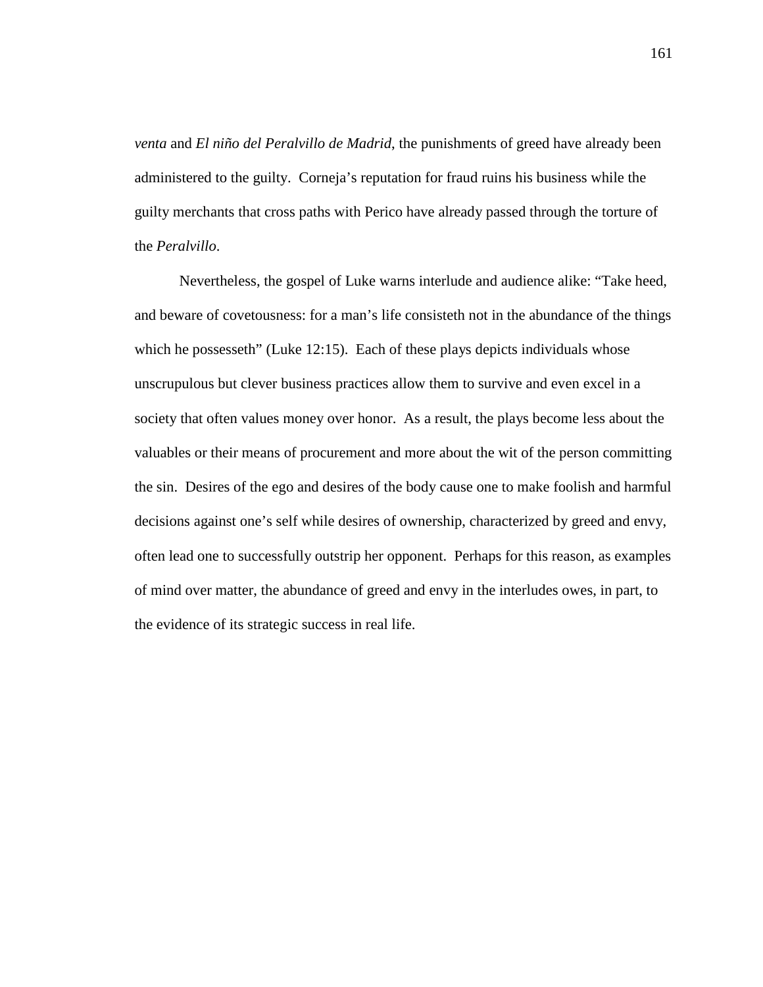*venta* and *El niño del Peralvillo de Madrid*, the punishments of greed have already been administered to the guilty. Corneja's reputation for fraud ruins his business while the guilty merchants that cross paths with Perico have already passed through the torture of the *Peralvillo*.

Nevertheless, the gospel of Luke warns interlude and audience alike: "Take heed, and beware of covetousness: for a man's life consisteth not in the abundance of the things which he possesseth" (Luke 12:15). Each of these plays depicts individuals whose unscrupulous but clever business practices allow them to survive and even excel in a society that often values money over honor. As a result, the plays become less about the valuables or their means of procurement and more about the wit of the person committing the sin. Desires of the ego and desires of the body cause one to make foolish and harmful decisions against one's self while desires of ownership, characterized by greed and envy, often lead one to successfully outstrip her opponent. Perhaps for this reason, as examples of mind over matter, the abundance of greed and envy in the interludes owes, in part, to the evidence of its strategic success in real life.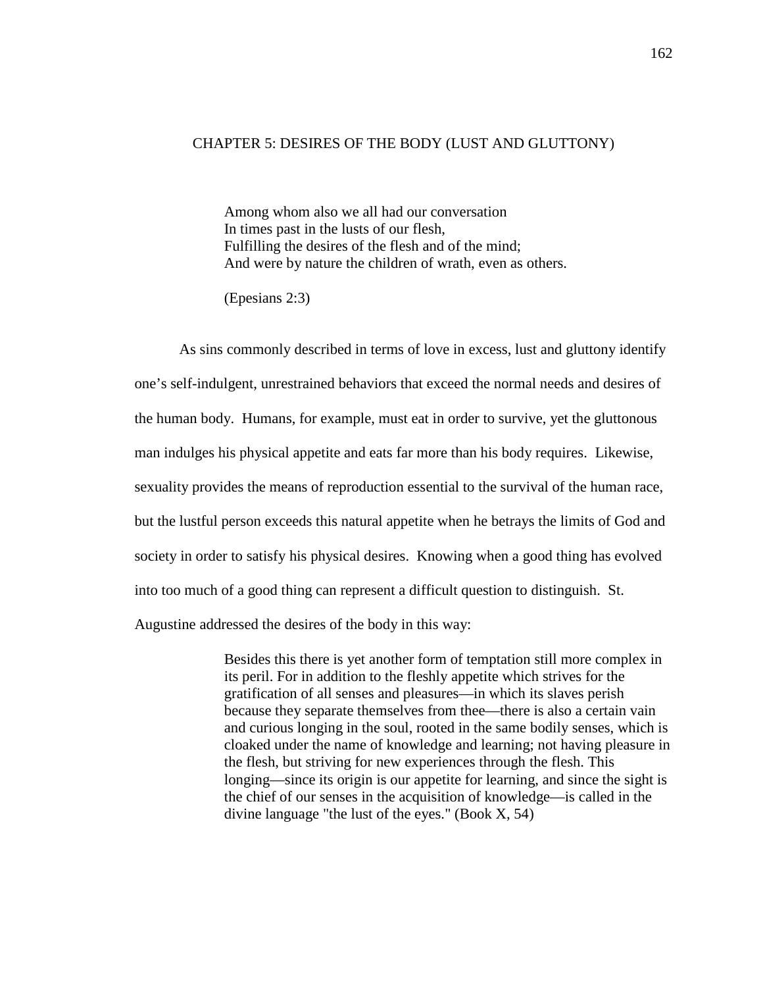# CHAPTER 5: DESIRES OF THE BODY (LUST AND GLUTTONY)

Among whom also we all had our conversation In times past in the lusts of our flesh, Fulfilling the desires of the flesh and of the mind; And were by nature the children of wrath, even as others.

(Epesians 2:3)

As sins commonly described in terms of love in excess, lust and gluttony identify one's self-indulgent, unrestrained behaviors that exceed the normal needs and desires of the human body. Humans, for example, must eat in order to survive, yet the gluttonous man indulges his physical appetite and eats far more than his body requires. Likewise, sexuality provides the means of reproduction essential to the survival of the human race, but the lustful person exceeds this natural appetite when he betrays the limits of God and society in order to satisfy his physical desires. Knowing when a good thing has evolved into too much of a good thing can represent a difficult question to distinguish. St. Augustine addressed the desires of the body in this way:

> Besides this there is yet another form of temptation still more complex in its peril. For in addition to the fleshly appetite which strives for the gratification of all senses and pleasures—in which its slaves perish because they separate themselves from thee—there is also a certain vain and curious longing in the soul, rooted in the same bodily senses, which is cloaked under the name of knowledge and learning; not having pleasure in the flesh, but striving for new experiences through the flesh. This longing—since its origin is our appetite for learning, and since the sight is the chief of our senses in the acquisition of knowledge—is called in the divine language "the lust of the eyes." (Book X, 54)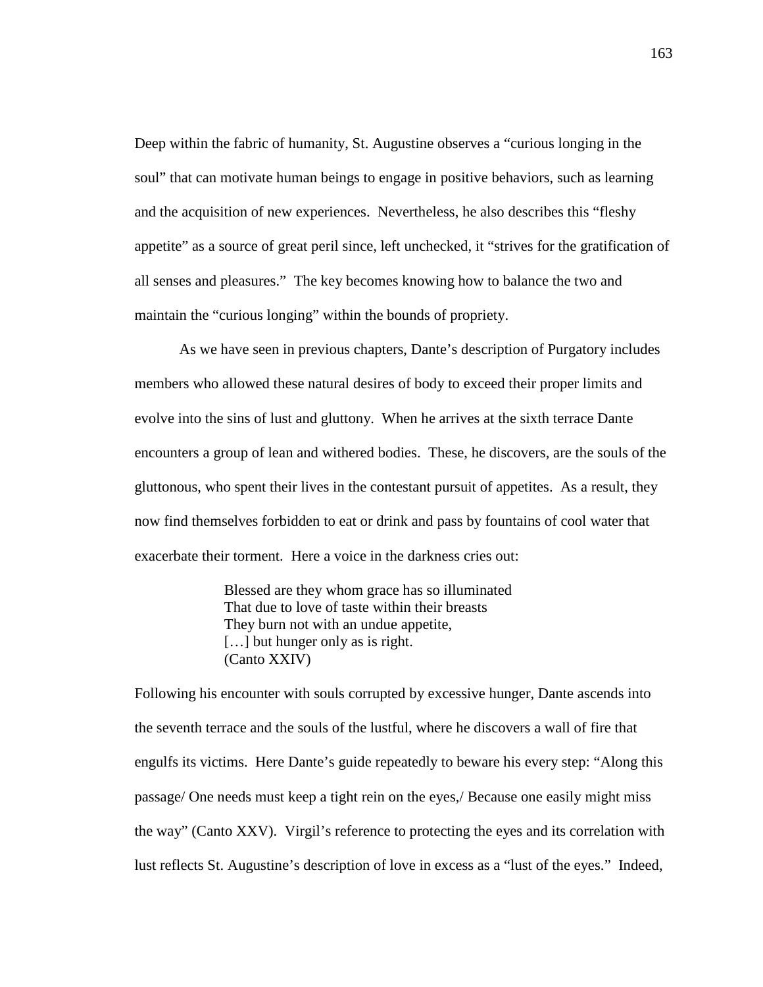Deep within the fabric of humanity, St. Augustine observes a "curious longing in the soul" that can motivate human beings to engage in positive behaviors, such as learning and the acquisition of new experiences. Nevertheless, he also describes this "fleshy appetite" as a source of great peril since, left unchecked, it "strives for the gratification of all senses and pleasures." The key becomes knowing how to balance the two and maintain the "curious longing" within the bounds of propriety.

 As we have seen in previous chapters, Dante's description of Purgatory includes members who allowed these natural desires of body to exceed their proper limits and evolve into the sins of lust and gluttony. When he arrives at the sixth terrace Dante encounters a group of lean and withered bodies. These, he discovers, are the souls of the gluttonous, who spent their lives in the contestant pursuit of appetites. As a result, they now find themselves forbidden to eat or drink and pass by fountains of cool water that exacerbate their torment. Here a voice in the darkness cries out:

> Blessed are they whom grace has so illuminated That due to love of taste within their breasts They burn not with an undue appetite, [...] but hunger only as is right. (Canto XXIV)

Following his encounter with souls corrupted by excessive hunger, Dante ascends into the seventh terrace and the souls of the lustful, where he discovers a wall of fire that engulfs its victims. Here Dante's guide repeatedly to beware his every step: "Along this passage/ One needs must keep a tight rein on the eyes,/ Because one easily might miss the way" (Canto XXV). Virgil's reference to protecting the eyes and its correlation with lust reflects St. Augustine's description of love in excess as a "lust of the eyes." Indeed,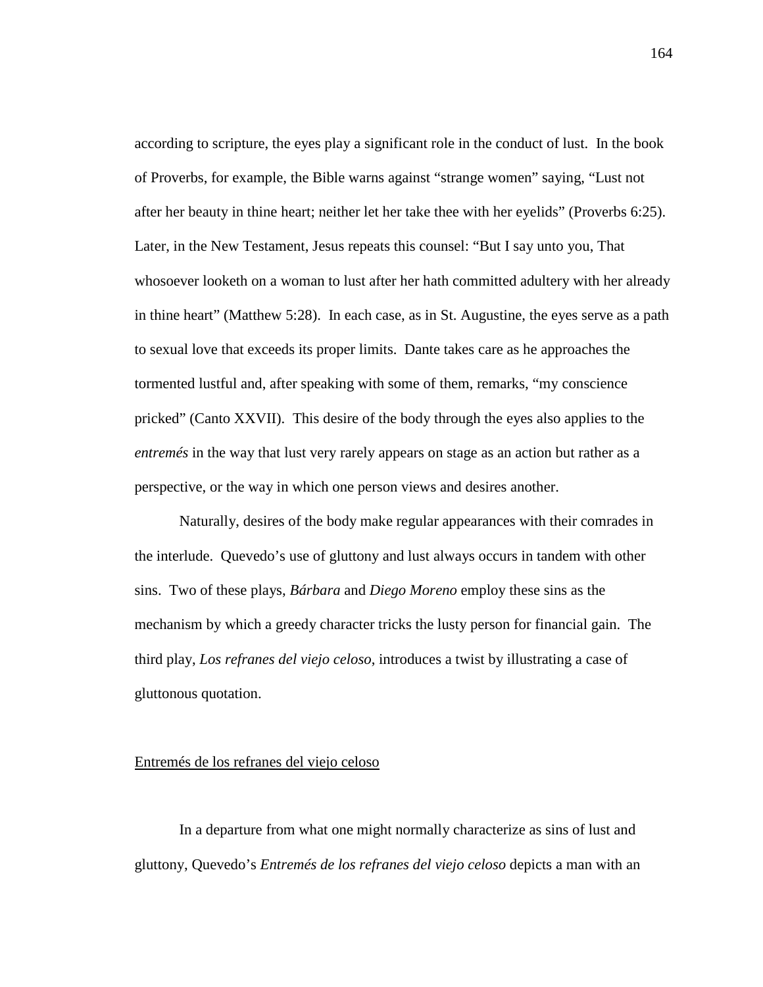according to scripture, the eyes play a significant role in the conduct of lust. In the book of Proverbs, for example, the Bible warns against "strange women" saying, "Lust not after her beauty in thine heart; neither let her take thee with her eyelids" (Proverbs 6:25). Later, in the New Testament, Jesus repeats this counsel: "But I say unto you, That whosoever looketh on a woman to lust after her hath committed adultery with her already in thine heart" (Matthew 5:28). In each case, as in St. Augustine, the eyes serve as a path to sexual love that exceeds its proper limits. Dante takes care as he approaches the tormented lustful and, after speaking with some of them, remarks, "my conscience pricked" (Canto XXVII). This desire of the body through the eyes also applies to the *entremés* in the way that lust very rarely appears on stage as an action but rather as a perspective, or the way in which one person views and desires another.

 Naturally, desires of the body make regular appearances with their comrades in the interlude. Quevedo's use of gluttony and lust always occurs in tandem with other sins. Two of these plays, *Bárbara* and *Diego Moreno* employ these sins as the mechanism by which a greedy character tricks the lusty person for financial gain. The third play, *Los refranes del viejo celoso*, introduces a twist by illustrating a case of gluttonous quotation.

## Entremés de los refranes del viejo celoso

In a departure from what one might normally characterize as sins of lust and gluttony, Quevedo's *Entremés de los refranes del viejo celoso* depicts a man with an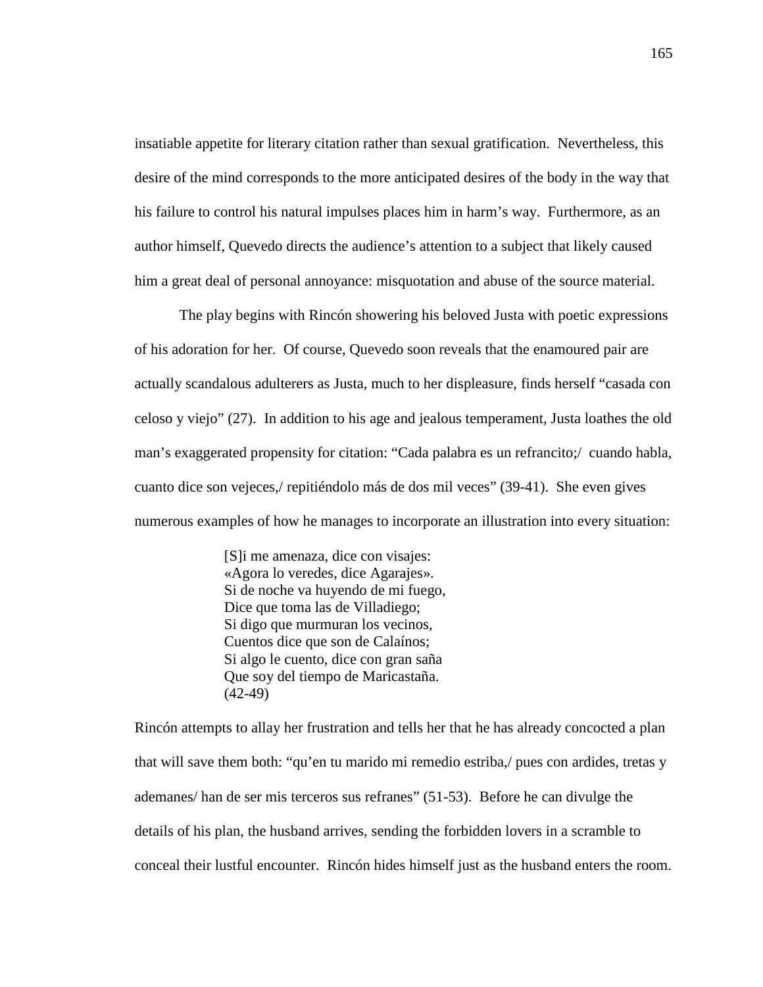insatiable appetite for literary citation rather than sexual gratification. Nevertheless, this desire of the mind corresponds to the more anticipated desires of the body in the way that his failure to control his natural impulses places him in harm's way. Furthermore, as an author himself, Quevedo directs the audience's attention to a subject that likely caused him a great deal of personal annoyance: misquotation and abuse of the source material.

The play begins with Rincón showering his beloved Justa with poetic expressions of his adoration for her. Of course, Quevedo soon reveals that the enamoured pair are actually scandalous adulterers as Justa, much to her displeasure, finds herself "casada con celoso y viejo" (27). In addition to his age and jealous temperament, Justa loathes the old man's exaggerated propensity for citation: "Cada palabra es un refrancito;/ cuando habla, cuanto dice son vejeces,/ repitiéndolo más de dos mil veces" (39-41). She even gives numerous examples of how he manages to incorporate an illustration into every situation:

> [S]i me amenaza, dice con visajes: «Agora lo veredes, dice Agarajes». Si de noche va huyendo de mi fuego, Dice que toma las de Villadiego; Si digo que murmuran los vecinos, Cuentos dice que son de Calaínos; Si algo le cuento, dice con gran saña Que soy del tiempo de Maricastaña.  $(42-49)$

Rincón attempts to allay her frustration and tells her that he has already concocted a plan that will save them both: "qu'en tu marido mi remedio estriba,/ pues con ardides, tretas y ademanes/ han de ser mis terceros sus refranes" (51-53). Before he can divulge the details of his plan, the husband arrives, sending the forbidden lovers in a scramble to conceal their lustful encounter. Rincón hides himself just as the husband enters the room.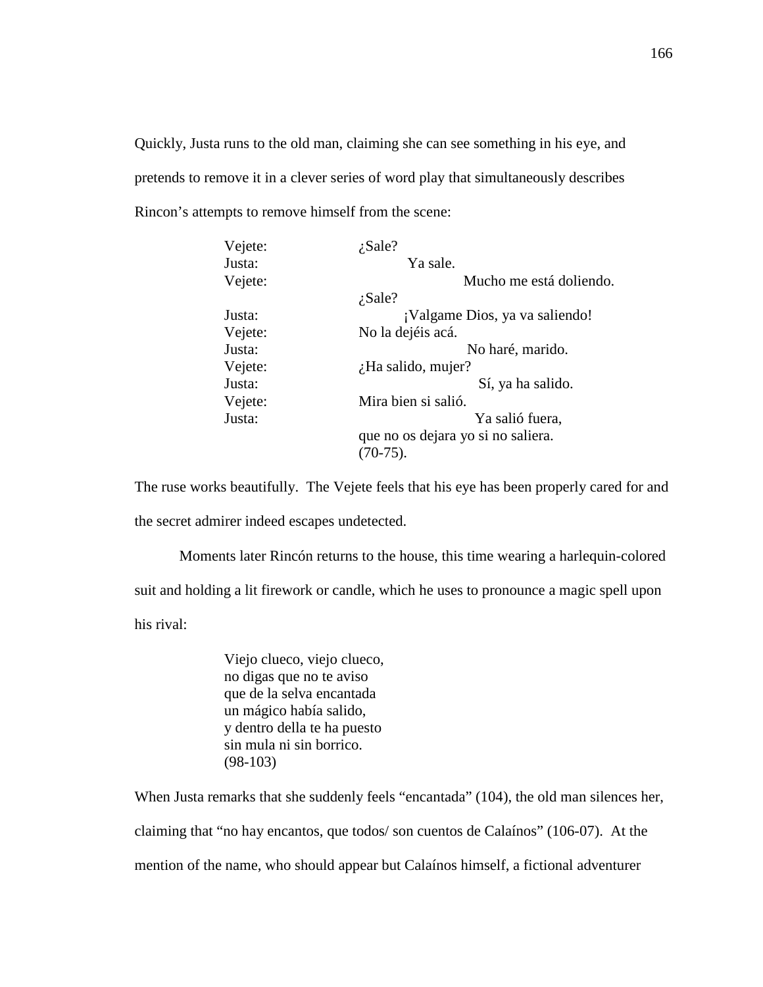Quickly, Justa runs to the old man, claiming she can see something in his eye, and pretends to remove it in a clever series of word play that simultaneously describes Rincon's attempts to remove himself from the scene:

| Vejete: | $i$ Sale?                          |
|---------|------------------------------------|
| Justa:  | Ya sale.                           |
| Vejete: | Mucho me está doliendo.            |
|         | $i$ Sale?                          |
| Justa:  | ¡Valgame Dios, ya va saliendo!     |
| Vejete: | No la dejéis acá.                  |
| Justa:  | No haré, marido.                   |
| Vejete: | $\lambda$ Ha salido, mujer?        |
| Justa:  | Sí, ya ha salido.                  |
| Vejete: | Mira bien si salió.                |
| Justa:  | Ya salió fuera,                    |
|         | que no os dejara yo si no saliera. |
|         | $(70-75)$ .                        |
|         |                                    |

The ruse works beautifully. The Vejete feels that his eye has been properly cared for and the secret admirer indeed escapes undetected.

Moments later Rincón returns to the house, this time wearing a harlequin-colored suit and holding a lit firework or candle, which he uses to pronounce a magic spell upon his rival:

> Viejo clueco, viejo clueco, no digas que no te aviso que de la selva encantada un mágico había salido, y dentro della te ha puesto sin mula ni sin borrico. (98-103)

When Justa remarks that she suddenly feels "encantada" (104), the old man silences her, claiming that "no hay encantos, que todos/ son cuentos de Calaínos" (106-07). At the mention of the name, who should appear but Calaínos himself, a fictional adventurer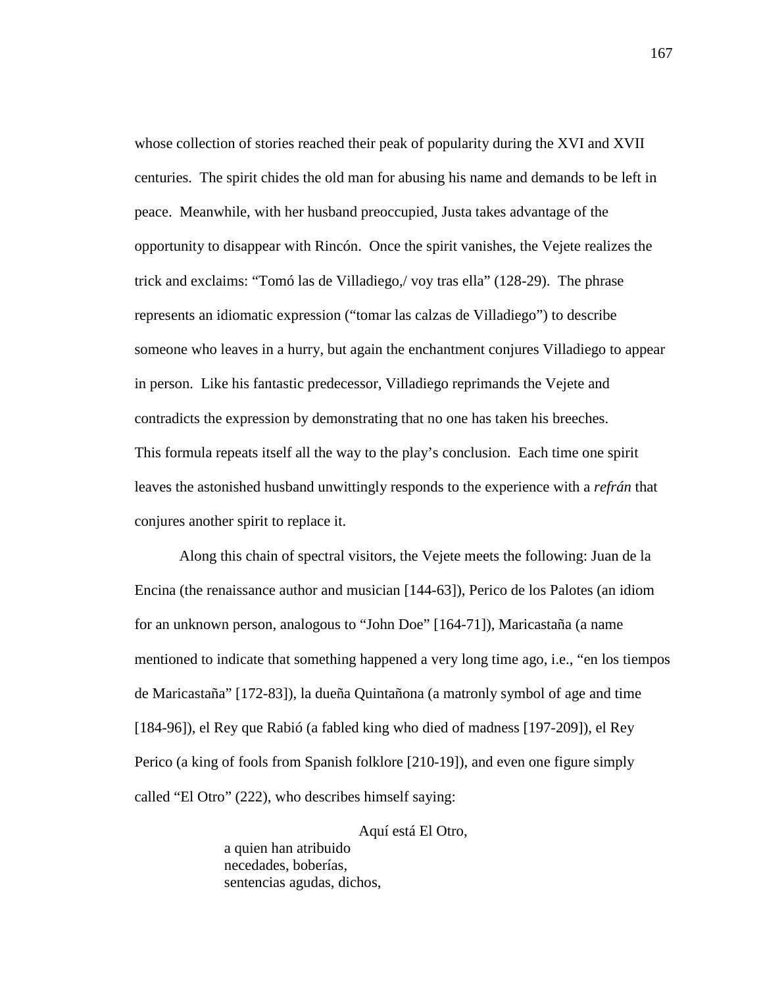whose collection of stories reached their peak of popularity during the XVI and XVII centuries. The spirit chides the old man for abusing his name and demands to be left in peace. Meanwhile, with her husband preoccupied, Justa takes advantage of the opportunity to disappear with Rincón. Once the spirit vanishes, the Vejete realizes the trick and exclaims: "Tomó las de Villadiego,/ voy tras ella" (128-29). The phrase represents an idiomatic expression ("tomar las calzas de Villadiego") to describe someone who leaves in a hurry, but again the enchantment conjures Villadiego to appear in person. Like his fantastic predecessor, Villadiego reprimands the Vejete and contradicts the expression by demonstrating that no one has taken his breeches. This formula repeats itself all the way to the play's conclusion. Each time one spirit leaves the astonished husband unwittingly responds to the experience with a *refrán* that conjures another spirit to replace it.

Along this chain of spectral visitors, the Vejete meets the following: Juan de la Encina (the renaissance author and musician [144-63]), Perico de los Palotes (an idiom for an unknown person, analogous to "John Doe" [164-71]), Maricastaña (a name mentioned to indicate that something happened a very long time ago, i.e., "en los tiempos de Maricastaña" [172-83]), la dueña Quintañona (a matronly symbol of age and time [184-96]), el Rey que Rabió (a fabled king who died of madness [197-209]), el Rey Perico (a king of fools from Spanish folklore [210-19]), and even one figure simply called "El Otro" (222), who describes himself saying:

> Aquí está El Otro, a quien han atribuido necedades, boberías, sentencias agudas, dichos,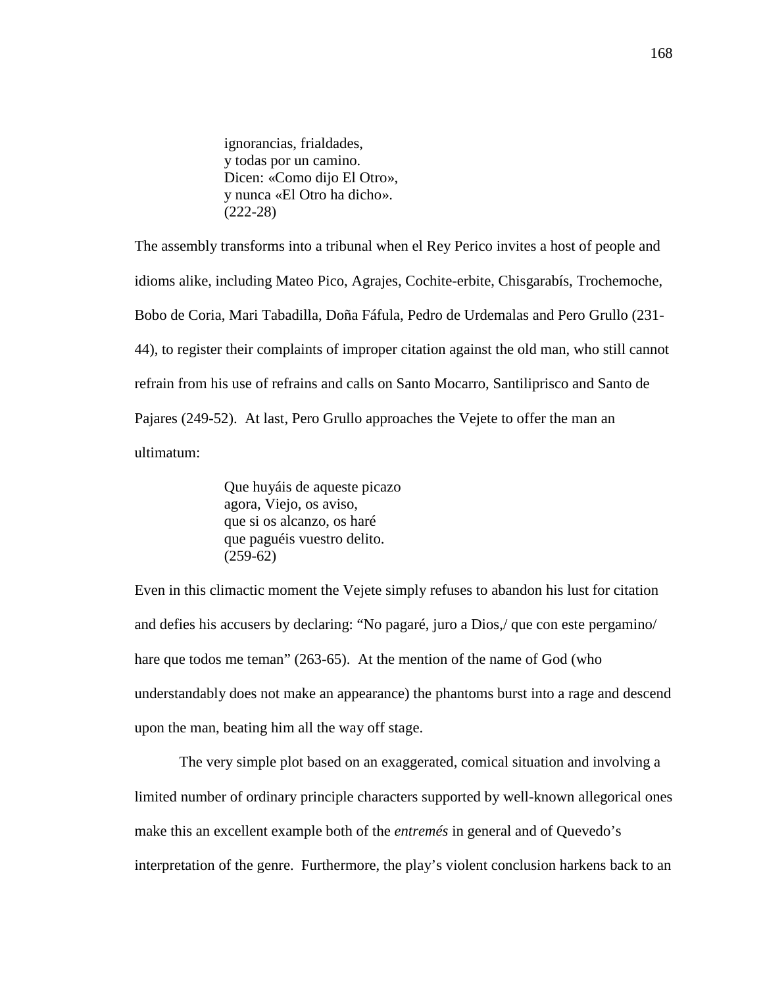ignorancias, frialdades, y todas por un camino. Dicen: «Como dijo El Otro», y nunca «El Otro ha dicho». (222-28)

The assembly transforms into a tribunal when el Rey Perico invites a host of people and idioms alike, including Mateo Pico, Agrajes, Cochite-erbite, Chisgarabís, Trochemoche, Bobo de Coria, Mari Tabadilla, Doña Fáfula, Pedro de Urdemalas and Pero Grullo (231- 44), to register their complaints of improper citation against the old man, who still cannot refrain from his use of refrains and calls on Santo Mocarro, Santiliprisco and Santo de Pajares (249-52). At last, Pero Grullo approaches the Vejete to offer the man an ultimatum:

> Que huyáis de aqueste picazo agora, Viejo, os aviso, que si os alcanzo, os haré que paguéis vuestro delito. (259-62)

Even in this climactic moment the Vejete simply refuses to abandon his lust for citation and defies his accusers by declaring: "No pagaré, juro a Dios,/ que con este pergamino/ hare que todos me teman" (263-65). At the mention of the name of God (who understandably does not make an appearance) the phantoms burst into a rage and descend upon the man, beating him all the way off stage.

The very simple plot based on an exaggerated, comical situation and involving a limited number of ordinary principle characters supported by well-known allegorical ones make this an excellent example both of the *entremés* in general and of Quevedo's interpretation of the genre. Furthermore, the play's violent conclusion harkens back to an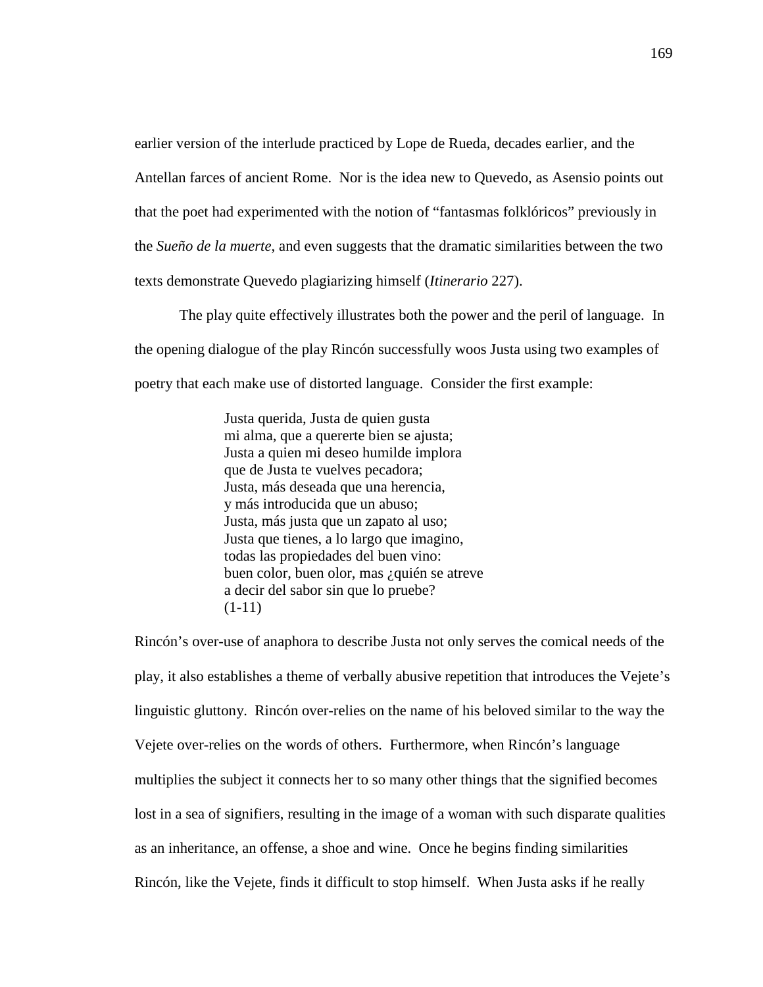earlier version of the interlude practiced by Lope de Rueda, decades earlier, and the Antellan farces of ancient Rome. Nor is the idea new to Quevedo, as Asensio points out that the poet had experimented with the notion of "fantasmas folklóricos" previously in the *Sueño de la muerte*, and even suggests that the dramatic similarities between the two texts demonstrate Quevedo plagiarizing himself (*Itinerario* 227).

The play quite effectively illustrates both the power and the peril of language. In the opening dialogue of the play Rincón successfully woos Justa using two examples of poetry that each make use of distorted language. Consider the first example:

> Justa querida, Justa de quien gusta mi alma, que a quererte bien se ajusta; Justa a quien mi deseo humilde implora que de Justa te vuelves pecadora; Justa, más deseada que una herencia, y más introducida que un abuso; Justa, más justa que un zapato al uso; Justa que tienes, a lo largo que imagino, todas las propiedades del buen vino: buen color, buen olor, mas ¿quién se atreve a decir del sabor sin que lo pruebe? (1-11)

Rincón's over-use of anaphora to describe Justa not only serves the comical needs of the play, it also establishes a theme of verbally abusive repetition that introduces the Vejete's linguistic gluttony. Rincón over-relies on the name of his beloved similar to the way the Vejete over-relies on the words of others. Furthermore, when Rincón's language multiplies the subject it connects her to so many other things that the signified becomes lost in a sea of signifiers, resulting in the image of a woman with such disparate qualities as an inheritance, an offense, a shoe and wine. Once he begins finding similarities Rincón, like the Vejete, finds it difficult to stop himself. When Justa asks if he really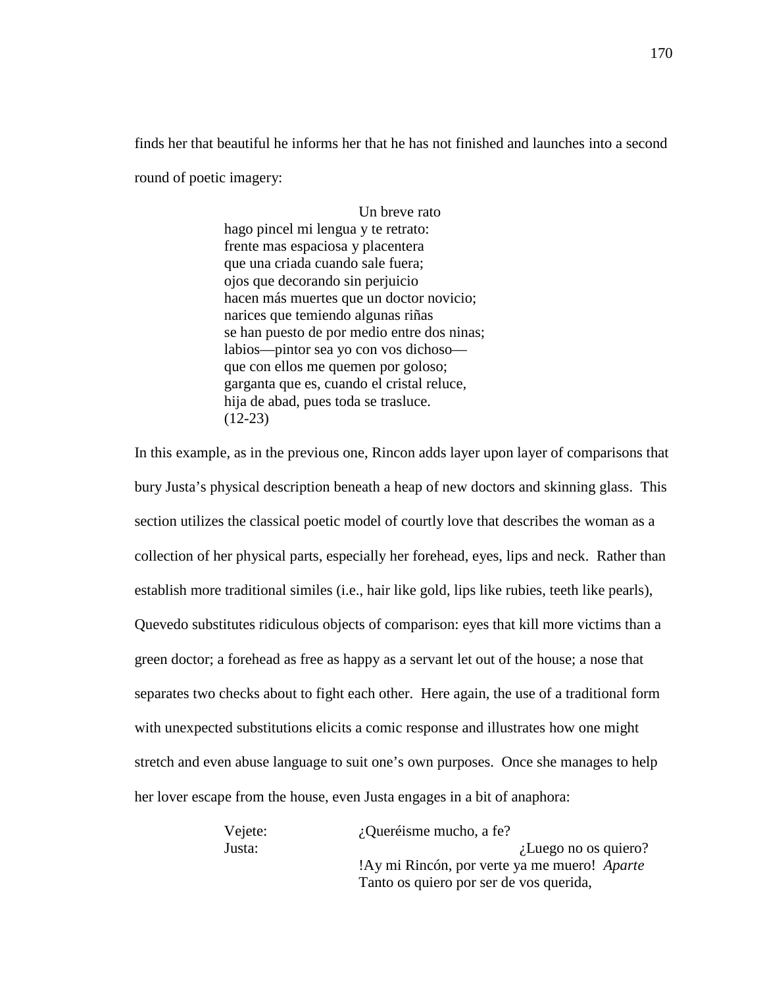finds her that beautiful he informs her that he has not finished and launches into a second round of poetic imagery:

> Un breve rato hago pincel mi lengua y te retrato: frente mas espaciosa y placentera que una criada cuando sale fuera; ojos que decorando sin perjuicio hacen más muertes que un doctor novicio; narices que temiendo algunas riñas se han puesto de por medio entre dos ninas; labios—pintor sea yo con vos dichoso que con ellos me quemen por goloso; garganta que es, cuando el cristal reluce, hija de abad, pues toda se trasluce. (12-23)

In this example, as in the previous one, Rincon adds layer upon layer of comparisons that bury Justa's physical description beneath a heap of new doctors and skinning glass. This section utilizes the classical poetic model of courtly love that describes the woman as a collection of her physical parts, especially her forehead, eyes, lips and neck. Rather than establish more traditional similes (i.e., hair like gold, lips like rubies, teeth like pearls), Quevedo substitutes ridiculous objects of comparison: eyes that kill more victims than a green doctor; a forehead as free as happy as a servant let out of the house; a nose that separates two checks about to fight each other. Here again, the use of a traditional form with unexpected substitutions elicits a comic response and illustrates how one might stretch and even abuse language to suit one's own purposes. Once she manages to help her lover escape from the house, even Justa engages in a bit of anaphora:

> Vejete: *i*Oueréisme mucho, a fe? Justa:  $i$ Luego no os quiero? !Ay mi Rincón, por verte ya me muero! *Aparte* Tanto os quiero por ser de vos querida,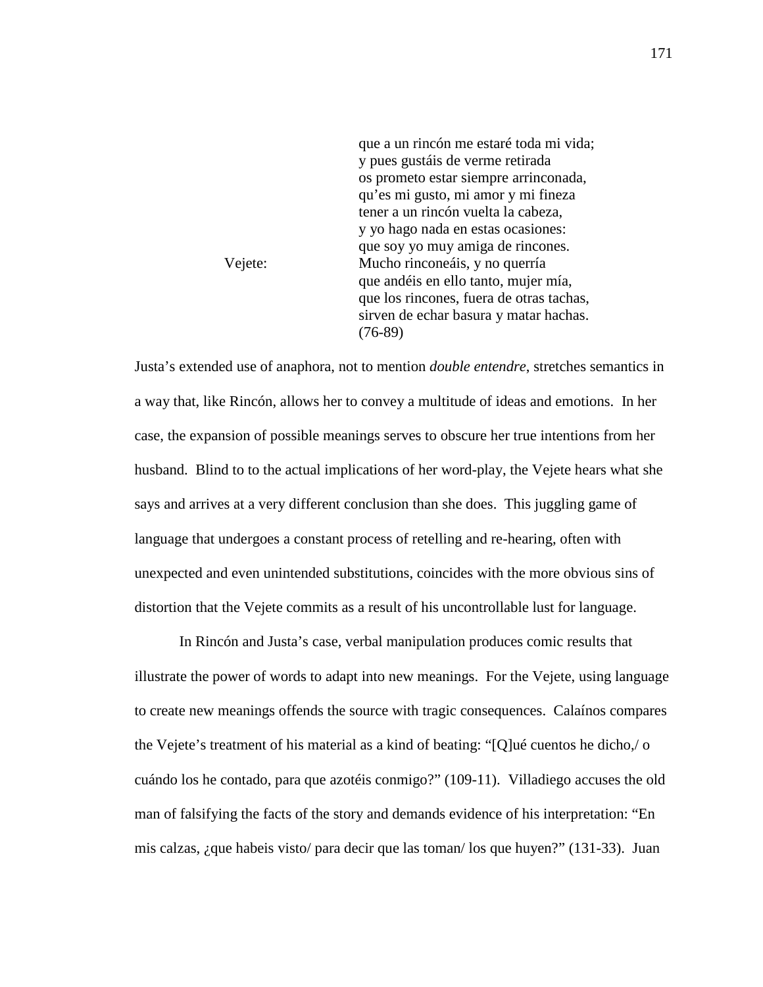que a un rincón me estaré toda mi vida; y pues gustáis de verme retirada os prometo estar siempre arrinconada, qu'es mi gusto, mi amor y mi fineza tener a un rincón vuelta la cabeza, y yo hago nada en estas ocasiones: que soy yo muy amiga de rincones. Vejete: Mucho rinconeáis, y no querría que andéis en ello tanto, mujer mía, que los rincones, fuera de otras tachas, sirven de echar basura y matar hachas. (76-89)

Justa's extended use of anaphora, not to mention *double entendre*, stretches semantics in a way that, like Rincón, allows her to convey a multitude of ideas and emotions. In her case, the expansion of possible meanings serves to obscure her true intentions from her husband. Blind to to the actual implications of her word-play, the Vejete hears what she says and arrives at a very different conclusion than she does. This juggling game of language that undergoes a constant process of retelling and re-hearing, often with unexpected and even unintended substitutions, coincides with the more obvious sins of distortion that the Vejete commits as a result of his uncontrollable lust for language.

In Rincón and Justa's case, verbal manipulation produces comic results that illustrate the power of words to adapt into new meanings. For the Vejete, using language to create new meanings offends the source with tragic consequences. Calaínos compares the Vejete's treatment of his material as a kind of beating: "[Q]ué cuentos he dicho,/ o cuándo los he contado, para que azotéis conmigo?" (109-11). Villadiego accuses the old man of falsifying the facts of the story and demands evidence of his interpretation: "En mis calzas, ¿que habeis visto/ para decir que las toman/ los que huyen?" (131-33). Juan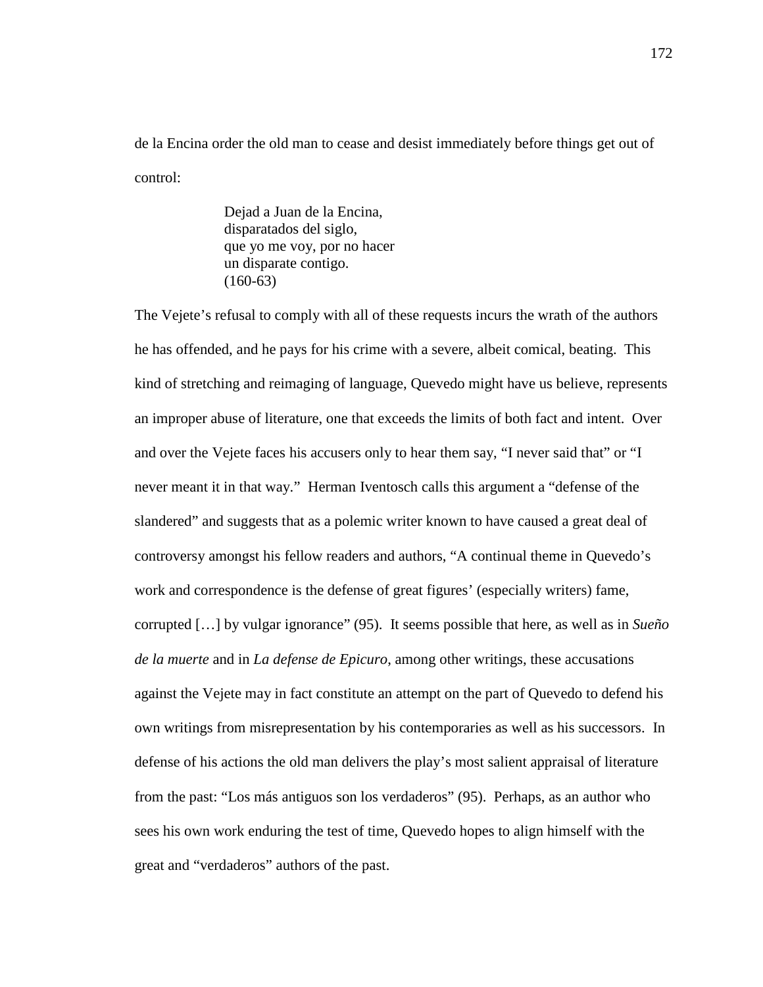de la Encina order the old man to cease and desist immediately before things get out of control:

> Dejad a Juan de la Encina, disparatados del siglo, que yo me voy, por no hacer un disparate contigo. (160-63)

The Vejete's refusal to comply with all of these requests incurs the wrath of the authors he has offended, and he pays for his crime with a severe, albeit comical, beating. This kind of stretching and reimaging of language, Quevedo might have us believe, represents an improper abuse of literature, one that exceeds the limits of both fact and intent. Over and over the Vejete faces his accusers only to hear them say, "I never said that" or "I never meant it in that way." Herman Iventosch calls this argument a "defense of the slandered" and suggests that as a polemic writer known to have caused a great deal of controversy amongst his fellow readers and authors, "A continual theme in Quevedo's work and correspondence is the defense of great figures' (especially writers) fame, corrupted […] by vulgar ignorance" (95). It seems possible that here, as well as in *Sueño de la muerte* and in *La defense de Epicuro*, among other writings, these accusations against the Vejete may in fact constitute an attempt on the part of Quevedo to defend his own writings from misrepresentation by his contemporaries as well as his successors. In defense of his actions the old man delivers the play's most salient appraisal of literature from the past: "Los más antiguos son los verdaderos" (95). Perhaps, as an author who sees his own work enduring the test of time, Quevedo hopes to align himself with the great and "verdaderos" authors of the past.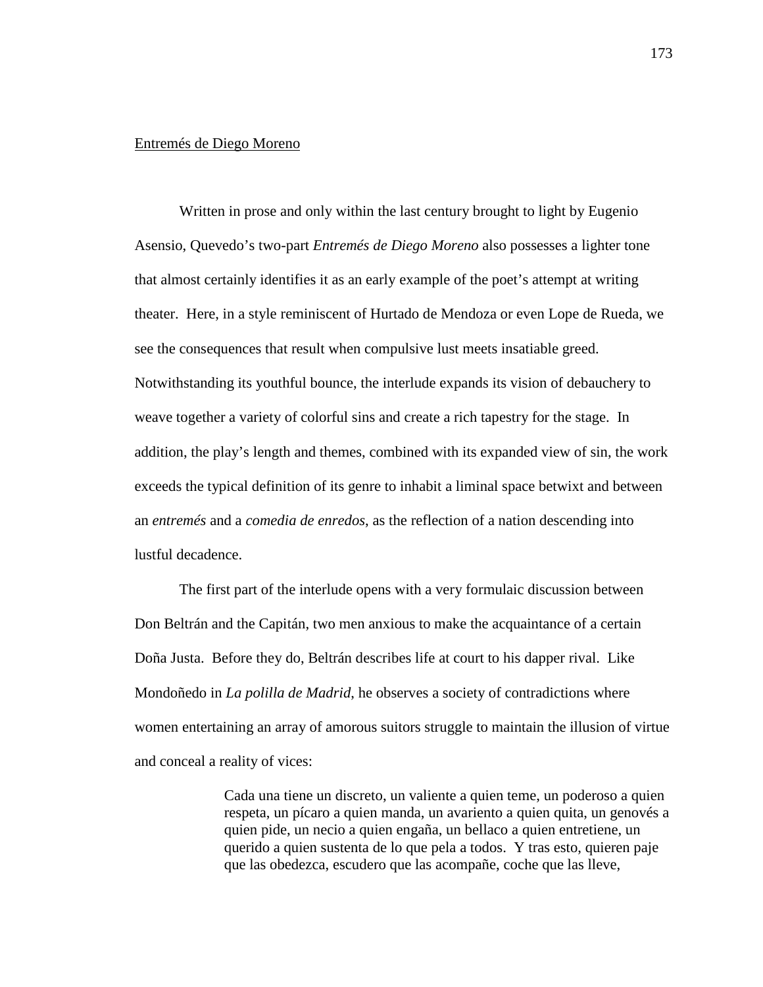## Entremés de Diego Moreno

Written in prose and only within the last century brought to light by Eugenio Asensio, Quevedo's two-part *Entremés de Diego Moreno* also possesses a lighter tone that almost certainly identifies it as an early example of the poet's attempt at writing theater. Here, in a style reminiscent of Hurtado de Mendoza or even Lope de Rueda, we see the consequences that result when compulsive lust meets insatiable greed. Notwithstanding its youthful bounce, the interlude expands its vision of debauchery to weave together a variety of colorful sins and create a rich tapestry for the stage. In addition, the play's length and themes, combined with its expanded view of sin, the work exceeds the typical definition of its genre to inhabit a liminal space betwixt and between an *entremés* and a *comedia de enredos*, as the reflection of a nation descending into lustful decadence.

The first part of the interlude opens with a very formulaic discussion between Don Beltrán and the Capitán, two men anxious to make the acquaintance of a certain Doña Justa. Before they do, Beltrán describes life at court to his dapper rival. Like Mondoñedo in *La polilla de Madrid*, he observes a society of contradictions where women entertaining an array of amorous suitors struggle to maintain the illusion of virtue and conceal a reality of vices:

> Cada una tiene un discreto, un valiente a quien teme, un poderoso a quien respeta, un pícaro a quien manda, un avariento a quien quita, un genovés a quien pide, un necio a quien engaña, un bellaco a quien entretiene, un querido a quien sustenta de lo que pela a todos. Y tras esto, quieren paje que las obedezca, escudero que las acompañe, coche que las lleve,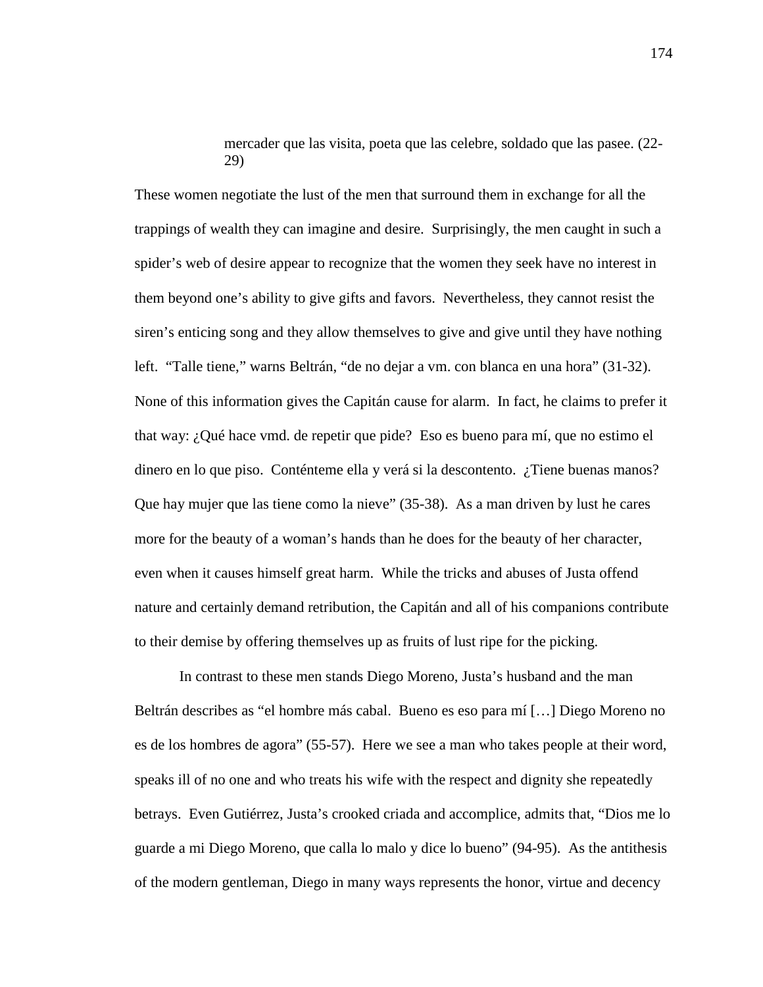mercader que las visita, poeta que las celebre, soldado que las pasee. (22- 29)

These women negotiate the lust of the men that surround them in exchange for all the trappings of wealth they can imagine and desire. Surprisingly, the men caught in such a spider's web of desire appear to recognize that the women they seek have no interest in them beyond one's ability to give gifts and favors. Nevertheless, they cannot resist the siren's enticing song and they allow themselves to give and give until they have nothing left. "Talle tiene," warns Beltrán, "de no dejar a vm. con blanca en una hora" (31-32). None of this information gives the Capitán cause for alarm. In fact, he claims to prefer it that way: ¿Qué hace vmd. de repetir que pide? Eso es bueno para mí, que no estimo el dinero en lo que piso. Conténteme ella y verá si la descontento. ¿Tiene buenas manos? Que hay mujer que las tiene como la nieve" (35-38). As a man driven by lust he cares more for the beauty of a woman's hands than he does for the beauty of her character, even when it causes himself great harm. While the tricks and abuses of Justa offend nature and certainly demand retribution, the Capitán and all of his companions contribute to their demise by offering themselves up as fruits of lust ripe for the picking.

 In contrast to these men stands Diego Moreno, Justa's husband and the man Beltrán describes as "el hombre más cabal. Bueno es eso para mí […] Diego Moreno no es de los hombres de agora" (55-57). Here we see a man who takes people at their word, speaks ill of no one and who treats his wife with the respect and dignity she repeatedly betrays. Even Gutiérrez, Justa's crooked criada and accomplice, admits that, "Dios me lo guarde a mi Diego Moreno, que calla lo malo y dice lo bueno" (94-95). As the antithesis of the modern gentleman, Diego in many ways represents the honor, virtue and decency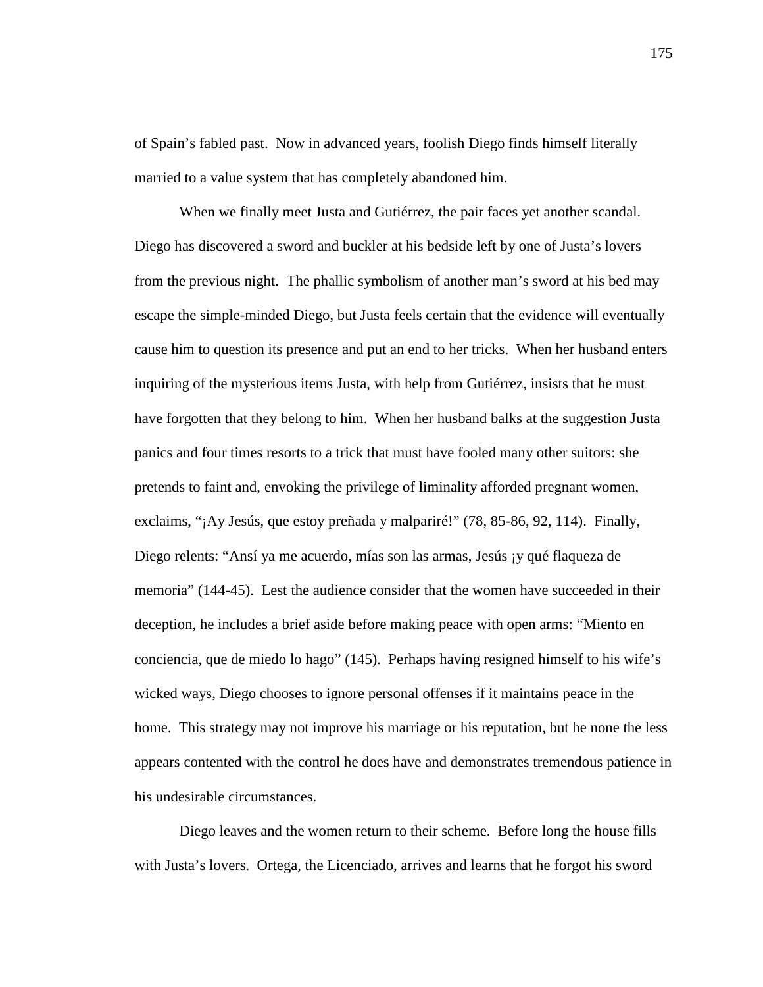of Spain's fabled past. Now in advanced years, foolish Diego finds himself literally married to a value system that has completely abandoned him.

 When we finally meet Justa and Gutiérrez, the pair faces yet another scandal. Diego has discovered a sword and buckler at his bedside left by one of Justa's lovers from the previous night. The phallic symbolism of another man's sword at his bed may escape the simple-minded Diego, but Justa feels certain that the evidence will eventually cause him to question its presence and put an end to her tricks. When her husband enters inquiring of the mysterious items Justa, with help from Gutiérrez, insists that he must have forgotten that they belong to him. When her husband balks at the suggestion Justa panics and four times resorts to a trick that must have fooled many other suitors: she pretends to faint and, envoking the privilege of liminality afforded pregnant women, exclaims, "¡Ay Jesús, que estoy preñada y malpariré!" (78, 85-86, 92, 114). Finally, Diego relents: "Ansí ya me acuerdo, mías son las armas, Jesús ¡y qué flaqueza de memoria" (144-45). Lest the audience consider that the women have succeeded in their deception, he includes a brief aside before making peace with open arms: "Miento en conciencia, que de miedo lo hago" (145). Perhaps having resigned himself to his wife's wicked ways, Diego chooses to ignore personal offenses if it maintains peace in the home. This strategy may not improve his marriage or his reputation, but he none the less appears contented with the control he does have and demonstrates tremendous patience in his undesirable circumstances.

 Diego leaves and the women return to their scheme. Before long the house fills with Justa's lovers. Ortega, the Licenciado, arrives and learns that he forgot his sword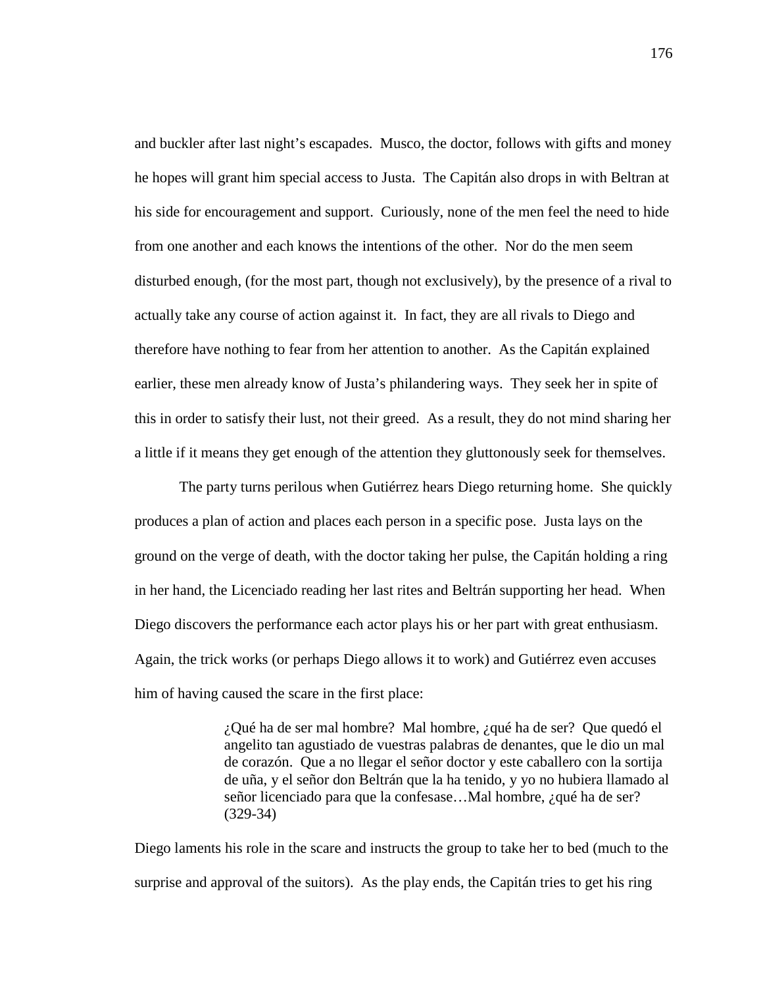and buckler after last night's escapades. Musco, the doctor, follows with gifts and money he hopes will grant him special access to Justa. The Capitán also drops in with Beltran at his side for encouragement and support. Curiously, none of the men feel the need to hide from one another and each knows the intentions of the other. Nor do the men seem disturbed enough, (for the most part, though not exclusively), by the presence of a rival to actually take any course of action against it. In fact, they are all rivals to Diego and therefore have nothing to fear from her attention to another. As the Capitán explained earlier, these men already know of Justa's philandering ways. They seek her in spite of this in order to satisfy their lust, not their greed. As a result, they do not mind sharing her a little if it means they get enough of the attention they gluttonously seek for themselves.

 The party turns perilous when Gutiérrez hears Diego returning home. She quickly produces a plan of action and places each person in a specific pose. Justa lays on the ground on the verge of death, with the doctor taking her pulse, the Capitán holding a ring in her hand, the Licenciado reading her last rites and Beltrán supporting her head. When Diego discovers the performance each actor plays his or her part with great enthusiasm. Again, the trick works (or perhaps Diego allows it to work) and Gutiérrez even accuses him of having caused the scare in the first place:

> ¿Qué ha de ser mal hombre? Mal hombre, ¿qué ha de ser? Que quedó el angelito tan agustiado de vuestras palabras de denantes, que le dio un mal de corazón. Que a no llegar el señor doctor y este caballero con la sortija de uña, y el señor don Beltrán que la ha tenido, y yo no hubiera llamado al señor licenciado para que la confesase...Mal hombre, ¿qué ha de ser? (329-34)

Diego laments his role in the scare and instructs the group to take her to bed (much to the surprise and approval of the suitors). As the play ends, the Capitán tries to get his ring

176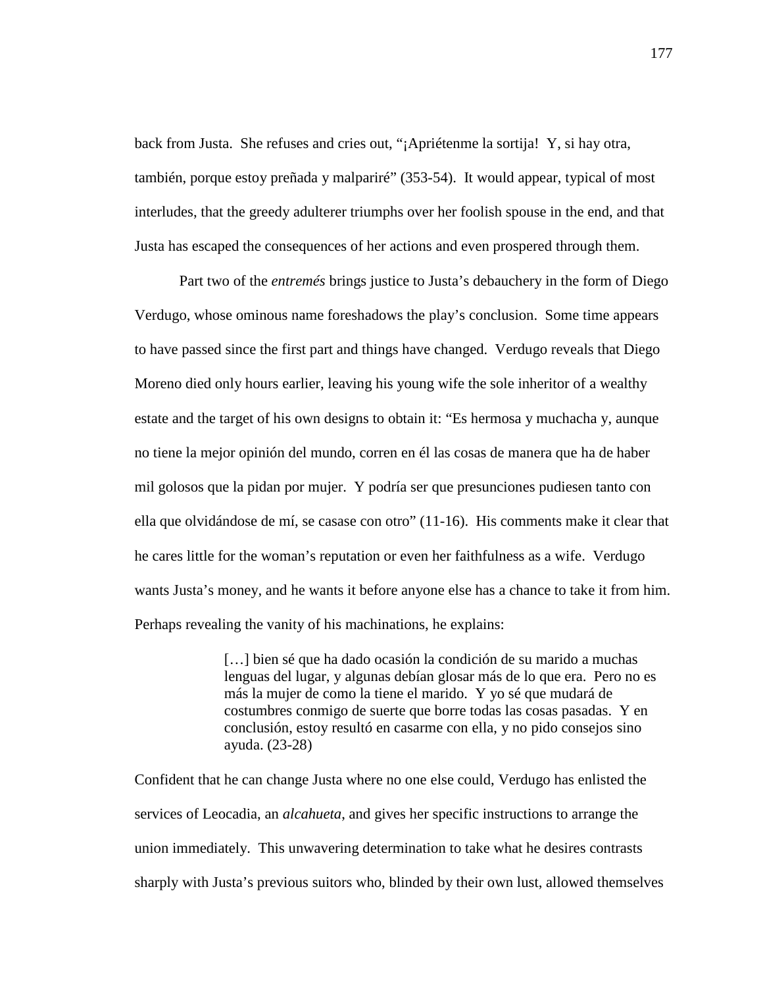back from Justa. She refuses and cries out, "¡Apriétenme la sortija! Y, si hay otra, también, porque estoy preñada y malpariré" (353-54). It would appear, typical of most interludes, that the greedy adulterer triumphs over her foolish spouse in the end, and that Justa has escaped the consequences of her actions and even prospered through them.

Part two of the *entremés* brings justice to Justa's debauchery in the form of Diego Verdugo, whose ominous name foreshadows the play's conclusion. Some time appears to have passed since the first part and things have changed. Verdugo reveals that Diego Moreno died only hours earlier, leaving his young wife the sole inheritor of a wealthy estate and the target of his own designs to obtain it: "Es hermosa y muchacha y, aunque no tiene la mejor opinión del mundo, corren en él las cosas de manera que ha de haber mil golosos que la pidan por mujer. Y podría ser que presunciones pudiesen tanto con ella que olvidándose de mí, se casase con otro" (11-16). His comments make it clear that he cares little for the woman's reputation or even her faithfulness as a wife. Verdugo wants Justa's money, and he wants it before anyone else has a chance to take it from him. Perhaps revealing the vanity of his machinations, he explains:

> [...] bien sé que ha dado ocasión la condición de su marido a muchas lenguas del lugar, y algunas debían glosar más de lo que era. Pero no es más la mujer de como la tiene el marido. Y yo sé que mudará de costumbres conmigo de suerte que borre todas las cosas pasadas. Y en conclusión, estoy resultó en casarme con ella, y no pido consejos sino ayuda. (23-28)

Confident that he can change Justa where no one else could, Verdugo has enlisted the services of Leocadia, an *alcahueta*, and gives her specific instructions to arrange the union immediately. This unwavering determination to take what he desires contrasts sharply with Justa's previous suitors who, blinded by their own lust, allowed themselves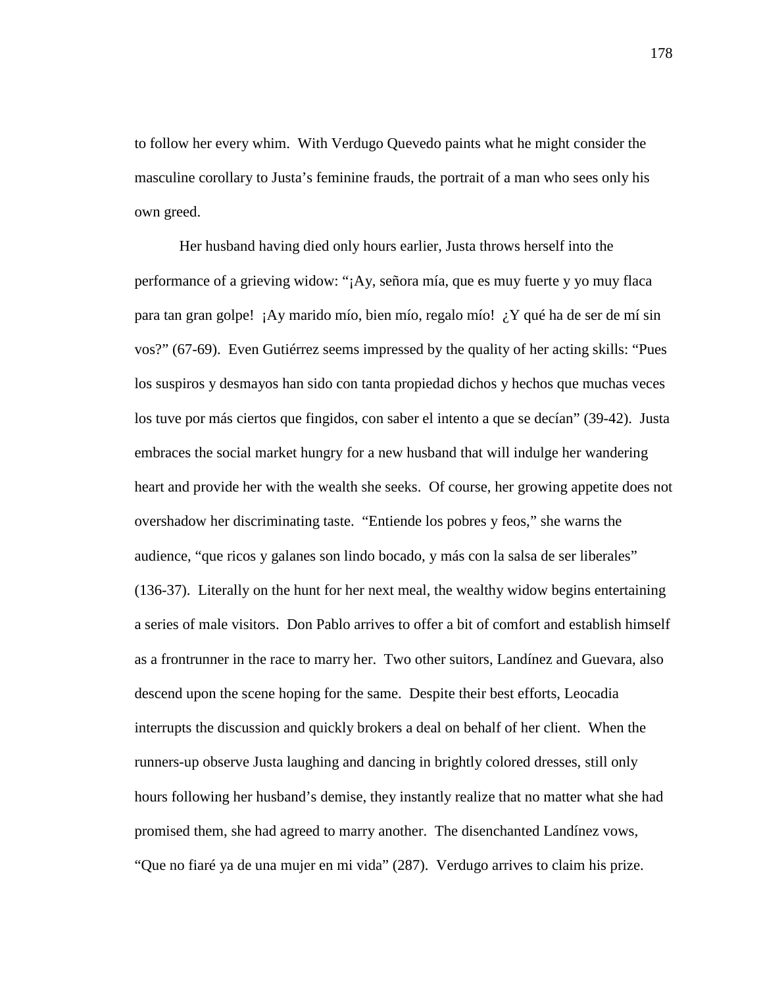to follow her every whim. With Verdugo Quevedo paints what he might consider the masculine corollary to Justa's feminine frauds, the portrait of a man who sees only his own greed.

 Her husband having died only hours earlier, Justa throws herself into the performance of a grieving widow: "¡Ay, señora mía, que es muy fuerte y yo muy flaca para tan gran golpe! ¡Ay marido mío, bien mío, regalo mío! ¿Y qué ha de ser de mí sin vos?" (67-69). Even Gutiérrez seems impressed by the quality of her acting skills: "Pues los suspiros y desmayos han sido con tanta propiedad dichos y hechos que muchas veces los tuve por más ciertos que fingidos, con saber el intento a que se decían" (39-42). Justa embraces the social market hungry for a new husband that will indulge her wandering heart and provide her with the wealth she seeks. Of course, her growing appetite does not overshadow her discriminating taste. "Entiende los pobres y feos," she warns the audience, "que ricos y galanes son lindo bocado, y más con la salsa de ser liberales" (136-37). Literally on the hunt for her next meal, the wealthy widow begins entertaining a series of male visitors. Don Pablo arrives to offer a bit of comfort and establish himself as a frontrunner in the race to marry her. Two other suitors, Landínez and Guevara, also descend upon the scene hoping for the same. Despite their best efforts, Leocadia interrupts the discussion and quickly brokers a deal on behalf of her client. When the runners-up observe Justa laughing and dancing in brightly colored dresses, still only hours following her husband's demise, they instantly realize that no matter what she had promised them, she had agreed to marry another. The disenchanted Landínez vows, "Que no fiaré ya de una mujer en mi vida" (287). Verdugo arrives to claim his prize.

178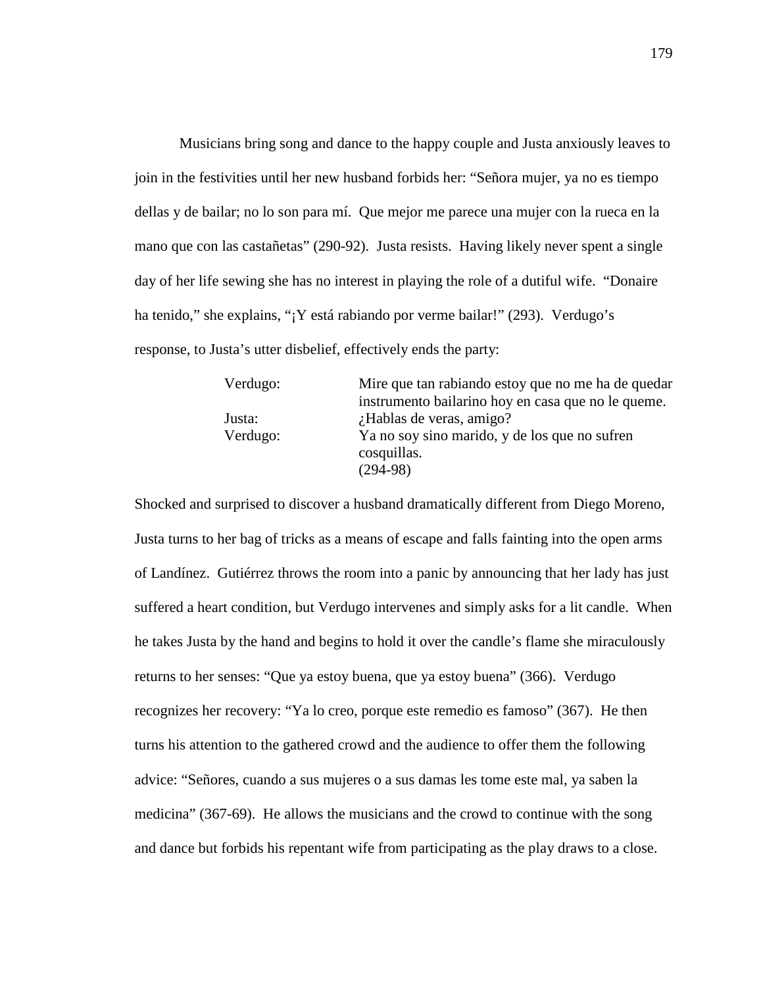Musicians bring song and dance to the happy couple and Justa anxiously leaves to join in the festivities until her new husband forbids her: "Señora mujer, ya no es tiempo dellas y de bailar; no lo son para mí. Que mejor me parece una mujer con la rueca en la mano que con las castañetas" (290-92). Justa resists. Having likely never spent a single day of her life sewing she has no interest in playing the role of a dutiful wife. "Donaire ha tenido," she explains, "¡Y está rabiando por verme bailar!" (293). Verdugo's response, to Justa's utter disbelief, effectively ends the party:

| Verdugo: | Mire que tan rabiando estoy que no me ha de quedar |
|----------|----------------------------------------------------|
|          | instrumento bailarino hoy en casa que no le queme. |
| Justa:   | ¿Hablas de veras, amigo?                           |
| Verdugo: | Ya no soy sino marido, y de los que no sufren      |
|          | cosquillas.                                        |
|          | $(294-98)$                                         |

Shocked and surprised to discover a husband dramatically different from Diego Moreno, Justa turns to her bag of tricks as a means of escape and falls fainting into the open arms of Landínez. Gutiérrez throws the room into a panic by announcing that her lady has just suffered a heart condition, but Verdugo intervenes and simply asks for a lit candle. When he takes Justa by the hand and begins to hold it over the candle's flame she miraculously returns to her senses: "Que ya estoy buena, que ya estoy buena" (366). Verdugo recognizes her recovery: "Ya lo creo, porque este remedio es famoso" (367). He then turns his attention to the gathered crowd and the audience to offer them the following advice: "Señores, cuando a sus mujeres o a sus damas les tome este mal, ya saben la medicina" (367-69). He allows the musicians and the crowd to continue with the song and dance but forbids his repentant wife from participating as the play draws to a close.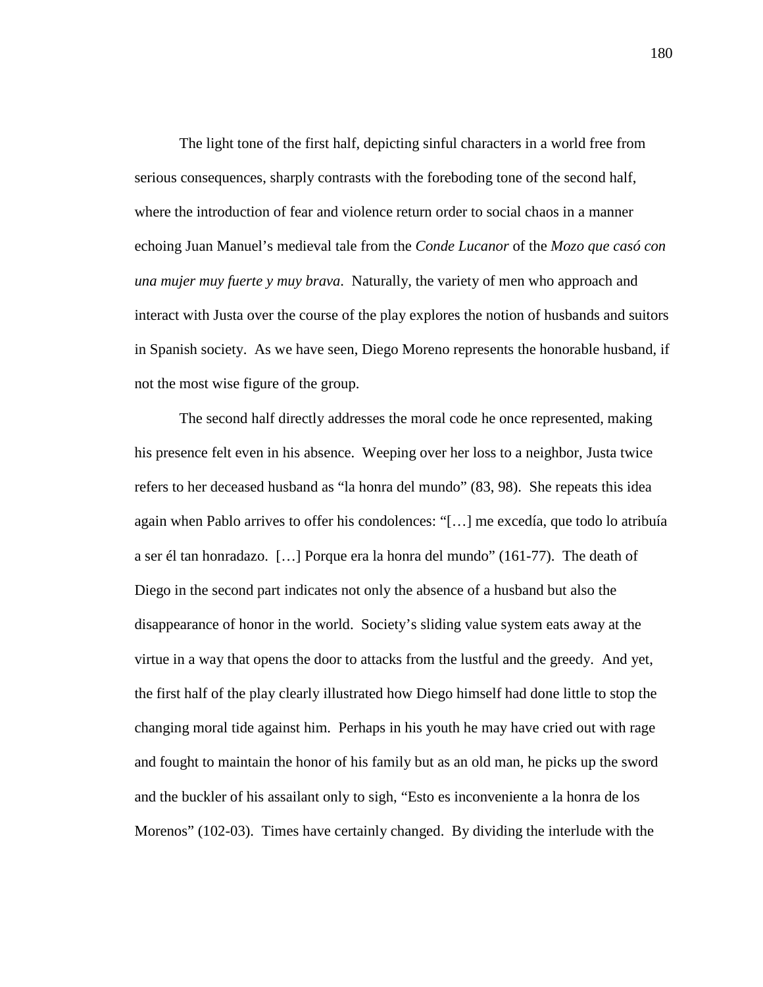The light tone of the first half, depicting sinful characters in a world free from serious consequences, sharply contrasts with the foreboding tone of the second half, where the introduction of fear and violence return order to social chaos in a manner echoing Juan Manuel's medieval tale from the *Conde Lucanor* of the *Mozo que casó con una mujer muy fuerte y muy brava*. Naturally, the variety of men who approach and interact with Justa over the course of the play explores the notion of husbands and suitors in Spanish society. As we have seen, Diego Moreno represents the honorable husband, if not the most wise figure of the group.

The second half directly addresses the moral code he once represented, making his presence felt even in his absence. Weeping over her loss to a neighbor, Justa twice refers to her deceased husband as "la honra del mundo" (83, 98). She repeats this idea again when Pablo arrives to offer his condolences: "[…] me excedía, que todo lo atribuía a ser él tan honradazo. […] Porque era la honra del mundo" (161-77). The death of Diego in the second part indicates not only the absence of a husband but also the disappearance of honor in the world. Society's sliding value system eats away at the virtue in a way that opens the door to attacks from the lustful and the greedy. And yet, the first half of the play clearly illustrated how Diego himself had done little to stop the changing moral tide against him. Perhaps in his youth he may have cried out with rage and fought to maintain the honor of his family but as an old man, he picks up the sword and the buckler of his assailant only to sigh, "Esto es inconveniente a la honra de los Morenos" (102-03). Times have certainly changed. By dividing the interlude with the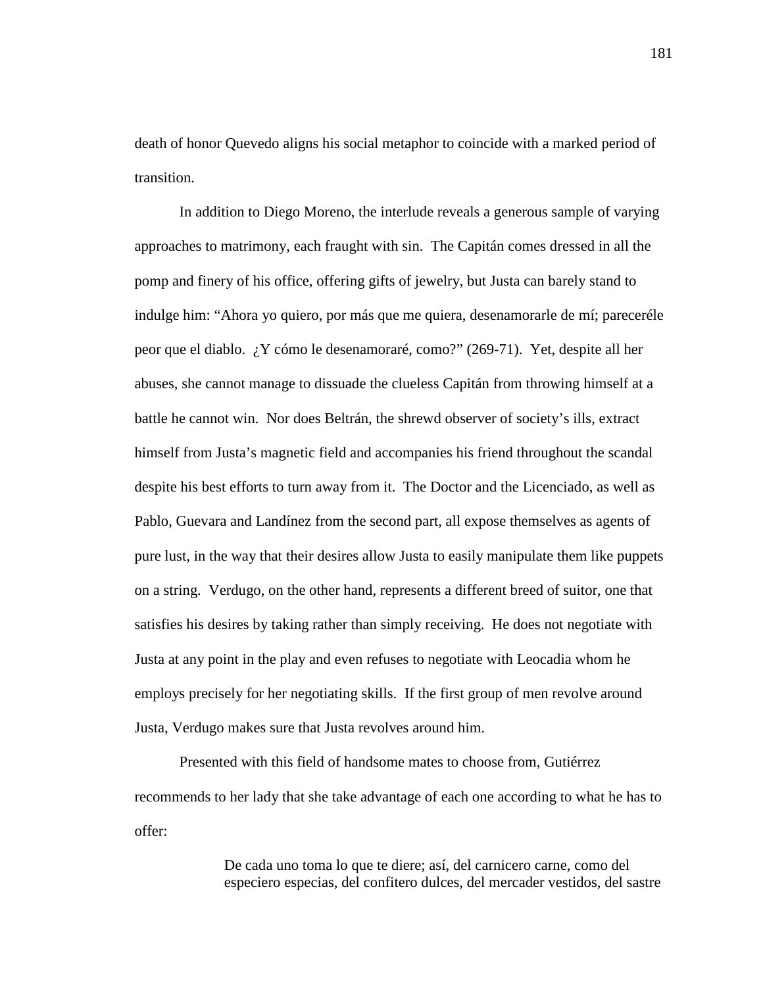death of honor Quevedo aligns his social metaphor to coincide with a marked period of transition.

 In addition to Diego Moreno, the interlude reveals a generous sample of varying approaches to matrimony, each fraught with sin. The Capitán comes dressed in all the pomp and finery of his office, offering gifts of jewelry, but Justa can barely stand to indulge him: "Ahora yo quiero, por más que me quiera, desenamorarle de mí; pareceréle peor que el diablo. ¿Y cómo le desenamoraré, como?" (269-71). Yet, despite all her abuses, she cannot manage to dissuade the clueless Capitán from throwing himself at a battle he cannot win. Nor does Beltrán, the shrewd observer of society's ills, extract himself from Justa's magnetic field and accompanies his friend throughout the scandal despite his best efforts to turn away from it. The Doctor and the Licenciado, as well as Pablo, Guevara and Landínez from the second part, all expose themselves as agents of pure lust, in the way that their desires allow Justa to easily manipulate them like puppets on a string. Verdugo, on the other hand, represents a different breed of suitor, one that satisfies his desires by taking rather than simply receiving. He does not negotiate with Justa at any point in the play and even refuses to negotiate with Leocadia whom he employs precisely for her negotiating skills. If the first group of men revolve around Justa, Verdugo makes sure that Justa revolves around him.

 Presented with this field of handsome mates to choose from, Gutiérrez recommends to her lady that she take advantage of each one according to what he has to offer:

> De cada uno toma lo que te diere; así, del carnicero carne, como del especiero especias, del confitero dulces, del mercader vestidos, del sastre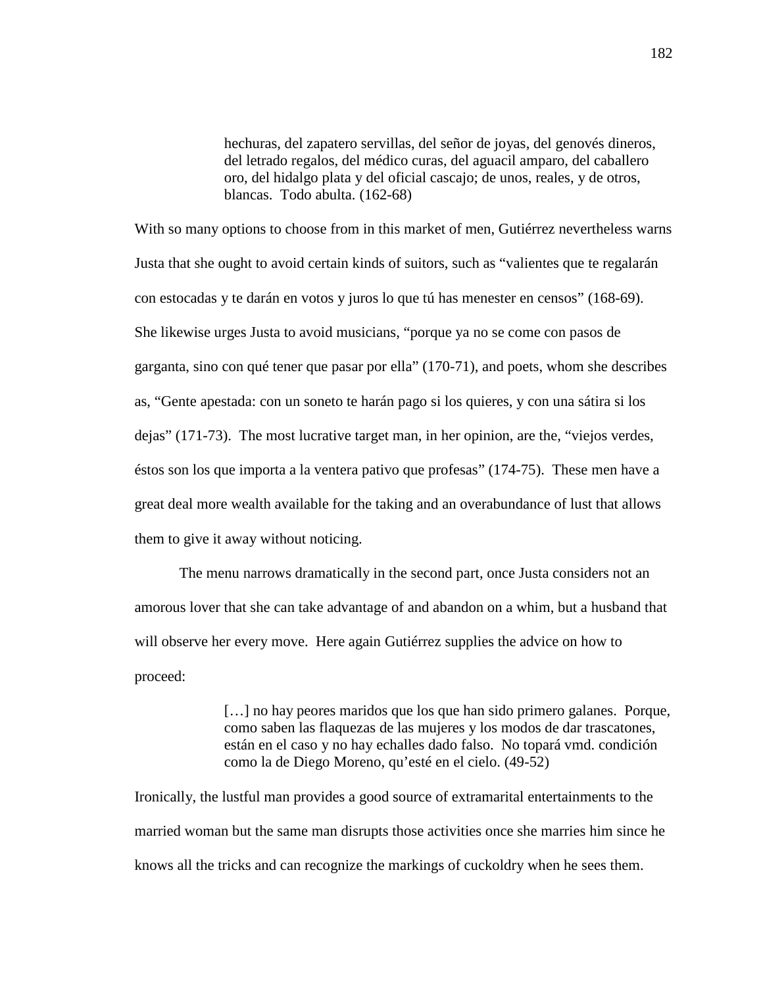hechuras, del zapatero servillas, del señor de joyas, del genovés dineros, del letrado regalos, del médico curas, del aguacil amparo, del caballero oro, del hidalgo plata y del oficial cascajo; de unos, reales, y de otros, blancas. Todo abulta. (162-68)

With so many options to choose from in this market of men, Gutiérrez nevertheless warns Justa that she ought to avoid certain kinds of suitors, such as "valientes que te regalarán con estocadas y te darán en votos y juros lo que tú has menester en censos" (168-69). She likewise urges Justa to avoid musicians, "porque ya no se come con pasos de garganta, sino con qué tener que pasar por ella" (170-71), and poets, whom she describes as, "Gente apestada: con un soneto te harán pago si los quieres, y con una sátira si los dejas" (171-73). The most lucrative target man, in her opinion, are the, "viejos verdes, éstos son los que importa a la ventera pativo que profesas" (174-75). These men have a great deal more wealth available for the taking and an overabundance of lust that allows them to give it away without noticing.

 The menu narrows dramatically in the second part, once Justa considers not an amorous lover that she can take advantage of and abandon on a whim, but a husband that will observe her every move. Here again Gutiérrez supplies the advice on how to proceed:

> [...] no hay peores maridos que los que han sido primero galanes. Porque, como saben las flaquezas de las mujeres y los modos de dar trascatones, están en el caso y no hay echalles dado falso. No topará vmd. condición como la de Diego Moreno, qu'esté en el cielo. (49-52)

Ironically, the lustful man provides a good source of extramarital entertainments to the married woman but the same man disrupts those activities once she marries him since he knows all the tricks and can recognize the markings of cuckoldry when he sees them.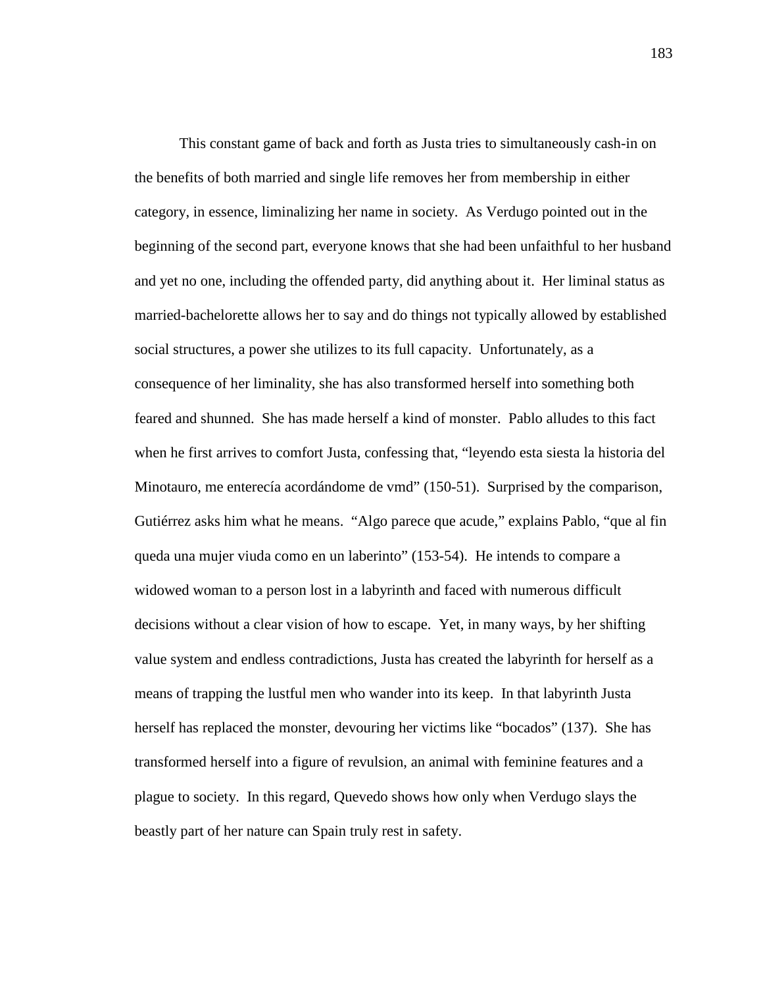This constant game of back and forth as Justa tries to simultaneously cash-in on the benefits of both married and single life removes her from membership in either category, in essence, liminalizing her name in society. As Verdugo pointed out in the beginning of the second part, everyone knows that she had been unfaithful to her husband and yet no one, including the offended party, did anything about it. Her liminal status as married-bachelorette allows her to say and do things not typically allowed by established social structures, a power she utilizes to its full capacity. Unfortunately, as a consequence of her liminality, she has also transformed herself into something both feared and shunned. She has made herself a kind of monster. Pablo alludes to this fact when he first arrives to comfort Justa, confessing that, "leyendo esta siesta la historia del Minotauro, me enterecía acordándome de vmd" (150-51). Surprised by the comparison, Gutiérrez asks him what he means. "Algo parece que acude," explains Pablo, "que al fin queda una mujer viuda como en un laberinto" (153-54). He intends to compare a widowed woman to a person lost in a labyrinth and faced with numerous difficult decisions without a clear vision of how to escape. Yet, in many ways, by her shifting value system and endless contradictions, Justa has created the labyrinth for herself as a means of trapping the lustful men who wander into its keep. In that labyrinth Justa herself has replaced the monster, devouring her victims like "bocados" (137). She has transformed herself into a figure of revulsion, an animal with feminine features and a plague to society. In this regard, Quevedo shows how only when Verdugo slays the beastly part of her nature can Spain truly rest in safety.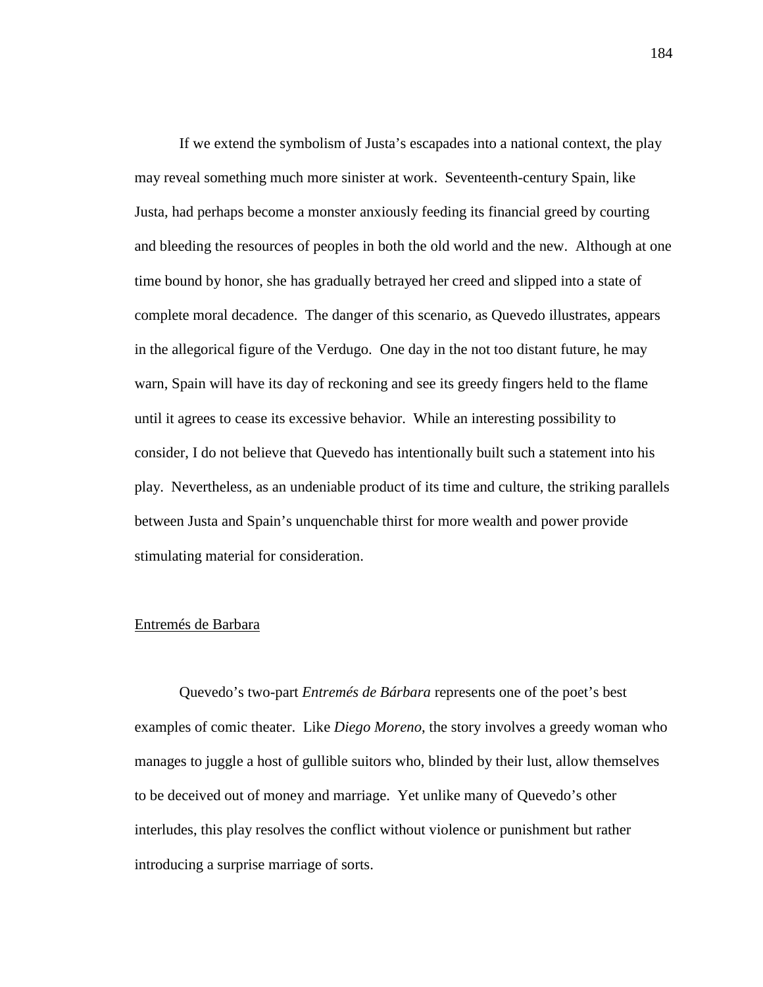If we extend the symbolism of Justa's escapades into a national context, the play may reveal something much more sinister at work. Seventeenth-century Spain, like Justa, had perhaps become a monster anxiously feeding its financial greed by courting and bleeding the resources of peoples in both the old world and the new. Although at one time bound by honor, she has gradually betrayed her creed and slipped into a state of complete moral decadence. The danger of this scenario, as Quevedo illustrates, appears in the allegorical figure of the Verdugo. One day in the not too distant future, he may warn, Spain will have its day of reckoning and see its greedy fingers held to the flame until it agrees to cease its excessive behavior. While an interesting possibility to consider, I do not believe that Quevedo has intentionally built such a statement into his play. Nevertheless, as an undeniable product of its time and culture, the striking parallels between Justa and Spain's unquenchable thirst for more wealth and power provide stimulating material for consideration.

## Entremés de Barbara

Quevedo's two-part *Entremés de Bárbara* represents one of the poet's best examples of comic theater. Like *Diego Moreno*, the story involves a greedy woman who manages to juggle a host of gullible suitors who, blinded by their lust, allow themselves to be deceived out of money and marriage. Yet unlike many of Quevedo's other interludes, this play resolves the conflict without violence or punishment but rather introducing a surprise marriage of sorts.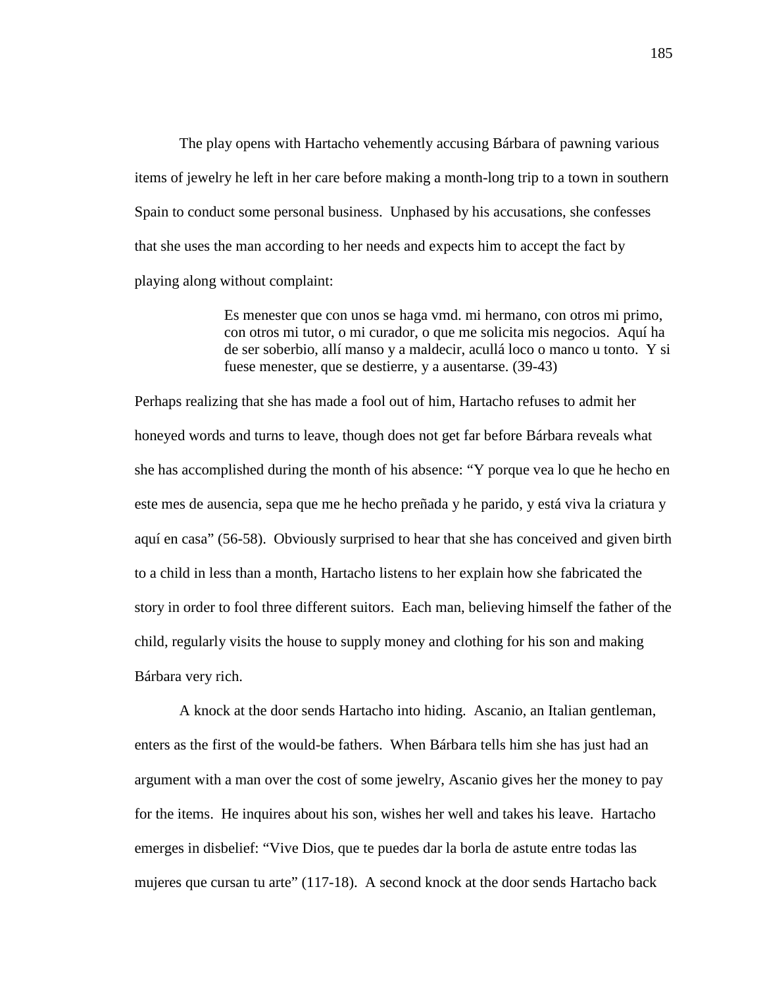The play opens with Hartacho vehemently accusing Bárbara of pawning various items of jewelry he left in her care before making a month-long trip to a town in southern Spain to conduct some personal business. Unphased by his accusations, she confesses that she uses the man according to her needs and expects him to accept the fact by playing along without complaint:

> Es menester que con unos se haga vmd. mi hermano, con otros mi primo, con otros mi tutor, o mi curador, o que me solicita mis negocios. Aquí ha de ser soberbio, allí manso y a maldecir, acullá loco o manco u tonto. Y si fuese menester, que se destierre, y a ausentarse. (39-43)

Perhaps realizing that she has made a fool out of him, Hartacho refuses to admit her honeyed words and turns to leave, though does not get far before Bárbara reveals what she has accomplished during the month of his absence: "Y porque vea lo que he hecho en este mes de ausencia, sepa que me he hecho preñada y he parido, y está viva la criatura y aquí en casa" (56-58). Obviously surprised to hear that she has conceived and given birth to a child in less than a month, Hartacho listens to her explain how she fabricated the story in order to fool three different suitors. Each man, believing himself the father of the child, regularly visits the house to supply money and clothing for his son and making Bárbara very rich.

 A knock at the door sends Hartacho into hiding. Ascanio, an Italian gentleman, enters as the first of the would-be fathers. When Bárbara tells him she has just had an argument with a man over the cost of some jewelry, Ascanio gives her the money to pay for the items. He inquires about his son, wishes her well and takes his leave. Hartacho emerges in disbelief: "Vive Dios, que te puedes dar la borla de astute entre todas las mujeres que cursan tu arte" (117-18). A second knock at the door sends Hartacho back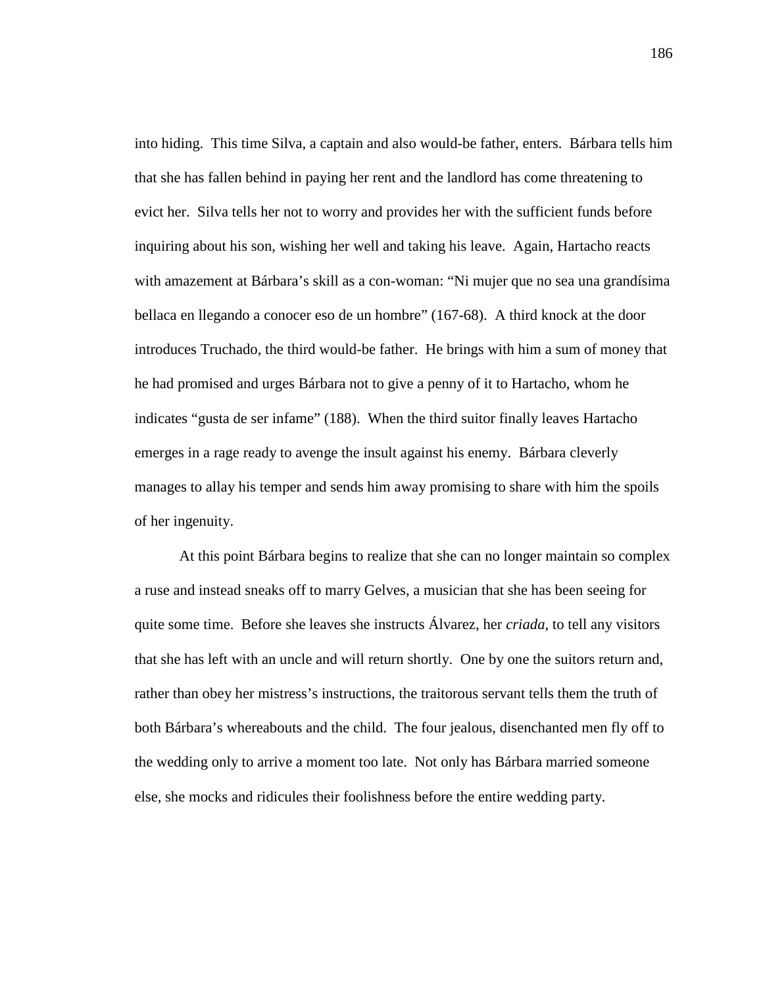into hiding. This time Silva, a captain and also would-be father, enters. Bárbara tells him that she has fallen behind in paying her rent and the landlord has come threatening to evict her. Silva tells her not to worry and provides her with the sufficient funds before inquiring about his son, wishing her well and taking his leave. Again, Hartacho reacts with amazement at Bárbara's skill as a con-woman: "Ni mujer que no sea una grandísima bellaca en llegando a conocer eso de un hombre" (167-68). A third knock at the door introduces Truchado, the third would-be father. He brings with him a sum of money that he had promised and urges Bárbara not to give a penny of it to Hartacho, whom he indicates "gusta de ser infame" (188). When the third suitor finally leaves Hartacho emerges in a rage ready to avenge the insult against his enemy. Bárbara cleverly manages to allay his temper and sends him away promising to share with him the spoils of her ingenuity.

 At this point Bárbara begins to realize that she can no longer maintain so complex a ruse and instead sneaks off to marry Gelves, a musician that she has been seeing for quite some time. Before she leaves she instructs Álvarez, her *criada*, to tell any visitors that she has left with an uncle and will return shortly. One by one the suitors return and, rather than obey her mistress's instructions, the traitorous servant tells them the truth of both Bárbara's whereabouts and the child. The four jealous, disenchanted men fly off to the wedding only to arrive a moment too late. Not only has Bárbara married someone else, she mocks and ridicules their foolishness before the entire wedding party.

186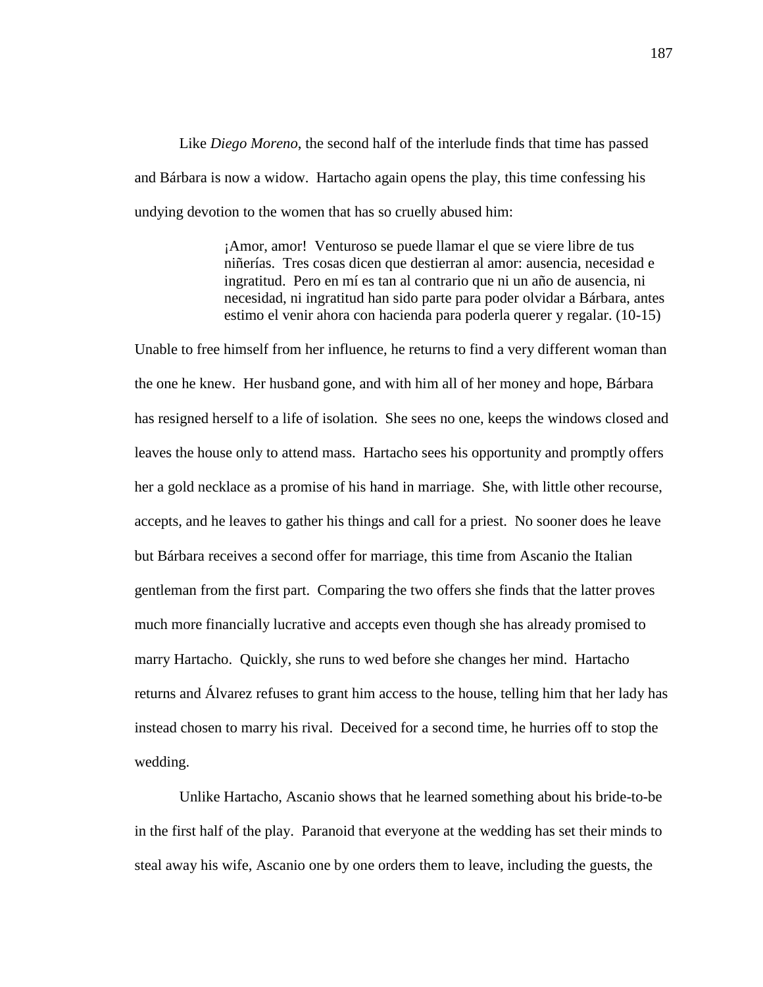Like *Diego Moreno*, the second half of the interlude finds that time has passed and Bárbara is now a widow. Hartacho again opens the play, this time confessing his undying devotion to the women that has so cruelly abused him:

> ¡Amor, amor! Venturoso se puede llamar el que se viere libre de tus niñerías. Tres cosas dicen que destierran al amor: ausencia, necesidad e ingratitud. Pero en mí es tan al contrario que ni un año de ausencia, ni necesidad, ni ingratitud han sido parte para poder olvidar a Bárbara, antes estimo el venir ahora con hacienda para poderla querer y regalar. (10-15)

Unable to free himself from her influence, he returns to find a very different woman than the one he knew. Her husband gone, and with him all of her money and hope, Bárbara has resigned herself to a life of isolation. She sees no one, keeps the windows closed and leaves the house only to attend mass. Hartacho sees his opportunity and promptly offers her a gold necklace as a promise of his hand in marriage. She, with little other recourse, accepts, and he leaves to gather his things and call for a priest. No sooner does he leave but Bárbara receives a second offer for marriage, this time from Ascanio the Italian gentleman from the first part. Comparing the two offers she finds that the latter proves much more financially lucrative and accepts even though she has already promised to marry Hartacho. Quickly, she runs to wed before she changes her mind. Hartacho returns and Álvarez refuses to grant him access to the house, telling him that her lady has instead chosen to marry his rival. Deceived for a second time, he hurries off to stop the wedding.

 Unlike Hartacho, Ascanio shows that he learned something about his bride-to-be in the first half of the play. Paranoid that everyone at the wedding has set their minds to steal away his wife, Ascanio one by one orders them to leave, including the guests, the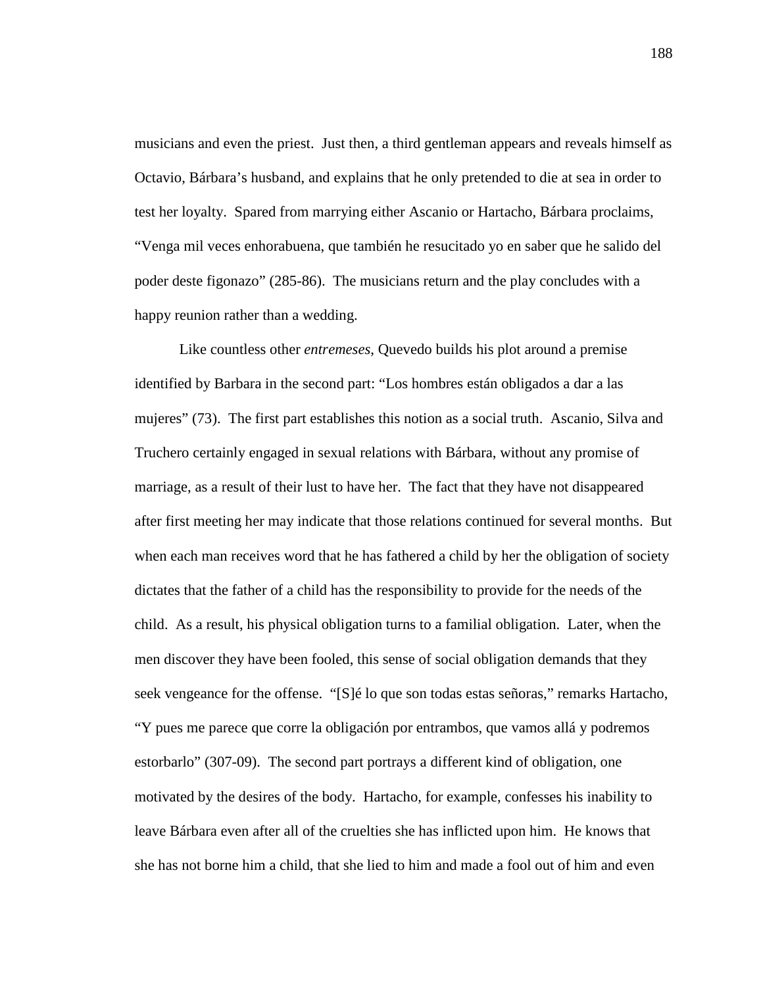musicians and even the priest. Just then, a third gentleman appears and reveals himself as Octavio, Bárbara's husband, and explains that he only pretended to die at sea in order to test her loyalty. Spared from marrying either Ascanio or Hartacho, Bárbara proclaims, "Venga mil veces enhorabuena, que también he resucitado yo en saber que he salido del poder deste figonazo" (285-86). The musicians return and the play concludes with a happy reunion rather than a wedding.

 Like countless other *entremeses*, Quevedo builds his plot around a premise identified by Barbara in the second part: "Los hombres están obligados a dar a las mujeres" (73). The first part establishes this notion as a social truth. Ascanio, Silva and Truchero certainly engaged in sexual relations with Bárbara, without any promise of marriage, as a result of their lust to have her. The fact that they have not disappeared after first meeting her may indicate that those relations continued for several months. But when each man receives word that he has fathered a child by her the obligation of society dictates that the father of a child has the responsibility to provide for the needs of the child. As a result, his physical obligation turns to a familial obligation. Later, when the men discover they have been fooled, this sense of social obligation demands that they seek vengeance for the offense. "[S]é lo que son todas estas señoras," remarks Hartacho, "Y pues me parece que corre la obligación por entrambos, que vamos allá y podremos estorbarlo" (307-09). The second part portrays a different kind of obligation, one motivated by the desires of the body. Hartacho, for example, confesses his inability to leave Bárbara even after all of the cruelties she has inflicted upon him. He knows that she has not borne him a child, that she lied to him and made a fool out of him and even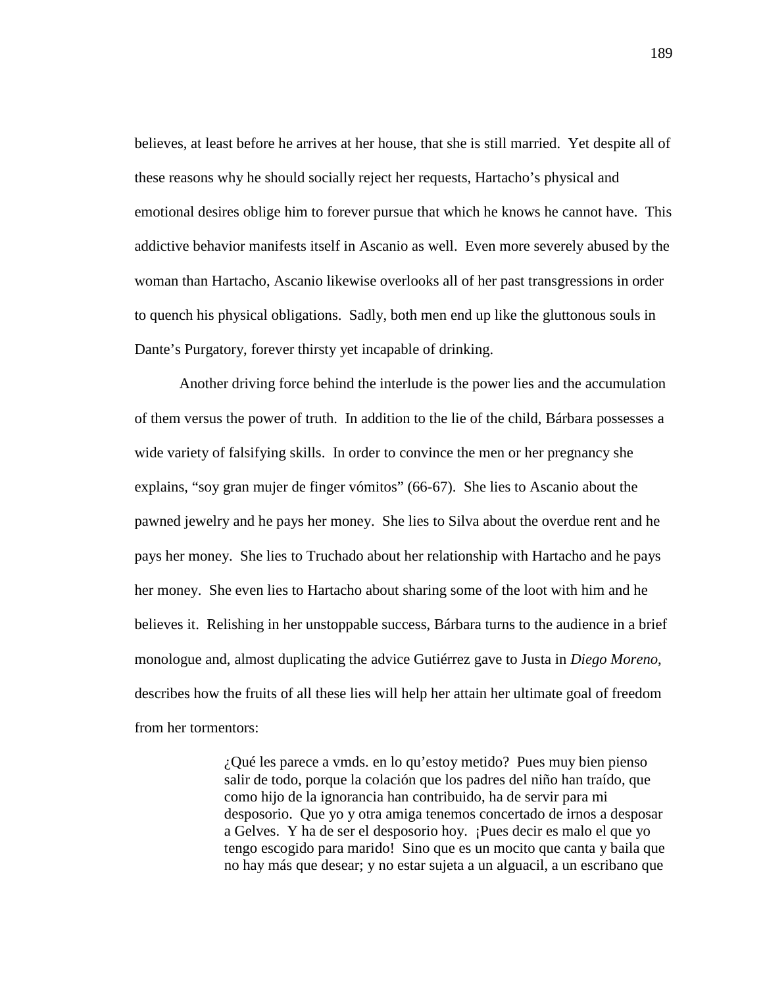believes, at least before he arrives at her house, that she is still married. Yet despite all of these reasons why he should socially reject her requests, Hartacho's physical and emotional desires oblige him to forever pursue that which he knows he cannot have. This addictive behavior manifests itself in Ascanio as well. Even more severely abused by the woman than Hartacho, Ascanio likewise overlooks all of her past transgressions in order to quench his physical obligations. Sadly, both men end up like the gluttonous souls in Dante's Purgatory, forever thirsty yet incapable of drinking.

 Another driving force behind the interlude is the power lies and the accumulation of them versus the power of truth. In addition to the lie of the child, Bárbara possesses a wide variety of falsifying skills. In order to convince the men or her pregnancy she explains, "soy gran mujer de finger vómitos" (66-67). She lies to Ascanio about the pawned jewelry and he pays her money. She lies to Silva about the overdue rent and he pays her money. She lies to Truchado about her relationship with Hartacho and he pays her money. She even lies to Hartacho about sharing some of the loot with him and he believes it. Relishing in her unstoppable success, Bárbara turns to the audience in a brief monologue and, almost duplicating the advice Gutiérrez gave to Justa in *Diego Moreno*, describes how the fruits of all these lies will help her attain her ultimate goal of freedom from her tormentors:

> ¿Qué les parece a vmds. en lo qu'estoy metido? Pues muy bien pienso salir de todo, porque la colación que los padres del niño han traído, que como hijo de la ignorancia han contribuido, ha de servir para mi desposorio. Que yo y otra amiga tenemos concertado de irnos a desposar a Gelves. Y ha de ser el desposorio hoy. ¡Pues decir es malo el que yo tengo escogido para marido! Sino que es un mocito que canta y baila que no hay más que desear; y no estar sujeta a un alguacil, a un escribano que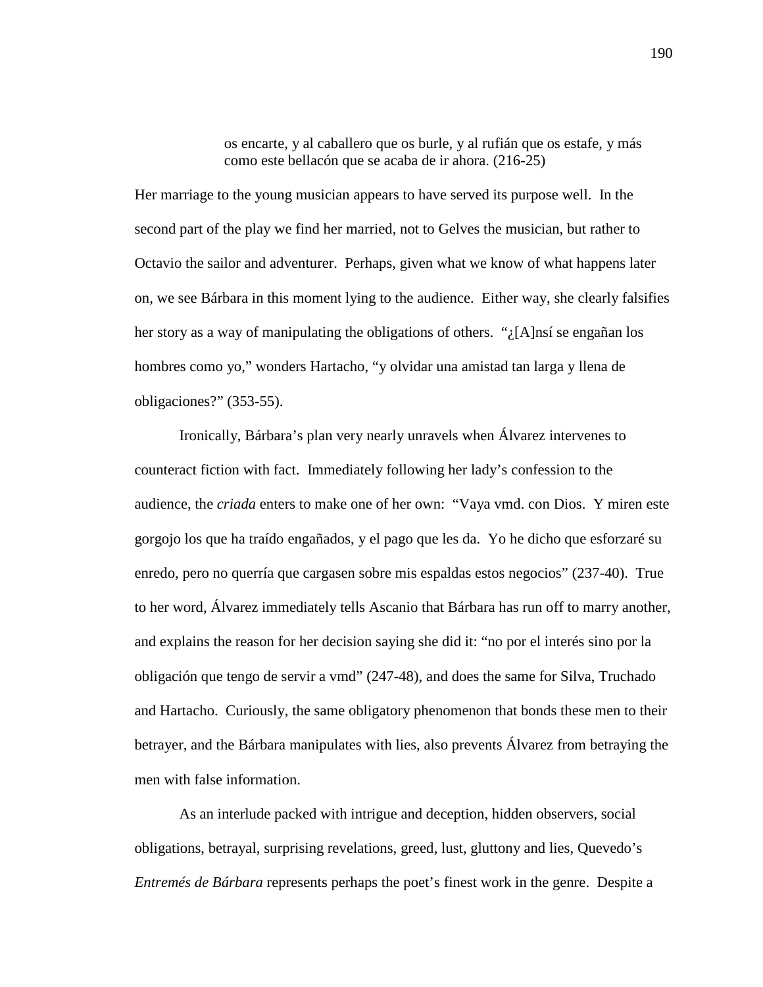os encarte, y al caballero que os burle, y al rufián que os estafe, y más como este bellacón que se acaba de ir ahora. (216-25)

Her marriage to the young musician appears to have served its purpose well. In the second part of the play we find her married, not to Gelves the musician, but rather to Octavio the sailor and adventurer. Perhaps, given what we know of what happens later on, we see Bárbara in this moment lying to the audience. Either way, she clearly falsifies her story as a way of manipulating the obligations of others. "¿[A]nsí se engañan los hombres como yo," wonders Hartacho, "y olvidar una amistad tan larga y llena de obligaciones?" (353-55).

Ironically, Bárbara's plan very nearly unravels when Álvarez intervenes to counteract fiction with fact. Immediately following her lady's confession to the audience, the *criada* enters to make one of her own: "Vaya vmd. con Dios. Y miren este gorgojo los que ha traído engañados, y el pago que les da. Yo he dicho que esforzaré su enredo, pero no querría que cargasen sobre mis espaldas estos negocios" (237-40). True to her word, Álvarez immediately tells Ascanio that Bárbara has run off to marry another, and explains the reason for her decision saying she did it: "no por el interés sino por la obligación que tengo de servir a vmd" (247-48), and does the same for Silva, Truchado and Hartacho. Curiously, the same obligatory phenomenon that bonds these men to their betrayer, and the Bárbara manipulates with lies, also prevents Álvarez from betraying the men with false information.

 As an interlude packed with intrigue and deception, hidden observers, social obligations, betrayal, surprising revelations, greed, lust, gluttony and lies, Quevedo's *Entremés de Bárbara* represents perhaps the poet's finest work in the genre. Despite a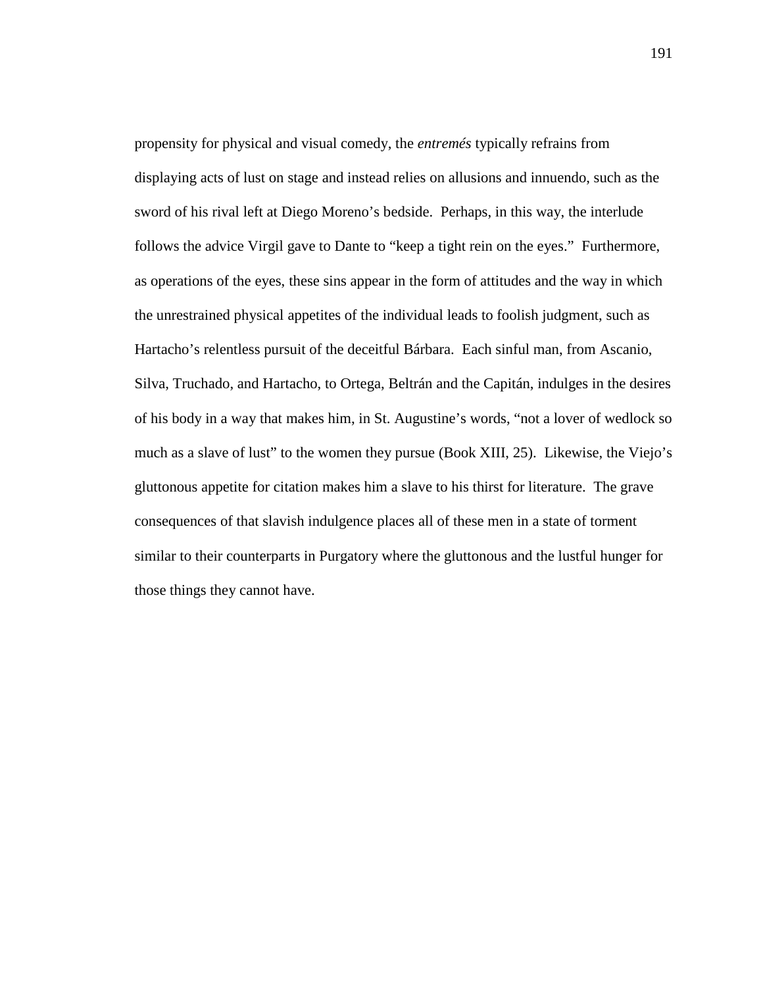propensity for physical and visual comedy, the *entremés* typically refrains from displaying acts of lust on stage and instead relies on allusions and innuendo, such as the sword of his rival left at Diego Moreno's bedside. Perhaps, in this way, the interlude follows the advice Virgil gave to Dante to "keep a tight rein on the eyes." Furthermore, as operations of the eyes, these sins appear in the form of attitudes and the way in which the unrestrained physical appetites of the individual leads to foolish judgment, such as Hartacho's relentless pursuit of the deceitful Bárbara. Each sinful man, from Ascanio, Silva, Truchado, and Hartacho, to Ortega, Beltrán and the Capitán, indulges in the desires of his body in a way that makes him, in St. Augustine's words, "not a lover of wedlock so much as a slave of lust" to the women they pursue (Book XIII, 25). Likewise, the Viejo's gluttonous appetite for citation makes him a slave to his thirst for literature. The grave consequences of that slavish indulgence places all of these men in a state of torment similar to their counterparts in Purgatory where the gluttonous and the lustful hunger for those things they cannot have.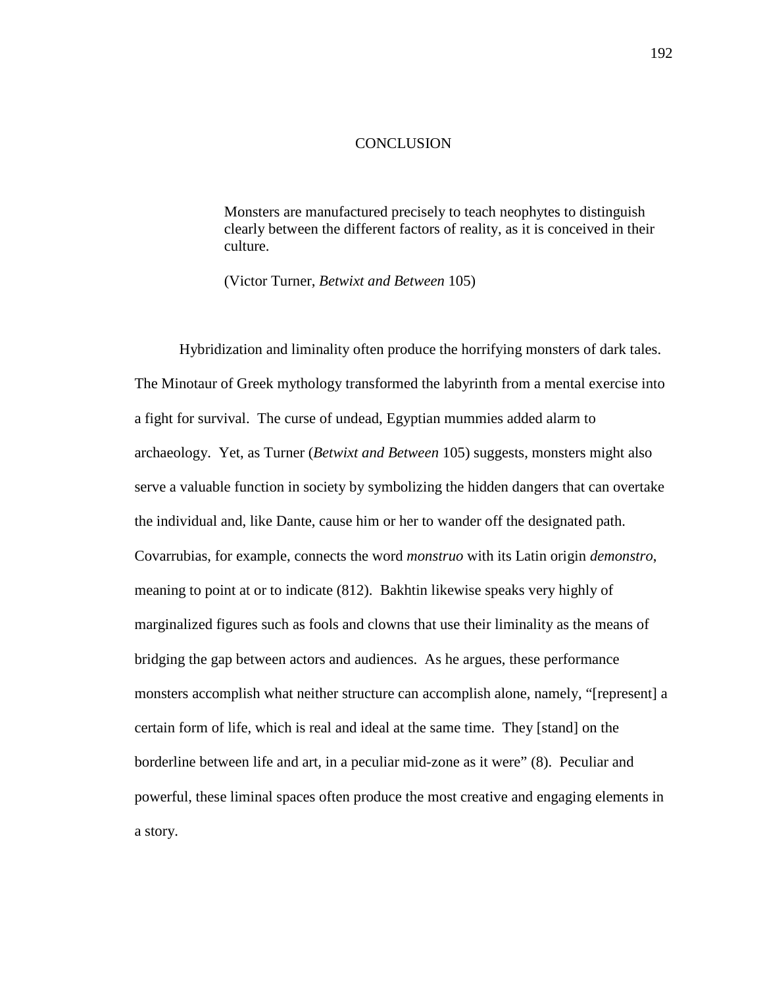## **CONCLUSION**

Monsters are manufactured precisely to teach neophytes to distinguish clearly between the different factors of reality, as it is conceived in their culture.

(Victor Turner, *Betwixt and Between* 105)

Hybridization and liminality often produce the horrifying monsters of dark tales. The Minotaur of Greek mythology transformed the labyrinth from a mental exercise into a fight for survival. The curse of undead, Egyptian mummies added alarm to archaeology. Yet, as Turner (*Betwixt and Between* 105) suggests, monsters might also serve a valuable function in society by symbolizing the hidden dangers that can overtake the individual and, like Dante, cause him or her to wander off the designated path. Covarrubias, for example, connects the word *monstruo* with its Latin origin *demonstro*, meaning to point at or to indicate (812). Bakhtin likewise speaks very highly of marginalized figures such as fools and clowns that use their liminality as the means of bridging the gap between actors and audiences. As he argues, these performance monsters accomplish what neither structure can accomplish alone, namely, "[represent] a certain form of life, which is real and ideal at the same time. They [stand] on the borderline between life and art, in a peculiar mid-zone as it were" (8). Peculiar and powerful, these liminal spaces often produce the most creative and engaging elements in a story.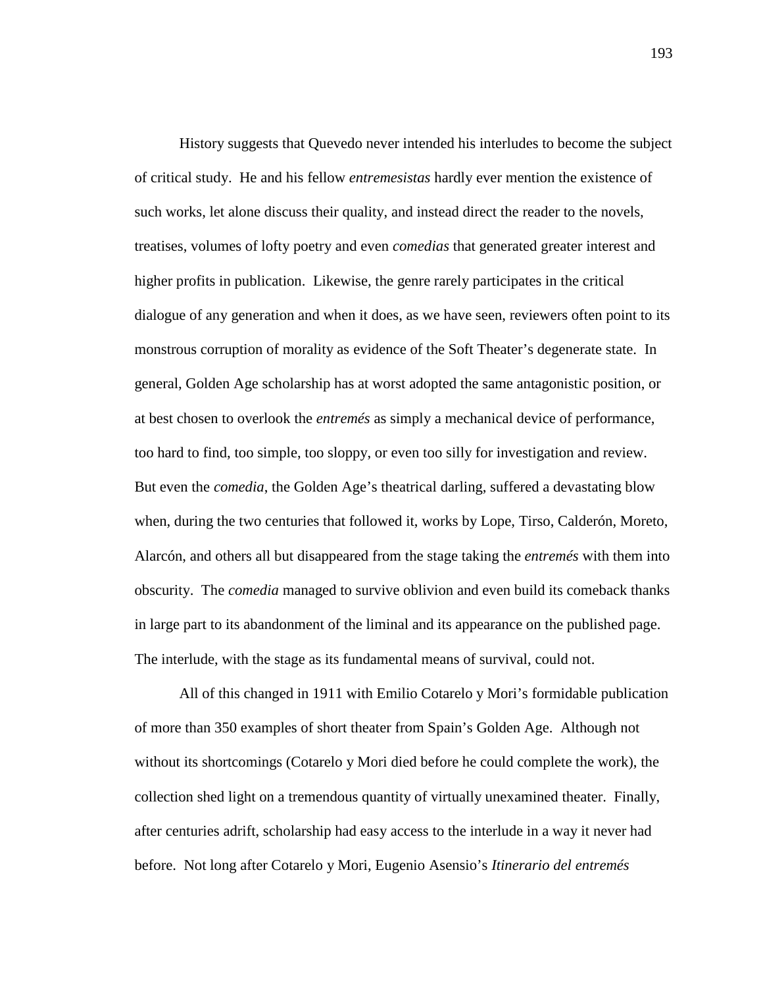History suggests that Quevedo never intended his interludes to become the subject of critical study. He and his fellow *entremesistas* hardly ever mention the existence of such works, let alone discuss their quality, and instead direct the reader to the novels, treatises, volumes of lofty poetry and even *comedias* that generated greater interest and higher profits in publication. Likewise, the genre rarely participates in the critical dialogue of any generation and when it does, as we have seen, reviewers often point to its monstrous corruption of morality as evidence of the Soft Theater's degenerate state. In general, Golden Age scholarship has at worst adopted the same antagonistic position, or at best chosen to overlook the *entremés* as simply a mechanical device of performance, too hard to find, too simple, too sloppy, or even too silly for investigation and review. But even the *comedia*, the Golden Age's theatrical darling, suffered a devastating blow when, during the two centuries that followed it, works by Lope, Tirso, Calderón, Moreto, Alarcón, and others all but disappeared from the stage taking the *entremés* with them into obscurity. The *comedia* managed to survive oblivion and even build its comeback thanks in large part to its abandonment of the liminal and its appearance on the published page. The interlude, with the stage as its fundamental means of survival, could not.

All of this changed in 1911 with Emilio Cotarelo y Mori's formidable publication of more than 350 examples of short theater from Spain's Golden Age. Although not without its shortcomings (Cotarelo y Mori died before he could complete the work), the collection shed light on a tremendous quantity of virtually unexamined theater. Finally, after centuries adrift, scholarship had easy access to the interlude in a way it never had before. Not long after Cotarelo y Mori, Eugenio Asensio's *Itinerario del entremés*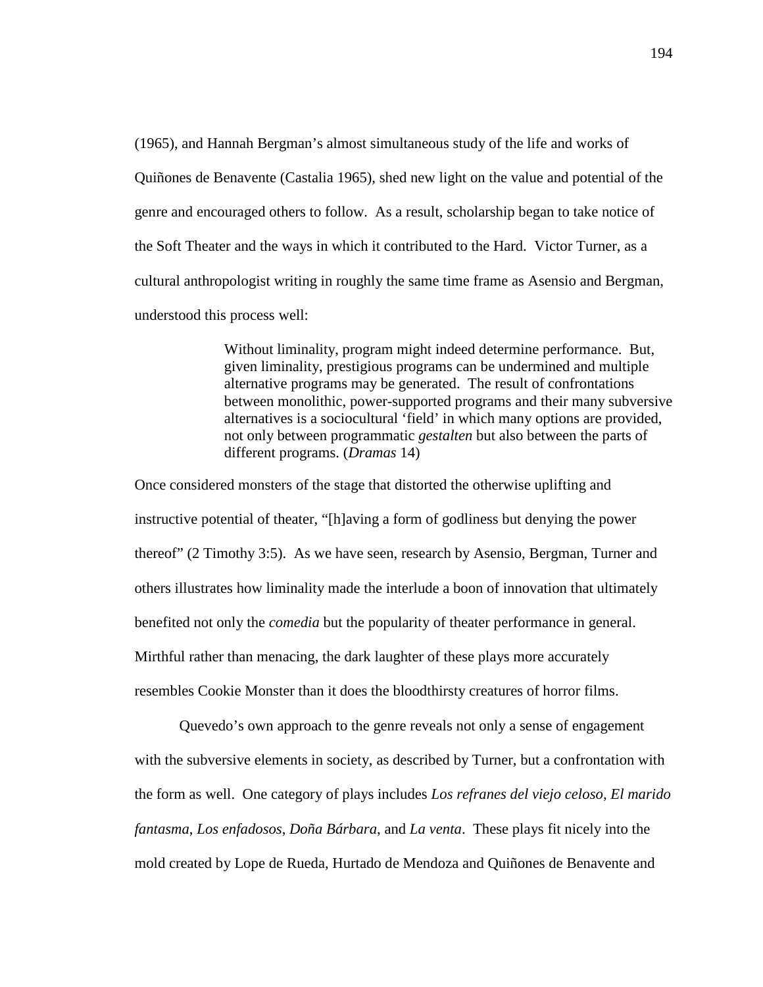(1965), and Hannah Bergman's almost simultaneous study of the life and works of Quiñones de Benavente (Castalia 1965), shed new light on the value and potential of the genre and encouraged others to follow. As a result, scholarship began to take notice of the Soft Theater and the ways in which it contributed to the Hard. Victor Turner, as a cultural anthropologist writing in roughly the same time frame as Asensio and Bergman, understood this process well:

> Without liminality, program might indeed determine performance. But, given liminality, prestigious programs can be undermined and multiple alternative programs may be generated. The result of confrontations between monolithic, power-supported programs and their many subversive alternatives is a sociocultural 'field' in which many options are provided, not only between programmatic *gestalten* but also between the parts of different programs. (*Dramas* 14)

Once considered monsters of the stage that distorted the otherwise uplifting and instructive potential of theater, "[h]aving a form of godliness but denying the power thereof" (2 Timothy 3:5). As we have seen, research by Asensio, Bergman, Turner and others illustrates how liminality made the interlude a boon of innovation that ultimately benefited not only the *comedia* but the popularity of theater performance in general. Mirthful rather than menacing, the dark laughter of these plays more accurately resembles Cookie Monster than it does the bloodthirsty creatures of horror films.

Quevedo's own approach to the genre reveals not only a sense of engagement with the subversive elements in society, as described by Turner, but a confrontation with the form as well. One category of plays includes *Los refranes del viejo celoso*, *El marido fantasma*, *Los enfadosos*, *Doña Bárbara*, and *La venta*. These plays fit nicely into the mold created by Lope de Rueda, Hurtado de Mendoza and Quiñones de Benavente and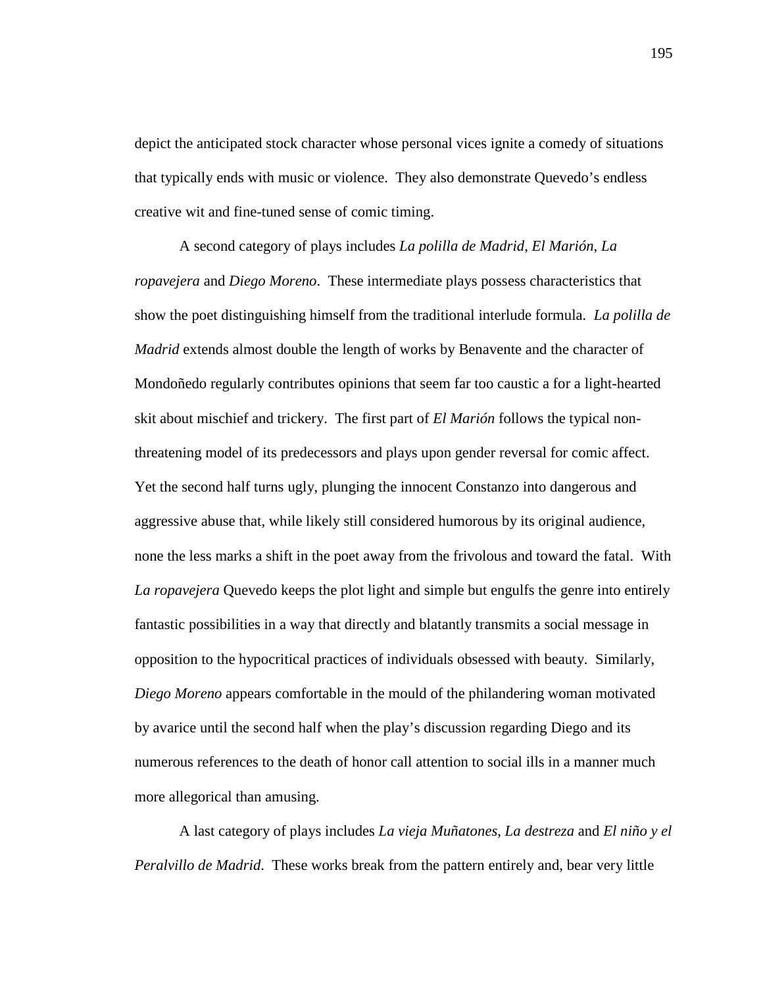depict the anticipated stock character whose personal vices ignite a comedy of situations that typically ends with music or violence. They also demonstrate Quevedo's endless creative wit and fine-tuned sense of comic timing.

A second category of plays includes *La polilla de Madrid*, *El Marión*, *La ropavejera* and *Diego Moreno*. These intermediate plays possess characteristics that show the poet distinguishing himself from the traditional interlude formula. *La polilla de Madrid* extends almost double the length of works by Benavente and the character of Mondoñedo regularly contributes opinions that seem far too caustic a for a light-hearted skit about mischief and trickery. The first part of *El Marión* follows the typical nonthreatening model of its predecessors and plays upon gender reversal for comic affect. Yet the second half turns ugly, plunging the innocent Constanzo into dangerous and aggressive abuse that, while likely still considered humorous by its original audience, none the less marks a shift in the poet away from the frivolous and toward the fatal. With *La ropavejera* Quevedo keeps the plot light and simple but engulfs the genre into entirely fantastic possibilities in a way that directly and blatantly transmits a social message in opposition to the hypocritical practices of individuals obsessed with beauty. Similarly, *Diego Moreno* appears comfortable in the mould of the philandering woman motivated by avarice until the second half when the play's discussion regarding Diego and its numerous references to the death of honor call attention to social ills in a manner much more allegorical than amusing.

A last category of plays includes *La vieja Muñatones*, *La destreza* and *El niño y el Peralvillo de Madrid*. These works break from the pattern entirely and, bear very little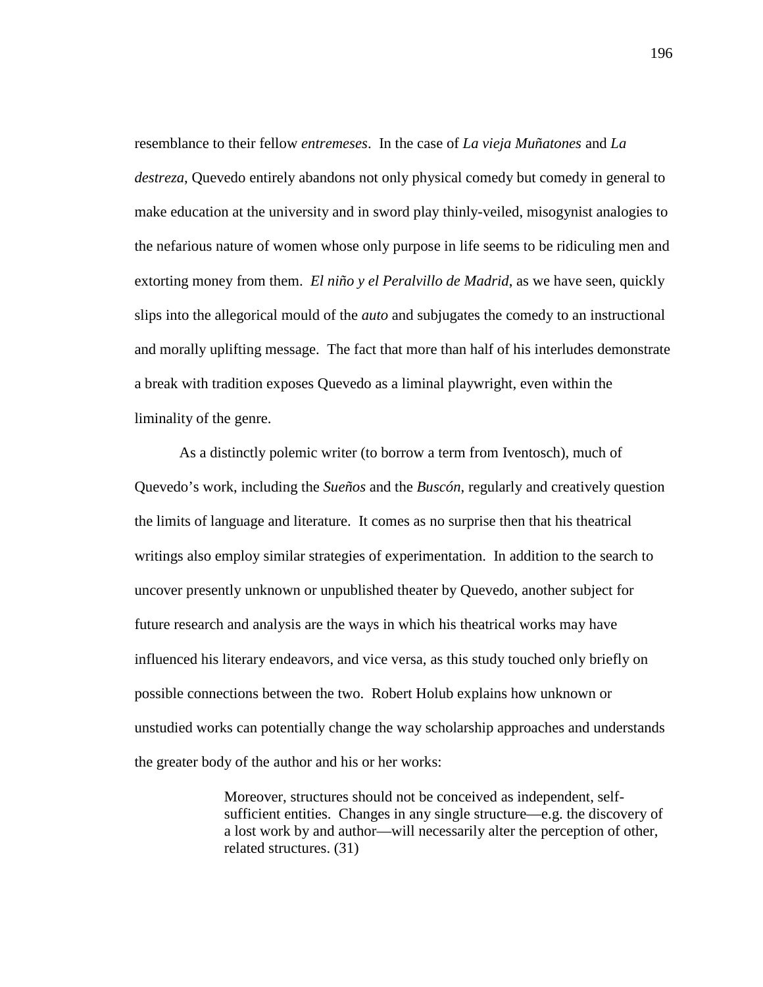resemblance to their fellow *entremeses*. In the case of *La vieja Muñatones* and *La destreza*, Quevedo entirely abandons not only physical comedy but comedy in general to make education at the university and in sword play thinly-veiled, misogynist analogies to the nefarious nature of women whose only purpose in life seems to be ridiculing men and extorting money from them. *El niño y el Peralvillo de Madrid*, as we have seen, quickly slips into the allegorical mould of the *auto* and subjugates the comedy to an instructional and morally uplifting message. The fact that more than half of his interludes demonstrate a break with tradition exposes Quevedo as a liminal playwright, even within the liminality of the genre.

As a distinctly polemic writer (to borrow a term from Iventosch), much of Quevedo's work, including the *Sueños* and the *Buscón*, regularly and creatively question the limits of language and literature. It comes as no surprise then that his theatrical writings also employ similar strategies of experimentation. In addition to the search to uncover presently unknown or unpublished theater by Quevedo, another subject for future research and analysis are the ways in which his theatrical works may have influenced his literary endeavors, and vice versa, as this study touched only briefly on possible connections between the two. Robert Holub explains how unknown or unstudied works can potentially change the way scholarship approaches and understands the greater body of the author and his or her works:

> Moreover, structures should not be conceived as independent, selfsufficient entities. Changes in any single structure—e.g. the discovery of a lost work by and author—will necessarily alter the perception of other, related structures. (31)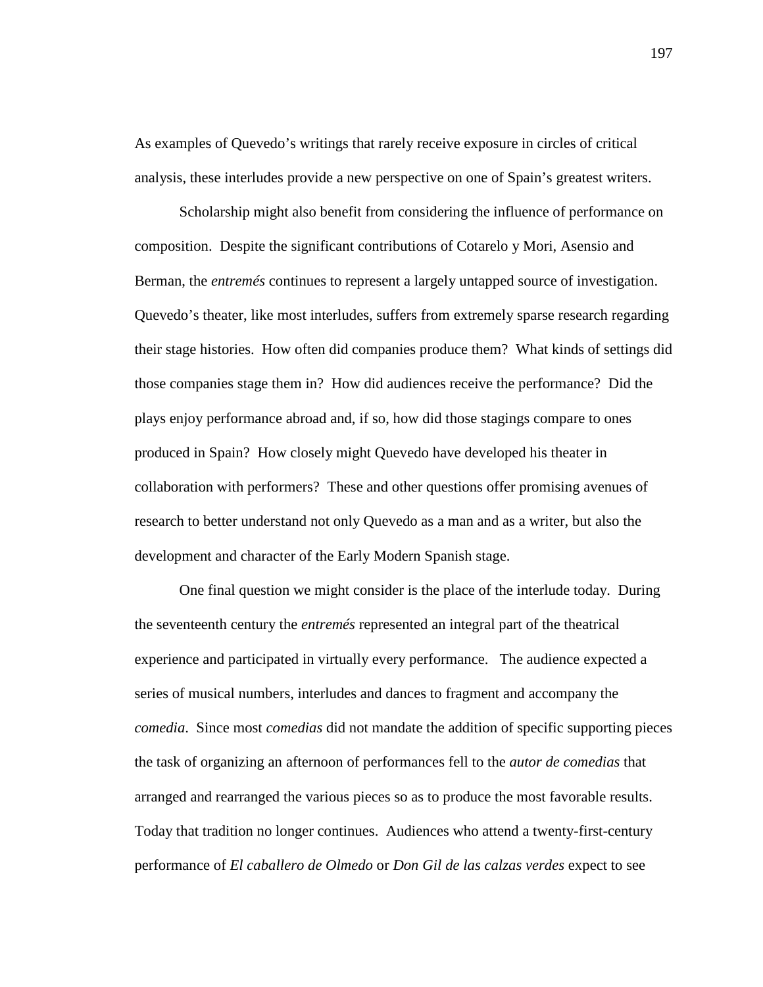As examples of Quevedo's writings that rarely receive exposure in circles of critical analysis, these interludes provide a new perspective on one of Spain's greatest writers.

Scholarship might also benefit from considering the influence of performance on composition. Despite the significant contributions of Cotarelo y Mori, Asensio and Berman, the *entremés* continues to represent a largely untapped source of investigation. Quevedo's theater, like most interludes, suffers from extremely sparse research regarding their stage histories. How often did companies produce them? What kinds of settings did those companies stage them in? How did audiences receive the performance? Did the plays enjoy performance abroad and, if so, how did those stagings compare to ones produced in Spain? How closely might Quevedo have developed his theater in collaboration with performers? These and other questions offer promising avenues of research to better understand not only Quevedo as a man and as a writer, but also the development and character of the Early Modern Spanish stage.

One final question we might consider is the place of the interlude today. During the seventeenth century the *entremés* represented an integral part of the theatrical experience and participated in virtually every performance. The audience expected a series of musical numbers, interludes and dances to fragment and accompany the *comedia*. Since most *comedias* did not mandate the addition of specific supporting pieces the task of organizing an afternoon of performances fell to the *autor de comedias* that arranged and rearranged the various pieces so as to produce the most favorable results. Today that tradition no longer continues. Audiences who attend a twenty-first-century performance of *El caballero de Olmedo* or *Don Gil de las calzas verdes* expect to see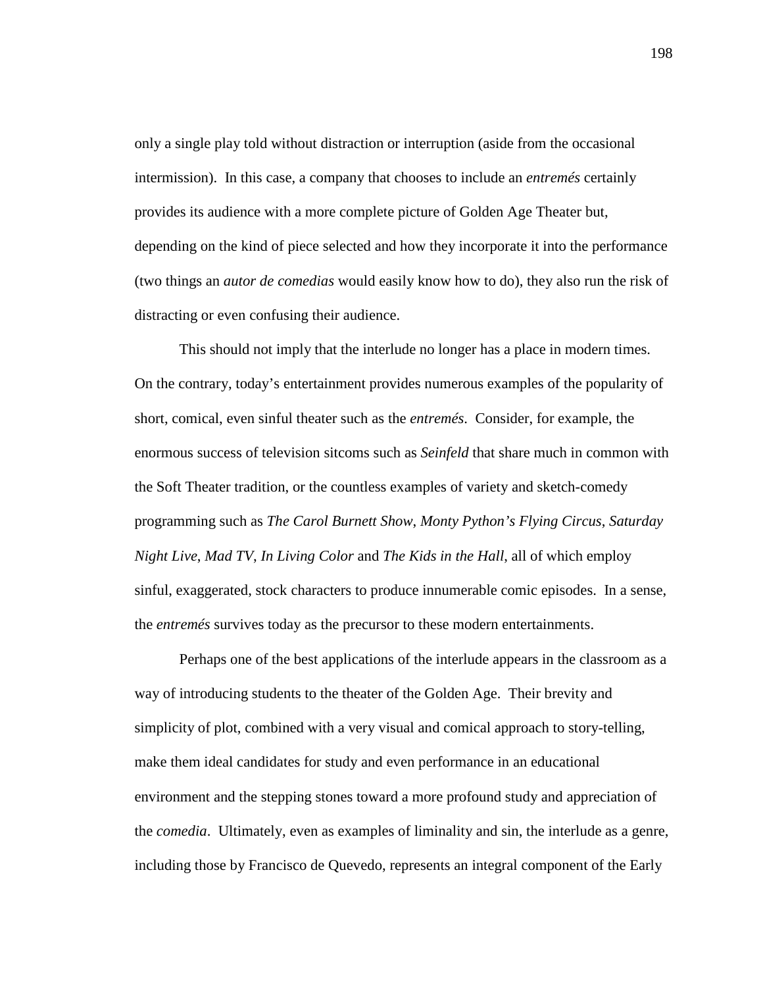only a single play told without distraction or interruption (aside from the occasional intermission). In this case, a company that chooses to include an *entremés* certainly provides its audience with a more complete picture of Golden Age Theater but, depending on the kind of piece selected and how they incorporate it into the performance (two things an *autor de comedias* would easily know how to do), they also run the risk of distracting or even confusing their audience.

This should not imply that the interlude no longer has a place in modern times. On the contrary, today's entertainment provides numerous examples of the popularity of short, comical, even sinful theater such as the *entremés*. Consider, for example, the enormous success of television sitcoms such as *Seinfeld* that share much in common with the Soft Theater tradition, or the countless examples of variety and sketch-comedy programming such as *The Carol Burnett Show*, *Monty Python's Flying Circus*, *Saturday Night Live*, *Mad TV*, *In Living Color* and *The Kids in the Hall*, all of which employ sinful, exaggerated, stock characters to produce innumerable comic episodes. In a sense, the *entremés* survives today as the precursor to these modern entertainments.

Perhaps one of the best applications of the interlude appears in the classroom as a way of introducing students to the theater of the Golden Age. Their brevity and simplicity of plot, combined with a very visual and comical approach to story-telling, make them ideal candidates for study and even performance in an educational environment and the stepping stones toward a more profound study and appreciation of the *comedia*. Ultimately, even as examples of liminality and sin, the interlude as a genre, including those by Francisco de Quevedo, represents an integral component of the Early

198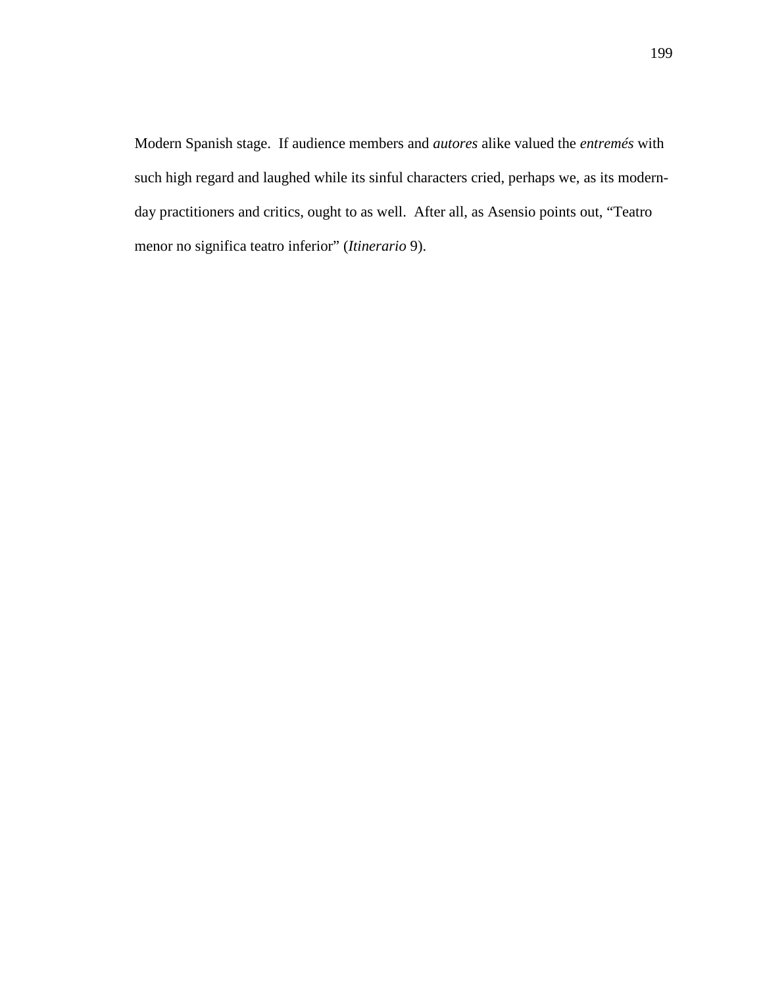Modern Spanish stage. If audience members and *autores* alike valued the *entremés* with such high regard and laughed while its sinful characters cried, perhaps we, as its modernday practitioners and critics, ought to as well. After all, as Asensio points out, "Teatro menor no significa teatro inferior" (*Itinerario* 9).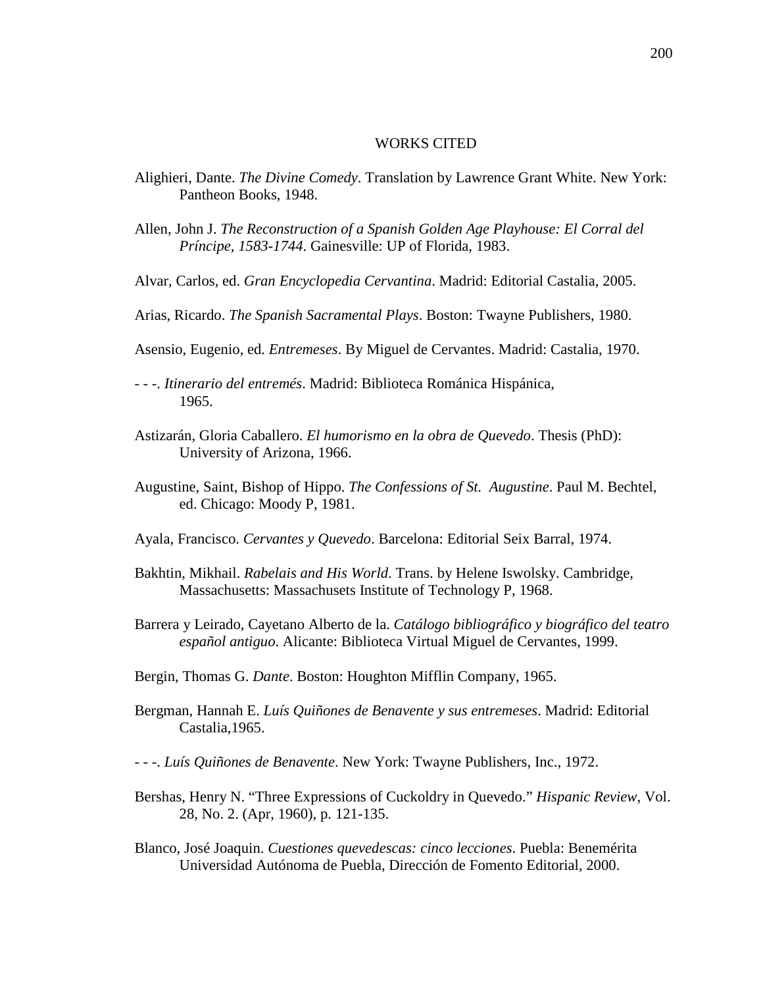## WORKS CITED

- Alighieri, Dante. *The Divine Comedy*. Translation by Lawrence Grant White. New York: Pantheon Books, 1948.
- Allen, John J. *The Reconstruction of a Spanish Golden Age Playhouse: El Corral del Príncipe, 1583-1744*. Gainesville: UP of Florida, 1983.
- Alvar, Carlos, ed. *Gran Encyclopedia Cervantina*. Madrid: Editorial Castalia, 2005.
- Arias, Ricardo. *The Spanish Sacramental Plays*. Boston: Twayne Publishers, 1980.
- Asensio, Eugenio, ed. *Entremeses*. By Miguel de Cervantes. Madrid: Castalia, 1970.
- - -. *Itinerario del entremés*. Madrid: Biblioteca Románica Hispánica, 1965.
- Astizarán, Gloria Caballero. *El humorismo en la obra de Quevedo*. Thesis (PhD): University of Arizona, 1966.
- Augustine, Saint, Bishop of Hippo. *The Confessions of St. Augustine*. Paul M. Bechtel, ed. Chicago: Moody P, 1981.
- Ayala, Francisco. *Cervantes y Quevedo*. Barcelona: Editorial Seix Barral, 1974.
- Bakhtin, Mikhail. *Rabelais and His World*. Trans. by Helene Iswolsky. Cambridge, Massachusetts: Massachusets Institute of Technology P, 1968.
- Barrera y Leirado, Cayetano Alberto de la. *Catálogo bibliográfico y biográfico del teatro español antiguo*. Alicante: Biblioteca Virtual Miguel de Cervantes, 1999.
- Bergin, Thomas G. *Dante*. Boston: Houghton Mifflin Company, 1965.
- Bergman, Hannah E. *Luís Quiñones de Benavente y sus entremeses*. Madrid: Editorial Castalia,1965.
- - -. *Luís Quiñones de Benavente*. New York: Twayne Publishers, Inc., 1972.
- Bershas, Henry N. "Three Expressions of Cuckoldry in Quevedo." *Hispanic Review*, Vol. 28, No. 2. (Apr, 1960), p. 121-135.
- Blanco, José Joaquin. *Cuestiones quevedescas: cinco lecciones*. Puebla: Benemérita Universidad Autónoma de Puebla, Dirección de Fomento Editorial, 2000.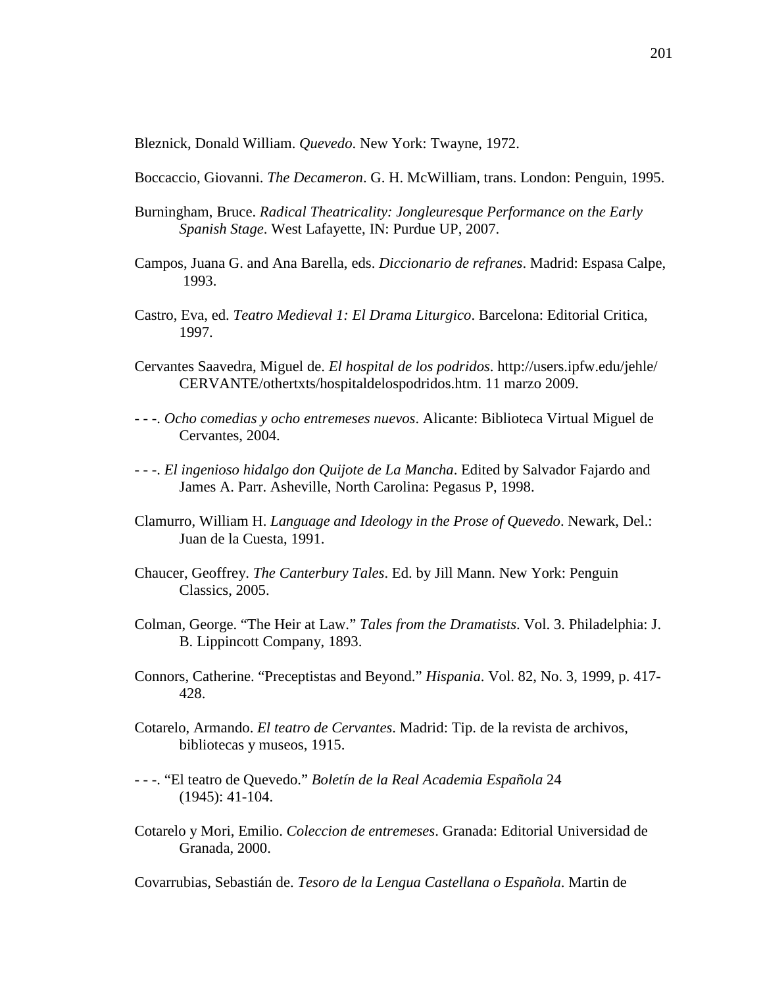Bleznick, Donald William. *Quevedo*. New York: Twayne, 1972.

Boccaccio, Giovanni. *The Decameron*. G. H. McWilliam, trans. London: Penguin, 1995.

- Burningham, Bruce. *Radical Theatricality: Jongleuresque Performance on the Early Spanish Stage*. West Lafayette, IN: Purdue UP, 2007.
- Campos, Juana G. and Ana Barella, eds. *Diccionario de refranes*. Madrid: Espasa Calpe, 1993.
- Castro, Eva, ed. *Teatro Medieval 1: El Drama Liturgico*. Barcelona: Editorial Critica, 1997.
- Cervantes Saavedra, Miguel de. *El hospital de los podridos*. http://users.ipfw.edu/jehle/ CERVANTE/othertxts/hospitaldelospodridos.htm. 11 marzo 2009.
- - -. *Ocho comedias y ocho entremeses nuevos*. Alicante: Biblioteca Virtual Miguel de Cervantes, 2004.
- - -. *El ingenioso hidalgo don Quijote de La Mancha*. Edited by Salvador Fajardo and James A. Parr. Asheville, North Carolina: Pegasus P, 1998.
- Clamurro, William H. *Language and Ideology in the Prose of Quevedo*. Newark, Del.: Juan de la Cuesta, 1991.
- Chaucer, Geoffrey. *The Canterbury Tales*. Ed. by Jill Mann. New York: Penguin Classics, 2005.
- Colman, George. "The Heir at Law." *Tales from the Dramatists*. Vol. 3. Philadelphia: J. B. Lippincott Company, 1893.
- Connors, Catherine. "Preceptistas and Beyond." *Hispania*. Vol. 82, No. 3, 1999, p. 417- 428.
- Cotarelo, Armando. *El teatro de Cervantes*. Madrid: Tip. de la revista de archivos, bibliotecas y museos, 1915.
- - -. "El teatro de Quevedo." *Boletín de la Real Academia Española* 24 (1945): 41-104.
- Cotarelo y Mori, Emilio. *Coleccion de entremeses*. Granada: Editorial Universidad de Granada, 2000.

Covarrubias, Sebastián de. *Tesoro de la Lengua Castellana o Española*. Martin de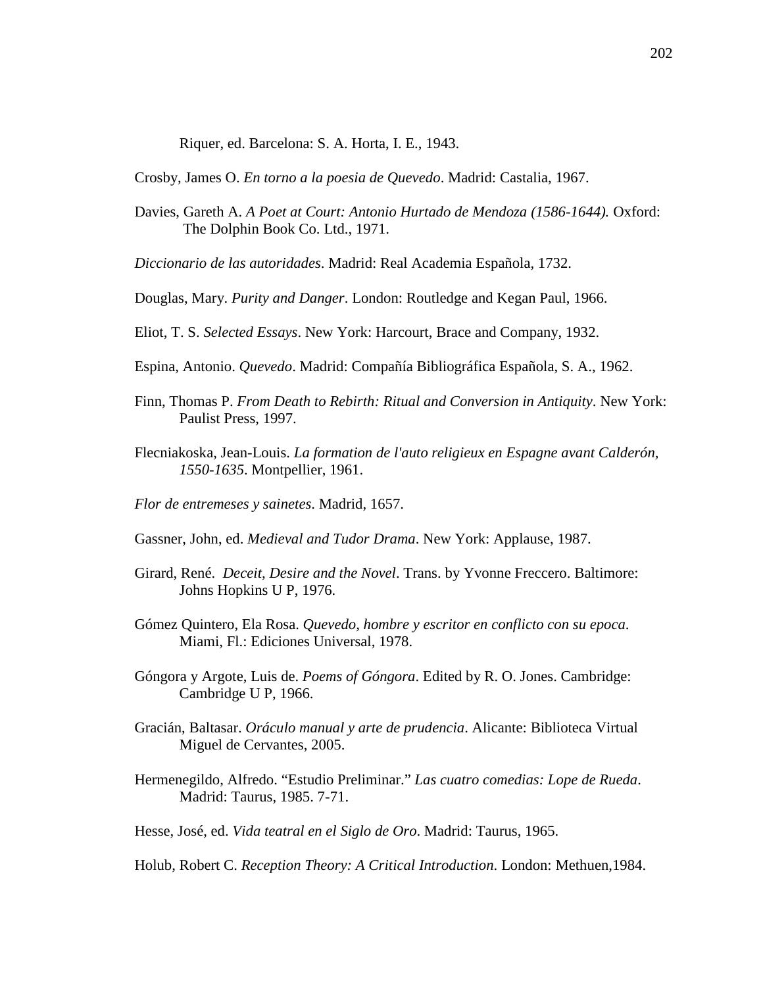Riquer, ed. Barcelona: S. A. Horta, I. E., 1943.

Crosby, James O. *En torno a la poesia de Quevedo*. Madrid: Castalia, 1967.

Davies, Gareth A. *A Poet at Court: Antonio Hurtado de Mendoza (1586-1644).* Oxford: The Dolphin Book Co. Ltd., 1971.

*Diccionario de las autoridades*. Madrid: Real Academia Española, 1732.

- Douglas, Mary. *Purity and Danger*. London: Routledge and Kegan Paul, 1966.
- Eliot, T. S. *Selected Essays*. New York: Harcourt, Brace and Company, 1932.
- Espina, Antonio. *Quevedo*. Madrid: Compañía Bibliográfica Española, S. A., 1962.
- Finn, Thomas P. *From Death to Rebirth: Ritual and Conversion in Antiquity*. New York: Paulist Press, 1997.
- Flecniakoska, Jean-Louis. *La formation de l'auto religieux en Espagne avant Calderón, 1550-1635*. Montpellier, 1961.
- *Flor de entremeses y sainetes*. Madrid, 1657.
- Gassner, John, ed. *Medieval and Tudor Drama*. New York: Applause, 1987.
- Girard, René. *Deceit, Desire and the Novel*. Trans. by Yvonne Freccero. Baltimore: Johns Hopkins U P, 1976.
- Gómez Quintero, Ela Rosa. *Quevedo, hombre y escritor en conflicto con su epoca*. Miami, Fl.: Ediciones Universal, 1978.
- Góngora y Argote, Luis de. *Poems of Góngora*. Edited by R. O. Jones. Cambridge: Cambridge U P, 1966.
- Gracián, Baltasar. *Oráculo manual y arte de prudencia*. Alicante: Biblioteca Virtual Miguel de Cervantes, 2005.
- Hermenegildo, Alfredo. "Estudio Preliminar." *Las cuatro comedias: Lope de Rueda*. Madrid: Taurus, 1985. 7-71.
- Hesse, José, ed. *Vida teatral en el Siglo de Oro*. Madrid: Taurus, 1965.

Holub, Robert C. *Reception Theory: A Critical Introduction*. London: Methuen,1984.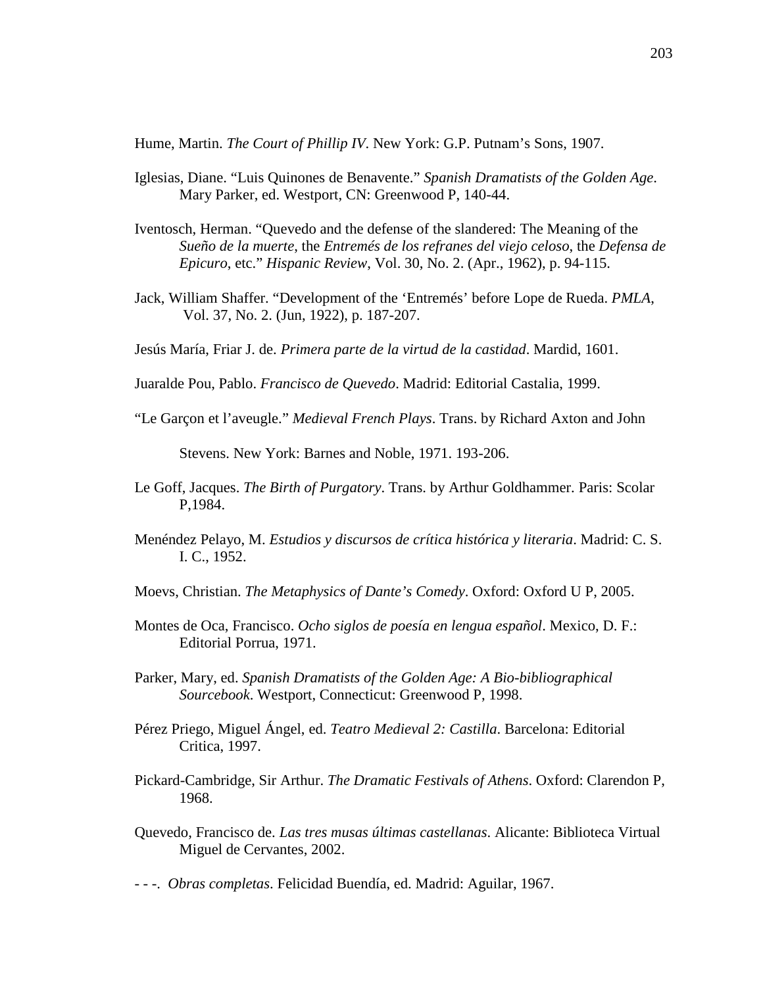Hume, Martin. *The Court of Phillip IV*. New York: G.P. Putnam's Sons, 1907.

- Iglesias, Diane. "Luis Quinones de Benavente." *Spanish Dramatists of the Golden Age*. Mary Parker, ed. Westport, CN: Greenwood P, 140-44.
- Iventosch, Herman. "Quevedo and the defense of the slandered: The Meaning of the *Sueño de la muerte*, the *Entremés de los refranes del viejo celoso*, the *Defensa de Epicuro*, etc." *Hispanic Review*, Vol. 30, No. 2. (Apr., 1962), p. 94-115.
- Jack, William Shaffer. "Development of the 'Entremés' before Lope de Rueda. *PMLA*, Vol. 37, No. 2. (Jun, 1922), p. 187-207.
- Jesús María, Friar J. de. *Primera parte de la virtud de la castidad*. Mardid, 1601.
- Juaralde Pou, Pablo. *Francisco de Quevedo*. Madrid: Editorial Castalia, 1999.
- "Le Garçon et l'aveugle." *Medieval French Plays*. Trans. by Richard Axton and John

Stevens. New York: Barnes and Noble, 1971. 193-206.

- Le Goff, Jacques. *The Birth of Purgatory*. Trans. by Arthur Goldhammer. Paris: Scolar P,1984.
- Menéndez Pelayo, M. *Estudios y discursos de crítica histórica y literaria*. Madrid: C. S. I. C., 1952.
- Moevs, Christian. *The Metaphysics of Dante's Comedy*. Oxford: Oxford U P, 2005.
- Montes de Oca, Francisco. *Ocho siglos de poesía en lengua español*. Mexico, D. F.: Editorial Porrua, 1971.
- Parker, Mary, ed. *Spanish Dramatists of the Golden Age: A Bio-bibliographical Sourcebook*. Westport, Connecticut: Greenwood P, 1998.
- Pérez Priego, Miguel Ángel, ed. *Teatro Medieval 2: Castilla*. Barcelona: Editorial Critica, 1997.
- Pickard-Cambridge, Sir Arthur. *The Dramatic Festivals of Athens*. Oxford: Clarendon P, 1968.
- Quevedo, Francisco de. *Las tres musas últimas castellanas*. Alicante: Biblioteca Virtual Miguel de Cervantes, 2002.

- - -. *Obras completas*. Felicidad Buendía, ed. Madrid: Aguilar, 1967.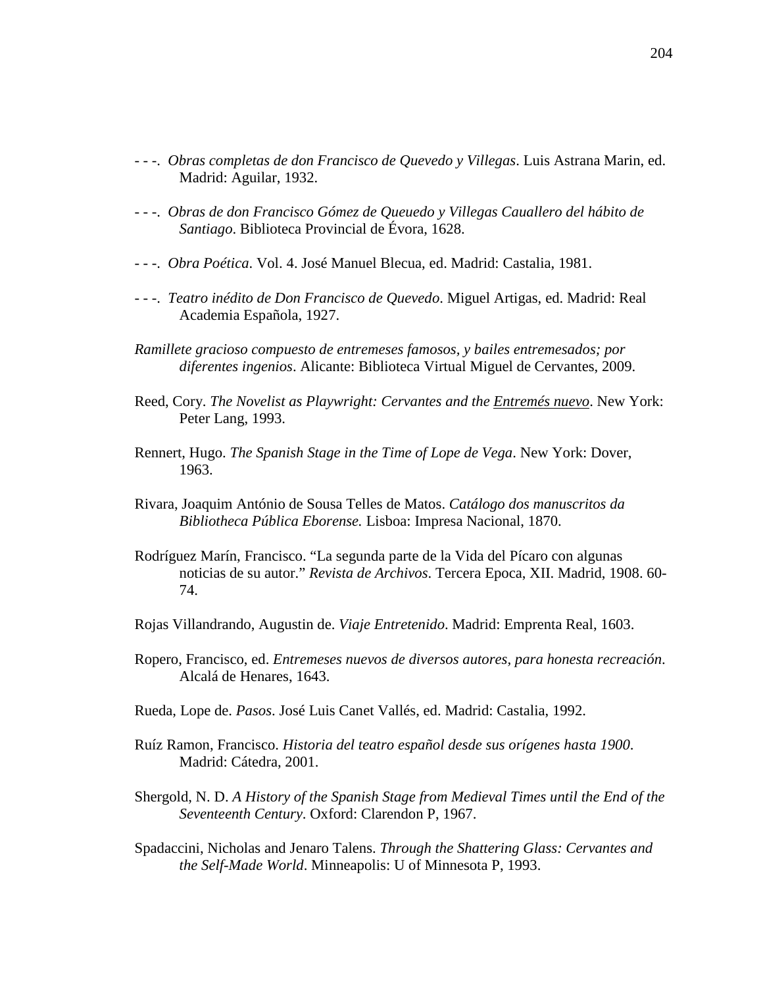- - -. *Obras completas de don Francisco de Quevedo y Villegas*. Luis Astrana Marin, ed. Madrid: Aguilar, 1932.
- - -. *Obras de don Francisco Gómez de Queuedo y Villegas Cauallero del hábito de Santiago*. Biblioteca Provincial de Évora, 1628.
- - -. *Obra Poética*. Vol. 4. José Manuel Blecua, ed. Madrid: Castalia, 1981.
- - -. *Teatro inédito de Don Francisco de Quevedo*. Miguel Artigas, ed. Madrid: Real Academia Española, 1927.
- *Ramillete gracioso compuesto de entremeses famosos, y bailes entremesados; por diferentes ingenios*. Alicante: Biblioteca Virtual Miguel de Cervantes, 2009.
- Reed, Cory. *The Novelist as Playwright: Cervantes and the Entremés nuevo*. New York: Peter Lang, 1993.
- Rennert, Hugo. *The Spanish Stage in the Time of Lope de Vega*. New York: Dover, 1963.
- Rivara, Joaquim António de Sousa Telles de Matos. *Catálogo dos manuscritos da Bibliotheca Pública Eborense.* Lisboa: Impresa Nacional, 1870.
- Rodríguez Marín, Francisco. "La segunda parte de la Vida del Pícaro con algunas noticias de su autor." *Revista de Archivos*. Tercera Epoca, XII. Madrid, 1908. 60- 74.
- Rojas Villandrando, Augustin de. *Viaje Entretenido*. Madrid: Emprenta Real, 1603.
- Ropero, Francisco, ed. *Entremeses nuevos de diversos autores, para honesta recreación*. Alcalá de Henares, 1643.
- Rueda, Lope de. *Pasos*. José Luis Canet Vallés, ed. Madrid: Castalia, 1992.
- Ruíz Ramon, Francisco. *Historia del teatro español desde sus orígenes hasta 1900*. Madrid: Cátedra, 2001.
- Shergold, N. D. *A History of the Spanish Stage from Medieval Times until the End of the Seventeenth Century*. Oxford: Clarendon P, 1967.
- Spadaccini, Nicholas and Jenaro Talens. *Through the Shattering Glass: Cervantes and the Self-Made World*. Minneapolis: U of Minnesota P, 1993.